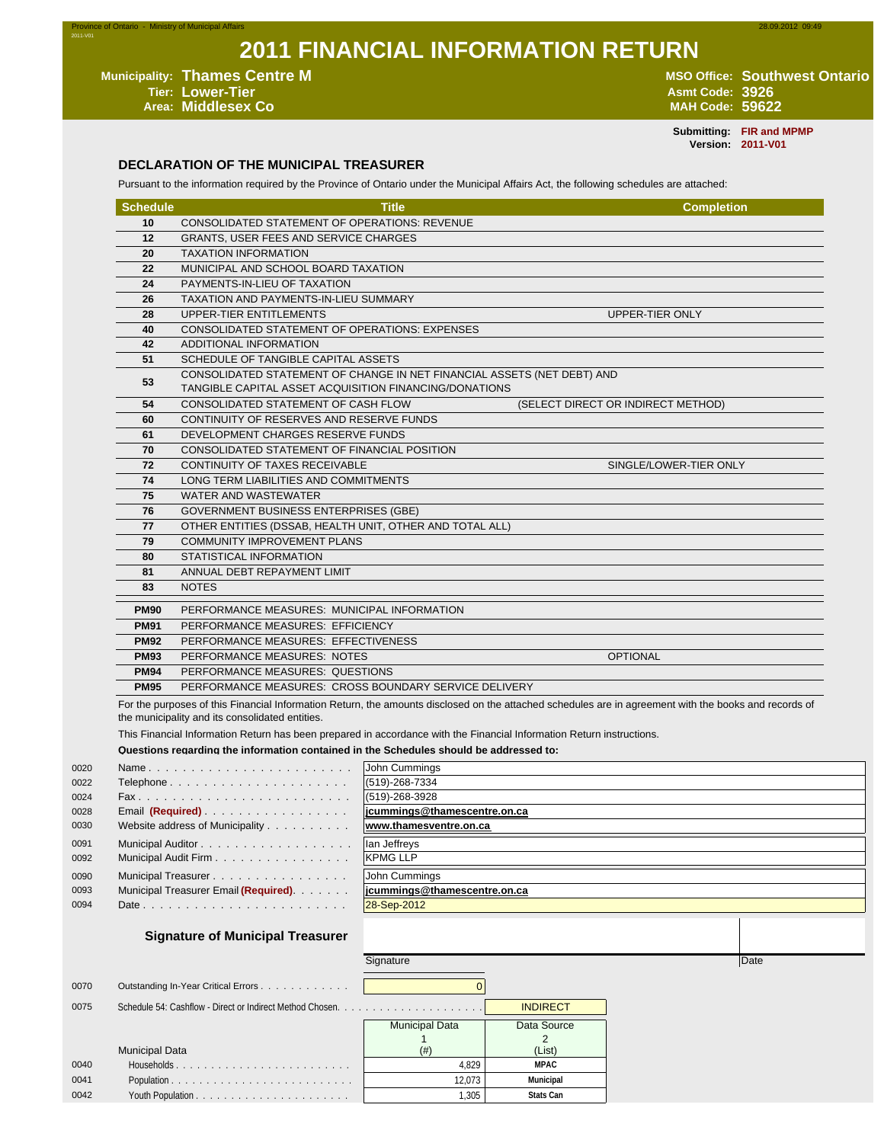# **2011 FINANCIAL INFORMATION RETURN**

Municipality: Thames Centre M<br>
Tier: Lower-Tier<br>
Arm Code: 3926<br>
Area: Middlesex Co<br>
Area: Middlesex Co **Tier: Lower-Tier Asmt Code: 3926 Area: Middlesex Co MAH Code: 59622**

2011-V01

**Submitting: FIR and MPMP Version: 2011-V01**

#### **DECLARATION OF THE MUNICIPAL TREASURER**

Pursuant to the information required by the Province of Ontario under the Municipal Affairs Act, the following schedules are attached:

| <b>Schedule</b>                                                                                                                                                                                                                                                                                                                                                                                                             |                                                       | <b>Title</b>                                                                                                                      | <b>Completion</b>                  |  |  |
|-----------------------------------------------------------------------------------------------------------------------------------------------------------------------------------------------------------------------------------------------------------------------------------------------------------------------------------------------------------------------------------------------------------------------------|-------------------------------------------------------|-----------------------------------------------------------------------------------------------------------------------------------|------------------------------------|--|--|
| 10                                                                                                                                                                                                                                                                                                                                                                                                                          | CONSOLIDATED STATEMENT OF OPERATIONS: REVENUE         |                                                                                                                                   |                                    |  |  |
| 12                                                                                                                                                                                                                                                                                                                                                                                                                          | <b>GRANTS, USER FEES AND SERVICE CHARGES</b>          |                                                                                                                                   |                                    |  |  |
| 20                                                                                                                                                                                                                                                                                                                                                                                                                          | <b>TAXATION INFORMATION</b>                           |                                                                                                                                   |                                    |  |  |
| 22                                                                                                                                                                                                                                                                                                                                                                                                                          | MUNICIPAL AND SCHOOL BOARD TAXATION                   |                                                                                                                                   |                                    |  |  |
| 24                                                                                                                                                                                                                                                                                                                                                                                                                          | PAYMENTS-IN-LIEU OF TAXATION                          |                                                                                                                                   |                                    |  |  |
| 26                                                                                                                                                                                                                                                                                                                                                                                                                          | TAXATION AND PAYMENTS-IN-LIEU SUMMARY                 |                                                                                                                                   |                                    |  |  |
| 28                                                                                                                                                                                                                                                                                                                                                                                                                          | UPPER-TIER ENTITLEMENTS                               |                                                                                                                                   | UPPER-TIER ONLY                    |  |  |
| 40                                                                                                                                                                                                                                                                                                                                                                                                                          | CONSOLIDATED STATEMENT OF OPERATIONS: EXPENSES        |                                                                                                                                   |                                    |  |  |
| 42                                                                                                                                                                                                                                                                                                                                                                                                                          | ADDITIONAL INFORMATION                                |                                                                                                                                   |                                    |  |  |
| 51                                                                                                                                                                                                                                                                                                                                                                                                                          | SCHEDULE OF TANGIBLE CAPITAL ASSETS                   | CONSOLIDATED STATEMENT OF CHANGE IN NET FINANCIAL ASSETS (NET DEBT) AND<br>TANGIBLE CAPITAL ASSET ACQUISITION FINANCING/DONATIONS |                                    |  |  |
| 53                                                                                                                                                                                                                                                                                                                                                                                                                          |                                                       |                                                                                                                                   |                                    |  |  |
| 54                                                                                                                                                                                                                                                                                                                                                                                                                          | CONSOLIDATED STATEMENT OF CASH FLOW                   |                                                                                                                                   | (SELECT DIRECT OR INDIRECT METHOD) |  |  |
| 60                                                                                                                                                                                                                                                                                                                                                                                                                          | CONTINUITY OF RESERVES AND RESERVE FUNDS              |                                                                                                                                   |                                    |  |  |
| 61                                                                                                                                                                                                                                                                                                                                                                                                                          | DEVELOPMENT CHARGES RESERVE FUNDS                     |                                                                                                                                   |                                    |  |  |
| 70                                                                                                                                                                                                                                                                                                                                                                                                                          | CONSOLIDATED STATEMENT OF FINANCIAL POSITION          |                                                                                                                                   |                                    |  |  |
| 72                                                                                                                                                                                                                                                                                                                                                                                                                          | CONTINUITY OF TAXES RECEIVABLE                        |                                                                                                                                   | SINGLE/LOWER-TIER ONLY             |  |  |
| 74                                                                                                                                                                                                                                                                                                                                                                                                                          | LONG TERM LIABILITIES AND COMMITMENTS                 |                                                                                                                                   |                                    |  |  |
| 75<br><b>WATER AND WASTEWATER</b>                                                                                                                                                                                                                                                                                                                                                                                           |                                                       |                                                                                                                                   |                                    |  |  |
| 76<br><b>GOVERNMENT BUSINESS ENTERPRISES (GBE)</b>                                                                                                                                                                                                                                                                                                                                                                          |                                                       |                                                                                                                                   |                                    |  |  |
| OTHER ENTITIES (DSSAB, HEALTH UNIT, OTHER AND TOTAL ALL)<br>77                                                                                                                                                                                                                                                                                                                                                              |                                                       |                                                                                                                                   |                                    |  |  |
| 79                                                                                                                                                                                                                                                                                                                                                                                                                          | <b>COMMUNITY IMPROVEMENT PLANS</b>                    |                                                                                                                                   |                                    |  |  |
| 80                                                                                                                                                                                                                                                                                                                                                                                                                          | STATISTICAL INFORMATION                               |                                                                                                                                   |                                    |  |  |
| 81                                                                                                                                                                                                                                                                                                                                                                                                                          | ANNUAL DEBT REPAYMENT LIMIT                           |                                                                                                                                   |                                    |  |  |
| 83                                                                                                                                                                                                                                                                                                                                                                                                                          | <b>NOTES</b>                                          |                                                                                                                                   |                                    |  |  |
| <b>PM90</b>                                                                                                                                                                                                                                                                                                                                                                                                                 | PERFORMANCE MEASURES: MUNICIPAL INFORMATION           |                                                                                                                                   |                                    |  |  |
| <b>PM91</b>                                                                                                                                                                                                                                                                                                                                                                                                                 | PERFORMANCE MEASURES: EFFICIENCY                      |                                                                                                                                   |                                    |  |  |
| <b>PM92</b>                                                                                                                                                                                                                                                                                                                                                                                                                 | PERFORMANCE MEASURES: EFFECTIVENESS                   |                                                                                                                                   |                                    |  |  |
| <b>PM93</b>                                                                                                                                                                                                                                                                                                                                                                                                                 | PERFORMANCE MEASURES: NOTES                           |                                                                                                                                   | <b>OPTIONAL</b>                    |  |  |
| <b>PM94</b>                                                                                                                                                                                                                                                                                                                                                                                                                 | PERFORMANCE MEASURES: QUESTIONS                       |                                                                                                                                   |                                    |  |  |
| <b>PM95</b>                                                                                                                                                                                                                                                                                                                                                                                                                 | PERFORMANCE MEASURES: CROSS BOUNDARY SERVICE DELIVERY |                                                                                                                                   |                                    |  |  |
| For the purposes of this Financial Information Return, the amounts disclosed on the attached schedules are in agreement with the books and records of<br>the municipality and its consolidated entities.<br>This Financial Information Return has been prepared in accordance with the Financial Information Return instructions.<br>Questions regarding the information contained in the Schedules should be addressed to: |                                                       |                                                                                                                                   |                                    |  |  |
|                                                                                                                                                                                                                                                                                                                                                                                                                             |                                                       |                                                                                                                                   |                                    |  |  |
|                                                                                                                                                                                                                                                                                                                                                                                                                             | Telephone                                             | John Cummings<br>(519)-268-7334                                                                                                   |                                    |  |  |
|                                                                                                                                                                                                                                                                                                                                                                                                                             |                                                       | (519)-268-3928                                                                                                                    |                                    |  |  |
|                                                                                                                                                                                                                                                                                                                                                                                                                             | Email (Required)                                      | jcummings@thamescentre.on.ca                                                                                                      |                                    |  |  |
|                                                                                                                                                                                                                                                                                                                                                                                                                             | Website address of Municipality                       | www.thamesventre.on.ca                                                                                                            |                                    |  |  |

| 0091 | Municipal Auditor                                                         |
|------|---------------------------------------------------------------------------|
| 0092 | Municipal Audit Firm                                                      |
| 0090 | Municipal Treasurer                                                       |
| 0093 | Municipal Treasurer Email (Required) Municipal Treasurer Email (Required) |
| 0094 |                                                                           |

Ian Jeffreys KPMG LLP John Cummings 0093 Municipal Treasurer Email **(Required)**. . . . . . . **jcummings@thamescentre.on.ca**

| 28-Sep-2012 |  |
|-------------|--|

#### **Signature of Municipal Treasurer**

|      |                                     | Signature             |                 | Date |
|------|-------------------------------------|-----------------------|-----------------|------|
| 0070 | Outstanding In-Year Critical Errors |                       |                 |      |
| 0075 |                                     |                       | <b>INDIRECT</b> |      |
|      |                                     | <b>Municipal Data</b> | Data Source     |      |
|      |                                     |                       |                 |      |
|      | <b>Municipal Data</b>               | (# )                  | (List)          |      |
| 0040 |                                     | 4.829                 | MPAC            |      |
| 0041 |                                     | 12.073                | Municipal       |      |
| 0042 |                                     | 1.305                 | Stats Can       |      |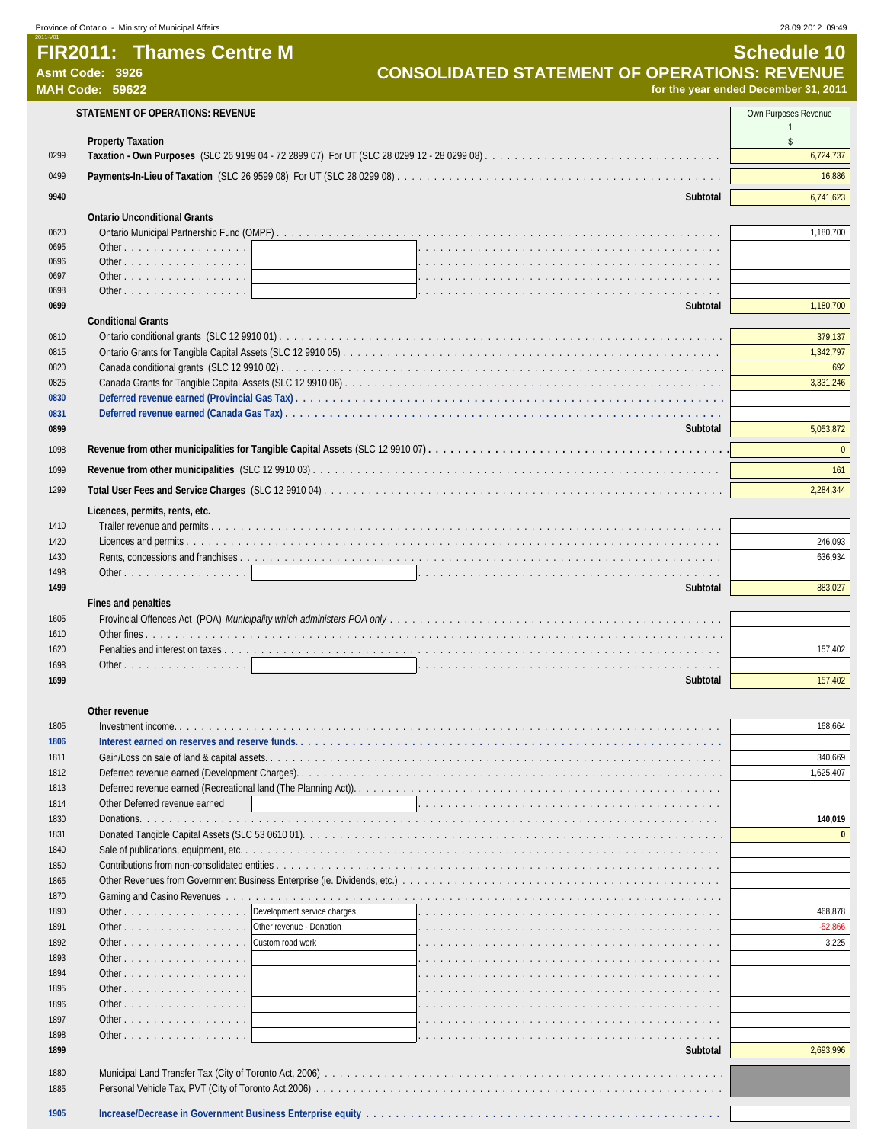|              | Province of Ontario - Ministry of Municipal Affairs                           | 28.09.2012 09:49                     |
|--------------|-------------------------------------------------------------------------------|--------------------------------------|
|              | <b>FIR2011: Thames Centre M</b>                                               | <b>Schedule 10</b>                   |
|              | <b>CONSOLIDATED STATEMENT OF OPERATIONS: REVENUE</b><br>Asmt Code: 3926       |                                      |
|              | <b>MAH Code: 59622</b>                                                        | for the year ended December 31, 2011 |
|              | STATEMENT OF OPERATIONS: REVENUE                                              | Own Purposes Revenue                 |
|              |                                                                               | $\mathbf{1}$                         |
| 0299         | <b>Property Taxation</b>                                                      | s.<br>6,724,737                      |
|              |                                                                               |                                      |
| 0499         |                                                                               | 16,886                               |
| 9940         | Subtotal                                                                      | 6,741,623                            |
|              | <b>Ontario Unconditional Grants</b>                                           |                                      |
| 0620         |                                                                               | 1,180,700                            |
| 0695         | Other                                                                         |                                      |
| 0696<br>0697 | Other $\ldots$ $\ldots$ $\ldots$ $\ldots$ $\ldots$ $\ldots$ $\ldots$<br>Other |                                      |
| 0698         | Other                                                                         |                                      |
| 0699         | Subtotal                                                                      | 1,180,700                            |
|              | <b>Conditional Grants</b>                                                     |                                      |
| 0810         |                                                                               | 379,137                              |
| 0815         |                                                                               | 1,342,797                            |
| 0820         |                                                                               | 692                                  |
| 0825         |                                                                               | 3,331,246                            |
| 0830         |                                                                               |                                      |
| 0831         |                                                                               |                                      |
| 0899         | Subtotal                                                                      | 5,053,872                            |
| 1098         |                                                                               | $\Omega$                             |
| 1099         |                                                                               | 161                                  |
| 1299         |                                                                               | 2,284,344                            |
|              |                                                                               |                                      |
| 1410         | Licences, permits, rents, etc.                                                |                                      |
| 1420         |                                                                               | 246,093                              |
| 1430         |                                                                               | 636,934                              |
| 1498         | Other                                                                         |                                      |
| 1499         | Subtotal                                                                      | 883,027                              |
|              | Fines and penalties                                                           |                                      |
| 1605         |                                                                               |                                      |
| 1610         |                                                                               |                                      |
| 1620         |                                                                               | 157,402                              |
| 1698         | Other. 1                                                                      |                                      |
| 1699         | Subtotal                                                                      | 157,402                              |
|              |                                                                               |                                      |
| 1805         | Other revenue                                                                 | 168,664                              |
| 1806         |                                                                               |                                      |
| 1811         |                                                                               | 340,669                              |
| 1812         |                                                                               | 1.625.407                            |
| 1813         |                                                                               |                                      |
| 1814         | Other Deferred revenue earned                                                 |                                      |
| 1830         |                                                                               | 140,019                              |
| 1831         |                                                                               | $\mathbf{0}$                         |
| 1840         |                                                                               |                                      |
| 1850         |                                                                               |                                      |
| 1865         |                                                                               |                                      |
| 1870         |                                                                               |                                      |
| 1890         | Development service charges<br>Other                                          | 468,878                              |
| 1891         | Other revenue - Donation<br>Other                                             | $-52,866$                            |
| 1892         | Other<br>Custom road work                                                     | 3,225                                |
| 1893         | Other                                                                         |                                      |
| 1894         | Other                                                                         |                                      |

**Other .** . . . . . . . . . Other . . . . . . . . . . . . . . . . . . . . . . . . . . . . . . . . . . . . . . . . . . . . . . . . . . . . . . . . . . **Other . . . . . . . .**  Other . . . . . . . . . . . . . . . . . . . . . . . . . . . . . . . . . . . . . . . . . . . . . . . . . . . . . . . . . . **Subtotal** 2,693,996 Municipal Land Transfer Tax (City of Toronto Act, 2006) . . . . . . . . . . . . . . . . . . . . . . . . . . . . . . . . . . . . . . . . . . . . . . . . . . . . . . Personal Vehicle Tax, PVT (City of Toronto Act,2006) . . . . . . . . . . . . . . . . . . . . . . . . . . . . . . . . . . . . . . . . . . . . . . . . . . . . . . . **Increase/Decrease in Government Business Enterprise equity . . . . . . . . . . . . . . . . . . . . . . . . . . . . . . . . . . . . . . . . . . . . . . . .**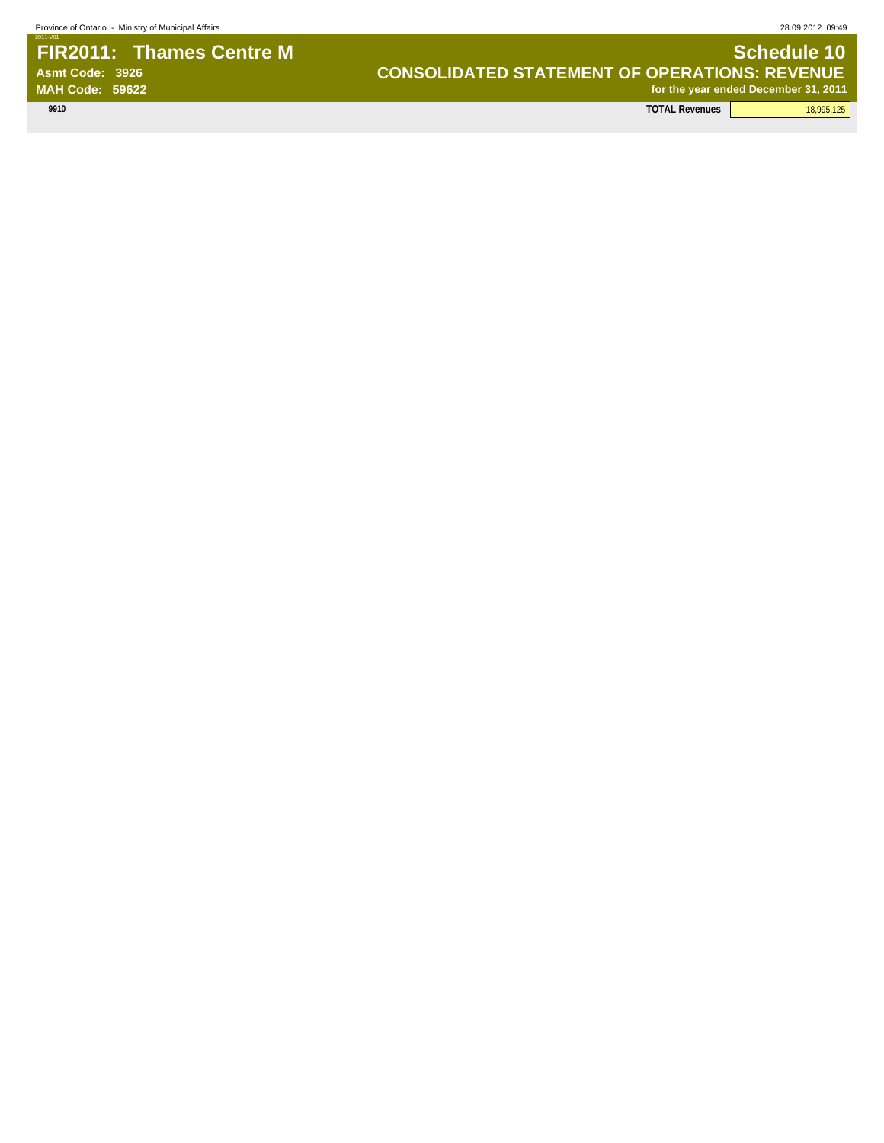# 2011-V01 **FIR2011: Thames Centre M Schedule 10 Schedule 10 SCHED Asmt Code: 3926 CONSOLIDATED STATEMENT OF OPERATIONS: REVENUE**

**MAH Code: 59622 for the year ended December 31, 2011**

**9910 TOTAL Revenues** 18,995,125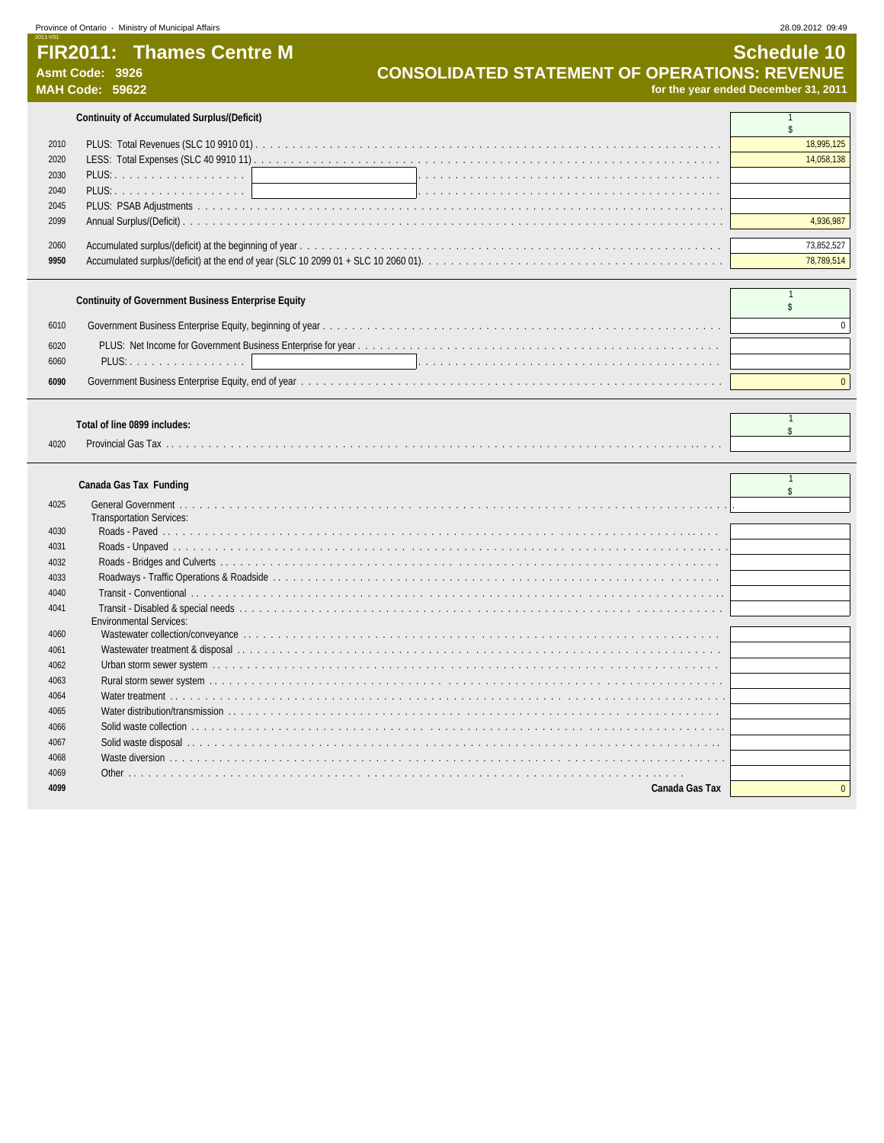# **FIR2011: Thames Centre M** CONSOLIDATED STATEMENT OF OPERATIONS: REVENUE Asmt Code: 3926

2011-V01

Asmt Code: 3926<br> **CONSOLIDATED STATEMENT OF OPERATIONS: REVENUE**<br>
for the year ended December 31, 2011 **MAH Code: 59622 for the year ended December 31, 2011**

**Continuity of Accumulated Surplus/(Deficit)** 1

| 2010 |                                                                                     | 18,995,125 |
|------|-------------------------------------------------------------------------------------|------------|
| 2020 |                                                                                     |            |
| 2030 | PLUS: 1                                                                             |            |
| 2040 |                                                                                     |            |
| 2045 |                                                                                     |            |
| 2099 |                                                                                     |            |
|      |                                                                                     |            |
| 2060 |                                                                                     |            |
| 9950 | Accumulated surplus/(deficit) at the end of year (SLC 10 2099 01 + SLC 10 2060 01). |            |

|              | <b>Continuity of Government Business Enterprise Equity</b>                                                                                                                                                                     |  |
|--------------|--------------------------------------------------------------------------------------------------------------------------------------------------------------------------------------------------------------------------------|--|
| 6010         |                                                                                                                                                                                                                                |  |
| 6020<br>6060 | la serie de la caractería de la caractería de la caractería de la caractería de la caractería de la caractería                                                                                                                 |  |
| 6090         | Government Business Enterprise Equity, end of year with a state of the content of the content of the content of the content of the content of the content of the content of the content of the content of the content of the c |  |

#### **Total of line 0899 includes:** <sup>1</sup>

|      | 1919191111099771119199936 |  |
|------|---------------------------|--|
| 4020 | Provincial Gas            |  |

| Canada Gas Tax Fundino |  |  |
|------------------------|--|--|
|------------------------|--|--|

|      | Canada Gas Tax Funding          |          |
|------|---------------------------------|----------|
| 4025 |                                 |          |
|      | <b>Transportation Services:</b> |          |
| 4030 |                                 |          |
| 4031 |                                 |          |
| 4032 |                                 |          |
| 4033 |                                 |          |
| 4040 |                                 |          |
| 4041 |                                 |          |
|      | <b>Environmental Services:</b>  |          |
| 4060 |                                 |          |
| 4061 |                                 |          |
| 4062 |                                 |          |
| 4063 |                                 |          |
| 4064 |                                 |          |
| 4065 |                                 |          |
| 4066 |                                 |          |
| 4067 |                                 |          |
| 4068 |                                 |          |
| 4069 |                                 |          |
| 4099 | Canada Gas Tax                  | $\Omega$ |

 $\overline{\phantom{a}}$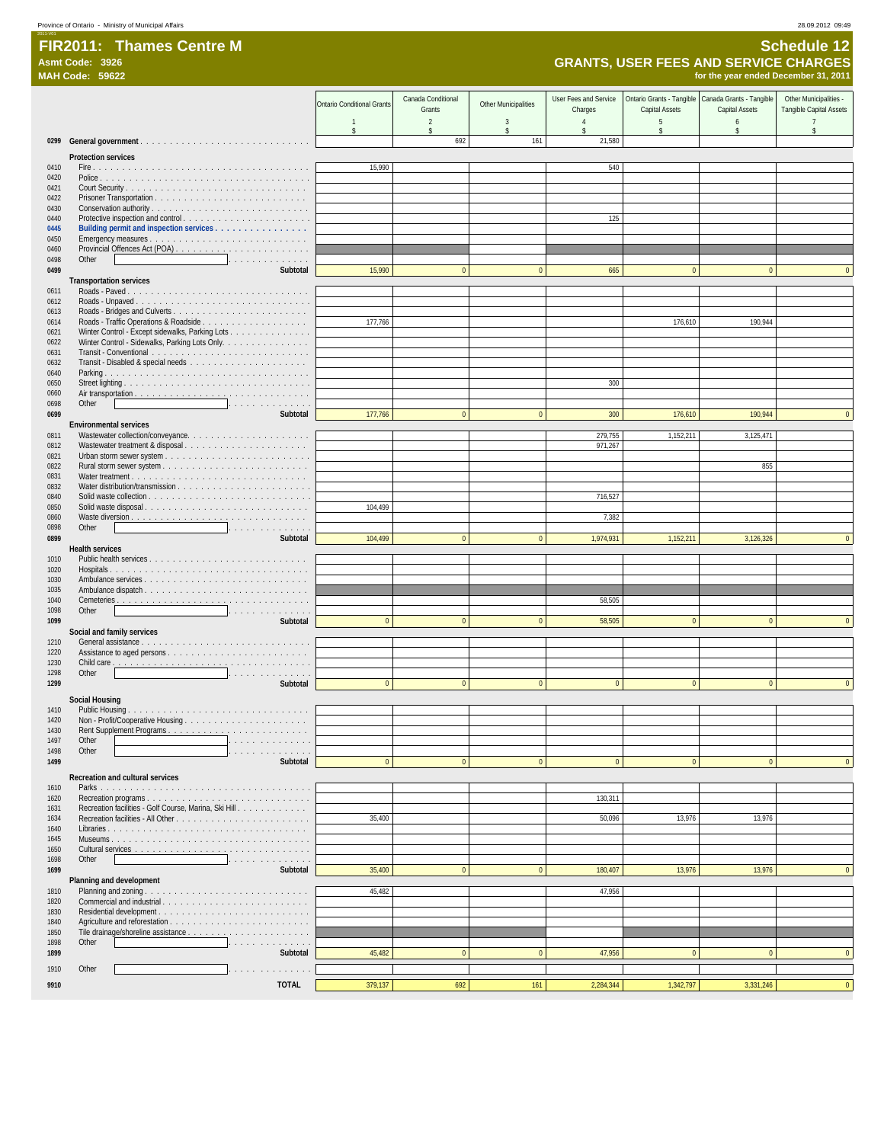#### FIR2011: Thames Centre M<br>Asmt Code: 3926<br>MAH Code: 59622 **FIR2011: Thames Centre M Schedule 12 MAH Code: 59622 for the year ended December 31, 2011**

## **Asmt Code: 3926 GRANTS, USER FEES AND SERVICE CHARGES**

|              |                                                                              | <b>Ontario Conditional Grants</b> | Canada Conditional<br>Grants | <b>Other Municipalities</b> | User Fees and Service<br>Charges | Ontario Grants - Tangible<br>Capital Assets | Canada Grants - Tangible<br>Capital Assets | Other Municipalities -<br>Tangible Capital Assets |
|--------------|------------------------------------------------------------------------------|-----------------------------------|------------------------------|-----------------------------|----------------------------------|---------------------------------------------|--------------------------------------------|---------------------------------------------------|
|              |                                                                              | $\overline{1}$                    | $\overline{2}$               | 3                           | $\overline{4}$                   | 5                                           | 6                                          | $\overline{7}$                                    |
|              |                                                                              | $\mathsf{\$}$                     | \$<br>692                    | $\mathsf S$<br>161          | $\hat{\mathbf{S}}$<br>21,580     | \$                                          | $\mathsf{\$}$                              | \$                                                |
|              | <b>Protection services</b>                                                   |                                   |                              |                             |                                  |                                             |                                            |                                                   |
| 0410         |                                                                              | 15,990                            |                              |                             | 540                              |                                             |                                            |                                                   |
| 0420<br>0421 |                                                                              |                                   |                              |                             |                                  |                                             |                                            |                                                   |
| 0422         |                                                                              |                                   |                              |                             |                                  |                                             |                                            |                                                   |
| 0430<br>0440 |                                                                              |                                   |                              |                             | 125                              |                                             |                                            |                                                   |
| 0445         | Building permit and inspection services                                      |                                   |                              |                             |                                  |                                             |                                            |                                                   |
| 0450<br>0460 |                                                                              |                                   |                              |                             |                                  |                                             |                                            |                                                   |
| 0498         | Other<br>.                                                                   |                                   |                              |                             |                                  |                                             |                                            |                                                   |
| 0499         | Subtotal<br><b>Transportation services</b>                                   | 15,990                            | $\Omega$                     | $\mathbf{0}$                | 665                              | $\mathbf{0}$                                | $\Omega$                                   | $\Omega$                                          |
| 0611         |                                                                              |                                   |                              |                             |                                  |                                             |                                            |                                                   |
| 0612<br>0613 |                                                                              |                                   |                              |                             |                                  |                                             |                                            |                                                   |
| 0614         |                                                                              | 177,766                           |                              |                             |                                  | 176,610                                     | 190,944                                    |                                                   |
| 0621         | Winter Control - Except sidewalks, Parking Lots                              |                                   |                              |                             |                                  |                                             |                                            |                                                   |
| 0622<br>0631 | Winter Control - Sidewalks, Parking Lots Only.                               |                                   |                              |                             |                                  |                                             |                                            |                                                   |
| 0632         |                                                                              |                                   |                              |                             |                                  |                                             |                                            |                                                   |
| 0640<br>0650 |                                                                              |                                   |                              |                             | 300                              |                                             |                                            |                                                   |
| 0660         |                                                                              |                                   |                              |                             |                                  |                                             |                                            |                                                   |
| 0698<br>0699 | Other<br>.<br>Subtotal                                                       | 177,766                           | $\mathbf{0}$                 | $\overline{0}$              | 300                              | 176,610                                     | 190,944                                    | $\mathbf{0}$                                      |
|              | <b>Environmental services</b>                                                |                                   |                              |                             |                                  |                                             |                                            |                                                   |
| 0811<br>0812 |                                                                              |                                   |                              |                             | 279,755<br>971,267               | 1,152,211                                   | 3,125,471                                  |                                                   |
| 0821         |                                                                              |                                   |                              |                             |                                  |                                             |                                            |                                                   |
| 0822<br>0831 |                                                                              |                                   |                              |                             |                                  |                                             | 855                                        |                                                   |
| 0832         |                                                                              |                                   |                              |                             |                                  |                                             |                                            |                                                   |
| 0840<br>0850 |                                                                              | 104.499                           |                              |                             | 716,527                          |                                             |                                            |                                                   |
| 0860         |                                                                              |                                   |                              |                             | 7,382                            |                                             |                                            |                                                   |
| 0898         | Other                                                                        |                                   |                              |                             |                                  |                                             |                                            |                                                   |
| 0899         | Subtotal<br><b>Health services</b>                                           | 104,499                           | $\mathbf{0}$                 | $\overline{0}$              | 1,974,931                        | 1,152,211                                   | 3,126,326                                  | $\mathbf{0}$                                      |
| 1010         |                                                                              |                                   |                              |                             |                                  |                                             |                                            |                                                   |
| 1020<br>1030 | Ambulance services                                                           |                                   |                              |                             |                                  |                                             |                                            |                                                   |
| 1035         |                                                                              |                                   |                              |                             |                                  |                                             |                                            |                                                   |
| 1040<br>1098 | Other<br>.                                                                   |                                   |                              |                             | 58,505                           |                                             |                                            |                                                   |
| 1099         | Subtotal                                                                     | $\Omega$                          | $\mathbf{0}$                 | $\overline{0}$              | 58,505                           | $\overline{0}$                              | $\Omega$                                   | $\mathbf{0}$                                      |
| 1210         | Social and family services                                                   |                                   |                              |                             |                                  |                                             |                                            |                                                   |
| 1220         |                                                                              |                                   |                              |                             |                                  |                                             |                                            |                                                   |
| 1230<br>1298 | Other<br>.                                                                   |                                   |                              |                             |                                  |                                             |                                            |                                                   |
| 1299         | Subtotal                                                                     | $\mathbf{0}$                      | $\mathbf{0}$                 | $\mathbf{0}$                | $\bf{0}$                         | $\mathbf{0}$                                | $\mathbf{0}$                               | $\mathbf{0}$                                      |
|              | <b>Social Housing</b>                                                        |                                   |                              |                             |                                  |                                             |                                            |                                                   |
| 1410<br>1420 |                                                                              |                                   |                              |                             |                                  |                                             |                                            |                                                   |
| 1430         | Rent Supplement Programs                                                     |                                   |                              |                             |                                  |                                             |                                            |                                                   |
| 1497<br>1498 | Other<br>Other                                                               |                                   |                              |                             |                                  |                                             |                                            |                                                   |
| 1499         | Subtotal                                                                     | $\mathbf{0}$                      | $\overline{0}$               | $\mathbf{0}$                | $\mathbf{0}$                     | $\mathbf{0}$                                | $\overline{0}$                             | $\mathbf{0}$                                      |
|              | Recreation and cultural services                                             |                                   |                              |                             |                                  |                                             |                                            |                                                   |
| 1610         |                                                                              |                                   |                              |                             | 130,311                          |                                             |                                            |                                                   |
| 1620<br>1631 | Recreation programs<br>Recreation facilities - Golf Course, Marina, Ski Hill |                                   |                              |                             |                                  |                                             |                                            |                                                   |
| 1634         |                                                                              | 35,400                            |                              |                             | 50,096                           | 13,976                                      | 13,976                                     |                                                   |
| 1640<br>1645 |                                                                              |                                   |                              |                             |                                  |                                             |                                            |                                                   |
| 1650         |                                                                              |                                   |                              |                             |                                  |                                             |                                            |                                                   |
| 1698<br>1699 | Other<br>Subtotal                                                            | 35,400                            | $\overline{0}$               | $\mathbf{0}$                | 180,407                          | 13,976                                      | 13,976                                     | $\mathbf{0}$                                      |
|              | Planning and development                                                     |                                   |                              |                             |                                  |                                             |                                            |                                                   |
| 1810<br>1820 |                                                                              | 45,482                            |                              |                             | 47,956                           |                                             |                                            |                                                   |
| 1830         |                                                                              |                                   |                              |                             |                                  |                                             |                                            |                                                   |
| 1840<br>1850 |                                                                              |                                   |                              |                             |                                  |                                             |                                            |                                                   |
| 1898         | Other                                                                        |                                   |                              |                             |                                  |                                             |                                            |                                                   |
| 1899         | Subtotal                                                                     | 45,482                            | $\overline{0}$               | $\mathbf{0}$                | 47,956                           | $\mathbf{0}$                                | $\overline{0}$                             | $\mathbf{0}$                                      |
| 1910         | Other<br>and a construction of the con-                                      |                                   |                              |                             |                                  |                                             |                                            |                                                   |
| 9910         | <b>TOTAL</b>                                                                 | 379,137                           | 692                          | 161                         | 2,284,344                        | 1,342,797                                   | 3,331,246                                  |                                                   |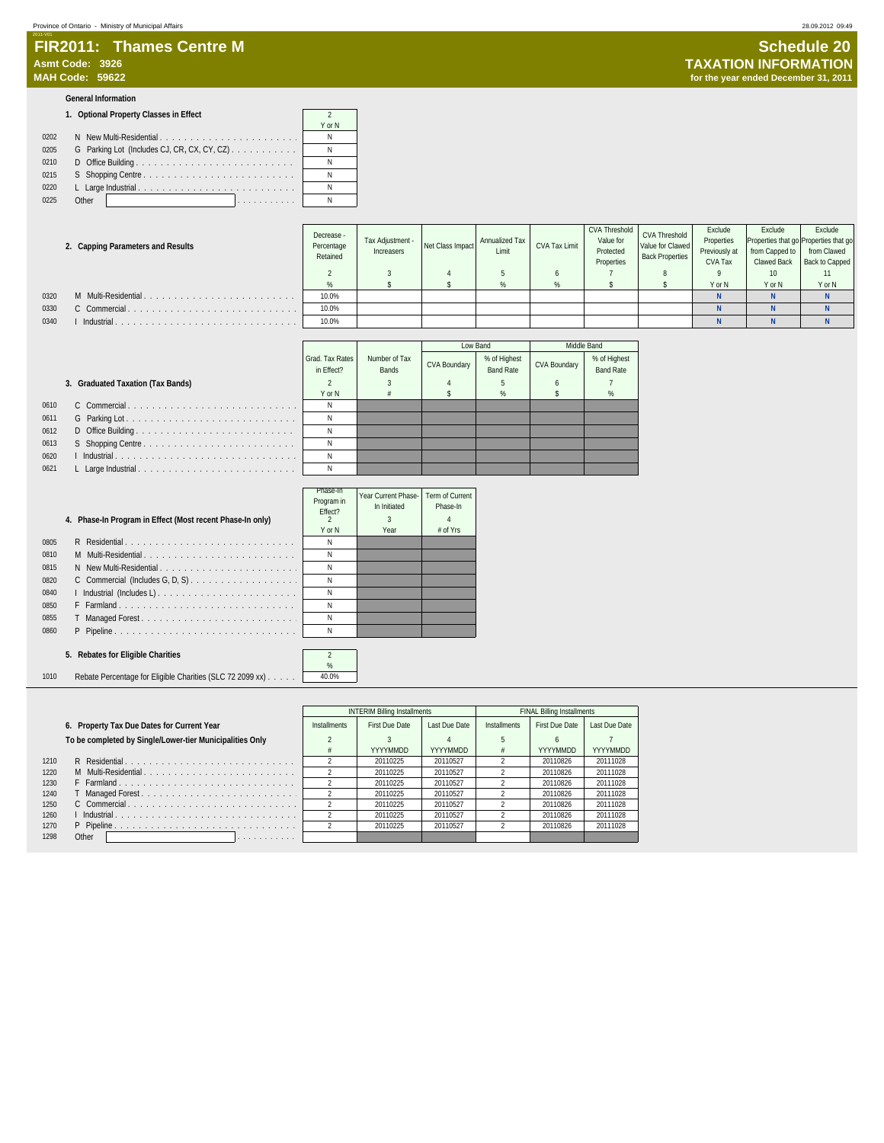#### 2011-V01 **FIR2011: Thames Centre M Schedule 20**<br>
Asmt Code: 3926 **Asmt Code: 3926 TAXATION INFORMATION**

#### **General Information**

#### **1. Optional Property Classes in Effect** 2

|      |                                                                    | Y or N |
|------|--------------------------------------------------------------------|--------|
| 0202 | N New Multi-Residential                                            | Ν      |
| 0205 | G Parking Lot (Includes CJ, CR, CX, CY, CZ) $\ldots \ldots \ldots$ | N      |
| 0210 |                                                                    | Ν      |
| 0215 |                                                                    | Ν      |
| 0220 |                                                                    |        |
| 0225 | Other                                                              |        |

#### **2. Capping Parameters and Results**

|      | 2. Capping Parameters and Results | <b>DON CODE</b><br>Percentage<br>Retained | Tax Adiustment -<br>Increasers | Net Class Impact | Annualized Tax<br>Limit | <b>CVA Tax Limit</b> | Value for<br>Protected<br>Properties | Value for Clawed<br><b>Back Properties</b> | Properties<br>Previously at<br>CVA Tax | Properties that go Properties that go<br>from Capped to<br>Clawed Back | from Clawed<br>Back to Capped |
|------|-----------------------------------|-------------------------------------------|--------------------------------|------------------|-------------------------|----------------------|--------------------------------------|--------------------------------------------|----------------------------------------|------------------------------------------------------------------------|-------------------------------|
|      |                                   |                                           |                                |                  |                         |                      |                                      |                                            |                                        | 10                                                                     |                               |
|      |                                   |                                           |                                |                  |                         |                      |                                      |                                            | Y or N                                 | Y or N                                                                 | Y or N                        |
| 0320 | M Multi-Residential               | 10.0%                                     |                                |                  |                         |                      |                                      |                                            |                                        |                                                                        |                               |
| 0330 | C Commercial                      | 10.0%                                     |                                |                  |                         |                      |                                      |                                            |                                        |                                                                        |                               |
| 0340 | Industrial                        | 10.0%                                     |                                |                  |                         |                      |                                      |                                            |                                        |                                                                        |                               |

CVA Threshold

CVA Threshold Value for Clawed

Exclude Properties

|                      |                               |                               |                     | Low Band                         |                     | Middle Band                      |
|----------------------|-------------------------------|-------------------------------|---------------------|----------------------------------|---------------------|----------------------------------|
|                      | Grad. Tax Rates<br>in Effect? | Number of Tax<br><b>Bands</b> | <b>CVA Boundary</b> | % of Highest<br><b>Band Rate</b> | <b>CVA Boundary</b> | % of Highest<br><b>Band Rate</b> |
|                      |                               |                               |                     |                                  | 6                   |                                  |
|                      | Y or N                        | #                             |                     | %                                |                     | $\%$                             |
|                      | Ν                             |                               |                     |                                  |                     |                                  |
| .                    | Ν                             |                               |                     |                                  |                     |                                  |
| $\sim$ $\sim$ $\sim$ | Ν                             |                               |                     |                                  |                     |                                  |
| $\sim$ $\sim$ $\sim$ | Ν                             |                               |                     |                                  |                     |                                  |
| .                    | N                             |                               |                     |                                  |                     |                                  |
| .                    | Ν                             |                               |                     |                                  |                     |                                  |

#### **3. Graduated Taxation (Tax Bands)**

| 0610 |  | N |
|------|--|---|
| 0611 |  | N |
| 0612 |  | N |
| 0613 |  | N |
| 0620 |  | N |
| 0621 |  | N |

|      |                                                           | Phase-In<br>Program in<br>Fffect? | Year Current Phase-<br>In Initiated | Term of Current<br>Phase-In |
|------|-----------------------------------------------------------|-----------------------------------|-------------------------------------|-----------------------------|
|      | 4. Phase-In Program in Effect (Most recent Phase-In only) |                                   |                                     |                             |
|      |                                                           | Y or N                            | Year                                | $#$ of Yrs                  |
| 0805 |                                                           | Ν                                 |                                     |                             |
| 0810 | M Multi-Residential                                       | N                                 |                                     |                             |
| 0815 | N New Multi-Residential                                   | Ν                                 |                                     |                             |
| 0820 |                                                           | N                                 |                                     |                             |
| 0840 | I Industrial (Includes L)                                 | Ν                                 |                                     |                             |
| 0850 | F Farmland                                                | Ν                                 |                                     |                             |
| 0855 |                                                           | Ν                                 |                                     |                             |
| 0860 | P Pipeline                                                | Ν                                 |                                     |                             |
|      |                                                           |                                   |                                     |                             |

#### **5. Rebates for Eligible Charities** 2

1010 Rebate Percentage for Eligible Charities (SLC 72 2099 xx) . . . . . . 40.0%

|      |                                                          |                     | <b>INTERIM Billing Installments</b> |               |              | <b>FINAL Billing Installments</b> |               |
|------|----------------------------------------------------------|---------------------|-------------------------------------|---------------|--------------|-----------------------------------|---------------|
|      | 6. Property Tax Due Dates for Current Year               | <b>Installments</b> | First Due Date                      | Last Due Date | Installments | <b>First Due Date</b>             | Last Due Date |
|      | To be completed by Single/Lower-tier Municipalities Only |                     |                                     |               |              |                                   |               |
|      |                                                          |                     | YYYYMMDD                            | YYYYMMDD      |              | YYYYMMDD                          | YYYYMMDD      |
| 1210 | R Residential                                            |                     | 20110225                            | 20110527      |              | 20110826                          | 20111028      |
| 1220 | M Multi-Residential                                      |                     | 20110225                            | 20110527      |              | 20110826                          | 20111028      |
| 1230 | F Farmland                                               |                     | 20110225                            | 20110527      |              | 20110826                          | 20111028      |
| 1240 |                                                          |                     | 20110225                            | 20110527      |              | 20110826                          | 20111028      |
| 1250 | C Commercial                                             |                     | 20110225                            | 20110527      |              | 20110826                          | 20111028      |
| 1260 |                                                          |                     | 20110225                            | 20110527      |              | 20110826                          | 20111028      |
| 1270 |                                                          |                     | 20110225                            | 20110527      |              | 20110826                          | 20111028      |
| 1298 | Other<br>.                                               |                     |                                     |               |              |                                   |               |

 $\%$ 

Decrease - Percentage

Tax Adjustment -

Exclude

Exclude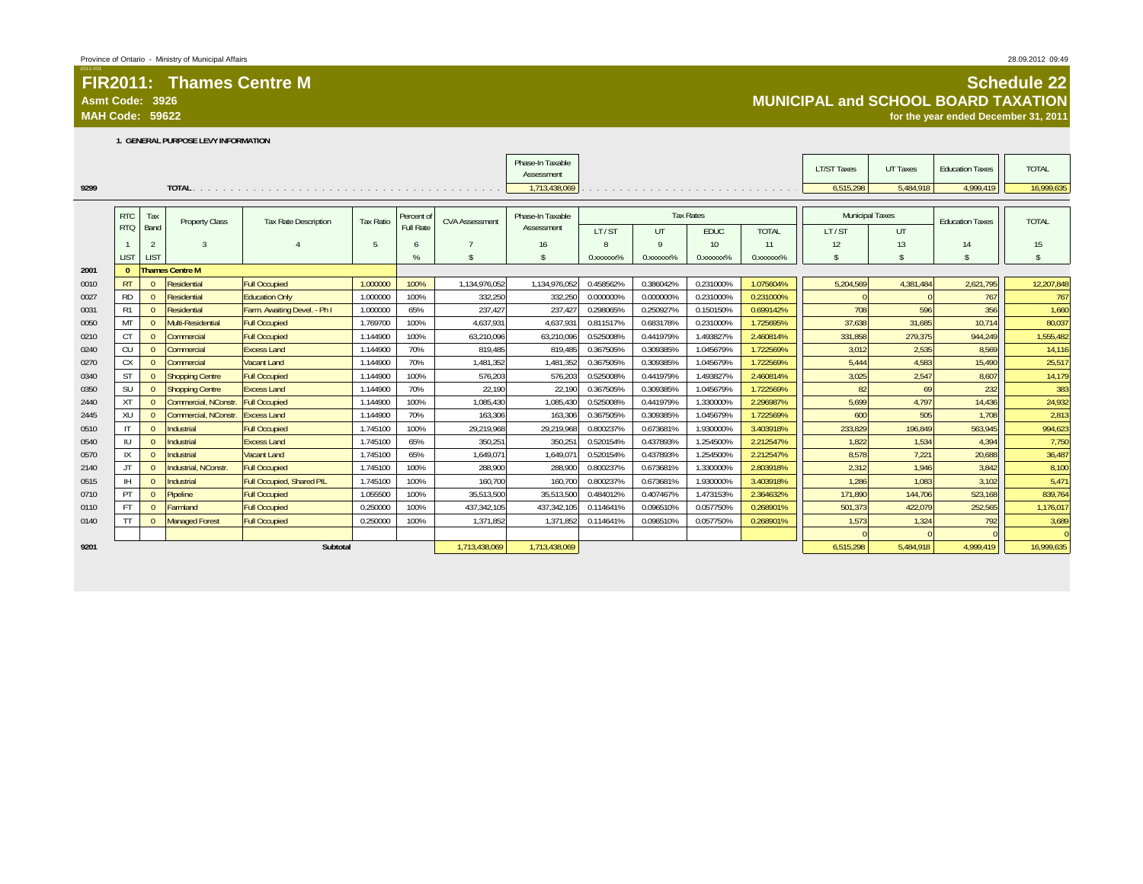### **Asmt Code: 3926**

**MAH Code: 59622**

#### **1. GENERAL PURPOSE LEVY INFORMATION**

|      |              |          |                        |                              |                  |            |                       | Phase-In Taxable<br>Assessment |                       |                        |                  |                                                                                      | <b>LT/ST Taxes</b>     | <b>UT Taxes</b> | <b>Education Taxes</b> | <b>TOTAL</b>       |
|------|--------------|----------|------------------------|------------------------------|------------------|------------|-----------------------|--------------------------------|-----------------------|------------------------|------------------|--------------------------------------------------------------------------------------|------------------------|-----------------|------------------------|--------------------|
| 9299 |              |          |                        |                              |                  |            |                       | 1,713,438,069                  |                       |                        |                  | a caracteristic contracts in a caracteristic contracts of a caracteristic contracts. | 6,515,298              | 5,484,918       | 4,999,419              | 16,999,635         |
|      |              |          |                        |                              |                  |            |                       |                                |                       |                        |                  |                                                                                      |                        |                 |                        |                    |
|      | <b>RTC</b>   | Tax      | <b>Property Class</b>  | <b>Tax Rate Description</b>  | <b>Tax Ratio</b> | Percent of | <b>CVA Assessment</b> | Phase-In Taxable               |                       |                        | <b>Tax Rates</b> |                                                                                      | <b>Municipal Taxes</b> |                 | <b>Education Taxes</b> | <b>TOTAL</b>       |
|      | <b>RTQ</b>   | Band     |                        |                              |                  | Full Rate  |                       | Assessment                     | LT/ST                 | UT                     | <b>EDUC</b>      | <b>TOTAL</b>                                                                         | LT/ST                  | UT              |                        |                    |
|      |              |          | $\mathbf{3}$           |                              | 5                | 6          |                       | 16                             |                       | $\Omega$               | 10 <sup>10</sup> | 11                                                                                   | 12                     | 13              | 14                     | 15                 |
|      | <b>LIST</b>  | LIST     |                        |                              |                  | %          | $\mathbf{\hat{s}}$    | $\hat{\mathbf{S}}$             | 0.XXXXXX <sup>%</sup> | 0. XXXXXX <sup>%</sup> | 0.xxxxxx%        | 0.XXXXXX <sup>%</sup>                                                                | $\mathsf{\$}$          | $\mathcal{S}$   | $\mathbb{S}$           | $\mathbf{\hat{s}}$ |
| 2001 | $\sqrt{ }$   |          | <b>Thames Centre M</b> |                              |                  |            |                       |                                |                       |                        |                  |                                                                                      |                        |                 |                        |                    |
| 0010 | <b>RT</b>    |          | Residential            | <b>Full Occupied</b>         | 1.000000         | 100%       | 1,134,976,052         | 1,134,976,052                  | 0.458562%             | 0.386042%              | 0.231000%        | 1.075604%                                                                            | 5,204,569              | 4,381,484       | 2,621,795              | 12,207,848         |
| 0027 | <b>RD</b>    |          | <b>Residential</b>     | <b>Education Only</b>        | 1.000000         | 100%       | 332.250               | 332,250                        | 0.000000%             | 0.000000%              | 0.231000%        | 0.231000%                                                                            |                        |                 | 767                    | 767                |
| 0031 | R1           |          | Residential            | Farm. Awaiting Devel. - Ph I | 1.000000         | 65%        | 237,427               | 237,427                        | 0.298065%             | 0.250927%              | 0.150150%        | 0.699142%                                                                            | 708                    | 596             | 356                    | 1,660              |
| 0050 | MT           |          | Multi-Residential      | <b>Full Occupied</b>         | 1.769700         | 100%       | 4,637,931             | 4,637,931                      | 0.811517%             | 0.683178%              | 0.231000%        | 1.725695%                                                                            | 37,638                 | 31,685          | 10,714                 | 80,037             |
| 0210 | <b>CT</b>    |          | Commercial             | <b>Full Occupied</b>         | 1.144900         | 100%       | 63,210,096            | 63,210,096                     | 0.525008%             | 0.441979%              | 1.493827%        | 2.460814%                                                                            | 331,858                | 279,375         | 944,249                | 1,555,482          |
| 0240 | CU           |          | Commercial             | <b>Excess Land</b>           | 1.144900         | 70%        | 819.485               | 819,485                        | 0.367505%             | 0.309385%              | 1.045679%        | 1.722569%                                                                            | 3.012                  | 2,535           | 8.569                  | 14,116             |
| 0270 | <b>CX</b>    |          | Commercial             | <b>Vacant Land</b>           | 1.144900         | 70%        | 1,481,352             | 1,481,352                      | 0.367505%             | 0.309385%              | 1.045679%        | 1.722569%                                                                            | 5,444                  | 4,583           | 15,490                 | 25,517             |
| 0340 | <b>ST</b>    | $\Omega$ | <b>Shopping Centre</b> | <b>Full Occupied</b>         | 1.144900         | 100%       | 576,203               | 576,203                        | 0.525008%             | 0.441979%              | 1.493827%        | 2.460814%                                                                            | 3,025                  | 2,547           | 8,607                  | 14,179             |
| 0350 | SU           | $\Omega$ | <b>Shopping Centre</b> | <b>Excess Land</b>           | 1.144900         | 70%        | 22,190                | 22,190                         | 0.367505%             | 0.309385%              | 1.045679%        | 1.722569%                                                                            | 82                     | 69              | 232                    | 383                |
| 2440 | <b>XT</b>    | $\Omega$ | Commercial, NConstr.   | <b>Full Occupied</b>         | 1.144900         | 100%       | 1,085,430             | 1,085,430                      | 0.525008%             | 0.441979%              | 1.330000%        | 2.296987%                                                                            | 5,699                  | 4,797           | 14,436                 | 24,932             |
| 2445 | XU           |          | Commercial, NConstr.   | <b>Excess Land</b>           | 1.144900         | 70%        | 163,306               | 163,306                        | 0.367505%             | 0.309385%              | 1.045679%        | 1.722569%                                                                            | 600                    | 505             | 1,708                  | 2,813              |
| 0510 | $\mathsf{I}$ |          | Industrial             | <b>Full Occupied</b>         | 1.745100         | 100%       | 29,219,968            | 29,219,968                     | 0.800237%             | 0.673681%              | 1.930000%        | 3.403918%                                                                            | 233,829                | 196,849         | 563,945                | 994,623            |
| 0540 | $\mathbb{U}$ |          | Industrial             | <b>Excess Land</b>           | 1.745100         | 65%        | 350.251               | 350,251                        | 0.520154%             | 0.437893%              | 1.254500%        | 2.212547%                                                                            | 1.822                  | 1,534           | 4.394                  | 7,750              |
| 0570 | IX           |          | Industrial             | <b>Vacant Land</b>           | 1.745100         | 65%        | 1.649.07              | 1,649,071                      | 0.520154%             | 0.437893%              | 1.254500%        | 2.212547%                                                                            | 8,578                  | 7,221           | 20,688                 | 36,487             |
| 2140 | JT           | $\Omega$ | Industrial, NConstr    | <b>Full Occupied</b>         | 1.745100         | 100%       | 288,900               | 288,900                        | 0.800237%             | 0.673681%              | 1.330000%        | 2.803918%                                                                            | 2,312                  | 1,946           | 3,842                  | 8,100              |
| 0515 | <b>IH</b>    | $\Omega$ | Industrial             | Full Occupied, Shared PIL    | 1.745100         | 100%       | 160.700               | 160.700                        | 0.800237%             | 0.673681%              | 1.930000%        | 3.403918%                                                                            | 1.286                  | 1,083           | 3,102                  | 5.471              |
| 0710 | PT           | $\Omega$ | Pipeline               | <b>Full Occupied</b>         | 1.055500         | 100%       | 35,513,500            | 35,513,500                     | 0.484012%             | 0.407467%              | 1.473153%        | 2.364632%                                                                            | 171.890                | 144,706         | 523,168                | 839,764            |
| 0110 | <b>FT</b>    |          | <b>Farmland</b>        | <b>Full Occupied</b>         | 0.250000         | 100%       | 437.342.105           | 437,342,105                    | 0.114641%             | 0.096510%              | 0.057750%        | 0.268901%                                                                            | 501.373                | 422,079         | 252,565                | 1,176,017          |
| 0140 | <b>TT</b>    | $\Omega$ | <b>Managed Forest</b>  | <b>Full Occupied</b>         | 0.250000         | 100%       | 1.371.852             | 1,371,852                      | 0.114641%             | 0.096510%              | 0.057750%        | 0.268901%                                                                            | 1,573                  | 1,324           | 792                    | 3,689              |
|      |              |          |                        |                              |                  |            |                       |                                |                       |                        |                  |                                                                                      |                        |                 |                        | $\overline{0}$     |
| 9201 |              |          |                        | Subtotal                     |                  |            | 1,713,438,069         | 1,713,438,069                  |                       |                        |                  |                                                                                      | 6,515,298              | 5,484,918       | 4,999,419              | 16,999,635         |

#### **Schedule 22 MUNICIPAL and SCHOOL BOARD TAXATION**

**for the year ended December 31, 2011**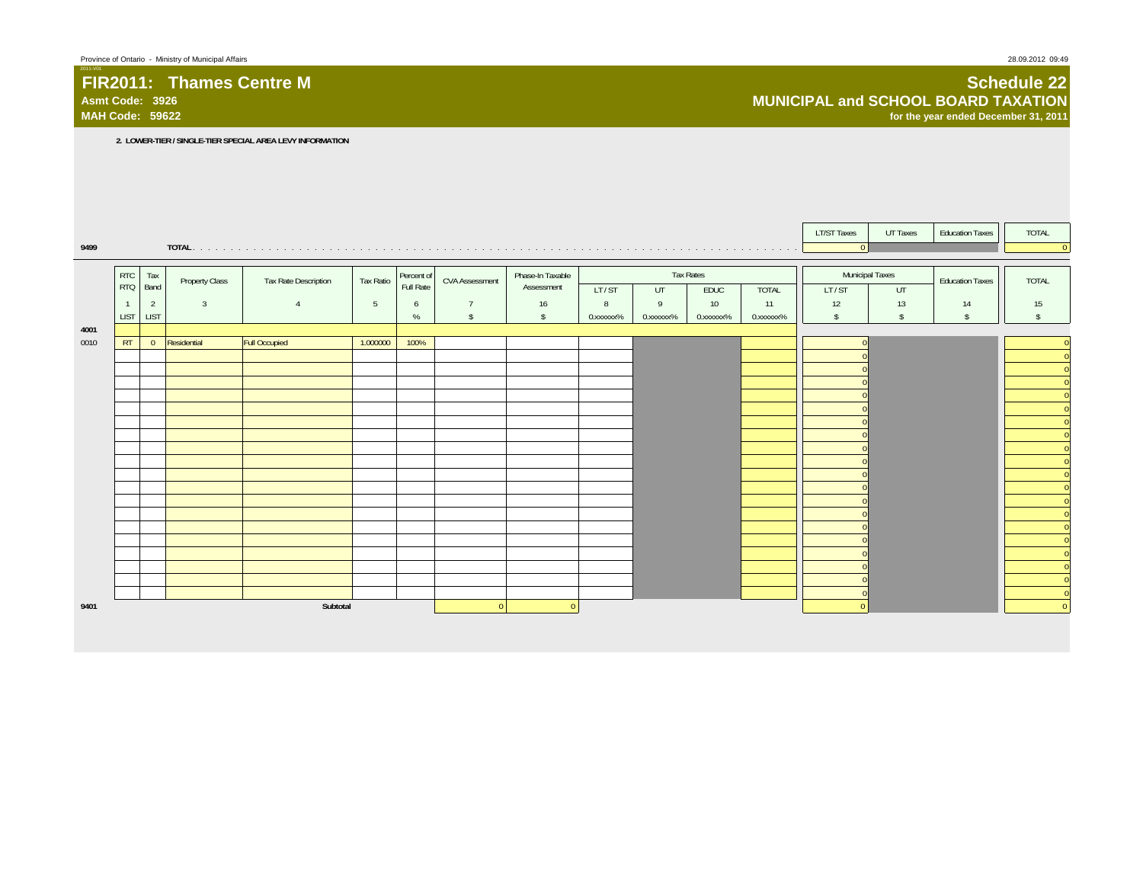#### **FIR2011: Thames Centre MAsmt Code: 3926**

**MAH Code: 59622**

#### **Schedule 22 MUNICIPAL and SCHOOL BOARD TAXATIONfor the year ended December 31, 2011**

**2. LOWER-TIER / SINGLE-TIER SPECIAL AREA LEVY INFORMATION**

|      |                |                |                |                      |                 |            |                       |                  |           |           |           |              | <b>LT/ST Taxes</b> | UT Taxes      | <b>Education Taxes</b> | TOTAL                                              |
|------|----------------|----------------|----------------|----------------------|-----------------|------------|-----------------------|------------------|-----------|-----------|-----------|--------------|--------------------|---------------|------------------------|----------------------------------------------------|
| 9499 |                |                |                |                      |                 |            |                       |                  |           |           |           |              | $\overline{0}$     |               |                        | $\overline{0}$                                     |
|      |                |                |                |                      |                 |            |                       |                  |           |           |           |              |                    |               |                        |                                                    |
|      | <b>RTC</b>     | Tax            | Property Class | Tax Rate Description | Tax Ratio       | Percent of | <b>CVA Assessment</b> | Phase-In Taxable |           |           | Tax Rates |              | Municipal Taxes    |               | <b>Education Taxes</b> | <b>TOTAL</b>                                       |
|      | <b>RTQ</b>     | Band           |                |                      |                 | Full Rate  |                       | Assessment       | LT/ST     | UT        | EDUC      | <b>TOTAL</b> | LT/ST              | UT            |                        |                                                    |
|      | $\overline{1}$ | $\overline{2}$ | $\overline{3}$ | $\overline{4}$       | $5\phantom{.0}$ | 6          | $\overline{7}$        | 16               | 8         | 9         | 10        | 11           | 12                 | 13            | 14                     | 15                                                 |
|      | <b>LIST</b>    | <b>LIST</b>    |                |                      |                 | $\%$       | $\mathsf{\$}$         | $\mathsf{s}$     | 0.xxxxxx% | 0.xxxxxx% | 0.xxxxxx% | 0.xxxxxx%    | $\mathcal{S}$      | $\mathsf{\$}$ | $\mathsf{s}$           | $\mathsf{\$}$                                      |
| 4001 |                |                |                |                      |                 |            |                       |                  |           |           |           |              |                    |               |                        |                                                    |
| 0010 | RT             | $\overline{0}$ | Residential    | <b>Full Occupied</b> | 1.000000        | 100%       |                       |                  |           |           |           |              |                    |               |                        | $\mathbf{0}$                                       |
|      |                |                |                |                      |                 |            |                       |                  |           |           |           |              |                    |               |                        | $\overline{0}$                                     |
|      |                |                |                |                      |                 |            |                       |                  |           |           |           |              |                    |               |                        | $\overline{0}$                                     |
|      |                |                |                |                      |                 |            |                       |                  |           |           |           |              |                    |               |                        | $\overline{0}$                                     |
|      |                |                |                |                      |                 |            |                       |                  |           |           |           |              |                    |               |                        | $\mathbf{0}$                                       |
|      |                |                |                |                      |                 |            |                       |                  |           |           |           |              |                    |               |                        | $\mathbf{0}$                                       |
|      |                |                |                |                      |                 |            |                       |                  |           |           |           |              |                    |               |                        | $\mathbf{0}$<br>$\overline{\overline{\mathbf{0}}}$ |
|      |                |                |                |                      |                 |            |                       |                  |           |           |           |              |                    |               |                        | $\overline{\mathbf{0}}$                            |
|      |                |                |                |                      |                 |            |                       |                  |           |           |           |              |                    |               |                        | $\overline{0}$                                     |
|      |                |                |                |                      |                 |            |                       |                  |           |           |           |              |                    |               |                        | $\overline{0}$                                     |
|      |                |                |                |                      |                 |            |                       |                  |           |           |           |              |                    |               |                        | $\overline{0}$                                     |
|      |                |                |                |                      |                 |            |                       |                  |           |           |           |              |                    |               |                        | $\mathbf{0}$                                       |
|      |                |                |                |                      |                 |            |                       |                  |           |           |           |              |                    |               |                        | $\mathbf{0}$                                       |
|      |                |                |                |                      |                 |            |                       |                  |           |           |           |              |                    |               |                        | $\overline{\overline{\mathbf{0}}}$                 |
|      |                |                |                |                      |                 |            |                       |                  |           |           |           |              |                    |               |                        | $\overline{\phantom{0}}$                           |
|      |                |                |                |                      |                 |            |                       |                  |           |           |           |              |                    |               |                        | $\overline{\mathbf{0}}$                            |
|      |                |                |                |                      |                 |            |                       |                  |           |           |           |              |                    |               |                        | $\mathbf{0}$                                       |
|      |                |                |                |                      |                 |            |                       |                  |           |           |           |              |                    |               |                        | $\overline{0}$                                     |
|      |                |                |                |                      |                 |            |                       |                  |           |           |           |              |                    |               |                        | $\overline{\phantom{0}}$                           |
| 9401 |                |                |                | Subtotal             |                 |            | $\Omega$              | $\Omega$         |           |           |           |              |                    |               |                        | $\overline{0}$                                     |
|      |                |                |                |                      |                 |            |                       |                  |           |           |           |              |                    |               |                        |                                                    |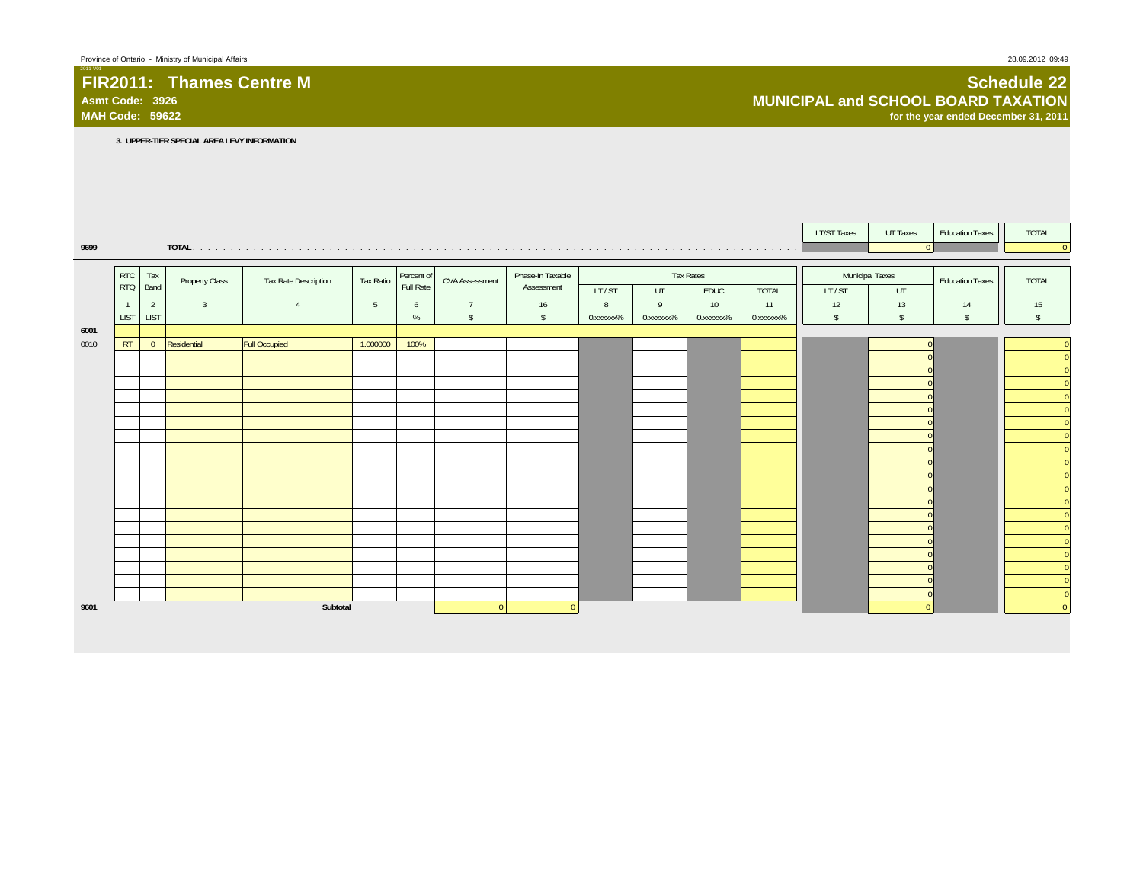## **FIR2011: Thames Centre MAsmt Code: 3926**

#### **Schedule 22 MUNICIPAL and SCHOOL BOARD TAXATIONfor the year ended December 31, 2011**

**3. UPPER-TIER SPECIAL AREA LEVY INFORMATION**

|      |                          |                |                |                             |           |                         |                       |                                |           |                |                   |              | <b>LT/ST Taxes</b>       | UT Taxes      | <b>Education Taxes</b> | TOTAL                               |
|------|--------------------------|----------------|----------------|-----------------------------|-----------|-------------------------|-----------------------|--------------------------------|-----------|----------------|-------------------|--------------|--------------------------|---------------|------------------------|-------------------------------------|
| 9699 |                          |                |                |                             |           |                         |                       |                                |           |                |                   |              |                          | $\Omega$      |                        | $\overline{0}$                      |
|      |                          |                |                |                             |           |                         |                       |                                |           |                |                   |              |                          |               |                        |                                     |
|      | <b>RTC</b><br><b>RTQ</b> | Tax<br>Band    | Property Class | <b>Tax Rate Description</b> | Tax Ratio | Percent of<br>Full Rate | <b>CVA Assessment</b> | Phase-In Taxable<br>Assessment | LT/ST     | UT             | Tax Rates<br>EDUC | <b>TOTAL</b> | Municipal Taxes<br>LT/ST | UT            | <b>Education Taxes</b> | <b>TOTAL</b>                        |
|      | $\mathbf{1}$             | 2              | $\overline{3}$ | $\overline{4}$              | 5         | 6                       | $\overline{7}$        | 16                             | 8         | $\overline{9}$ | 10                | 11           | 12                       | 13            | 14                     | 15                                  |
|      | <b>LIST</b>              | LIST           |                |                             |           | $\%$                    | $\mathsf{\$}$         | $\mathsf{s}$                   | 0.xxxxxx% | 0.xxxxxx%      | 0.xxxxxx%         | 0.xxxxxx%    | $\mathsf{\$}$            | $\mathsf{\$}$ | $\mathsf{s}$           | $\mathbf{\hat{S}}$                  |
| 6001 |                          |                |                |                             |           |                         |                       |                                |           |                |                   |              |                          |               |                        |                                     |
| 0010 | RT                       | $\overline{0}$ | Residential    | <b>Full Occupied</b>        | 1.000000  | 100%                    |                       |                                |           |                |                   |              |                          |               |                        | $\overline{0}$                      |
|      |                          |                |                |                             |           |                         |                       |                                |           |                |                   |              |                          |               |                        | $\overline{0}$                      |
|      |                          |                |                |                             |           |                         |                       |                                |           |                |                   |              |                          |               |                        | $\overline{0}$<br>$\overline{0}$    |
|      |                          |                |                |                             |           |                         |                       |                                |           |                |                   |              |                          |               |                        | $\pmb{0}$                           |
|      |                          |                |                |                             |           |                         |                       |                                |           |                |                   |              |                          |               |                        | $\overline{0}$                      |
|      |                          |                |                |                             |           |                         |                       |                                |           |                |                   |              |                          |               |                        | $\overline{\overline{\mathbf{0}}}$  |
|      |                          |                |                |                             |           |                         |                       |                                |           |                |                   |              |                          |               |                        | $\overline{\mathbf{0}}$             |
|      |                          |                |                |                             |           |                         |                       |                                |           |                |                   |              |                          |               |                        | $\overline{0}$                      |
|      |                          |                |                |                             |           |                         |                       |                                |           |                |                   |              |                          |               |                        | $\overline{0}$<br>۰<br>$\mathbf{0}$ |
|      |                          |                |                |                             |           |                         |                       |                                |           |                |                   |              |                          |               |                        | $\mathbf{0}$                        |
|      |                          |                |                |                             |           |                         |                       |                                |           |                |                   |              |                          |               |                        | $\overline{\phantom{0}}$            |
|      |                          |                |                |                             |           |                         |                       |                                |           |                |                   |              |                          |               |                        | $\overline{\phantom{0}}$            |
|      |                          |                |                |                             |           |                         |                       |                                |           |                |                   |              |                          |               |                        | $\overline{0}$                      |
|      |                          |                |                |                             |           |                         |                       |                                |           |                |                   |              |                          |               |                        | $\overline{0}$                      |
|      |                          |                |                |                             |           |                         |                       |                                |           |                |                   |              |                          |               |                        | $\overline{0}$<br>$\overline{0}$    |
|      |                          |                |                |                             |           |                         |                       |                                |           |                |                   |              |                          |               |                        | $\mathbf{0}$                        |
|      |                          |                |                |                             |           |                         |                       |                                |           |                |                   |              |                          |               |                        | $\overline{0}$                      |
| 9601 |                          |                |                | Subtotal                    |           |                         | $\Omega$              |                                |           |                |                   |              |                          | $\Omega$      |                        | $\overline{0}$                      |
|      |                          |                |                |                             |           |                         |                       |                                |           |                |                   |              |                          |               |                        |                                     |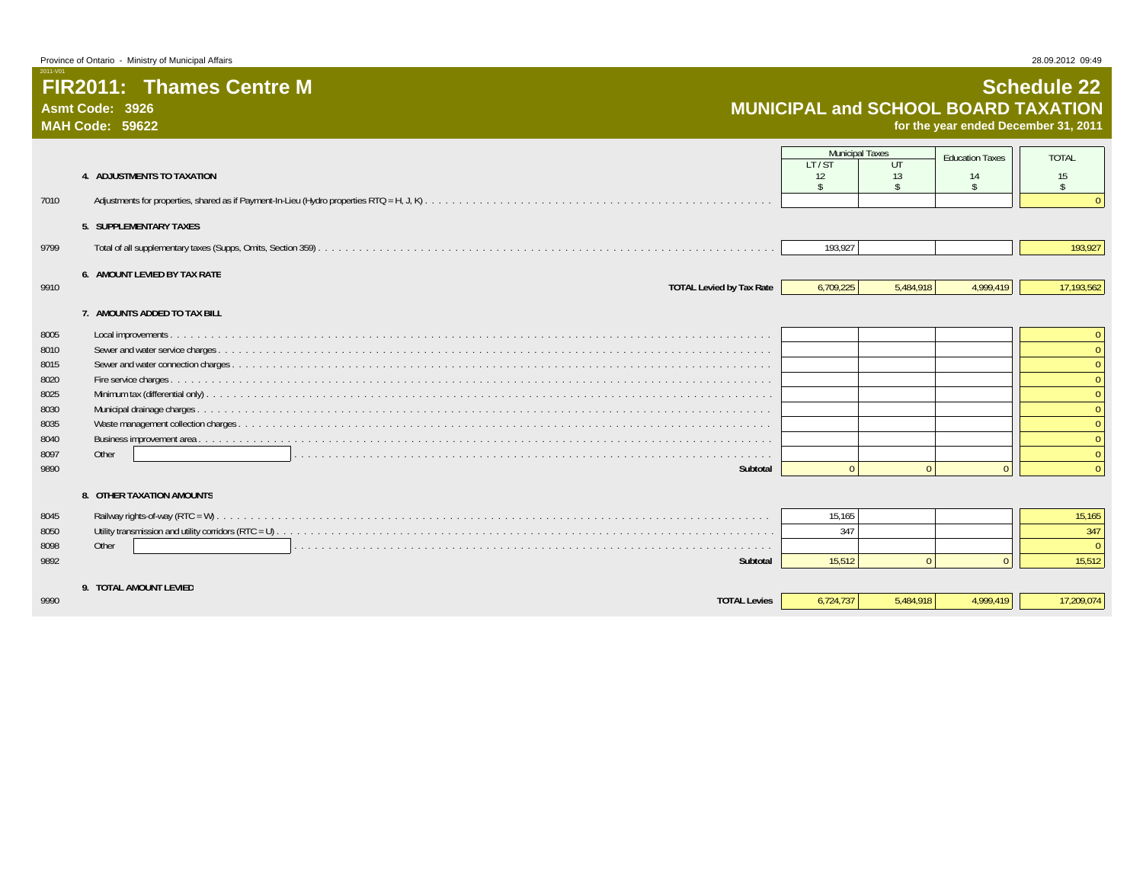**Asmt Code: 3926MAH Code: 59622**

2011-V01

# **Schedule 22 MUNICIPAL and SCHOOL BOARD TAXATION for the year ended December 31, 2011**

|              | 4. ADJUSTMENTS TO TAXATION      | <b>Municipal Taxes</b><br>LT/ST<br>12<br>$\mathbf{\hat{S}}$ | UT<br>13<br>$\ddot{\mathcal{L}}$ | <b>Education Taxes</b><br>14<br>$\hat{\mathbf{r}}$ | <b>TOTAL</b><br>15<br>$\mathbf{\hat{S}}$ |
|--------------|---------------------------------|-------------------------------------------------------------|----------------------------------|----------------------------------------------------|------------------------------------------|
| 7010         |                                 |                                                             |                                  |                                                    |                                          |
|              | 5. SUPPLEMENTARY TAXES          |                                                             |                                  |                                                    |                                          |
| 9799         |                                 | 193,927                                                     |                                  |                                                    | 193,927                                  |
|              | 6. AMOUNT LEVIED BY TAX RATE    |                                                             |                                  |                                                    |                                          |
| 9910         | <b>TOTAL Levied by Tax Rate</b> | 6,709,225                                                   | 5,484,918                        | 4,999,419                                          | 17,193,562                               |
|              | 7. AMOUNTS ADDED TO TAX BILL    |                                                             |                                  |                                                    |                                          |
| 8005         |                                 |                                                             |                                  |                                                    | $\mathbf{0}$                             |
| 8010         |                                 |                                                             |                                  |                                                    | $\Omega$                                 |
| 8015         |                                 |                                                             |                                  |                                                    |                                          |
| 8020         |                                 |                                                             |                                  |                                                    | $\Omega$                                 |
| 8025         |                                 |                                                             |                                  |                                                    | $\Omega$                                 |
| 8030         |                                 |                                                             |                                  |                                                    |                                          |
| 8035<br>8040 |                                 |                                                             |                                  |                                                    | $\Omega$                                 |
| 8097         | Other                           |                                                             |                                  |                                                    |                                          |
| 9890         | Subtotal                        | $\Omega$                                                    | $\Omega$                         | $\Omega$                                           | $\Omega$                                 |
|              |                                 |                                                             |                                  |                                                    |                                          |
|              | 8. OTHER TAXATION AMOUNTS       |                                                             |                                  |                                                    |                                          |
| 8045         |                                 | 15,165                                                      |                                  |                                                    | 15,165                                   |
| 8050         |                                 | 347                                                         |                                  |                                                    | 347                                      |
| 8098         | Other                           |                                                             |                                  |                                                    | $\Omega$                                 |
| 9892         | Subtotal                        | 15.512                                                      | $\theta$                         | $\Omega$                                           | 15,512                                   |
|              | 9. TOTAL AMOUNT LEVIED          |                                                             |                                  |                                                    |                                          |
| 9990         | <b>TOTAL Levies</b>             | 6,724,737                                                   | 5,484,918                        | 4.999.419                                          | 17,209,074                               |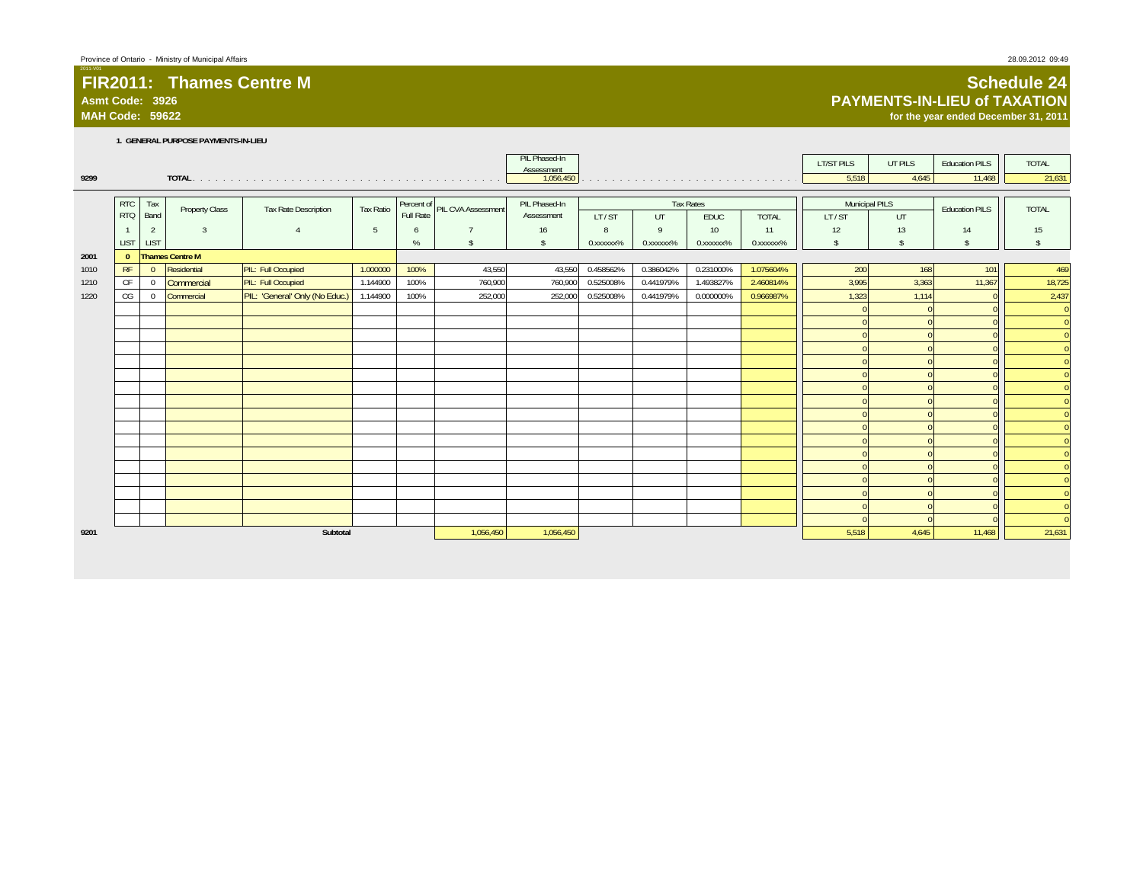### **Asmt Code: 3926**

**MAH Code: 59622**

#### **1. GENERAL PURPOSE PAYMENTS-IN-LIEU**

| 9299 |              |                |                        |                                |                  |      |                               | PIL Phased-In<br>Assessment<br>1,056,450 |           |                        |                  |              | <b>LT/ST PILS</b><br>5,518 | UT PILS<br>4,645 | <b>Education PILS</b><br>11,468 | <b>TOTAL</b><br>21,631             |
|------|--------------|----------------|------------------------|--------------------------------|------------------|------|-------------------------------|------------------------------------------|-----------|------------------------|------------------|--------------|----------------------------|------------------|---------------------------------|------------------------------------|
|      |              |                |                        |                                |                  |      |                               |                                          |           |                        |                  |              |                            |                  |                                 |                                    |
|      | <b>RTC</b>   | Tax            |                        |                                |                  |      |                               | PIL Phased-In                            |           |                        | <b>Tax Rates</b> |              | Municipal PILS             |                  |                                 |                                    |
|      | <b>RTQ</b>   | Band           | <b>Property Class</b>  | Tax Rate Description           | <b>Tax Ratio</b> |      | Percent of PIL CVA Assessment | Assessment                               | LT/ST     | UT                     | EDUC             | <b>TOTAL</b> | LT/ST                      | UT               | <b>Education PILS</b>           | <b>TOTAL</b>                       |
|      |              | 2              | $\overline{3}$         |                                | 5                | 6    | $\overline{7}$                | 16                                       | 8         | $\mathsf Q$            | 10               | 11           | 12                         | 13               | 14                              | 15                                 |
|      | <b>LIST</b>  | <b>LIST</b>    |                        |                                |                  | $\%$ | $\mathbb{S}$                  | $\mathsf{s}$                             | 0.xxxxxx% | 0. XXXXXX <sup>%</sup> | 0.xxxxxx%        | 0.xxxxxx%    | $\mathbf{\hat{s}}$         | $\mathcal{S}$    | $\mathbf{s}$                    | $\mathbf{s}$                       |
| 2001 | $\mathbf{0}$ |                | <b>Thames Centre M</b> |                                |                  |      |                               |                                          |           |                        |                  |              |                            |                  |                                 |                                    |
| 1010 | RF           | $\Omega$       | Residential            | PIL: Full Occupied             | 1.000000         | 100% | 43,550                        | 43,550                                   | 0.458562% | 0.386042%              | 0.231000%        | 1.075604%    | 200                        | 168              | 101                             | 469                                |
| 1210 | CF           | $\overline{0}$ | Commercial             | PIL: Full Occupied             | 1.144900         | 100% | 760,900                       | 760,900                                  | 0.525008% | 0.441979%              | 1.493827%        | 2.460814%    | 3,995                      | 3,363            | 11,367                          | 18,725                             |
| 1220 | CG           | $\mathbf{0}$   | Commercial             | PIL: 'General' Only (No Educ.) | 1.144900         | 100% | 252,000                       | 252,000                                  | 0.525008% | 0.441979%              | 0.000000%        | 0.966987%    | 1,323                      | 1,114            |                                 | 2,437                              |
|      |              |                |                        |                                |                  |      |                               |                                          |           |                        |                  |              |                            |                  |                                 | $\overline{0}$                     |
|      |              |                |                        |                                |                  |      |                               |                                          |           |                        |                  |              |                            |                  |                                 | $\overline{\overline{\mathbf{0}}}$ |
|      |              |                |                        |                                |                  |      |                               |                                          |           |                        |                  |              |                            |                  |                                 | $\overline{0}$                     |
|      |              |                |                        |                                |                  |      |                               |                                          |           |                        |                  |              |                            |                  |                                 | $\overline{\overline{\mathbf{0}}}$ |
|      |              |                |                        |                                |                  |      |                               |                                          |           |                        |                  |              |                            |                  |                                 | $\mathbf{0}$                       |
|      |              |                |                        |                                |                  |      |                               |                                          |           |                        |                  |              |                            |                  |                                 | $\overline{\overline{\mathbf{0}}}$ |
|      |              |                |                        |                                |                  |      |                               |                                          |           |                        |                  |              |                            |                  |                                 | $\overline{\mathbf{0}}$            |
|      |              |                |                        |                                |                  |      |                               |                                          |           |                        |                  |              |                            |                  |                                 | $\overline{0}$                     |
|      |              |                |                        |                                |                  |      |                               |                                          |           |                        |                  |              |                            |                  |                                 | $\overline{\mathbf{0}}$            |
|      |              |                |                        |                                |                  |      |                               |                                          |           |                        |                  |              |                            |                  |                                 | $\overline{\mathbf{0}}$            |
|      |              |                |                        |                                |                  |      |                               |                                          |           |                        |                  |              |                            |                  |                                 | $\overline{\overline{\mathbf{0}}}$ |
|      |              |                |                        |                                |                  |      |                               |                                          |           |                        |                  |              |                            |                  |                                 | $\overline{\mathbf{0}}$            |
|      |              |                |                        |                                |                  |      |                               |                                          |           |                        |                  |              |                            |                  |                                 | $\overline{\mathbf{0}}$            |
|      |              |                |                        |                                |                  |      |                               |                                          |           |                        |                  |              |                            |                  |                                 | $\overline{\overline{\mathbf{0}}}$ |
|      |              |                |                        |                                |                  |      |                               |                                          |           |                        |                  |              |                            |                  |                                 | $\mathbf{0}$                       |
|      |              |                |                        |                                |                  |      |                               |                                          |           |                        |                  |              |                            |                  |                                 | $\overline{0}$                     |
|      |              |                |                        |                                |                  |      |                               |                                          |           |                        |                  |              |                            |                  |                                 | $\overline{\overline{\mathbf{0}}}$ |
| 9201 |              |                |                        | Subtotal                       |                  |      | 1,056,450                     | 1,056,450                                |           |                        |                  |              | 5,518                      | 4,645            | 11,468                          | 21,631                             |

#### **Schedule 24 PAYMENTS-IN-LIEU of TAXATION**

**for the year ended December 31, 2011**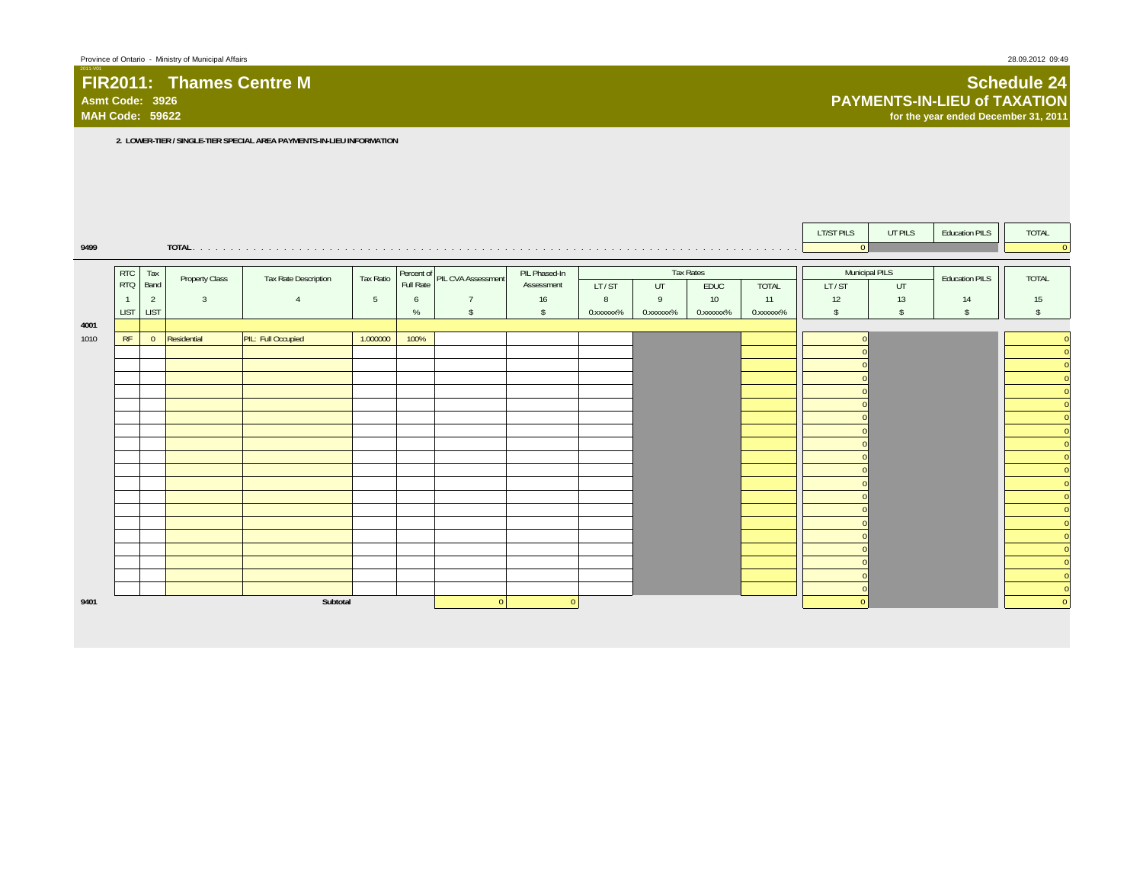#### **FIR2011: Thames Centre MAsmt Code: 3926**

**MAH Code: 59622**

**2. LOWER-TIER / SINGLE-TIER SPECIAL AREA PAYMENTS-IN-LIEU INFORMATION**

|      |                          |                |                |                      |                 |                         |                    |                             |           |           |                   |           | <b>LT/ST PILS</b> | UT PILS              | <b>Education PILS</b> | TOTAL                                      |
|------|--------------------------|----------------|----------------|----------------------|-----------------|-------------------------|--------------------|-----------------------------|-----------|-----------|-------------------|-----------|-------------------|----------------------|-----------------------|--------------------------------------------|
| 9499 |                          |                |                |                      |                 |                         |                    |                             |           |           |                   |           | $\overline{0}$    |                      |                       | $\overline{0}$                             |
|      |                          |                |                |                      |                 |                         |                    |                             |           |           |                   |           |                   |                      |                       |                                            |
|      | <b>RTC</b><br><b>RTQ</b> | Tax<br>Band    | Property Class | Tax Rate Description | Tax Ratio       | Percent of<br>Full Rate | PIL CVA Assessment | PIL Phased-In<br>Assessment | LT/ST     | UT        | Tax Rates<br>EDUC | TOTAL     | LT/ST             | Municipal PILS<br>UT | <b>Education PILS</b> | <b>TOTAL</b>                               |
|      |                          | $\overline{2}$ | $\overline{3}$ | $\overline{4}$       | $5\phantom{.0}$ | 6                       | $\overline{7}$     | 16                          | 8         | 9         | 10 <sup>°</sup>   | 11        | 12                | 13                   | 14                    | 15                                         |
|      | <b>LIST</b>              | <b>LIST</b>    |                |                      |                 | %                       | $\mathsf{\$}$      | $\mathsf{S}$                | 0.xxxxxx% | 0.xxxxxx% | 0.xxxxxx%         | 0.xxxxxx% | $\mathsf{\$}$     | $\mathsf{\$}$        | s.                    | $\sqrt[6]{2}$                              |
| 4001 |                          |                |                |                      |                 |                         |                    |                             |           |           |                   |           |                   |                      |                       |                                            |
| 1010 | RF                       | $\overline{0}$ | Residential    | PIL: Full Occupied   | 1.000000        | 100%                    |                    |                             |           |           |                   |           |                   |                      |                       | $\overline{0}$                             |
|      |                          |                |                |                      |                 |                         |                    |                             |           |           |                   |           |                   |                      |                       | $\overline{0}$                             |
|      |                          |                |                |                      |                 |                         |                    |                             |           |           |                   |           |                   |                      |                       | $\mathbf{0}$                               |
|      |                          |                |                |                      |                 |                         |                    |                             |           |           |                   |           |                   |                      |                       | $\overline{0}$                             |
|      |                          |                |                |                      |                 |                         |                    |                             |           |           |                   |           |                   |                      |                       | $\mathbf{0}$                               |
|      |                          |                |                |                      |                 |                         |                    |                             |           |           |                   |           |                   |                      |                       | $\overline{0}$<br>$\overline{\phantom{0}}$ |
|      |                          |                |                |                      |                 |                         |                    |                             |           |           |                   |           |                   |                      |                       | $\overline{\phantom{0}}$                   |
|      |                          |                |                |                      |                 |                         |                    |                             |           |           |                   |           |                   |                      |                       | $\overline{0}$                             |
|      |                          |                |                |                      |                 |                         |                    |                             |           |           |                   |           |                   |                      |                       | $\mathbf{0}$                               |
|      |                          |                |                |                      |                 |                         |                    |                             |           |           |                   |           |                   |                      |                       | $\overline{0}$                             |
|      |                          |                |                |                      |                 |                         |                    |                             |           |           |                   |           |                   |                      |                       | $\overline{0}$                             |
|      |                          |                |                |                      |                 |                         |                    |                             |           |           |                   |           |                   |                      |                       | $\overline{0}$                             |
|      |                          |                |                |                      |                 |                         |                    |                             |           |           |                   |           |                   |                      |                       | $\overline{0}$                             |
|      |                          |                |                |                      |                 |                         |                    |                             |           |           |                   |           |                   |                      |                       | $\mathbf{0}$<br>$\overline{0}$             |
|      |                          |                |                |                      |                 |                         |                    |                             |           |           |                   |           |                   |                      |                       | $\pmb{0}$                                  |
|      |                          |                |                |                      |                 |                         |                    |                             |           |           |                   |           |                   |                      |                       | $\overline{0}$                             |
|      |                          |                |                |                      |                 |                         |                    |                             |           |           |                   |           |                   |                      |                       | $\mathbf{0}$                               |
|      |                          |                |                |                      |                 |                         |                    |                             |           |           |                   |           |                   |                      |                       | $\overline{\phantom{0}}$                   |
| 9401 |                          |                |                | Subtotal             |                 |                         | $\overline{0}$     | $\Omega$                    |           |           |                   |           |                   |                      |                       | $\overline{\phantom{0}}$                   |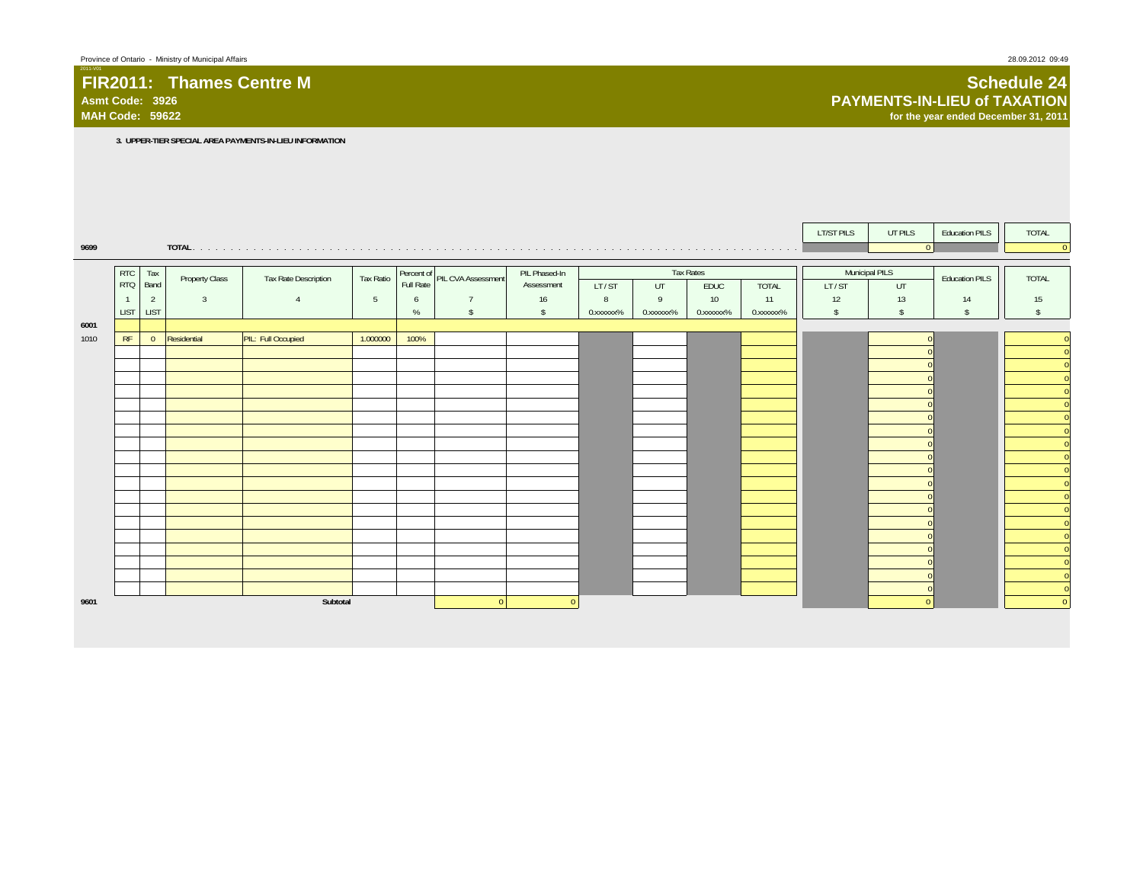# **FIR2011: Thames Centre MAsmt Code: 3926**

#### **Schedule 24 PAYMENTS-IN-LIEU of TAXATIONfor the year ended December 31, 2011**

**3. UPPER-TIER SPECIAL AREA PAYMENTS-IN-LIEU INFORMATION**

|      |            |                |                |                      |                 |           |                               |               |           |           |                  |              | <b>LT/ST PILS</b> | UT PILS       | <b>Education PILS</b> | TOTAL                                                |
|------|------------|----------------|----------------|----------------------|-----------------|-----------|-------------------------------|---------------|-----------|-----------|------------------|--------------|-------------------|---------------|-----------------------|------------------------------------------------------|
| 9699 |            |                |                |                      |                 |           |                               |               |           |           |                  |              |                   | $\Omega$      |                       | $\overline{0}$                                       |
|      |            |                |                |                      |                 |           |                               |               |           |           |                  |              |                   |               |                       |                                                      |
|      | <b>RTC</b> | Tax            | Property Class | Tax Rate Description | Tax Ratio       |           | Percent of PIL CVA Assessment | PIL Phased-In |           |           | <b>Tax Rates</b> |              | Municipal PILS    |               | <b>Education PILS</b> | <b>TOTAL</b>                                         |
|      | RTQ        | Band           |                |                      |                 | Full Rate |                               | Assessment    | LT/ST     | UT        | EDUC             | <b>TOTAL</b> | LT/ST             | UT            |                       |                                                      |
|      |            | $\overline{2}$ | $\overline{3}$ | $\Delta$             | $5\phantom{.0}$ | 6         | $\overline{7}$                | 16            | 8         | 9         | 10 <sup>°</sup>  | 11           | 12                | 13            | 14                    | 15                                                   |
|      | LIST       | <b>LIST</b>    |                |                      |                 | $\%$      | $\mathsf{\$}$                 | $\mathbf{s}$  | 0.xxxxxx% | 0.xxxxxx% | 0.xxxxxx%        | 0.xxxxxx%    | $\mathsf{\$}$     | $\mathsf{\$}$ | $\mathsf{s}$          | $\sqrt{2}$                                           |
| 6001 |            |                |                |                      |                 |           |                               |               |           |           |                  |              |                   |               |                       |                                                      |
| 1010 | RF         | $\overline{0}$ | Residential    | PIL: Full Occupied   | 1.000000        | 100%      |                               |               |           |           |                  |              |                   |               |                       | $\mathbf{0}$                                         |
|      |            |                |                |                      |                 |           |                               |               |           |           |                  |              |                   |               |                       | $\mathbf{0}$                                         |
|      |            |                |                |                      |                 |           |                               |               |           |           |                  |              |                   |               |                       | $\overline{\phantom{0}}$                             |
|      |            |                |                |                      |                 |           |                               |               |           |           |                  |              |                   |               |                       | $\overline{0}$                                       |
|      |            |                |                |                      |                 |           |                               |               |           |           |                  |              |                   |               |                       | $\overline{\phantom{0}}$                             |
|      |            |                |                |                      |                 |           |                               |               |           |           |                  |              |                   |               |                       | $\overline{0}$                                       |
|      |            |                |                |                      |                 |           |                               |               |           |           |                  |              |                   |               |                       | $\overline{0}$                                       |
|      |            |                |                |                      |                 |           |                               |               |           |           |                  |              |                   |               |                       | $\overline{0}$                                       |
|      |            |                |                |                      |                 |           |                               |               |           |           |                  |              |                   |               |                       | $\overline{0}$                                       |
|      |            |                |                |                      |                 |           |                               |               |           |           |                  |              |                   |               |                       | $\overline{\mathbf{0}}$                              |
|      |            |                |                |                      |                 |           |                               |               |           |           |                  |              |                   |               |                       | $\overline{0}$                                       |
|      |            |                |                |                      |                 |           |                               |               |           |           |                  |              |                   |               |                       | $\overline{\phantom{0}}$                             |
|      |            |                |                |                      |                 |           |                               |               |           |           |                  |              |                   |               |                       | $\overline{0}$                                       |
|      |            |                |                |                      |                 |           |                               |               |           |           |                  |              |                   |               |                       | $\mathbf{0}$<br>e.                                   |
|      |            |                |                |                      |                 |           |                               |               |           |           |                  |              |                   |               |                       | $\overline{0}$<br>$\overline{\overline{\mathbf{0}}}$ |
|      |            |                |                |                      |                 |           |                               |               |           |           |                  |              |                   |               |                       | $\overline{\phantom{0}}$                             |
|      |            |                |                |                      |                 |           |                               |               |           |           |                  |              |                   |               |                       |                                                      |
|      |            |                |                |                      |                 |           |                               |               |           |           |                  |              |                   |               |                       | $\overline{0}$                                       |
|      |            |                |                |                      |                 |           |                               |               |           |           |                  |              |                   |               |                       | $\mathbf{0}$                                         |
|      |            |                |                |                      |                 |           |                               |               |           |           |                  |              |                   |               |                       | $\overline{0}$                                       |
| 9601 |            |                |                | Subtotal             |                 |           | $\Omega$                      | $\Omega$      |           |           |                  |              |                   | $\Omega$      |                       | $\overline{0}$                                       |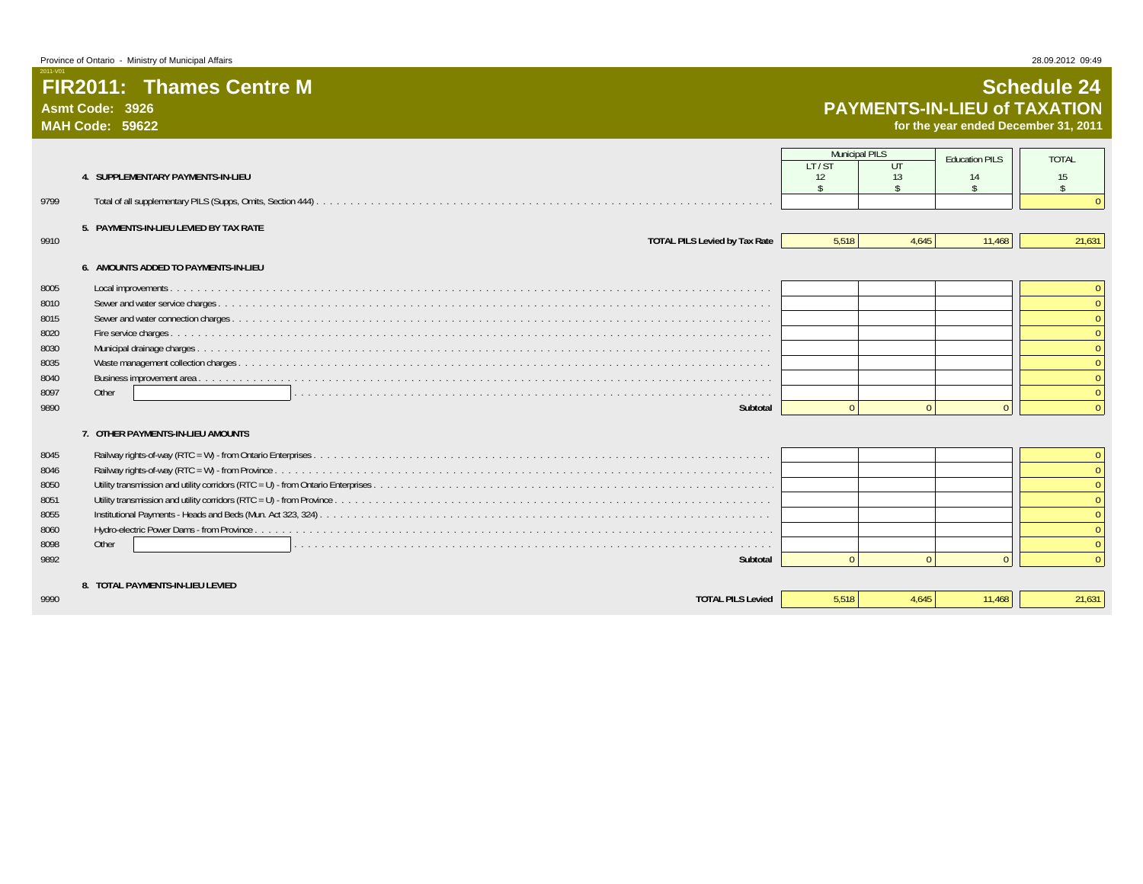**Asmt Code: 3926MAH Code: 59622**

2011-V01

# **Schedule 24 PAYMENTS-IN-LIEU of TAXATION**

**for the year ended December 31, 2011**

|              |                                        | <b>Municipal PILS</b> |             | <b>Education PILS</b> | <b>TOTAL</b>       |
|--------------|----------------------------------------|-----------------------|-------------|-----------------------|--------------------|
|              | 4. SUPPLEMENTARY PAYMENTS-IN-LIEU      | LT/ST<br>12           | $U$ T<br>13 | 14                    | 15                 |
|              |                                        | $\hat{\zeta}$         |             |                       | $\hat{\mathbf{S}}$ |
| 9799         |                                        |                       |             |                       |                    |
|              | 5. PAYMENTS-IN-LIEU LEVIED BY TAX RATE |                       |             |                       |                    |
| 9910         | <b>TOTAL PILS Levied by Tax Rate</b>   | 5,518                 | 4,645       | 11,468                | 21,631             |
|              | 6. AMOUNTS ADDED TO PAYMENTS-IN-LIEU   |                       |             |                       |                    |
|              |                                        |                       |             |                       |                    |
| 8005         |                                        |                       |             |                       |                    |
| 8010         |                                        |                       |             |                       |                    |
| 8015<br>8020 |                                        |                       |             |                       |                    |
| 8030         |                                        |                       |             |                       |                    |
| 8035         |                                        |                       |             |                       |                    |
| 8040         |                                        |                       |             |                       |                    |
| 8097         | Other                                  |                       |             |                       |                    |
| 9890         | Subtotal                               | $\Omega$              | $\Omega$    | $\Omega$              |                    |
|              | 7. OTHER PAYMENTS-IN-LIEU AMOUNTS      |                       |             |                       |                    |
|              |                                        |                       |             |                       |                    |
| 8045         |                                        |                       |             |                       |                    |
| 8046         |                                        |                       |             |                       |                    |
| 8050         |                                        |                       |             |                       |                    |
| 8051         |                                        |                       |             |                       |                    |
| 8055         |                                        |                       |             |                       |                    |
| 8060<br>8098 | Other                                  |                       |             |                       |                    |
| 9892         | Subtotal                               |                       | $\Omega$    | $\Omega$              |                    |
|              |                                        |                       |             |                       |                    |
|              | 8. TOTAL PAYMENTS-IN-LIEU LEVIED       |                       |             |                       |                    |
| 9990         | <b>TOTAL PILS Levied</b>               | 5.518                 | 4.645       | 11.468                | 21,631             |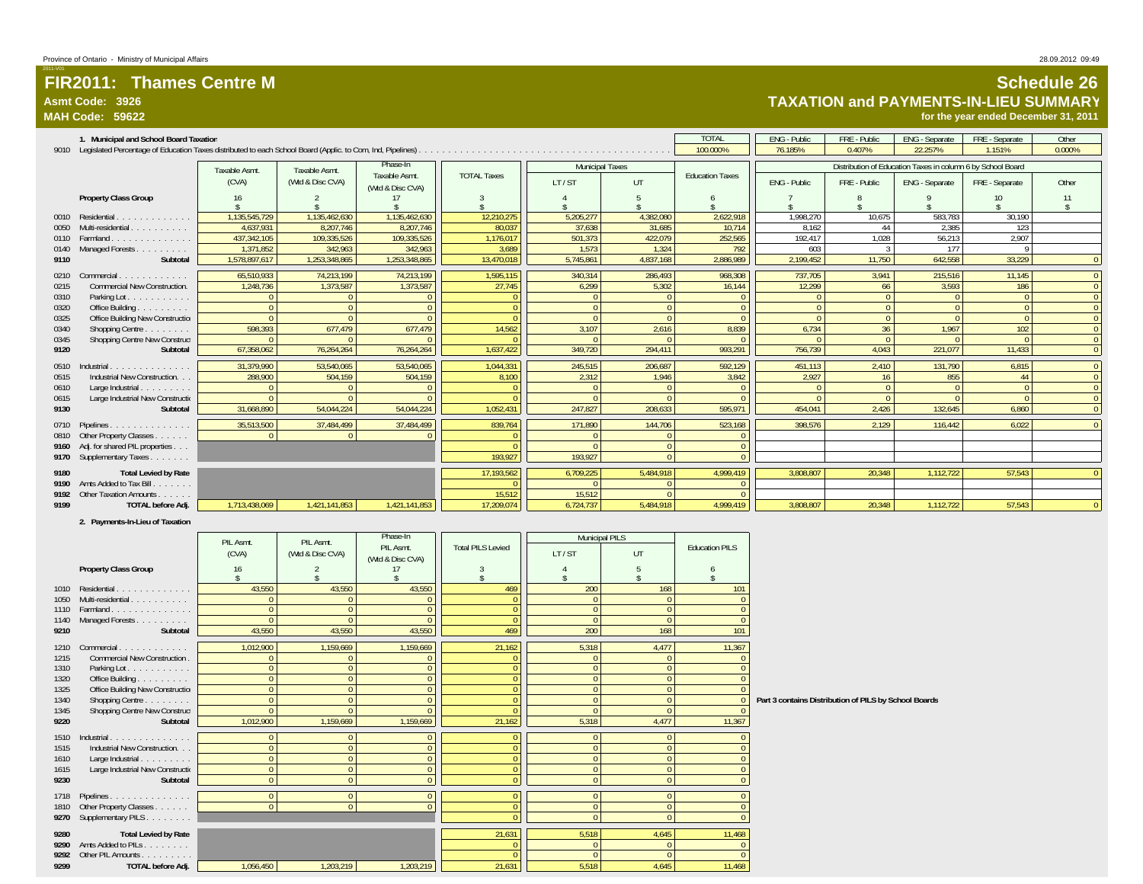### **Asmt Code: 3926**

2011-V01

**MAH Code: 59622**

### **Schedule 26 TAXATION and PAYMENTS-IN-LIEU SUMMARY**

**for the year ended December 31, 2011**

|              | 1. Municipal and School Board Taxation                                                                           |                              |                                   |                                   |                    |                        |           | <b>TOTAL</b>           | <b>ENG - Public</b> | FRE - Public | <b>ENG</b> - Separate                                       | FRE - Separate | Other    |
|--------------|------------------------------------------------------------------------------------------------------------------|------------------------------|-----------------------------------|-----------------------------------|--------------------|------------------------|-----------|------------------------|---------------------|--------------|-------------------------------------------------------------|----------------|----------|
|              | 9010 Legislated Percentage of Education Taxes distributed to each School Board (Applic. to Com, Ind, Pipelines). |                              |                                   |                                   |                    |                        |           | 100.000%               | 76.185%             | 0.407%       | 22.257%                                                     | 1.151%         | 0.000%   |
|              |                                                                                                                  |                              |                                   | Phase-In                          |                    | <b>Municipal Taxes</b> |           |                        |                     |              | Distribution of Education Taxes in column 6 by School Board |                |          |
|              |                                                                                                                  | <b>Taxable Asmt</b><br>(CVA) | Taxable Asmt.<br>(Wtd & Disc CVA) | Taxable Asmt.<br>(Wtd & Disc CVA) | <b>TOTAL Taxes</b> | LT/ST                  | UT        | <b>Education Taxes</b> | ENG - Public        | FRE - Public | ENG - Separate                                              | FRE - Separate | Other    |
|              | <b>Property Class Group</b>                                                                                      | 16                           |                                   |                                   |                    |                        |           |                        |                     |              |                                                             | 10             |          |
|              |                                                                                                                  |                              |                                   |                                   |                    |                        |           |                        |                     |              |                                                             |                |          |
| 0010         | Residential.<br>.                                                                                                | 1.135.545.729                | 1.135.462.630                     | 1,135,462,630                     | 12,210,275         | 5,205,277              | 4,382,080 | 2,622,918              | 1.998.270           | 10.675       | 583,783                                                     | 30,190         |          |
| 0050         | Multi-residential                                                                                                | 4,637,931                    | 8,207,746                         | 8,207,746                         | 80,037             | 37,638                 | 31,685    | 10,714                 | 8,162               | 44           | 2,385                                                       | 123            |          |
| 0110         | Farmland<br>.                                                                                                    | 437.342.105                  | 109,335,526                       | 109,335,526                       | 1,176,017          | 501.373                | 422.079   | 252,565                | 192.417             | 1.028        | 56.213                                                      | 2.907          |          |
| 0140         | Managed Forests                                                                                                  | 1,371,852                    | 342,963                           | 342,963                           | 3.689              | 1,573                  | 1,324     | 792                    | 603                 |              | 177                                                         |                |          |
| 9110         | Subtotal                                                                                                         | 1,578,897,617                | 1,253,348,865                     | 1,253,348,865                     | 13,470,018         | 5,745,861              | 4,837,168 | 2,886,989              | 2,199,452           | 11.750       | 642,558                                                     | 33,229         | $\Omega$ |
| 0210         | Commercial.<br>a características.                                                                                | 65,510,933                   | 74,213,199                        | 74,213,199                        | 1,595,115          | 340,314                | 286,493   | 968,308                | 737,705             | 3,941        | 215,516                                                     | 11,145         | $\Omega$ |
| 0215         | Commercial New Construction.                                                                                     | 1,248,736                    | 1,373,587                         | 1,373,587                         | 27,745             | 6,299                  | 5,302     | 16,144                 | 12,299              | 66           | 3,593                                                       | 186            |          |
| 0310         | Parking Lot.                                                                                                     |                              | $\Omega$                          |                                   |                    |                        |           |                        |                     |              | $\Omega$                                                    |                |          |
| 0320         | Office Building                                                                                                  |                              | $\Omega$                          |                                   |                    |                        |           |                        | $\Omega$            |              | $\Omega$                                                    |                | $\Omega$ |
| 0325         | Office Building New Construction                                                                                 |                              | $\Omega$                          |                                   |                    |                        |           |                        |                     |              | $\Omega$                                                    |                | $\Omega$ |
| 0340         | Shopping Centre                                                                                                  | 598,393                      | 677,479                           | 677,479                           | 14,562             | 3,107                  | 2,616     | 8,839                  | 6,734               | 36           | 1.967                                                       | 102            | $\Omega$ |
| 0345         | Shopping Centre New Construct                                                                                    |                              |                                   |                                   |                    |                        |           |                        |                     |              | $\Omega$                                                    |                | $\Omega$ |
| 9120         | Subtotal                                                                                                         | 67.358.062                   | 76.264.264                        | 76,264,264                        | 1.637.422          | 349.720                | 294.411   | 993.291                | 756.739             | 4.043        | 221.077                                                     | 11.433         | $\Omega$ |
| 0510         | Industrial.                                                                                                      | 31,379,990                   | 53.540.065                        | 53,540,065                        | 1,044,331          | 245,515                | 206.687   | 592,129                | 451.113             | 2,410        | 131.790                                                     | 6.815          | $\Omega$ |
|              | Industrial New Construction.                                                                                     | 288,900                      | 504,159                           | 504,159                           | 8,100              | 2,312                  | 1,946     | 3,842                  | 2,927               | 16           | 855                                                         | 44             | $\Omega$ |
| 0515<br>0610 | Large Industrial                                                                                                 |                              |                                   |                                   |                    |                        |           |                        |                     |              | $\Omega$                                                    |                | $\Omega$ |
| 0615         | .<br>Large Industrial New Constructio                                                                            |                              |                                   |                                   |                    |                        |           |                        |                     |              |                                                             |                |          |
| 9130         | Subtotal                                                                                                         | 31.668.890                   | 54.044.224                        | 54,044,224                        | 1,052,431          | 247,827                | 208,633   | 595,971                | 454.041             | 2.426        | 132.645                                                     | 6.860          |          |
|              |                                                                                                                  |                              |                                   |                                   |                    |                        |           |                        |                     |              |                                                             |                |          |
|              | 0710 Pipelines                                                                                                   | 35,513,500                   | 37,484,499                        | 37,484,499                        | 839.764            | 171.890                | 144,706   | 523,168                | 398.576             | 2.129        | 116.442                                                     | 6.022          | $\Omega$ |
|              | 0810 Other Property Classes                                                                                      |                              | $\overline{0}$                    |                                   |                    |                        |           |                        |                     |              |                                                             |                |          |
|              | 9160 Adj. for shared PIL properties                                                                              |                              |                                   |                                   |                    |                        |           |                        |                     |              |                                                             |                |          |
|              | 9170 Supplementary Taxes                                                                                         |                              |                                   |                                   | 193,927            | 193,927                | $\Omega$  | $\Omega$               |                     |              |                                                             |                |          |
| 9180         | <b>Total Levied by Rate</b>                                                                                      |                              |                                   |                                   | 17,193,562         | 6,709,225              | 5,484,918 | 4,999,419              | 3,808,807           | 20.348       | 1,112,722                                                   | 57.543         |          |
|              | 9190 Amts Added to Tax Bill.                                                                                     |                              |                                   |                                   |                    |                        |           | $\Omega$               |                     |              |                                                             |                |          |
|              | 9192 Other Taxation Amounts.                                                                                     |                              |                                   |                                   | 15.512             | 15,512                 |           |                        |                     |              |                                                             |                |          |
| 9199         | TOTAL before Adj.                                                                                                | 1,713,438,069                | 1,421,141,853                     | 1,421,141,853                     | 17,209,074         | 6,724,737              | 5.484.918 | 4.999.419              | 3.808.807           | 20.348       | 1.112.722                                                   | 57.543         | $\Omega$ |
|              |                                                                                                                  |                              |                                   |                                   |                    |                        |           |                        |                     |              |                                                             |                |          |

#### **2. Payments-In-Lieu of Taxation**

|      |                                  | PIL Asmt.      | PIL Asmt.        | Phase-In         |                          | <b>Municipal PILS</b> |                |                       |                                                       |
|------|----------------------------------|----------------|------------------|------------------|--------------------------|-----------------------|----------------|-----------------------|-------------------------------------------------------|
|      |                                  | (CVA)          | (Wtd & Disc CVA) | PIL Asmt.        | <b>Total PILS Levied</b> | LT/ST                 | UT             | <b>Education PILS</b> |                                                       |
|      |                                  |                |                  | (Wtd & Disc CVA) |                          |                       |                |                       |                                                       |
|      | <b>Property Class Group</b>      | 16             |                  |                  |                          |                       |                |                       |                                                       |
|      | 1010 Residential.                | 43.550         | 43,550           | 43,550           | 469                      | 200                   | 168            | 101                   |                                                       |
| 1050 | .<br>Multi-residential           |                |                  |                  |                          |                       |                |                       |                                                       |
|      | 1110 Farmland.<br>.              | $\Omega$       | $\Omega$         | $\overline{0}$   |                          |                       | $\overline{0}$ |                       |                                                       |
| 1140 | Managed Forests<br>.             | $\Omega$       | $\Omega$         | $\Omega$         | $\Omega$                 | $\Omega$              | $\Omega$       |                       |                                                       |
| 9210 | Subtotal                         | 43,550         | 43,550           | 43,550           | 469                      | 200                   | 168            | 101                   |                                                       |
|      |                                  |                |                  |                  |                          |                       |                |                       |                                                       |
| 1210 | Commercial                       | 1,012,900      | 1,159,669        | 1,159,669        | 21,162                   | 5,318                 | 4,477          | 11,367                |                                                       |
| 1215 | Commercial New Construction      | $\Omega$       | $\Omega$         | $\Omega$         |                          | $\Omega$              | $\Omega$       |                       |                                                       |
| 1310 | Parking Lot.                     | $\mathbf{0}$   | $\Omega$         | $\Omega$         |                          |                       | $\Omega$       |                       |                                                       |
| 1320 | Office Building                  | $\Omega$       |                  |                  |                          |                       | $\Omega$       |                       |                                                       |
| 1325 | Office Building New Construction | $\mathbf{0}$   | $\Omega$         | $\Omega$         |                          |                       | $\overline{0}$ |                       |                                                       |
| 1340 | Shopping Centre                  | $\Omega$       | $\Omega$         | $\Omega$         |                          | $\Omega$              | $\mathbf{0}$   |                       | Part 3 contains Distribution of PILS by School Boards |
| 1345 | Shopping Centre New Construct    | $\Omega$       | $\Omega$         | $\Omega$         |                          |                       | $\overline{0}$ |                       |                                                       |
| 9220 | Subtotal                         | 1,012,900      | 1,159,669        | 1,159,669        | 21,162                   | 5,318                 | 4,477          | 11,367                |                                                       |
|      | 1510 Industrial<br>.             | $\overline{0}$ | $\Omega$         | $\overline{0}$   |                          |                       | $\overline{0}$ |                       |                                                       |
| 1515 | Industrial New Construction.     | $\mathbf{0}$   | $\Omega$         | $\overline{0}$   |                          |                       | $\Omega$       |                       |                                                       |
| 1610 | Large Industrial                 | $\Omega$       | $\Omega$         | $\Omega$         |                          |                       | $\Omega$       |                       |                                                       |
| 1615 | Large Industrial New Constructio | $\mathbf{0}$   | $\mathbf{0}$     | $\overline{0}$   |                          | $\Omega$              | $\mathbf{0}$   |                       |                                                       |
| 9230 | Subtotal                         | $\Omega$       | $\Omega$         | $\Omega$         |                          | $\Omega$              | $\Omega$       |                       |                                                       |
|      |                                  |                |                  |                  |                          |                       |                |                       |                                                       |
|      | 1718 Pipelines                   | $\Omega$       | $\Omega$         | $\overline{0}$   |                          |                       | $\overline{0}$ |                       |                                                       |
|      | 1810 Other Property Classes      | $\Omega$       | $\Omega$         | $\Omega$         | $\Omega$                 | $\Omega$              | $\overline{0}$ |                       |                                                       |
|      | 9270 Supplementary PILS          |                |                  |                  |                          | $\Omega$              | $\Omega$       |                       |                                                       |
| 9280 | <b>Total Levied by Rate</b>      |                |                  |                  | 21,631                   | 5,518                 | 4,645          | 11,468                |                                                       |
|      | 9290 Amts Added to PILs          |                |                  |                  |                          |                       | $\Omega$       |                       |                                                       |
|      | 9292 Other PIL Amounts           |                |                  |                  |                          |                       |                |                       |                                                       |
| 9299 | TOTAL before Adj.                | 1,056,450      | 1,203,219        | 1,203,219        | 21,631                   | 5,518                 | 4.645          | 11.468                |                                                       |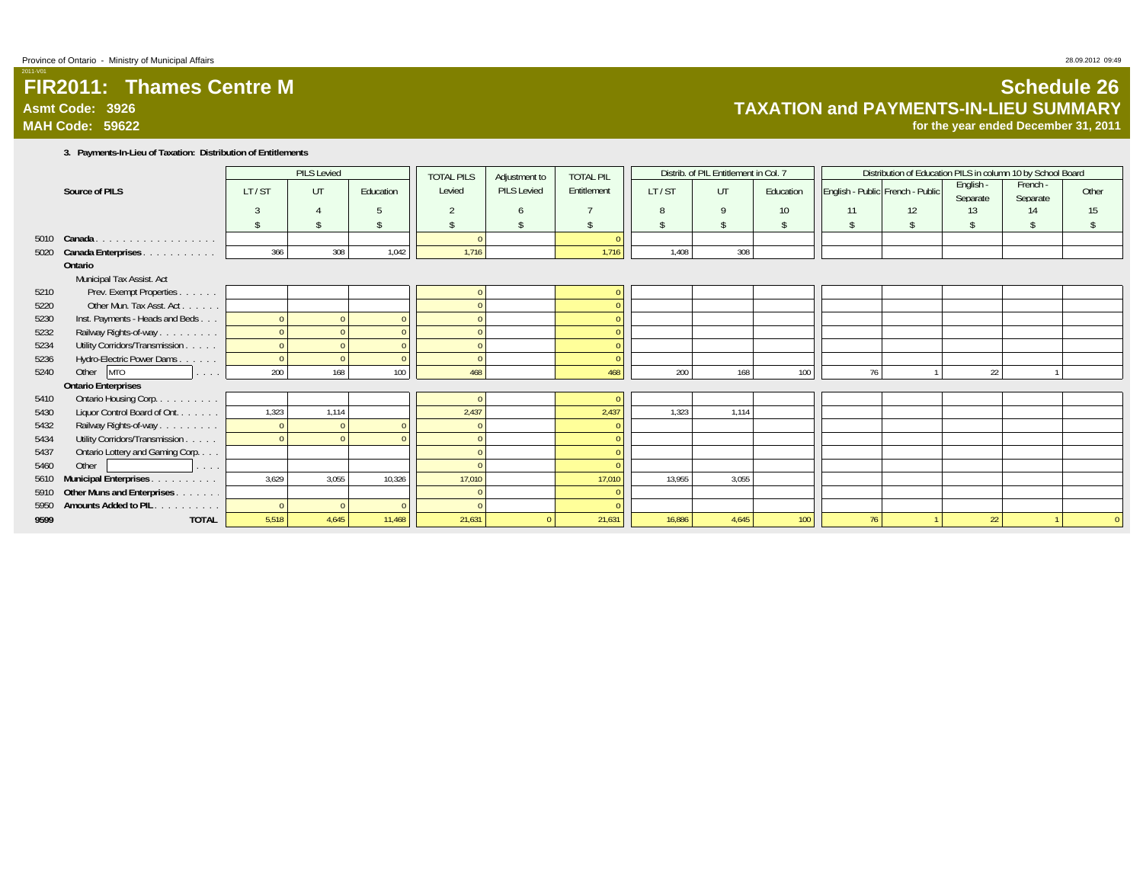### **FIR2011: Thames Centre MAsmt Code: 3926MAH Code: 59622**

# **Schedule 26 TAXATION and PAYMENTS-IN-LIEU SUMMARY**

**for the year ended December 31, 2011**

**3. Payments-In-Lieu of Taxation: Distribution of Entitlements**

|      |                                                  |                    | PILS Levied |           | <b>TOTAL PILS</b> | Adjustment to | <b>TOTAL PIL</b> |        | Distrib. of PIL Entitlement in Col. 7 |           |    | Distribution of Education PILS in column 10 by School Board |                       |                      |                    |
|------|--------------------------------------------------|--------------------|-------------|-----------|-------------------|---------------|------------------|--------|---------------------------------------|-----------|----|-------------------------------------------------------------|-----------------------|----------------------|--------------------|
|      | Source of PILS                                   | LT/ST              | UT          | Education | Levied            | PILS Levied   | Entitlement      | LT/ST  | UT                                    | Education |    | English - Public French - Public                            | English -<br>Separate | French -<br>Separate | Other              |
|      |                                                  | 3                  |             |           |                   | $\sqrt{2}$    |                  | 8      | $\mathsf{Q}$                          | 10        | 11 | 12                                                          | 13                    | 14                   | 15                 |
|      |                                                  | $\mathbf{\hat{S}}$ |             |           |                   | $\hat{\zeta}$ |                  |        |                                       |           | \$ | \$                                                          | \$                    | \$                   | $\hat{\mathbf{S}}$ |
| 5010 | Canada<br>.                                      |                    |             |           |                   |               |                  |        |                                       |           |    |                                                             |                       |                      |                    |
| 5020 | Canada Enterprises.<br>and a straight and a      | 366                | 308         | 1,042     | 1,716             |               | 1,716            | 1,408  | 308                                   |           |    |                                                             |                       |                      |                    |
|      | Ontario                                          |                    |             |           |                   |               |                  |        |                                       |           |    |                                                             |                       |                      |                    |
|      | Municipal Tax Assist. Act                        |                    |             |           |                   |               |                  |        |                                       |           |    |                                                             |                       |                      |                    |
| 5210 | Prev. Exempt Properties.<br>$\sim$ $\sim$ $\sim$ |                    |             |           |                   |               |                  |        |                                       |           |    |                                                             |                       |                      |                    |
| 5220 | Other Mun. Tax Asst. Act.<br><b>Contract</b>     |                    |             |           |                   |               | $\Omega$         |        |                                       |           |    |                                                             |                       |                      |                    |
| 5230 | Inst. Payments - Heads and Beds                  |                    |             |           |                   |               | $\Omega$         |        |                                       |           |    |                                                             |                       |                      |                    |
| 5232 | Railway Rights-of-way                            |                    |             |           |                   |               |                  |        |                                       |           |    |                                                             |                       |                      |                    |
| 5234 | Utility Corridors/Transmission.<br>a seran       |                    |             |           |                   |               |                  |        |                                       |           |    |                                                             |                       |                      |                    |
| 5236 | Hydro-Electric Power Dams                        |                    |             | $\Omega$  |                   |               | $\Omega$         |        |                                       |           |    |                                                             |                       |                      |                    |
| 5240 | Other MTO                                        | 200                | 168         | 100       | 468               |               | 468              | 200    | 168                                   | 100       | 76 |                                                             | 22                    |                      |                    |
|      | <b>Ontario Enterprises</b>                       |                    |             |           |                   |               |                  |        |                                       |           |    |                                                             |                       |                      |                    |
| 5410 | Ontario Housing Corp.                            |                    |             |           |                   |               | $\sqrt{ }$       |        |                                       |           |    |                                                             |                       |                      |                    |
| 5430 | Liquor Control Board of Ont.<br>and a series     | 1,323              | 1,114       |           | 2,437             |               | 2,437            | 1,323  | 1,114                                 |           |    |                                                             |                       |                      |                    |
| 5432 | Railway Rights-of-way                            |                    |             |           |                   |               | $\theta$         |        |                                       |           |    |                                                             |                       |                      |                    |
| 5434 | Utility Corridors/Transmission.<br>a sa sa       |                    |             |           |                   |               |                  |        |                                       |           |    |                                                             |                       |                      |                    |
| 5437 | Ontario Lottery and Gaming Corp.                 |                    |             |           |                   |               |                  |        |                                       |           |    |                                                             |                       |                      |                    |
| 5460 | Other<br>and a series                            |                    |             |           |                   |               |                  |        |                                       |           |    |                                                             |                       |                      |                    |
| 5610 | Municipal Enterprises.<br>and a series and       | 3,629              | 3.055       | 10.326    | 17,010            |               | 17,010           | 13,955 | 3,055                                 |           |    |                                                             |                       |                      |                    |
| 5910 | Other Muns and Enterprises.<br>.                 |                    |             |           |                   |               |                  |        |                                       |           |    |                                                             |                       |                      |                    |
| 5950 | <b>Amounts Added to PIL</b><br>and a strain and  |                    | $\Omega$    | $\Omega$  |                   |               |                  |        |                                       |           |    |                                                             |                       |                      |                    |
| 9599 | <b>TOTAL</b>                                     | 5,518              | 4,645       | 11,468    | 21,631            | $\Omega$      | 21,631           | 16,886 | 4,645                                 | 100       | 76 |                                                             | 22                    |                      |                    |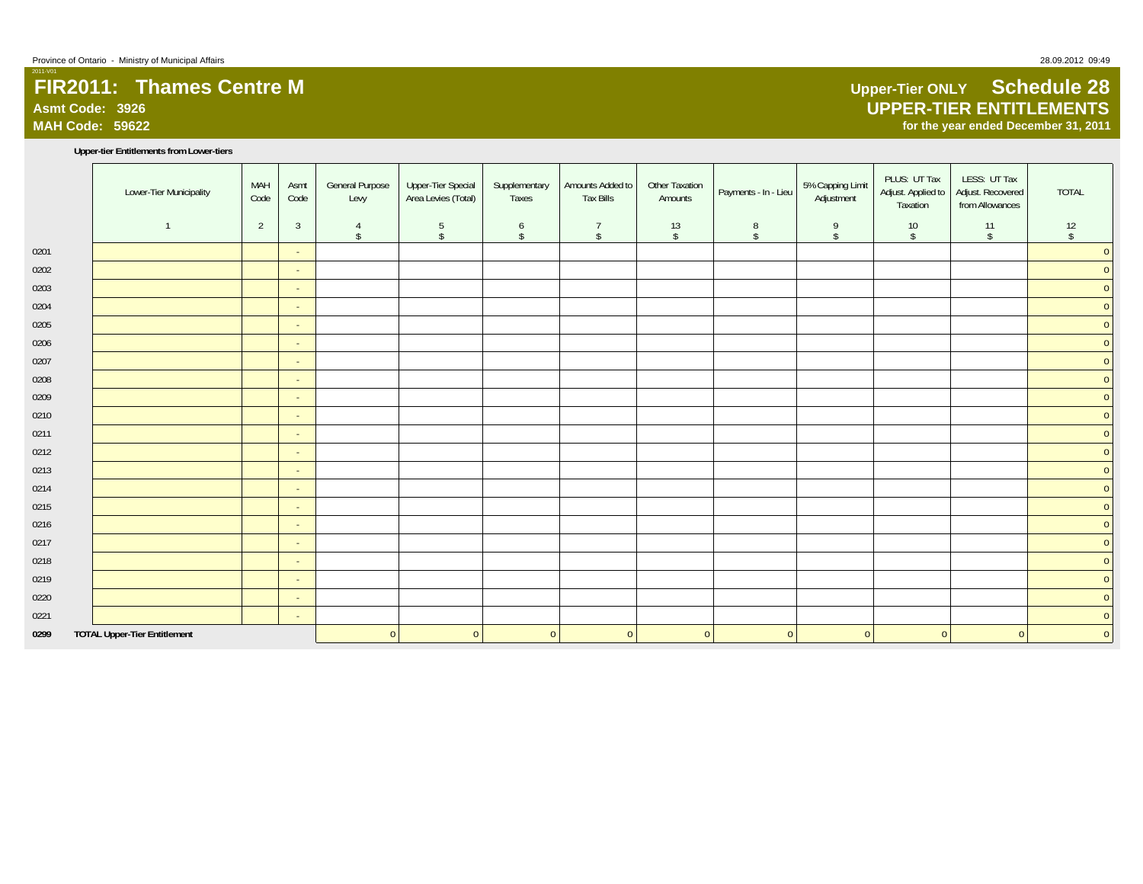# **FIR2011: Thames Centre MAsmt Code: 3926**

**MAH Code: 59622**

2011-V01

#### **Upper-tier Entitlements from Lower-tiers**

|      | Lower-Tier Municipality             | MAH<br>Code    | Asmt<br>Code   | <b>General Purpose</b><br>Levy  | <b>Upper-Tier Special</b><br>Area Levies (Total) | Supplementary<br>Taxes | Amounts Added to<br><b>Tax Bills</b> | Other Taxation<br>Amounts | Payments - In - Lieu | 5% Capping Limit<br>Adjustment | PLUS: UT Tax<br>Adjust. Applied to<br>Taxation | LESS: UT Tax<br>Adjust. Recovered<br>from Allowances | <b>TOTAL</b>     |
|------|-------------------------------------|----------------|----------------|---------------------------------|--------------------------------------------------|------------------------|--------------------------------------|---------------------------|----------------------|--------------------------------|------------------------------------------------|------------------------------------------------------|------------------|
|      |                                     | $\overline{2}$ | $\overline{3}$ | $\overline{4}$<br>$\mathsf{\$}$ | $5\phantom{.0}$<br>$\sqrt{2}$                    | 6<br>$\mathsf{\$}$     | $\overline{7}$<br>$\mathsf{\$}$      | 13<br>$\sqrt{2}$          | 8<br>$\mathsf{\$}$   | 9<br>$\mathsf{\$}$             | 10<br>$\sqrt{2}$                               | 11<br>$\mathsf{\$}$                                  | 12<br>$\sqrt{2}$ |
| 0201 |                                     |                | $\sim$         |                                 |                                                  |                        |                                      |                           |                      |                                |                                                |                                                      | $\overline{0}$   |
| 0202 |                                     |                | $\sim$         |                                 |                                                  |                        |                                      |                           |                      |                                |                                                |                                                      | $\overline{0}$   |
| 0203 |                                     |                | $\sim$         |                                 |                                                  |                        |                                      |                           |                      |                                |                                                |                                                      | $\mathbf 0$      |
| 0204 |                                     |                | $\sim$         |                                 |                                                  |                        |                                      |                           |                      |                                |                                                |                                                      | $\overline{0}$   |
| 0205 |                                     |                | $\sim$         |                                 |                                                  |                        |                                      |                           |                      |                                |                                                |                                                      | $\overline{0}$   |
| 0206 |                                     |                | $\sim$         |                                 |                                                  |                        |                                      |                           |                      |                                |                                                |                                                      | $\overline{0}$   |
| 0207 |                                     |                | $\sim$         |                                 |                                                  |                        |                                      |                           |                      |                                |                                                |                                                      | $\overline{0}$   |
| 0208 |                                     |                | $\sim$         |                                 |                                                  |                        |                                      |                           |                      |                                |                                                |                                                      | $\mathbf{0}$     |
| 0209 |                                     |                | $\sim$         |                                 |                                                  |                        |                                      |                           |                      |                                |                                                |                                                      | $\overline{0}$   |
| 0210 |                                     |                | $\sim$         |                                 |                                                  |                        |                                      |                           |                      |                                |                                                |                                                      | $\mathbf{0}$     |
| 0211 |                                     |                | $\sim$         |                                 |                                                  |                        |                                      |                           |                      |                                |                                                |                                                      | $\mathbf 0$      |
| 0212 |                                     |                | $\sim$         |                                 |                                                  |                        |                                      |                           |                      |                                |                                                |                                                      | $\overline{0}$   |
| 0213 |                                     |                | $\sim$         |                                 |                                                  |                        |                                      |                           |                      |                                |                                                |                                                      | $\overline{0}$   |
| 0214 |                                     |                | $\sim$         |                                 |                                                  |                        |                                      |                           |                      |                                |                                                |                                                      | $\overline{0}$   |
| 0215 |                                     |                | $\sim$         |                                 |                                                  |                        |                                      |                           |                      |                                |                                                |                                                      | $\overline{0}$   |
| 0216 |                                     |                | $\sim$         |                                 |                                                  |                        |                                      |                           |                      |                                |                                                |                                                      | $\overline{0}$   |
| 0217 |                                     |                | $\sim$         |                                 |                                                  |                        |                                      |                           |                      |                                |                                                |                                                      | $\overline{0}$   |
| 0218 |                                     |                | $\sim$         |                                 |                                                  |                        |                                      |                           |                      |                                |                                                |                                                      | $\overline{0}$   |
| 0219 |                                     |                | $\sim$         |                                 |                                                  |                        |                                      |                           |                      |                                |                                                |                                                      | $\overline{0}$   |
| 0220 |                                     |                | $\sim$         |                                 |                                                  |                        |                                      |                           |                      |                                |                                                |                                                      | $\overline{0}$   |
| 0221 |                                     |                | $\sim$         |                                 |                                                  |                        |                                      |                           |                      |                                |                                                |                                                      | $\mathbf{0}$     |
| 0299 | <b>TOTAL Upper-Tier Entitlement</b> |                |                | $\overline{0}$                  | $\overline{0}$                                   | $\overline{0}$         | $\overline{0}$                       | $\overline{0}$            | 0                    | $\overline{0}$                 | $\mathbf{0}$                                   | $\overline{0}$                                       | $\overline{0}$   |

## **Upper-Tier ONLY Schedule 28 UPPER-TIER ENTITLEMENTS for the year ended December 31, 2011**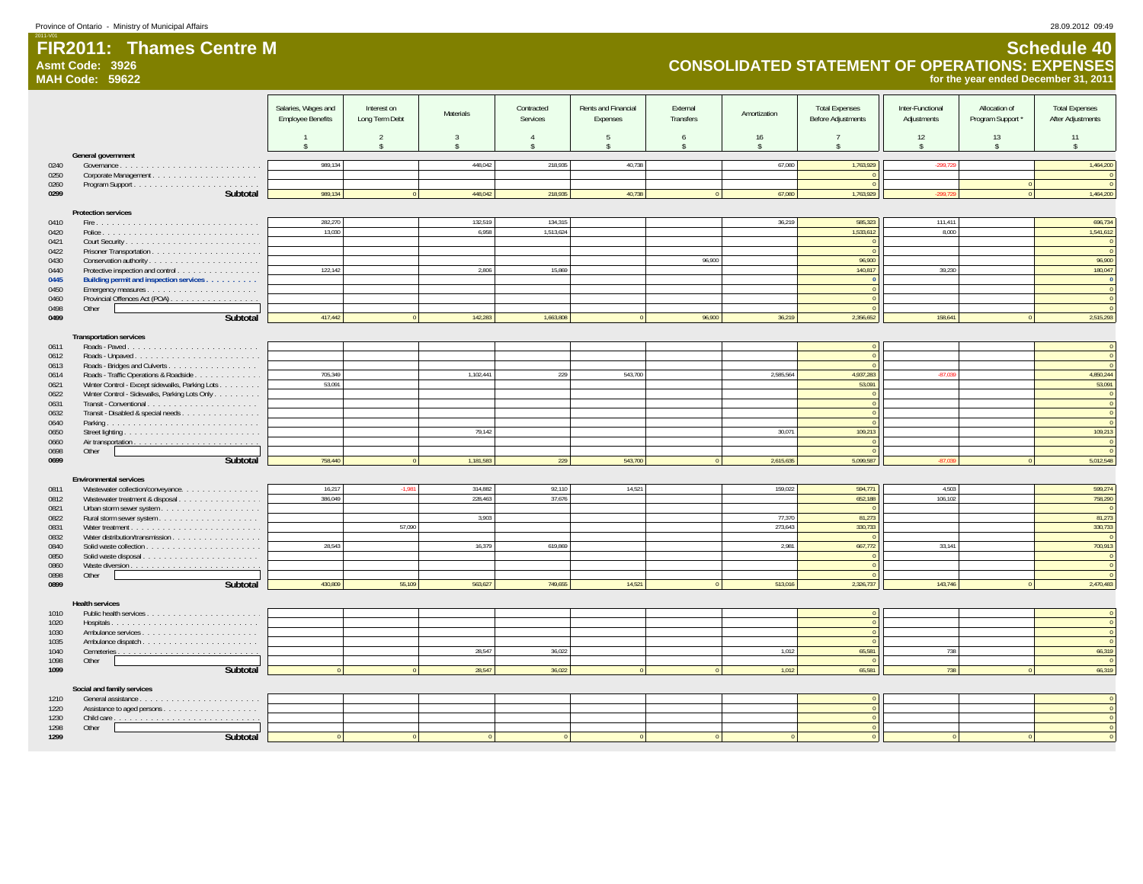**Asmt Code: 3926**

**FIR2011: Thames Centre M**

2011-V01

# **Schedule 40 CONSOLIDATED STATEMENT OF OPERATIONS: EXPENSES for the year ended December 31, 2011**

|              | <b>MAH Code: 59622</b>                                                                           |                                                 |                               |                |                        |                                 |                       |              |                                                    |                                 |                                    | for the year ended December 31, 2011       |
|--------------|--------------------------------------------------------------------------------------------------|-------------------------------------------------|-------------------------------|----------------|------------------------|---------------------------------|-----------------------|--------------|----------------------------------------------------|---------------------------------|------------------------------------|--------------------------------------------|
|              |                                                                                                  | Salaries, Wages and<br><b>Employee Benefits</b> | Interest on<br>Long Term Debt | Materials      | Contracted<br>Services | Rents and Financial<br>Expenses | External<br>Transfers | Amortization | <b>Total Expenses</b><br><b>Before Adjustments</b> | Inter-Functional<br>Adjustments | Allocation of<br>Program Support * | <b>Total Expenses</b><br>After Adjustments |
|              |                                                                                                  |                                                 | $\overline{2}$                | $\overline{3}$ |                        | -5                              | -6                    | 16           |                                                    | 12<br>$\hat{\mathbf{x}}$        | 13<br>$\hat{\mathbf{x}}$           | 11<br>$\hat{\mathbf{r}}$                   |
|              | General government                                                                               |                                                 |                               |                |                        |                                 |                       |              |                                                    |                                 |                                    |                                            |
| 0240         |                                                                                                  | 989,134                                         |                               | 448,042        | 218,935                | 40,738                          |                       | 67,080       | 1,763,929                                          | $-299,729$                      |                                    | 1,464,200                                  |
| 0250<br>0260 |                                                                                                  |                                                 |                               |                |                        |                                 |                       |              |                                                    |                                 |                                    | $\mathbf{0}$                               |
| 0299         | Subtotal                                                                                         | 989,134                                         | $\Omega$                      | 448,042        | 218,935                | 40,738                          | $\overline{0}$        | 67,080       | 1,763,929                                          | $-299.729$                      |                                    | 1,464,200                                  |
|              |                                                                                                  |                                                 |                               |                |                        |                                 |                       |              |                                                    |                                 |                                    |                                            |
| 0410         | <b>Protection services</b>                                                                       | 282,270                                         |                               | 132,519        | 134,315                |                                 |                       | 36,219       | 585,323                                            | 111,411                         |                                    | 696,734                                    |
| 0420         |                                                                                                  | 13,030                                          |                               | 6,958          | 1,513,624              |                                 |                       |              | 1,533,612                                          | 8.000                           |                                    | 1,541,612                                  |
| 0421         |                                                                                                  |                                                 |                               |                |                        |                                 |                       |              |                                                    |                                 |                                    | $\bf{0}$                                   |
| 0422         |                                                                                                  |                                                 |                               |                |                        |                                 | 96.900                |              | 96,900                                             |                                 |                                    | $\overline{0}$<br>96,900                   |
| 0430<br>0440 | Protective inspection and control                                                                | 122,142                                         |                               | 2.806          | 15,869                 |                                 |                       |              | 140,817                                            | 39,230                          |                                    | 180,047                                    |
| 0445         | Building permit and inspection services                                                          |                                                 |                               |                |                        |                                 |                       |              | $\sqrt{2}$                                         |                                 |                                    | $\,$ 0                                     |
| 0450         |                                                                                                  |                                                 |                               |                |                        |                                 |                       |              |                                                    |                                 |                                    | $\mathbf{0}$                               |
| 0460<br>0498 | Other                                                                                            |                                                 |                               |                |                        |                                 |                       |              |                                                    |                                 |                                    | $\,0\,$<br>$\overline{0}$                  |
| 0499         | Subtotal                                                                                         | 417,442                                         | $\Omega$                      | 142,283        | 1,663,808              | $\Omega$                        | 96,900                | 36,219       | 2,356,652                                          | 158,641                         |                                    | 2,515,293                                  |
|              |                                                                                                  |                                                 |                               |                |                        |                                 |                       |              |                                                    |                                 |                                    |                                            |
| 0611         | <b>Transportation services</b>                                                                   |                                                 |                               |                |                        |                                 |                       |              |                                                    |                                 |                                    | $\mathbf 0$                                |
| 0612         |                                                                                                  |                                                 |                               |                |                        |                                 |                       |              |                                                    |                                 |                                    | $\overline{0}$                             |
| 0613         |                                                                                                  |                                                 |                               |                |                        |                                 |                       |              |                                                    |                                 |                                    | $\mathbf{0}$                               |
| 0614         | Roads - Traffic Operations & Roadside                                                            | 705,349<br>53.091                               |                               | 1,102,441      | 229                    | 543,700                         |                       | 2,585,564    | 4,937,283<br>53.091                                | $-87,03$                        |                                    | 4,850,244<br>53.091                        |
| 0621<br>0622 | Winter Control - Except sidewalks, Parking Lots<br>Winter Control - Sidewalks, Parking Lots Only |                                                 |                               |                |                        |                                 |                       |              |                                                    |                                 |                                    | $\,$ 0                                     |
| 0631         |                                                                                                  |                                                 |                               |                |                        |                                 |                       |              | $\Omega$                                           |                                 |                                    | $\,$ 0 $\,$                                |
| 0632         | Transit - Disabled & special needs                                                               |                                                 |                               |                |                        |                                 |                       |              |                                                    |                                 |                                    | $\overline{0}$                             |
| 0640<br>0650 |                                                                                                  |                                                 |                               | 79.142         |                        |                                 |                       | 30.071       | 109,213                                            |                                 |                                    | $\overline{0}$<br>109,213                  |
| 0660         |                                                                                                  |                                                 |                               |                |                        |                                 |                       |              | $\sqrt{2}$                                         |                                 |                                    | $\mathbf 0$                                |
| 0698         | Other                                                                                            |                                                 |                               |                |                        |                                 |                       |              |                                                    |                                 |                                    | $\overline{0}$                             |
| 0699         | Subtotal                                                                                         | 758,440                                         | $\Omega$                      | 1,181,583      | 229                    | 543,700                         | $\Omega$              | 2,615,635    | 5,099,587                                          | $-87.03$                        |                                    | 5,012,548                                  |
|              | <b>Environmental services</b>                                                                    |                                                 |                               |                |                        |                                 |                       |              |                                                    |                                 |                                    |                                            |
| 0811         | Wastewater collection/conveyance.                                                                | 16,217                                          | 1.981                         | 314,882        | 92,110                 | 14,521                          |                       | 159,022      | 594,771                                            | 4,503                           |                                    | 599,274                                    |
| 0812         | Wastewater treatment & disposal                                                                  | 386,049                                         |                               | 228,463        | 37,676                 |                                 |                       |              | 652,188                                            | 106,102                         |                                    | 758,290                                    |
| 0821<br>0822 |                                                                                                  |                                                 |                               | 3,903          |                        |                                 |                       | 77,370       | 81,273                                             |                                 |                                    | $\sqrt{2}$<br>81,273                       |
| 0831         |                                                                                                  |                                                 | 57,090                        |                |                        |                                 |                       | 273,643      | 330,733                                            |                                 |                                    | 330,733                                    |
| 0832         |                                                                                                  |                                                 |                               |                |                        |                                 |                       |              |                                                    |                                 |                                    | $\sqrt{2}$                                 |
| 0840<br>0850 |                                                                                                  | 28,543                                          |                               | 16,379         | 619.869                |                                 |                       | 2,981        | 667,772                                            | 33.141                          |                                    | 700,913                                    |
| 0860         |                                                                                                  |                                                 |                               |                |                        |                                 |                       |              |                                                    |                                 |                                    | $\,$ 0<br>$\overline{0}$                   |
| 0898         | Other                                                                                            |                                                 |                               |                |                        |                                 |                       |              |                                                    |                                 |                                    | $\overline{0}$                             |
| 0899         | Subtotal                                                                                         | 430.809                                         | 55,109                        | 563.627        | 749.655                | 14.521                          |                       | 513.016      | 2,326,737                                          | 143.746                         |                                    | 2,470,483                                  |
|              | <b>Health services</b>                                                                           |                                                 |                               |                |                        |                                 |                       |              |                                                    |                                 |                                    |                                            |
| 1010         |                                                                                                  |                                                 |                               |                |                        |                                 |                       |              |                                                    |                                 |                                    | $\,$ 0                                     |
| 1020         |                                                                                                  |                                                 |                               |                |                        |                                 |                       |              |                                                    |                                 |                                    | $\,$ 0 $\,$                                |
| 1030<br>1035 |                                                                                                  |                                                 |                               |                |                        |                                 |                       |              |                                                    |                                 |                                    | $\,$ 0<br>$\overline{\mathbf{0}}$          |
| 1040         |                                                                                                  |                                                 |                               | 28,547         | 36,022                 |                                 |                       | 1,012        | 65,581                                             | 738                             |                                    | 66,319                                     |
| 1098         | Other                                                                                            |                                                 |                               |                |                        |                                 |                       |              |                                                    |                                 |                                    | $\sqrt{2}$                                 |
| 1099         | Subtotal                                                                                         |                                                 |                               | 28,547         | 36,022                 |                                 |                       | 1,012        | 65,581                                             | 738                             |                                    | 66,319                                     |
|              | Social and family services                                                                       |                                                 |                               |                |                        |                                 |                       |              |                                                    |                                 |                                    |                                            |
| 1210         |                                                                                                  |                                                 |                               |                |                        |                                 |                       |              |                                                    |                                 |                                    | $\,$ 0                                     |
| 1220<br>1230 |                                                                                                  |                                                 |                               |                |                        |                                 |                       |              | $\Omega$                                           |                                 |                                    | $\,$ 0<br>$\mathbf 0$                      |
| 1298         | Other                                                                                            |                                                 |                               |                |                        |                                 |                       |              |                                                    |                                 |                                    | $\mathbf 0$                                |
| 1299         | Subtotal                                                                                         |                                                 |                               |                |                        |                                 |                       |              |                                                    |                                 |                                    | $\mathbf{0}$                               |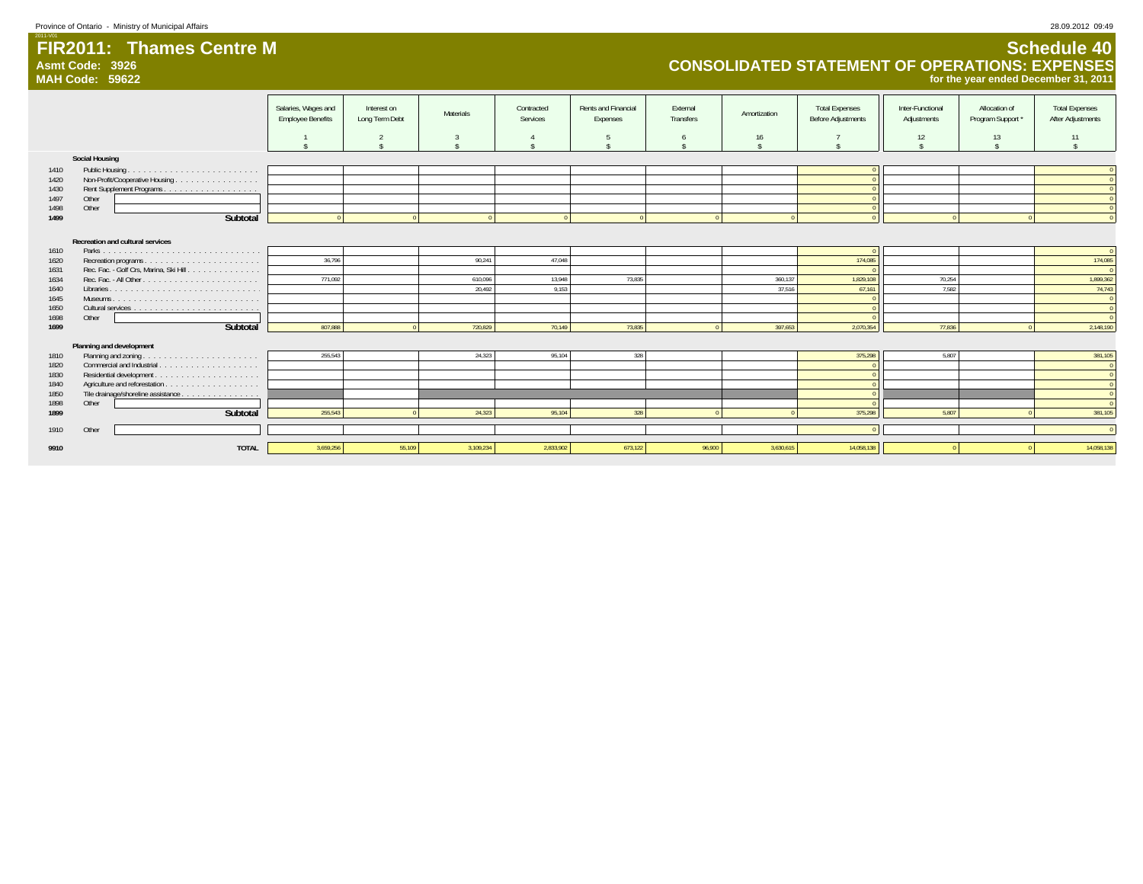**Asmt Code: 3926**

**MAH Code: 59622**

**FIR2011: Thames Centre M** 

# **Schedule 40 CONSOLIDATED STATEMENT OF OPERATIONS: EXPENSES for the year ended December 31, 2011**

|      |                                        | Salaries, Wages and      | Interest on    |           | Contracted | Rents and Financial | External  |              | <b>Total Expenses</b>     | Inter-Functional | Allocation of     | <b>Total Expenses</b> |
|------|----------------------------------------|--------------------------|----------------|-----------|------------|---------------------|-----------|--------------|---------------------------|------------------|-------------------|-----------------------|
|      |                                        | <b>Employee Benefits</b> | Long Term Debt | Materials | Services   | Expenses            | Transfers | Amortization | <b>Before Adjustments</b> | Adjustments      | Program Support * | After Adjustments     |
|      |                                        |                          |                |           |            |                     |           |              |                           |                  |                   |                       |
|      |                                        |                          |                |           |            |                     | -6        | 16           |                           | 12               | 13                | 11                    |
|      |                                        |                          |                |           |            |                     |           |              |                           |                  |                   |                       |
|      | Social Housing                         |                          |                |           |            |                     |           |              |                           |                  |                   |                       |
| 1410 | Public Housing.                        |                          |                |           |            |                     |           |              |                           |                  |                   |                       |
| 1420 | Non-Profit/Cooperative Housing         |                          |                |           |            |                     |           |              |                           |                  |                   |                       |
| 1430 |                                        |                          |                |           |            |                     |           |              |                           |                  |                   |                       |
| 1497 | Other                                  |                          |                |           |            |                     |           |              |                           |                  |                   |                       |
| 1498 | Other                                  |                          |                |           |            |                     |           |              |                           |                  |                   |                       |
| 1499 | Subtotal                               |                          |                |           |            |                     |           |              |                           |                  |                   |                       |
|      |                                        |                          |                |           |            |                     |           |              |                           |                  |                   |                       |
|      | Recreation and cultural services       |                          |                |           |            |                     |           |              |                           |                  |                   |                       |
| 1610 |                                        |                          |                |           |            |                     |           |              |                           |                  |                   | $\sqrt{0}$            |
| 1620 |                                        | 36.796                   |                | 90,241    | 47.048     |                     |           |              | 174,085                   |                  |                   | 174,085               |
| 1631 | Rec. Fac. - Golf Crs, Marina, Ski Hill |                          |                |           |            |                     |           |              |                           |                  |                   |                       |
| 1634 |                                        | 771.092                  |                | 610,096   | 13,948     | 73,835              |           | 360.137      | 1.829.108                 | 70,254           |                   | 1,899,362             |
| 1640 |                                        |                          |                | 20,492    | 9.153      |                     |           | 37,516       | 67,161                    | 7.582            |                   | 74,743                |
| 1645 |                                        |                          |                |           |            |                     |           |              |                           |                  |                   | $\Omega$              |
| 1650 |                                        |                          |                |           |            |                     |           |              |                           |                  |                   | $\Omega$              |
| 1698 | Other                                  |                          |                |           |            |                     |           |              |                           |                  |                   |                       |
| 1699 | Subtotal                               | 807.888                  |                | 720,829   | 70,149     | 73,835              |           | 397,653      | 2,070,354                 | 77,836           |                   | 2,148,190             |
|      | Planning and development               |                          |                |           |            |                     |           |              |                           |                  |                   |                       |
| 1810 | Planning and zoning                    | 255,543                  |                | 24,323    | 95,104     | 328                 |           |              | 375,298                   | 5,807            |                   | 381,105               |
| 1820 |                                        |                          |                |           |            |                     |           |              |                           |                  |                   | $\Omega$              |
| 1830 |                                        |                          |                |           |            |                     |           |              |                           |                  |                   | $\Omega$              |
| 1840 |                                        |                          |                |           |            |                     |           |              |                           |                  |                   |                       |
| 1850 | Tile drainage/shoreline assistance     |                          |                |           |            |                     |           |              |                           |                  |                   |                       |
| 1898 | Other                                  |                          |                |           |            |                     |           |              |                           |                  |                   |                       |
| 1899 | Subtotal                               | 255,543                  |                | 24,323    | 95.104     | 328                 |           |              | 375,298                   | 5.807            |                   | 381,105               |
| 1910 | Other                                  |                          |                |           |            |                     |           |              |                           |                  |                   | $\sqrt{2}$            |
|      |                                        |                          |                |           |            |                     |           |              |                           |                  |                   |                       |
| 9910 | <b>TOTAL</b>                           | 3.659.256                | 55.109         | 3.109.234 | 2.833.902  | 673.122             | 96.900    | 3.630.615    | 14.058.138                |                  |                   | 14.058.138            |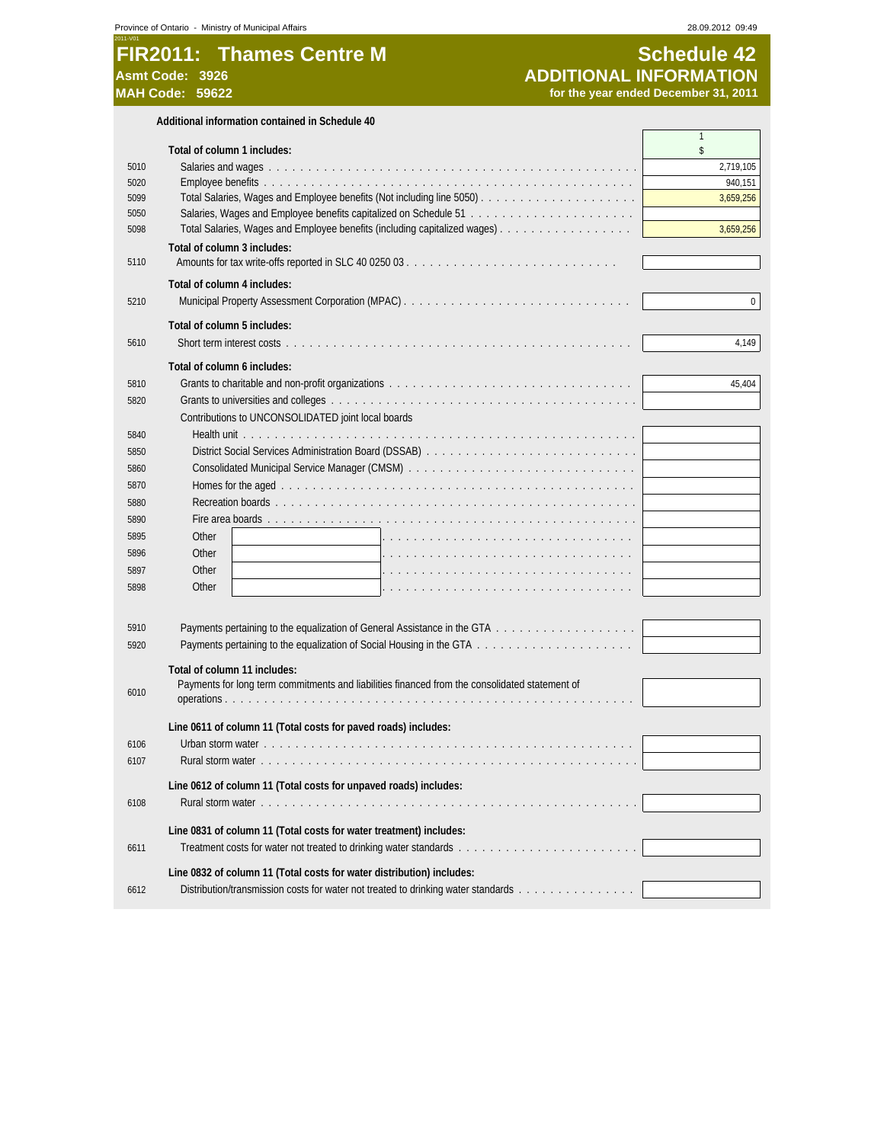#### 2011-V01 **FIR2011: Thames Centre M Schedule 42**<br>
ADDITIONAL INFORMATION<br>
MAH Code: 59622<br>
MAH Code: 59622<br>
Schedule 22<br>
for the year ended December 31, 2011 **Asmt Code: 3926 ADDITIONAL INFORMATION MAH Code: 59622 for the year ended December 31, 2011**

|              | Additional information contained in Schedule 40                                                |                      |
|--------------|------------------------------------------------------------------------------------------------|----------------------|
|              |                                                                                                | $\mathbf{1}$         |
|              | Total of column 1 includes:                                                                    | \$                   |
| 5010<br>5020 |                                                                                                | 2,719,105<br>940,151 |
| 5099         |                                                                                                | 3,659,256            |
| 5050         |                                                                                                |                      |
| 5098         |                                                                                                | 3,659,256            |
|              | Total of column 3 includes:                                                                    |                      |
| 5110         |                                                                                                |                      |
|              |                                                                                                |                      |
|              | Total of column 4 includes:                                                                    |                      |
| 5210         |                                                                                                | 0                    |
|              | Total of column 5 includes:                                                                    |                      |
| 5610         |                                                                                                | 4,149                |
|              |                                                                                                |                      |
|              | Total of column 6 includes:                                                                    |                      |
| 5810         |                                                                                                | 45,404               |
| 5820         |                                                                                                |                      |
|              | Contributions to UNCONSOLIDATED joint local boards                                             |                      |
| 5840         |                                                                                                |                      |
| 5850         | District Social Services Administration Board (DSSAB)                                          |                      |
| 5860         |                                                                                                |                      |
| 5870         |                                                                                                |                      |
| 5880         |                                                                                                |                      |
| 5890         |                                                                                                |                      |
| 5895         | Other                                                                                          |                      |
| 5896         | Other                                                                                          |                      |
| 5897         | Other                                                                                          |                      |
| 5898         | Other                                                                                          |                      |
|              |                                                                                                |                      |
| 5910         |                                                                                                |                      |
| 5920         |                                                                                                |                      |
|              |                                                                                                |                      |
|              | Total of column 11 includes:                                                                   |                      |
| 6010         | Payments for long term commitments and liabilities financed from the consolidated statement of |                      |
|              |                                                                                                |                      |
|              | Line 0611 of column 11 (Total costs for paved roads) includes:                                 |                      |
| 6106         |                                                                                                |                      |
| 6107         |                                                                                                |                      |
|              |                                                                                                |                      |
|              | Line 0612 of column 11 (Total costs for unpaved roads) includes:                               |                      |
| 6108         |                                                                                                |                      |
|              | Line 0831 of column 11 (Total costs for water treatment) includes:                             |                      |
| 6611         |                                                                                                |                      |
|              |                                                                                                |                      |
|              | Line 0832 of column 11 (Total costs for water distribution) includes:                          |                      |
| 6612         | Distribution/transmission costs for water not treated to drinking water standards              |                      |
|              |                                                                                                |                      |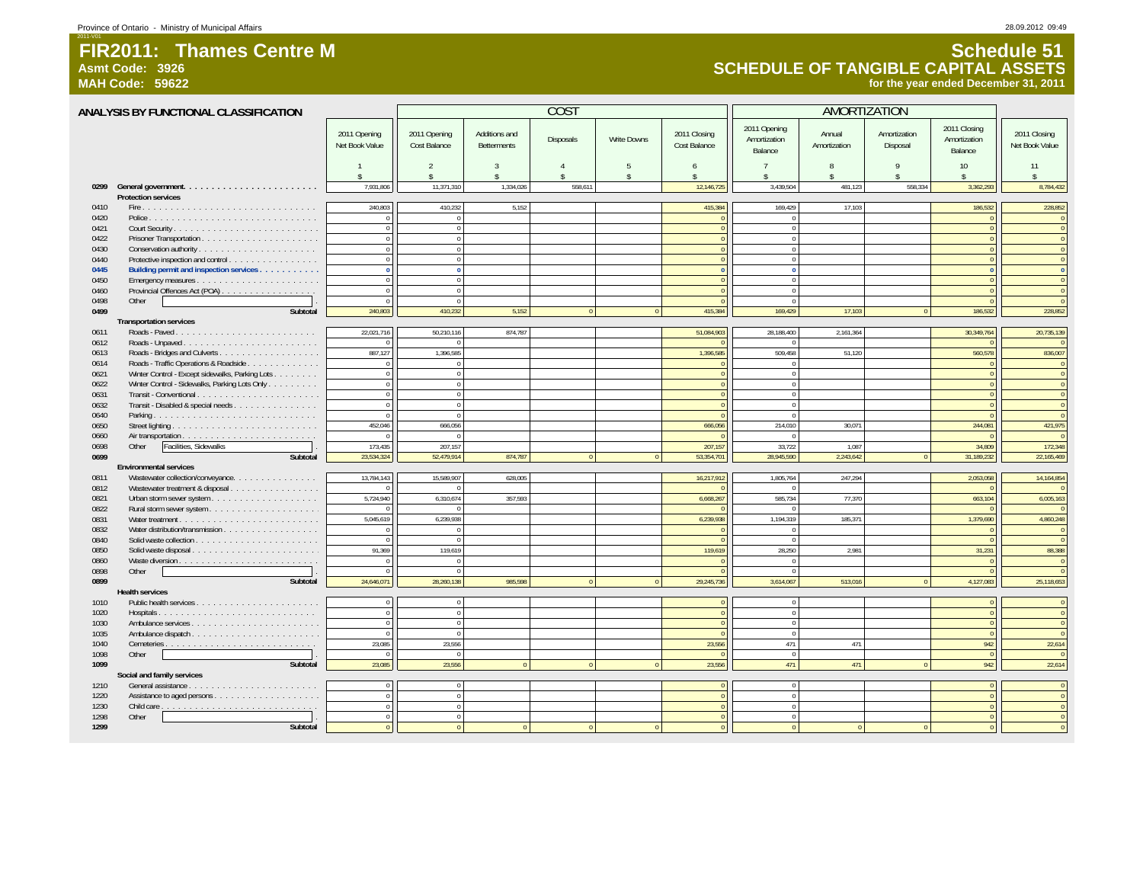**Asmt Code: 3926**

2011-V01

**MAH Code: 59622**

# **Schedule 51 SCHEDULE OF TANGIBLE CAPITAL ASSETS for the year ended December 31, 2011**

|              | ANALYSIS BY FUNCTIONAL CLASSIFICATION           |                                |                                      |                                     | <b>COST</b>        |                    |                              | AMORTIZATION                            |                         |                          |                                         |                                |
|--------------|-------------------------------------------------|--------------------------------|--------------------------------------|-------------------------------------|--------------------|--------------------|------------------------------|-----------------------------------------|-------------------------|--------------------------|-----------------------------------------|--------------------------------|
|              |                                                 | 2011 Opening<br>Net Book Value | 2011 Opening<br>Cost Balance         | Additions and<br><b>Betterments</b> | Disposals          | <b>Write Downs</b> | 2011 Closing<br>Cost Balance | 2011 Opening<br>Amortization<br>Balance | Annual<br>Amortization  | Amortization<br>Disposal | 2011 Closing<br>Amortization<br>Balance | 2011 Closing<br>Net Book Value |
|              |                                                 | $\hat{\mathbf{x}}$             | $\mathfrak{D}$<br>$\hat{\mathbf{S}}$ | $\mathcal{R}$<br>\$                 | $\hat{\mathbf{x}}$ | -5<br>\$           | 6<br>$\hat{\mathbf{x}}$      | $\overline{7}$<br>\$                    | 8<br>$\hat{\mathbf{x}}$ | 9<br>\$                  | 10<br>$\hat{\mathbf{x}}$                | 11                             |
| 0299         |                                                 | 7,931,806                      | 11,371,310                           | 1,334,026                           | 558,611            |                    | 12,146,725                   | 3,439,504                               | 481,123                 | 558,334                  | 3,362,293                               | 8,784,432                      |
|              | <b>Protection services</b>                      |                                |                                      |                                     |                    |                    |                              |                                         |                         |                          |                                         |                                |
| 0410         |                                                 | 240,803                        | 410,232                              | 5,152                               |                    |                    | 415,384                      | 169.429                                 | 17.103                  |                          | 186,532                                 | 228,852                        |
| 0420         |                                                 | $\bf 0$                        | $\overline{0}$                       |                                     |                    |                    |                              | $\overline{0}$                          |                         |                          |                                         | $\mathbf{0}$                   |
| 0421         |                                                 | $\mathbb O$                    | $\overline{0}$                       |                                     |                    |                    | $\sqrt{ }$                   | $\overline{0}$                          |                         |                          |                                         | $\overline{0}$                 |
| 0422         |                                                 | $\Omega$                       | $\Omega$                             |                                     |                    |                    | $\sqrt{ }$                   | $\Omega$                                |                         |                          |                                         | $\overline{0}$                 |
| 0430         |                                                 | $\mathbb O$                    | $\mathbf{0}$                         |                                     |                    |                    | $\sqrt{ }$                   | $\overline{0}$                          |                         |                          |                                         | $\mathbf{0}$                   |
| 0440         | Protective inspection and control               | $\mathbf{0}$                   | $\Omega$                             |                                     |                    |                    | $\Omega$                     | $\Omega$                                |                         |                          | $\Omega$                                | $\overline{0}$                 |
| 0445         | Building permit and inspection services         | $\mathbf{0}$                   | $\overline{0}$                       |                                     |                    |                    | $\Omega$<br>$\Omega$         | $\overline{0}$                          |                         |                          | $\sqrt{2}$                              | $\overline{0}$                 |
| 0450         |                                                 | $\mathbf{0}$<br>$\theta$       | $\overline{0}$<br>$\overline{0}$     |                                     |                    |                    |                              | $\overline{0}$<br>$\overline{0}$        |                         |                          | $\Omega$                                | $\overline{0}$<br>$\mathbf{0}$ |
| 0460         | Provincial Offences Act (POA)<br>Other          | $\Omega$                       | $\Omega$                             |                                     |                    |                    | $\sqrt{ }$                   |                                         |                         |                          | $\Omega$                                |                                |
| 0498<br>0499 | Subtotal                                        | 240,803                        | 410,232                              | 5,152                               | $\Omega$           | $\Omega$           | 415,384                      | $\overline{0}$<br>169,429               | 17,103                  |                          | 186,532                                 | $\overline{0}$<br>228,852      |
|              |                                                 |                                |                                      |                                     |                    |                    |                              |                                         |                         | $\overline{0}$           |                                         |                                |
| 0611         | <b>Transportation services</b>                  | 22,021,716                     | 50,210,116                           | 874.787                             |                    |                    | 51,084,903                   | 28,188,400                              | 2.161.364               |                          | 30,349,764                              | 20,735,139                     |
| 0612         | Roads - Paved                                   | $\Omega$                       |                                      |                                     |                    |                    |                              | $\Omega$                                |                         |                          |                                         | $\mathbf{0}$                   |
| 0613         |                                                 | 887,127                        | 1,396,585                            |                                     |                    |                    | 1,396,585                    | 509,458                                 | 51,120                  |                          | 560,578                                 | 836,007                        |
| 0614         | Roads - Traffic Operations & Roadside           | $\Omega$                       | $\mathbf{0}$                         |                                     |                    |                    |                              | $\overline{0}$                          |                         |                          |                                         | $\overline{0}$                 |
| 0621         | Winter Control - Except sidewalks, Parking Lots | $\overline{0}$                 | $\overline{0}$                       |                                     |                    |                    | $\Omega$                     | $\overline{0}$                          |                         |                          | $\Omega$                                | $\overline{0}$                 |
| 0622         | Winter Control - Sidewalks, Parking Lots Only   | $\overline{0}$                 | $\overline{0}$                       |                                     |                    |                    | $\Omega$                     | $\overline{0}$                          |                         |                          | $\Omega$                                | $\mathbf{0}$                   |
| 0631         |                                                 | $\overline{0}$                 | $\overline{0}$                       |                                     |                    |                    | $\overline{0}$               | $\overline{0}$                          |                         |                          | $\Omega$                                | $\overline{0}$                 |
| 0632         | Transit - Disabled & special needs              | $\Omega$                       | $\overline{0}$                       |                                     |                    |                    | $\Omega$                     | $\overline{0}$                          |                         |                          |                                         | $\overline{0}$                 |
| 0640         |                                                 | $\overline{0}$                 | $\overline{0}$                       |                                     |                    |                    | $\Omega$                     | $\overline{0}$                          |                         |                          |                                         | $\overline{0}$                 |
| 0650         |                                                 | 452,046                        | 666,056                              |                                     |                    |                    | 666,056                      | 214,010                                 | 30,071                  |                          | 244,081                                 | 421,975                        |
| 0660         |                                                 | $\theta$                       | $\overline{0}$                       |                                     |                    |                    | $\sqrt{ }$                   | $\overline{0}$                          |                         |                          |                                         | $\overline{0}$                 |
| 0698         | Facilities, Sidewalks<br>Other                  | 173.435                        | 207.157                              |                                     |                    |                    | 207,157                      | 33.722                                  | 1.087                   |                          | 34.809                                  | 172,348                        |
| 0699         | Subtotal                                        | 23,534,324                     | 52,479,914                           | 874,787                             | $\theta$           | $\Omega$           | 53,354,701                   | 28,945,590                              | 2,243,642               | $\Omega$                 | 31,189,232                              | 22,165,469                     |
|              | <b>Environmental services</b>                   |                                |                                      |                                     |                    |                    |                              |                                         |                         |                          |                                         |                                |
| 0811         | Wastewater collection/conveyance.               | 13,784,143                     | 15,589,907                           | 628.005                             |                    |                    | 16,217,912                   | 1,805,764                               | 247,294                 |                          | 2,053,058                               | 14, 164, 854                   |
| 0812         | Wastewater treatment & disposal                 | $\overline{0}$                 |                                      |                                     |                    |                    |                              |                                         |                         |                          |                                         | $\mathbf{0}$                   |
| 0821         |                                                 | 5,724,940                      | 6,310,674                            | 357,593                             |                    |                    | 6,668,267                    | 585,734                                 | 77,370                  |                          | 663,104                                 | 6,005,163                      |
| 0822         |                                                 | $\theta$                       |                                      |                                     |                    |                    |                              |                                         |                         |                          |                                         | $\mathbf{0}$                   |
| 0831         |                                                 | 5,045,619                      | 6.239.938                            |                                     |                    |                    | 6,239,938                    | 1.194.319                               | 185,371                 |                          | 1,379,690                               | 4,860,248                      |
| 0832         |                                                 | $\overline{0}$                 | $\Omega$                             |                                     |                    |                    |                              |                                         |                         |                          |                                         | $\mathbf{0}$                   |
| 0840         |                                                 | $\theta$                       | $\Omega$                             |                                     |                    |                    | $\sqrt{ }$                   | $\Omega$                                |                         |                          |                                         | $\overline{0}$                 |
| 0850         | Solid waste disposal                            | 91,369                         | 119,619                              |                                     |                    |                    | 119,619                      | 28,250                                  | 2.981                   |                          | 31,231                                  | 88,388                         |
| 0860         |                                                 | $\mathbf{0}$                   | $\overline{0}$                       |                                     |                    |                    | $\Omega$                     | $\overline{0}$                          |                         |                          | $\Omega$                                | $\mathbf{0}$                   |
| 0898         | Other                                           | $\theta$                       | $\Omega$                             |                                     |                    |                    |                              | $\Omega$                                |                         |                          |                                         | $\mathbf{0}$                   |
| 0899         | Subtotal                                        | 24,646,071                     | 28,260,138                           | 985,598                             |                    |                    | 29,245,736                   | 3,614,067                               | 513,016                 | $\theta$                 | 4,127,083                               | 25,118,653                     |
|              | <b>Health services</b>                          |                                |                                      |                                     |                    |                    |                              |                                         |                         |                          |                                         |                                |
| 1010         |                                                 | $\,0\,$                        | $\mathbf{0}$                         |                                     |                    |                    | $\Omega$                     | $\mathbf 0$                             |                         |                          | $\overline{0}$                          | $\mathbf{0}$                   |
| 1020         | Hospitals                                       | $\mathbf{0}$                   | $\mathbf{0}$                         |                                     |                    |                    |                              | $\overline{0}$                          |                         |                          | $\Omega$                                | $\mathbf{0}$                   |
| 1030         |                                                 | $\mathbf{0}$                   | $\mathbf{0}$                         |                                     |                    |                    | $\Omega$                     | $\overline{0}$                          |                         |                          | $\overline{0}$                          | $\mathbf{0}$                   |
| 1035         |                                                 | $\theta$                       | $\Omega$                             |                                     |                    |                    | $\sqrt{ }$                   | $\overline{0}$                          |                         |                          | $\Omega$                                | $\overline{0}$                 |
| 1040         |                                                 | 23.085                         | 23.556                               |                                     |                    |                    | 23,556                       | 471                                     | 471                     |                          | 942                                     | 22,614                         |
| 1098         | Other                                           | $\Omega$                       | $\Omega$                             |                                     |                    |                    |                              | $\overline{0}$                          |                         |                          |                                         | $\sqrt{0}$                     |
| 1099         | Subtotal                                        | 23,085                         | 23,556                               |                                     |                    |                    | 23,556                       | 471                                     | 471                     | $\Omega$                 | 942                                     | 22,614                         |
|              | Social and family services                      |                                |                                      |                                     |                    |                    |                              |                                         |                         |                          |                                         |                                |
| 1210         |                                                 | $\Omega$                       | $\overline{0}$                       |                                     |                    |                    | $\sqrt{ }$                   | $\overline{0}$                          |                         |                          | $\Omega$                                | $\overline{0}$                 |
| 1220         |                                                 | $\mathbf{0}$                   | $\overline{0}$                       |                                     |                    |                    | $\sqrt{ }$                   | $\overline{0}$                          |                         |                          | $\Omega$                                | $\mathbf{0}$                   |
| 1230         |                                                 | $\theta$                       | $\overline{0}$                       |                                     |                    |                    | $\Omega$                     | $\Omega$                                |                         |                          |                                         | $\mathbf{0}$                   |
| 1298         | Other                                           | $\Omega$                       | $\Omega$                             |                                     |                    |                    | $\Omega$                     | $\overline{0}$                          |                         |                          | $\Omega$                                | $\overline{0}$                 |
| 1299         | Subtotal                                        |                                |                                      |                                     |                    |                    |                              |                                         |                         |                          |                                         | $\mathbf{0}$                   |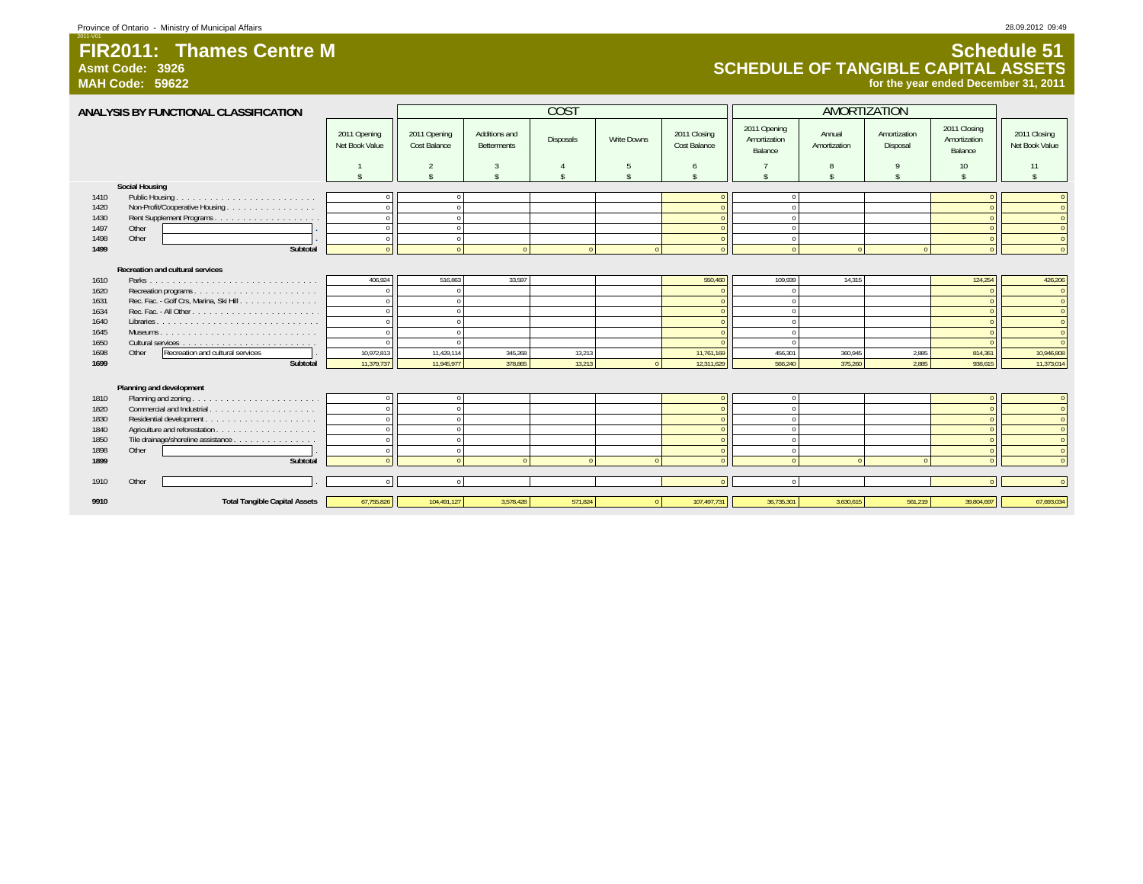**Asmt Code: 3926**

2011-V01

# **Schedule 51 SCHEDULE OF TANGIBLE CAPITAL ASSETS for the year ended December 31, 2011**

|      | ANALYSIS BY FUNCTIONAL CLASSIFICATION     |                                |                              |                                     | <b>COST</b> |             |                              |                                         |                        |                          |                                         |                                |
|------|-------------------------------------------|--------------------------------|------------------------------|-------------------------------------|-------------|-------------|------------------------------|-----------------------------------------|------------------------|--------------------------|-----------------------------------------|--------------------------------|
|      |                                           | 2011 Opening<br>Net Book Value | 2011 Opening<br>Cost Balance | Additions and<br><b>Betterments</b> | Disposals   | Write Downs | 2011 Closing<br>Cost Balance | 2011 Opening<br>Amortization<br>Balance | Annual<br>Amortization | Amortization<br>Disposal | 2011 Closing<br>Amortization<br>Balance | 2011 Closing<br>Net Book Value |
|      |                                           |                                | $\overline{2}$               | $\overline{3}$                      | 4           | 5           | 6                            |                                         |                        |                          | 10                                      | 11                             |
|      |                                           |                                |                              | ¢                                   | ¢           | ÷           | ¢                            |                                         |                        |                          |                                         |                                |
|      | <b>Social Housing</b>                     |                                |                              |                                     |             |             |                              |                                         |                        |                          |                                         |                                |
| 1410 | Public Housing.                           |                                |                              |                                     |             |             |                              | $\Omega$                                |                        |                          |                                         |                                |
| 1420 | Non-Profit/Cooperative Housing            |                                | $\sqrt{2}$                   |                                     |             |             |                              | $\Omega$                                |                        |                          |                                         |                                |
| 1430 |                                           |                                | $\Omega$                     |                                     |             |             |                              | $\Omega$                                |                        |                          |                                         |                                |
| 1497 | Other                                     |                                | $\Omega$                     |                                     |             |             |                              | $\Omega$                                |                        |                          |                                         | $\Omega$                       |
| 1498 | Other                                     |                                | $\Omega$                     |                                     |             |             | $\Omega$                     | $\Omega$                                |                        |                          |                                         | $\Omega$                       |
| 1499 | Subtotal                                  |                                |                              |                                     | $\sqrt{ }$  |             |                              | $\Omega$                                |                        |                          |                                         |                                |
|      | <b>Recreation and cultural services</b>   |                                |                              |                                     |             |             |                              |                                         |                        |                          |                                         |                                |
| 1610 |                                           | 406,924                        | 516,863                      | 33,597                              |             |             | 550,460                      | 109,939                                 | 14,315                 |                          | 124,254                                 | 426,206                        |
| 1620 |                                           | $\Omega$                       |                              |                                     |             |             |                              |                                         |                        |                          |                                         | $\Omega$                       |
| 1631 | Rec. Fac. - Golf Crs, Marina, Ski Hill.   |                                |                              |                                     |             |             |                              |                                         |                        |                          |                                         | $\Omega$                       |
| 1634 |                                           |                                | $\Omega$                     |                                     |             |             |                              | $\Omega$                                |                        |                          |                                         | $\Omega$                       |
| 1640 |                                           |                                |                              |                                     |             |             |                              | $\Omega$                                |                        |                          |                                         | $\Omega$                       |
| 1645 |                                           |                                | $\Omega$                     |                                     |             |             |                              | $\Omega$                                |                        |                          |                                         |                                |
| 1650 |                                           |                                |                              |                                     |             |             |                              | $\Omega$                                |                        |                          |                                         |                                |
| 1698 | Other<br>Recreation and cultural services | 10,972,813                     | 11,429,114                   | 345,268                             | 13,213      |             | 11,761,169                   | 456,301                                 | 360,945                | 2,885                    | 814,361                                 | 10,946,808                     |
| 1699 | Subtotal                                  | 11,379,737                     | 11,945.977                   | 378.865                             | 13.213      |             | 12,311,629                   | 566.240                                 | 375,260                | 2.885                    | 938,615                                 | 11,373,014                     |
|      |                                           |                                |                              |                                     |             |             |                              |                                         |                        |                          |                                         |                                |
|      | Planning and development                  |                                |                              |                                     |             |             |                              |                                         |                        |                          |                                         |                                |
| 1810 |                                           |                                |                              |                                     |             |             |                              | $\Omega$                                |                        |                          |                                         |                                |
| 1820 | Commercial and Industrial.<br>.           |                                | $\Omega$                     |                                     |             |             | $\Omega$                     | $\Omega$                                |                        |                          |                                         | $\Omega$                       |
| 1830 |                                           |                                | $\Omega$                     |                                     |             |             |                              | $\Omega$                                |                        |                          |                                         | $\Omega$                       |
| 1840 |                                           |                                |                              |                                     |             |             |                              | $\Omega$                                |                        |                          |                                         | $\Omega$                       |
| 1850 | Tile drainage/shoreline assistance        |                                | $\Omega$                     |                                     |             |             |                              | $\Omega$                                |                        |                          |                                         | $\Omega$                       |
| 1898 | Other                                     |                                | $\Omega$                     |                                     |             |             | $\Omega$                     | $\Omega$                                |                        |                          |                                         | $\Omega$                       |
| 1899 | Subtotal                                  |                                |                              |                                     | $\sqrt{ }$  |             |                              | $\Omega$                                |                        |                          |                                         |                                |
|      |                                           |                                |                              |                                     |             |             |                              |                                         |                        |                          |                                         |                                |
| 1910 | Other                                     |                                | $\Omega$                     |                                     |             |             |                              | $\Omega$                                |                        |                          |                                         |                                |
| 9910 | <b>Total Tangible Capital Assets</b>      | 67,755,826                     | 104,491,127                  | 3,578,428                           | 571.824     | $\Omega$    | 107.497.731                  | 36,735,301                              | 3.630.615              | 561,219                  | 39.804.697                              | 67,693,034                     |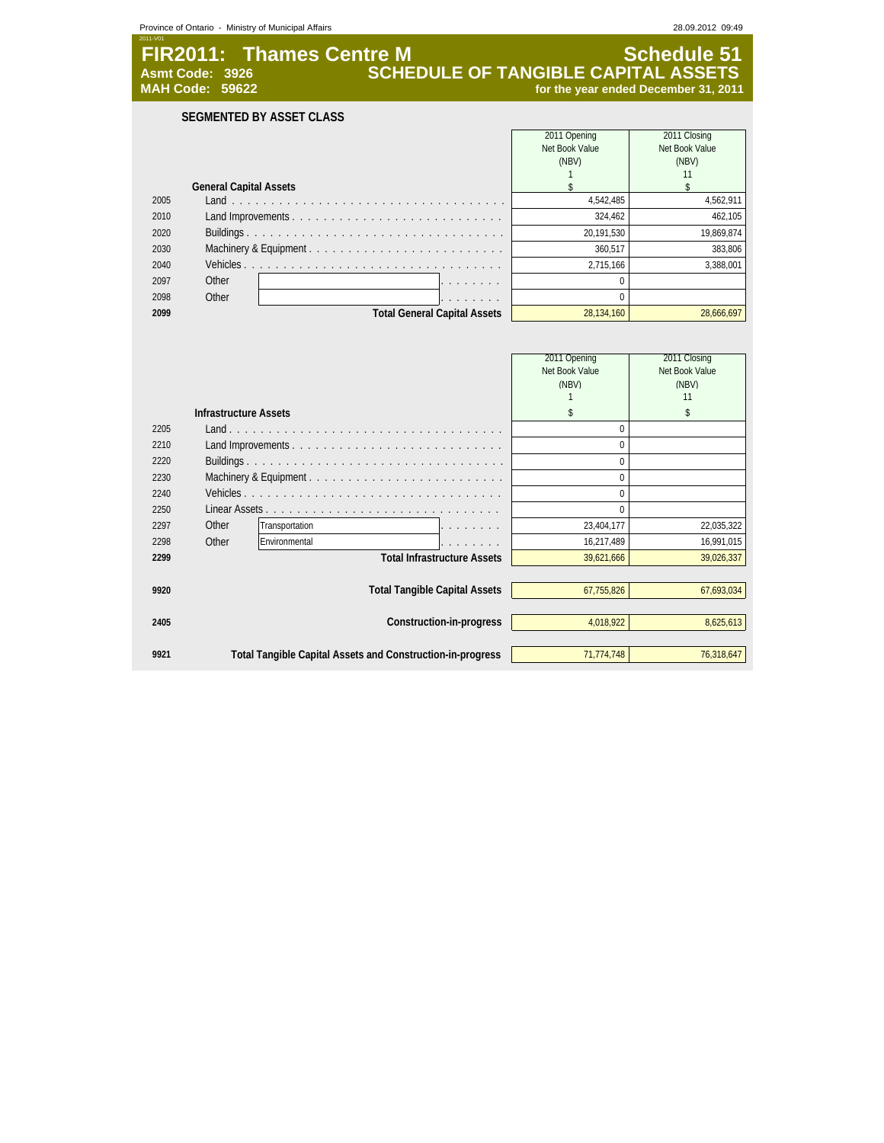| Province of Ontario - Ministry of Municipal Affairs |  |
|-----------------------------------------------------|--|
|-----------------------------------------------------|--|

28.09.2012 09:49

**FIR2011: Thames Centre M Schedule 51 Asmt Code: 3926 SCHEDULE OF TANGIBLE CAPITAL ASSETS** Asmt Code: 3926<br>**SCHEDULE OF TANGIBLE CAPITAL ASSETS**<br>for the year ended December 31, 2011

**SEGMENTED BY ASSET CLASS**

|            | 2011 Closing                            |
|------------|-----------------------------------------|
|            | Net Book Value                          |
|            | (NBV)                                   |
|            | 11                                      |
|            |                                         |
| 4,542,485  | 4,562,911                               |
| 324.462    | 462.105                                 |
| 20,191,530 | 19,869,874                              |
| 360.517    | 383.806                                 |
| 2.715.166  | 3.388.001                               |
|            |                                         |
|            |                                         |
| 28.134.160 | 28.666.697                              |
|            | 2011 Opening<br>Net Book Value<br>(NBV) |

|      |                              |                                                            |                                      | 2011 Opening<br>Net Book Value<br>(NBV) | 2011 Closing<br>Net Book Value<br>(NBV)<br>11 |
|------|------------------------------|------------------------------------------------------------|--------------------------------------|-----------------------------------------|-----------------------------------------------|
|      | <b>Infrastructure Assets</b> |                                                            |                                      | \$                                      | \$                                            |
| 2205 |                              |                                                            |                                      | $\Omega$                                |                                               |
| 2210 |                              |                                                            |                                      | $\Omega$                                |                                               |
| 2220 |                              |                                                            |                                      | $\Omega$                                |                                               |
| 2230 |                              |                                                            |                                      | $\Omega$                                |                                               |
| 2240 |                              |                                                            |                                      | $\Omega$                                |                                               |
| 2250 |                              |                                                            |                                      | $\Omega$                                |                                               |
| 2297 | Other                        | Transportation                                             |                                      | 23,404,177                              | 22,035,322                                    |
| 2298 | Other                        | Environmental                                              |                                      | 16,217,489                              | 16,991,015                                    |
| 2299 |                              |                                                            | <b>Total Infrastructure Assets</b>   | 39,621,666                              | 39,026,337                                    |
|      |                              |                                                            |                                      |                                         |                                               |
| 9920 |                              |                                                            | <b>Total Tangible Capital Assets</b> | 67,755,826                              | 67,693,034                                    |
|      |                              |                                                            |                                      |                                         |                                               |
| 2405 |                              |                                                            | Construction-in-progress             | 4,018,922                               | 8,625,613                                     |
|      |                              |                                                            |                                      |                                         |                                               |
| 9921 |                              | Total Tangible Capital Assets and Construction-in-progress |                                      | 71,774,748                              | 76,318,647                                    |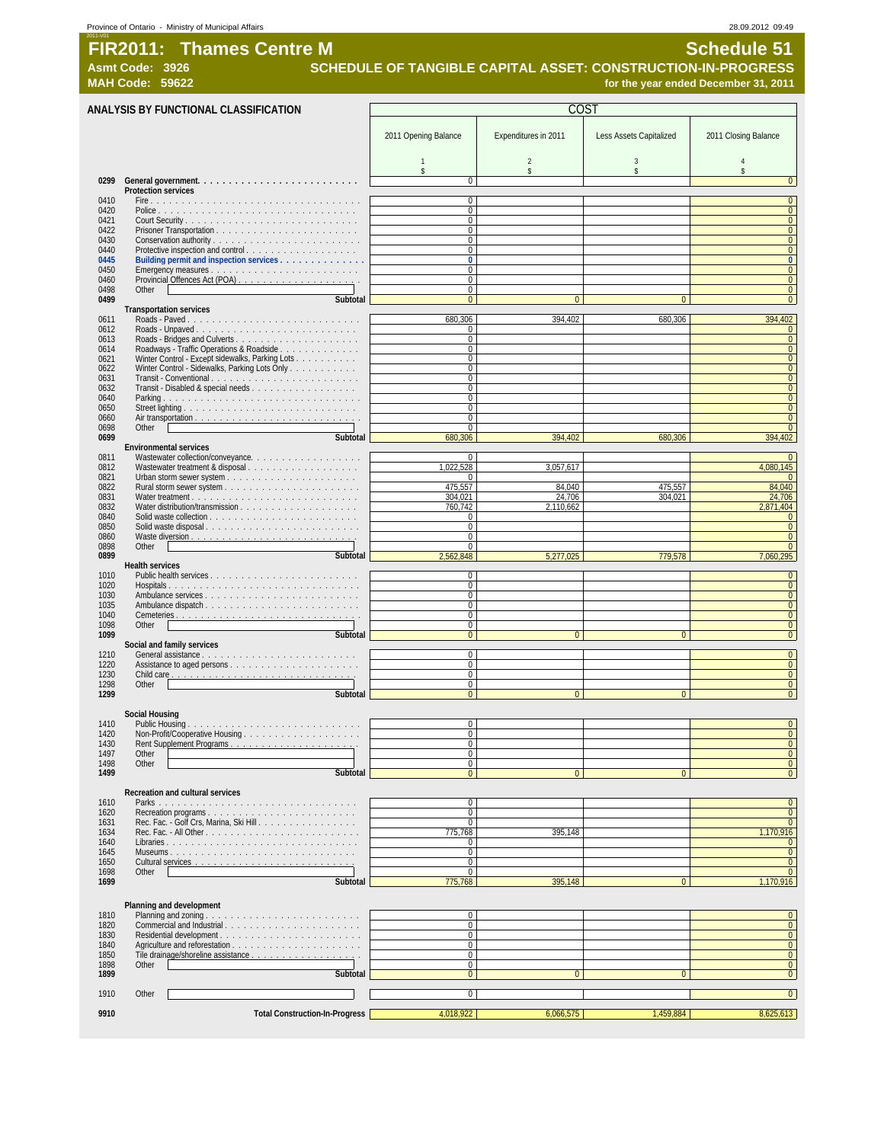#### Province of Ontario - Ministry of Municipal Affairs 28.09.2012 09:49 2011-V01

**FIR2011: Thames Centre M** Schedule 51

Asmt Code: 3926 **SCHEDULE OF TANGIBLE CAPITAL ASSET: CONSTRUCTION-IN-PROGRESS**<br>1, 2011 **MAH Code: 59622 for the year ended December 31, 2011** for the year ended December 31, 2011

**ANALYSIS BY FUNCTIONAL CLASSIFICATION** 2011 Opening Balance | Expenditures in 2011 | Less Assets Capitalized | 2011 Closing Balance 1 2 3 4 \$\$\$\$ **0299 General government. . . . . . . . . . . . . . . . . . . . . . . . . .** 0 0 **Protection services** 0410 Fire . . . . . . . . . . . . . . . . . . . . . . . . . . . . . . . . . . 0 0 0420 Police . . . . . . . . . . . . . . . . . . . . . . . . . . . . . . . . 0 0 0421 Court Security . . . . . . . . . . . . . . . . . . . . . . . . . . . . 0 0 0422 Prisoner Transportation . . . . . . . . . . . . . . . . . . . . . . . 0 0 0430 Conservation authority . . . . . . . . . . . . . . . . . . . . . . . . 0 0 0440 Protective inspection and control . . . . . . . . . . . . . . . . . . 0 0 **0445 Building permit and inspection services . . . . . . . . . . . . . . 0 0** 0450 Emergency measures . . . . . . . . . . . . . . . . . . . . . . . . 0 0 0460 Provincial Offences Act (POA) . . . . . . . . . . . . . . . . . . . . 0 0 0498 Other 2012 - 2022 - 2022 - 2022 - 2022 - 2022 - 2022 - 2022 - 2022 - 2022 - 2022 - 2022 - 2022 - 2022 - 20 **0499 Subtotal** 0000 **Transportation services**<br>Roads - Paved<br>Roads - Unpaved 0611 Roads - Paved . . . . . . . . . . . . . . . . . . . . . . . . . . . . 680,306 394,402 680,306 394,402 0612 Roads - Unpaved . . . . . . . . . . . . . . . . . . . . . . . . . . 0 0 0613 Roads - Bridges and Culverts . . . . . . . . . . . . . . . . . . . . 0 0 0614 Roadways - Traffic Operations & Roadside . . . . . . . . . . . . . 0 0 0621 Winter Control - Except sidewalks, Parking Lots . . . . . . . . . . 0 0 0622 Winter Control - Sidewalks, Parking Lots Only . . . . . . . . . . . 0 0 0631 Transit - Conventional . . . . . . . . . . . . . . . . . . . . . . . . 0 0 0632 Transit - Disabled & special needs . . . . . . . . . . . . . . . . . 0 0 0640 Parking . . . . . . . . . . . . . . . . . . . . . . . . . . . . . . . . 0 0 0650 Street lighting . . . . . . . . . . . . . . . . . . . . . . . . . . . . 0 0 0660 Air transportation . . . . . . . . . . . . . . . . . . . . . . . . . . . 0 0 0698 Other 0 0 **0699 Subtotal** 680,306 394,402 680,306 394,402 **Environmental services** 0811 Wastewater collection/conveyance. . . . . . . . . . . . . . . . . . 0 0 0812 Wastewater treatment & disposal . . . . . . . . . . . . . . . . . . 1,022,528 3,057,617 4,080,145 0821 Urban storm sewer system . . . . . . . . . . . . . . . . . . . . . 0 0 0822 Rural storm sewer system . . . . . . . . . . . . . . . . . . . . . . 475,557 84,040 475,557 84,040 0831 Water treatment . . . . . . . . . . . . . . . . . . . . . . . . . . . 304,021 24,706 304,021 24,706 0832 Water distribution/transmission . . . . . . . . . . . . . . . . . . . 760,742 2,110,662 2,871,404 0840 Solid waste collection . . . . . . . . . . . . . . . . . . . . . . . . 0 0 out a construction of the construction of the construction of the construction of the construction of the construction of the construction of the construction of the construction of the construction of the construction of 0860 Waste diversion . . . . . . . . . . . . . . . . . . . . . . . . . . . 0 0 0898 Other 0 0 **0899 Subtotal** 2,562,848 5,277,025 779,578 7,060,295 **Health services** 1010 Public health services . . . . . . . . . . . . . . . . . . . . . . . . 0 0 1020 Hospitals . . . . . . . . . . . . . . . . . . . . . . . . . . . . . . . 0 0 1030 Ambulance services . . . . . . . . . . . . . . . . . . . . . . . . . 0 0 1035 Ambulance dispatch . . . . . . . . . . . . . . . . . . . . . . . . . 0 0 1040 Cemeteries . . . . . . . . . . . . . . . . . . . . . . . . . . . . . . 0 0 1098 Other 2012 - 2022 - 2022 - 2022 - 2022 - 2022 - 2022 - 2022 - 2022 - 2022 - 2022 - 2022 - 2022 - 2022 - 2 **1099 Subtotal** 0000 **Social and family services** 1210 General assistance . . . . . . . . . . . . . . . . . . . . . . . . . 0 0 1220 Assistance to aged persons . . . . . . . . . . . . . . . . . . . . . 0 0 1230 Child care . . . . . . . . . . . . . . . . . . . . . . . . . . . . . . 0 0 1298 Other 0 0 **1299 Subtotal** 0000 **Social Housing** 1410 Public Housing . . . . . . . . . . . . . . . . . . . . . . . . . . . . 0 0 1420 Non-Profit/Cooperative Housing . . . . .<br>1430 Rent Supplement Programs . . . . . . . 1430 Rent Supplement Programs . . . . . . . . . . . . . . . . . . . . . 0 0 1497 Other 0 0 1498 Other 0 0 **1499 Subtotal** 0000 **Recreation and cultural services** 1610 Parks . . . . . . . . . . . . . . . . . . . . . . . . . . . . . . . . 0 0 1620 Recreation programs . . . . . . . . . . . . . . . . . . . . . . . . 0 0 1631 Rec. Fac. - Golf Crs, Marina, Ski Hill . . . . . . . . . . . . . . . . 0 0 1634 Rec. Fac. - All Other . . . . . . . . . . . . . . . . . . . . . . . . . 775,768 395,148 1,170,916 1640 Libraries . . . . . . . . . . . . . . . . . . . . . . . . . . . . . . . 0 0 1645 Museums . . . . . . . . . . . . . . . . . . . . . . . . . . . . . . 0 0 1650 Cultural services . . . . . . . . . . . . . . . . . . . . . . . . . . 0 0 1698 Other 0 0 **1699 Subtotal** 775,768 395,148 0 1,170,916 **Planning and development** 1810 Planning and zoning . . . . . . . . . . . . . . . . . . . . . . . . . 0 0 1820 Commercial and Industrial . . . . . . . . . . . . . . . . . . . . . . 0 0 1830 Residential development . . . . . . . . . . . . . . . . . . . . . . . 0 0 1840 Agriculture and reforestation . . . . . . . . . . . . . . . . . . . . . 0 0 1850 Tile drainage/shoreline assistance .<br>1898 Other 1898 Other 2012 - 2022 - 2022 - 2022 - 2022 - 2022 - 2022 - 2022 - 2022 - 2022 - 2022 - 2022 - 2022 - 2022 - 2 **1899 Subtotal** 0000 1910 Other 2012 - 2022 - 2022 - 2022 - 2022 - 2022 - 2022 - 2022 - 2022 - 2022 - 2022 - 2022 - 2022 - 2022 - 2 9910 **Total Construction-In-Progress** 4,018,922 6,066,575 1,459,884 1,459,884 8,625,613 C<sub>O</sub>ST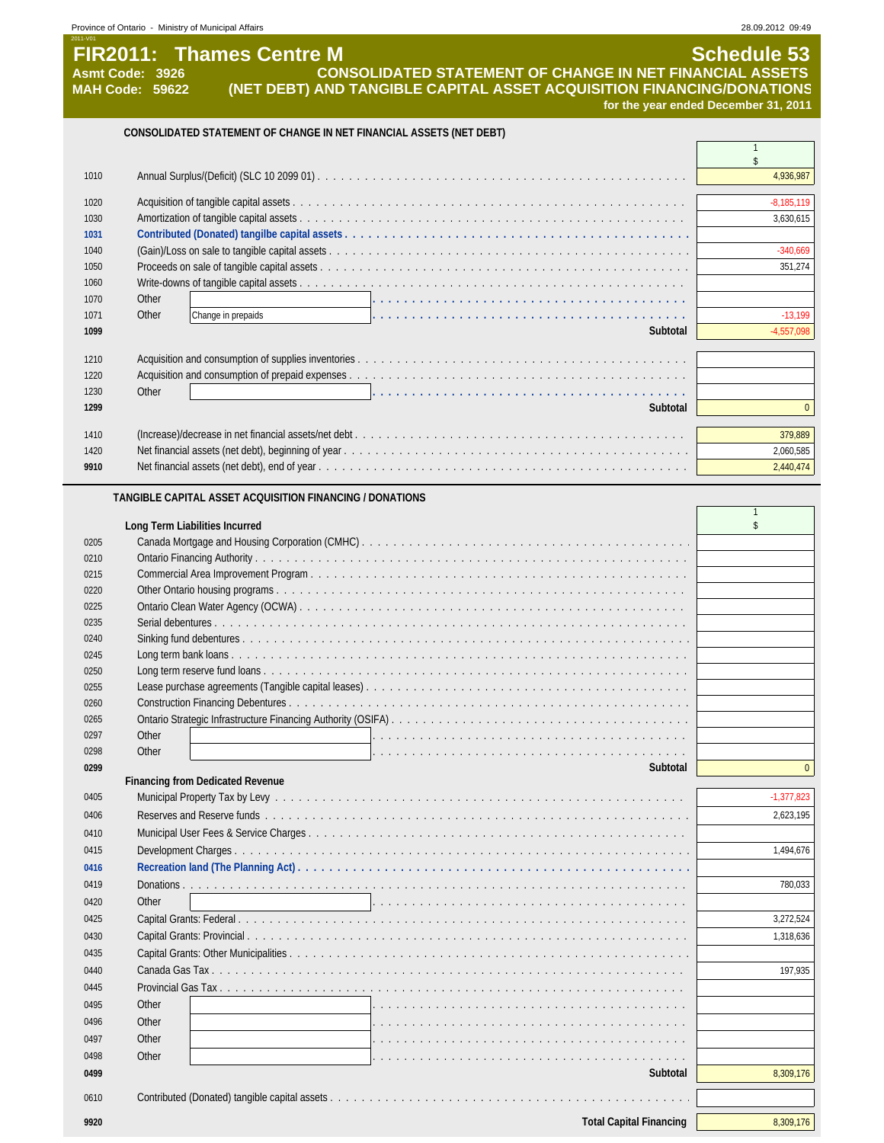| Asmt Code: 3926        |                                | <b>CONSOLIDATED STATEMENT OF CHANGE IN NET FINANCIAL ASSETS</b>                                                            |                                      |
|------------------------|--------------------------------|----------------------------------------------------------------------------------------------------------------------------|--------------------------------------|
| <b>MAH Code: 59622</b> |                                | (NET DEBT) AND TANGIBLE CAPITAL ASSET ACQUISITION FINANCING/DONATIONS                                                      |                                      |
|                        |                                |                                                                                                                            | for the year ended December 31, 2011 |
|                        |                                | CONSOLIDATED STATEMENT OF CHANGE IN NET FINANCIAL ASSETS (NET DEBT)                                                        |                                      |
|                        |                                |                                                                                                                            | $\mathbf{1}$<br>\$                   |
| 1010                   |                                |                                                                                                                            | 4,936,987                            |
|                        |                                |                                                                                                                            |                                      |
| 1020<br>1030           |                                |                                                                                                                            | $-8,185,119$<br>3,630,615            |
| 1031                   |                                |                                                                                                                            |                                      |
| 1040                   |                                |                                                                                                                            | $-340,669$                           |
| 1050                   |                                |                                                                                                                            | 351,274                              |
| 1060                   |                                |                                                                                                                            |                                      |
| 1070                   | Other                          |                                                                                                                            |                                      |
| 1071<br>1099           | Other                          | Change in prepaids<br>Subtotal                                                                                             | $-13,199$<br>$-4,557,098$            |
|                        |                                |                                                                                                                            |                                      |
| 1210                   |                                |                                                                                                                            |                                      |
| 1220                   |                                |                                                                                                                            |                                      |
| 1230                   | Other                          | <u>.</u><br>In the second complete service of the second complete service of the second complete service of the service of |                                      |
| 1299                   |                                | Subtotal                                                                                                                   | $\overline{0}$                       |
| 1410                   |                                |                                                                                                                            | 379.889                              |
| 1420                   |                                |                                                                                                                            | 2,060,585                            |
| 9910                   |                                |                                                                                                                            | 2,440,474                            |
|                        |                                | TANGIBLE CAPITAL ASSET ACQUISITION FINANCING / DONATIONS                                                                   |                                      |
|                        |                                |                                                                                                                            | $\mathbf{1}$                         |
|                        | Long Term Liabilities Incurred |                                                                                                                            | \$                                   |
| 0205                   |                                |                                                                                                                            |                                      |
| 0210<br>0215           |                                |                                                                                                                            |                                      |
| 0220                   |                                |                                                                                                                            |                                      |
| 0225                   |                                |                                                                                                                            |                                      |
| 0235                   |                                |                                                                                                                            |                                      |
| 0240                   |                                |                                                                                                                            |                                      |
| 0245                   |                                |                                                                                                                            |                                      |
| 0250                   |                                |                                                                                                                            |                                      |
| 0255                   |                                |                                                                                                                            |                                      |
| 0260                   |                                |                                                                                                                            |                                      |
| 0265<br>0297           | Other                          | Ontario Strategic Infrastructure Financing Authority (OSIFA)                                                               |                                      |
| 0298                   | Other                          |                                                                                                                            |                                      |
| 0299                   |                                | Subtotal                                                                                                                   | $\overline{0}$                       |
|                        |                                | <b>Financing from Dedicated Revenue</b>                                                                                    |                                      |
| 0405                   |                                |                                                                                                                            | $-1,377,823$                         |
| 0406                   |                                |                                                                                                                            | 2,623,195                            |
| 0410                   |                                |                                                                                                                            |                                      |
| 0415                   |                                |                                                                                                                            | 1,494,676                            |
| 0416                   |                                |                                                                                                                            |                                      |
| 0419                   |                                | Donations                                                                                                                  | 780,033                              |
| 0420                   | Other                          |                                                                                                                            |                                      |
| 0425                   |                                |                                                                                                                            | 3,272,524                            |
| 0430<br>0435           |                                |                                                                                                                            | 1,318,636                            |
| 0440                   |                                |                                                                                                                            | 197,935                              |
| 0445                   |                                |                                                                                                                            |                                      |
| 0495                   | Other                          |                                                                                                                            |                                      |
| 0496                   | Other                          |                                                                                                                            |                                      |
| 0497                   | Other                          |                                                                                                                            |                                      |
| 0498                   | Other                          |                                                                                                                            |                                      |
| 0499                   |                                | Subtotal                                                                                                                   | 8,309,176                            |
| 0610                   |                                |                                                                                                                            |                                      |
|                        |                                |                                                                                                                            |                                      |
| 9920                   |                                | <b>Total Capital Financing</b>                                                                                             | 8,309,176                            |

|                   | <b>FIR2011: Thames Centre M</b>                                               | Schedule 53                                                 |
|-------------------|-------------------------------------------------------------------------------|-------------------------------------------------------------|
| \smt Code:   3926 |                                                                               | ' CONSOLIDATED STATEMENT OF CHANGE IN NET FINANCIAL ASSETS. |
| IAH Code: 59622   | <u>(NET DERT) AND TANGIRI E CAPITAL ASSET ACQUISITION FINANCING/DONATIONS</u> |                                                             |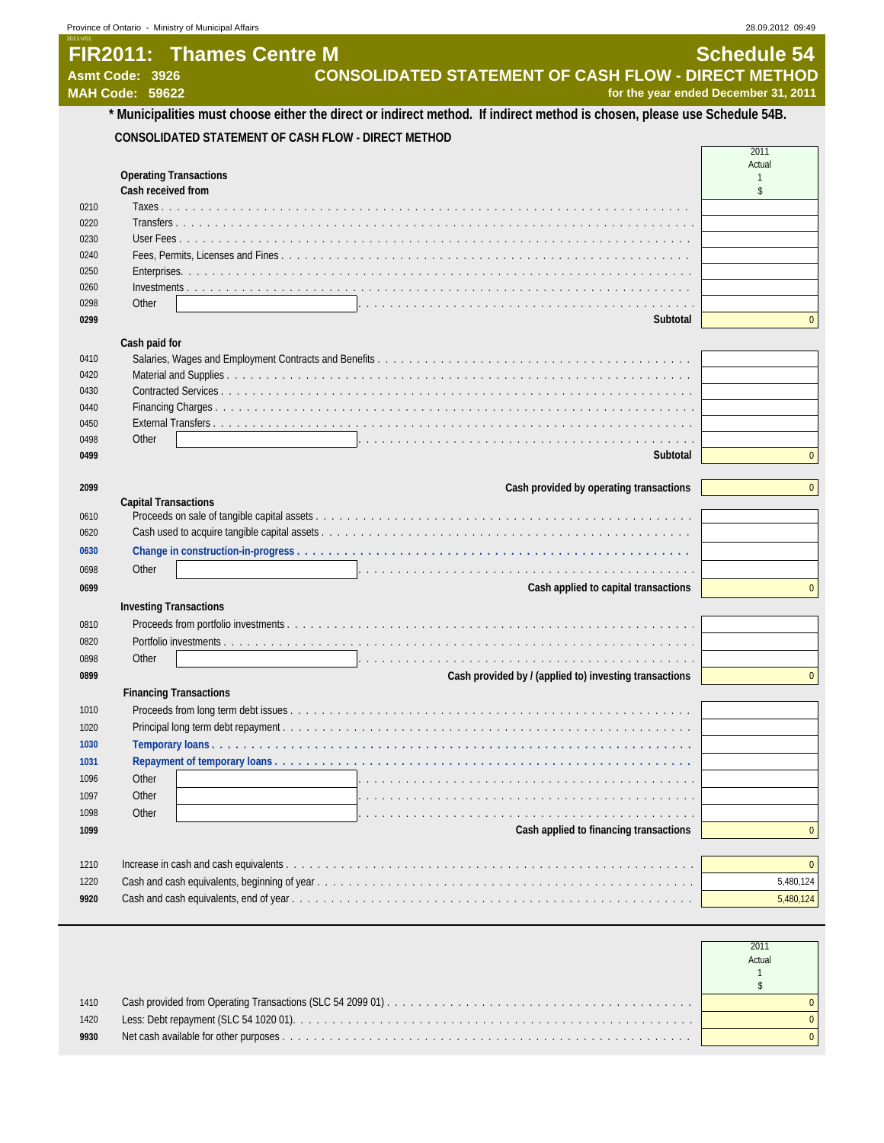#### 2011-V01 **FIR2011: Thames Centre M Schedule 54**<br>CONSOLIDATED STATEMENT OF CASH FLOW - DIRECT METHOD **CONSOLIDATED STATEMENT OF CASH FLOW - DIRECT METHOD**

**MAH Code: 59622 for the year ended December 31, 2011**

## **\* Municipalities must choose either the direct or indirect method. If indirect method is chosen, please use Schedule 54B. CONSOLIDATED STATEMENT OF CASH FLOW - DIRECT METHOD**

|      |                                                                                                                         | 2011<br>Actual |
|------|-------------------------------------------------------------------------------------------------------------------------|----------------|
|      | <b>Operating Transactions</b>                                                                                           |                |
|      | Cash received from                                                                                                      | \$             |
| 0210 | Taxes.                                                                                                                  |                |
| 0220 | Transfers                                                                                                               |                |
| 0230 | User Fees                                                                                                               |                |
| 0240 |                                                                                                                         |                |
| 0250 |                                                                                                                         |                |
| 0260 |                                                                                                                         |                |
| 0298 | Other                                                                                                                   |                |
| 0299 | Subtotal                                                                                                                | $\mathbf 0$    |
|      | Cash paid for                                                                                                           |                |
| 0410 |                                                                                                                         |                |
| 0420 |                                                                                                                         |                |
| 0430 |                                                                                                                         |                |
| 0440 |                                                                                                                         |                |
| 0450 |                                                                                                                         |                |
| 0498 | Other<br>a constituição de constituição de constituição de constituição de constituição de constitución de constituição |                |
| 0499 | Subtotal                                                                                                                | $\overline{0}$ |
|      | Cash provided by operating transactions                                                                                 | $\overline{0}$ |
| 2099 | <b>Capital Transactions</b>                                                                                             |                |
| 0610 |                                                                                                                         |                |
| 0620 |                                                                                                                         |                |
| 0630 |                                                                                                                         |                |
| 0698 | Other                                                                                                                   |                |
| 0699 | Cash applied to capital transactions                                                                                    | $\overline{0}$ |
|      | <b>Investing Transactions</b>                                                                                           |                |
| 0810 |                                                                                                                         |                |
| 0820 |                                                                                                                         |                |
| 0898 | Other<br>a construir a caractería da caractería de alta de alta de la caractería de la caractería de la caractería      |                |
| 0899 | Cash provided by / (applied to) investing transactions                                                                  | $\overline{0}$ |
|      | <b>Financing Transactions</b>                                                                                           |                |
| 1010 |                                                                                                                         |                |
| 1020 |                                                                                                                         |                |
| 1030 |                                                                                                                         |                |
| 1031 |                                                                                                                         |                |
| 1096 | Other                                                                                                                   |                |
| 1097 | . The second complete state of the second complete state of the second complete state of the second complete s<br>Other |                |
| 1098 | a constitution de la constitution de la constitution de la constitution de la constitution de la constitution<br>Other  |                |
| 1099 | Cash applied to financing transactions                                                                                  | $\overline{0}$ |
|      |                                                                                                                         |                |
| 1210 |                                                                                                                         | $\mathbf 0$    |
|      |                                                                                                                         |                |
| 1220 |                                                                                                                         | 5,480,124      |
| 9920 |                                                                                                                         | 5,480,124      |

|      | Actual |
|------|--------|
| 1410 |        |
| 1420 |        |
| 9930 |        |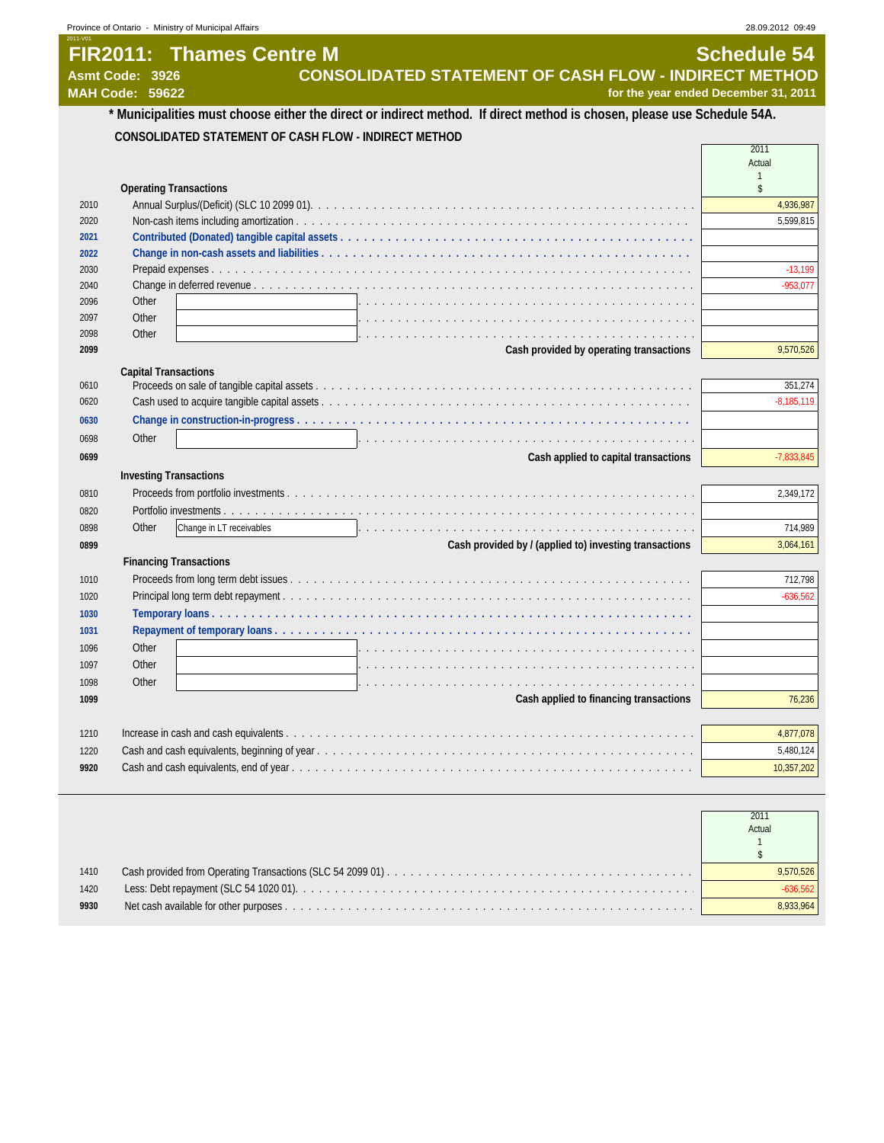#### 2011-V01 **FIR2011: Thames Centre M Schedule 54**<br>CONSOLIDATED STATEMENT OF CASH FLOW - INDIRECT METHOD **CONSOLIDATED STATEMENT OF CASH FLOW - INDIRECT METHOD MAH Code: 59622 for the year ended December 31, 2011**

#### **\* Municipalities must choose either the direct or indirect method. If direct method is chosen, please use Schedule 54A. CONSOLIDATED STATEMENT OF CASH FLOW - INDIRECT METHOD**  $\overline{\Gamma}$

|      |                                                                                                                                                                                                                                         | Actual             |
|------|-----------------------------------------------------------------------------------------------------------------------------------------------------------------------------------------------------------------------------------------|--------------------|
|      | <b>Operating Transactions</b>                                                                                                                                                                                                           | $\mathbf{1}$<br>\$ |
| 2010 |                                                                                                                                                                                                                                         | 4,936,987          |
| 2020 |                                                                                                                                                                                                                                         | 5,599,815          |
| 2021 |                                                                                                                                                                                                                                         |                    |
| 2022 |                                                                                                                                                                                                                                         |                    |
| 2030 |                                                                                                                                                                                                                                         | $-13.199$          |
| 2040 |                                                                                                                                                                                                                                         | $-953,077$         |
| 2096 | Other                                                                                                                                                                                                                                   |                    |
| 2097 | Other                                                                                                                                                                                                                                   |                    |
| 2098 | Other<br>. In the complete service of the complete service of the complete service in the complete service of the complete service of the complete service of the complete service of the complete service of the complete service of t |                    |
| 2099 | Cash provided by operating transactions                                                                                                                                                                                                 | 9,570,526          |
|      | <b>Capital Transactions</b>                                                                                                                                                                                                             |                    |
| 0610 |                                                                                                                                                                                                                                         | 351,274            |
| 0620 |                                                                                                                                                                                                                                         | $-8,185,119$       |
| 0630 |                                                                                                                                                                                                                                         |                    |
| 0698 | Other                                                                                                                                                                                                                                   |                    |
| 0699 | Cash applied to capital transactions                                                                                                                                                                                                    | $-7,833,845$       |
|      | <b>Investing Transactions</b>                                                                                                                                                                                                           |                    |
| 0810 |                                                                                                                                                                                                                                         | 2,349,172          |
| 0820 |                                                                                                                                                                                                                                         |                    |
|      |                                                                                                                                                                                                                                         |                    |
| 0898 | Other<br>Change in LT receivables                                                                                                                                                                                                       | 714,989            |
| 0899 | Cash provided by / (applied to) investing transactions                                                                                                                                                                                  | 3,064,161          |
|      | <b>Financing Transactions</b>                                                                                                                                                                                                           |                    |
| 1010 |                                                                                                                                                                                                                                         | 712,798            |
| 1020 |                                                                                                                                                                                                                                         | $-636,562$         |
| 1030 |                                                                                                                                                                                                                                         |                    |
| 1031 |                                                                                                                                                                                                                                         |                    |
| 1096 | Other                                                                                                                                                                                                                                   |                    |
| 1097 | Other                                                                                                                                                                                                                                   |                    |
| 1098 | Other                                                                                                                                                                                                                                   |                    |
| 1099 | Cash applied to financing transactions                                                                                                                                                                                                  | 76,236             |
| 1210 |                                                                                                                                                                                                                                         | 4,877,078          |
| 1220 |                                                                                                                                                                                                                                         | 5,480,124          |
| 9920 |                                                                                                                                                                                                                                         | 10,357,202         |
|      |                                                                                                                                                                                                                                         |                    |

|      | 2011<br>Actual |
|------|----------------|
| 1410 |                |
| 1420 |                |
| 9930 |                |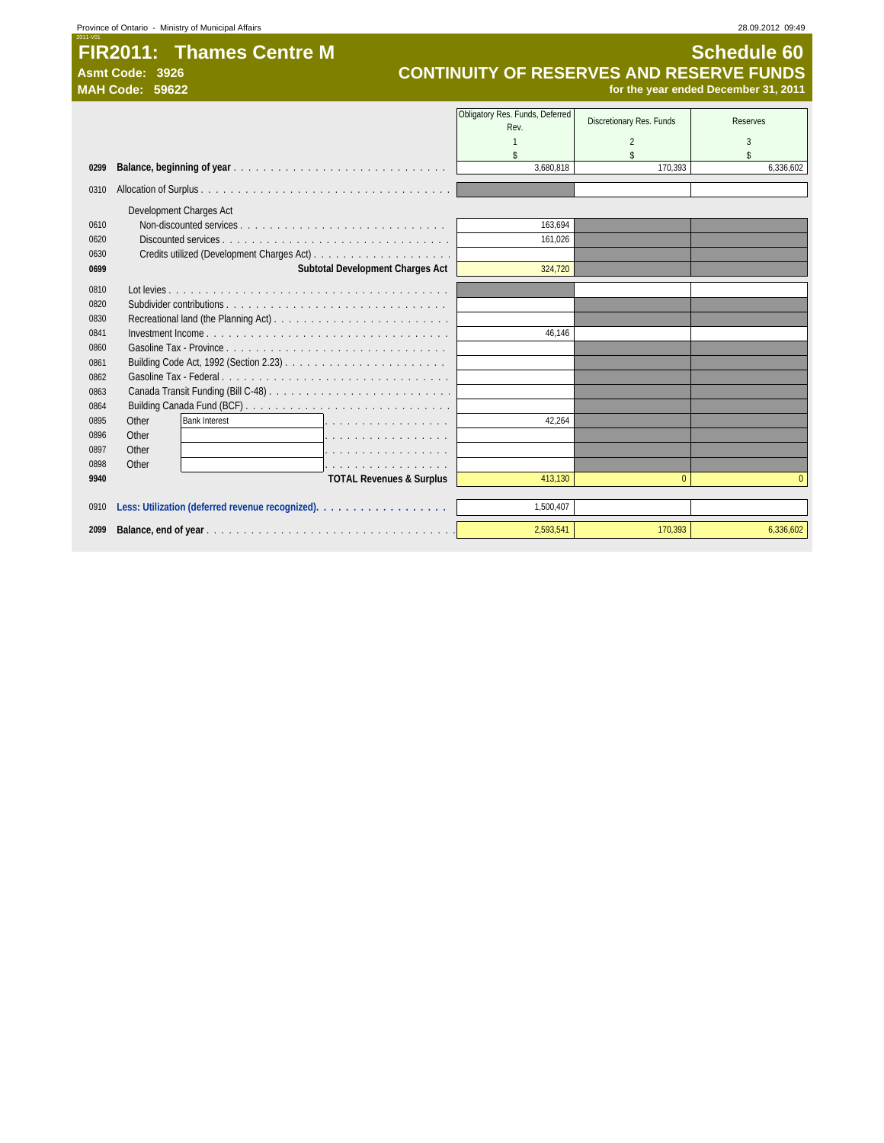#### **FIR2011: Thames Centre M Schedule 60**<br>CONTINUITY OF RESERVES AND RESERVE FUNDS Asmt Code: 3926<br> **CONTINUITY OF RESERVES AND RESERVE FUNDS**<br>
MAH Code: 59622<br>
for the year ended December 31, 2011 **MAH Code: 59622 for the year ended December 31, 2011**

|      |                                           | Obligatory Res. Funds, Deferred<br>Rev. | Discretionary Res. Funds | <b>Reserves</b> |
|------|-------------------------------------------|-----------------------------------------|--------------------------|-----------------|
|      |                                           |                                         | 2                        | 3               |
|      |                                           | \$                                      | \$                       | \$              |
| 0299 |                                           | 3.680.818                               | 170.393                  | 6.336.602       |
| 0310 |                                           |                                         |                          |                 |
|      | Development Charges Act                   |                                         |                          |                 |
| 0610 |                                           | 163,694                                 |                          |                 |
| 0620 |                                           | 161.026                                 |                          |                 |
| 0630 |                                           |                                         |                          |                 |
| 0699 | Subtotal Development Charges Act          | 324,720                                 |                          |                 |
| 0810 |                                           |                                         |                          |                 |
| 0820 |                                           |                                         |                          |                 |
| 0830 |                                           |                                         |                          |                 |
| 0841 |                                           | 46.146                                  |                          |                 |
| 0860 |                                           |                                         |                          |                 |
| 0861 |                                           |                                         |                          |                 |
| 0862 |                                           |                                         |                          |                 |
| 0863 |                                           |                                         |                          |                 |
| 0864 |                                           |                                         |                          |                 |
| 0895 | <b>Bank Interest</b><br>Other<br>1.       | 42.264                                  |                          |                 |
| 0896 | Other<br>.                                |                                         |                          |                 |
| 0897 | Other                                     |                                         |                          |                 |
| 0898 | Other<br>a dia kaominina mpikambana amin' |                                         |                          |                 |
| 9940 | <b>TOTAL Revenues &amp; Surplus</b>       | 413.130                                 | $\Omega$                 | n               |
| 0910 |                                           | 1,500,407                               |                          |                 |
| 2099 |                                           | 2,593,541                               | 170,393                  | 6,336,602       |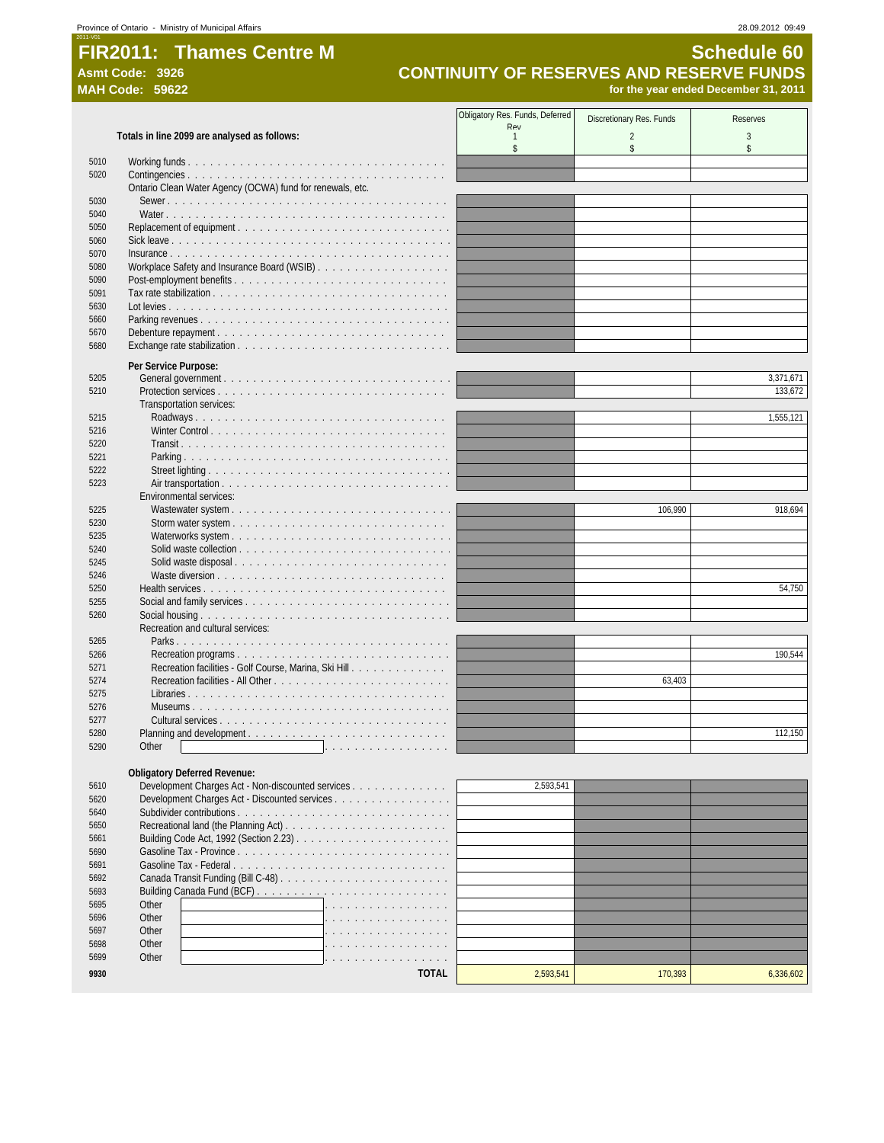# **FIR2011: Thames Centre M Schedule 60**<br>CONTINUITY OF RESERVES AND RESERVE FUNDS

# Asmt Code: 3926<br> **CONTINUITY OF RESERVES AND RESERVE FUNDS**<br>
MAH Code: 59622<br>
for the year ended December 31, 2011 **MAH Code: 59622 for the year ended December 31, 2011**

|              |                                                                                                    | Obligatory Res. Funds, Deferred | Discretionary Res. Funds | <b>Reserves</b> |
|--------------|----------------------------------------------------------------------------------------------------|---------------------------------|--------------------------|-----------------|
|              | Totals in line 2099 are analysed as follows:                                                       | Rev<br>$\overline{1}$           | $\overline{2}$           | 3               |
|              |                                                                                                    | \$                              | \$                       | \$              |
| 5010         |                                                                                                    |                                 |                          |                 |
| 5020         |                                                                                                    |                                 |                          |                 |
| 5030         | Ontario Clean Water Agency (OCWA) fund for renewals, etc.                                          |                                 |                          |                 |
| 5040         |                                                                                                    |                                 |                          |                 |
| 5050         |                                                                                                    |                                 |                          |                 |
| 5060         |                                                                                                    |                                 |                          |                 |
| 5070         |                                                                                                    |                                 |                          |                 |
| 5080         |                                                                                                    |                                 |                          |                 |
| 5090<br>5091 |                                                                                                    |                                 |                          |                 |
| 5630         |                                                                                                    |                                 |                          |                 |
| 5660         |                                                                                                    |                                 |                          |                 |
| 5670         |                                                                                                    |                                 |                          |                 |
| 5680         |                                                                                                    |                                 |                          |                 |
|              | Per Service Purpose:                                                                               |                                 |                          |                 |
| 5205         |                                                                                                    |                                 |                          | 3,371,671       |
| 5210         |                                                                                                    |                                 |                          | 133.672         |
|              | Transportation services:                                                                           |                                 |                          |                 |
| 5215<br>5216 |                                                                                                    |                                 |                          | 1,555,121       |
| 5220         |                                                                                                    |                                 |                          |                 |
| 5221         |                                                                                                    |                                 |                          |                 |
| 5222         |                                                                                                    |                                 |                          |                 |
| 5223         |                                                                                                    |                                 |                          |                 |
|              | Environmental services:                                                                            |                                 |                          |                 |
| 5225<br>5230 |                                                                                                    |                                 | 106,990                  | 918,694         |
| 5235         |                                                                                                    |                                 |                          |                 |
| 5240         |                                                                                                    |                                 |                          |                 |
| 5245         | Solid waste disposal                                                                               |                                 |                          |                 |
| 5246         |                                                                                                    |                                 |                          |                 |
| 5250         |                                                                                                    |                                 |                          | 54,750          |
| 5255<br>5260 |                                                                                                    |                                 |                          |                 |
|              | Recreation and cultural services:                                                                  |                                 |                          |                 |
| 5265         |                                                                                                    |                                 |                          |                 |
| 5266         |                                                                                                    |                                 |                          | 190,544         |
| 5271         | Recreation facilities - Golf Course, Marina, Ski Hill                                              |                                 |                          |                 |
| 5274         |                                                                                                    |                                 | 63,403                   |                 |
| 5275         |                                                                                                    |                                 |                          |                 |
| 5276<br>5277 |                                                                                                    |                                 |                          |                 |
| 5280         | Planning and development                                                                           |                                 |                          | 112,150         |
| 5290         | Other                                                                                              |                                 |                          |                 |
|              |                                                                                                    |                                 |                          |                 |
|              | <b>Obligatory Deferred Revenue:</b>                                                                |                                 |                          |                 |
| 5610<br>5620 | Development Charges Act - Non-discounted services<br>Development Charges Act - Discounted services | 2,593,541                       |                          |                 |
| 5640         |                                                                                                    |                                 |                          |                 |
| 5650         |                                                                                                    |                                 |                          |                 |
| 5661         |                                                                                                    |                                 |                          |                 |
| 5690         |                                                                                                    |                                 |                          |                 |
| 5691         | Gasoline Tax - Federal                                                                             |                                 |                          |                 |
| 5692         |                                                                                                    |                                 |                          |                 |
| 5693<br>5695 | Other                                                                                              |                                 |                          |                 |
| 5696         | Other                                                                                              |                                 |                          |                 |
| 5697         | Other                                                                                              |                                 |                          |                 |
| 5698         | Other                                                                                              |                                 |                          |                 |
| 5699         | Other                                                                                              |                                 |                          |                 |
| 9930         | <b>TOTAL</b>                                                                                       | 2,593,541                       | 170,393                  | 6,336,602       |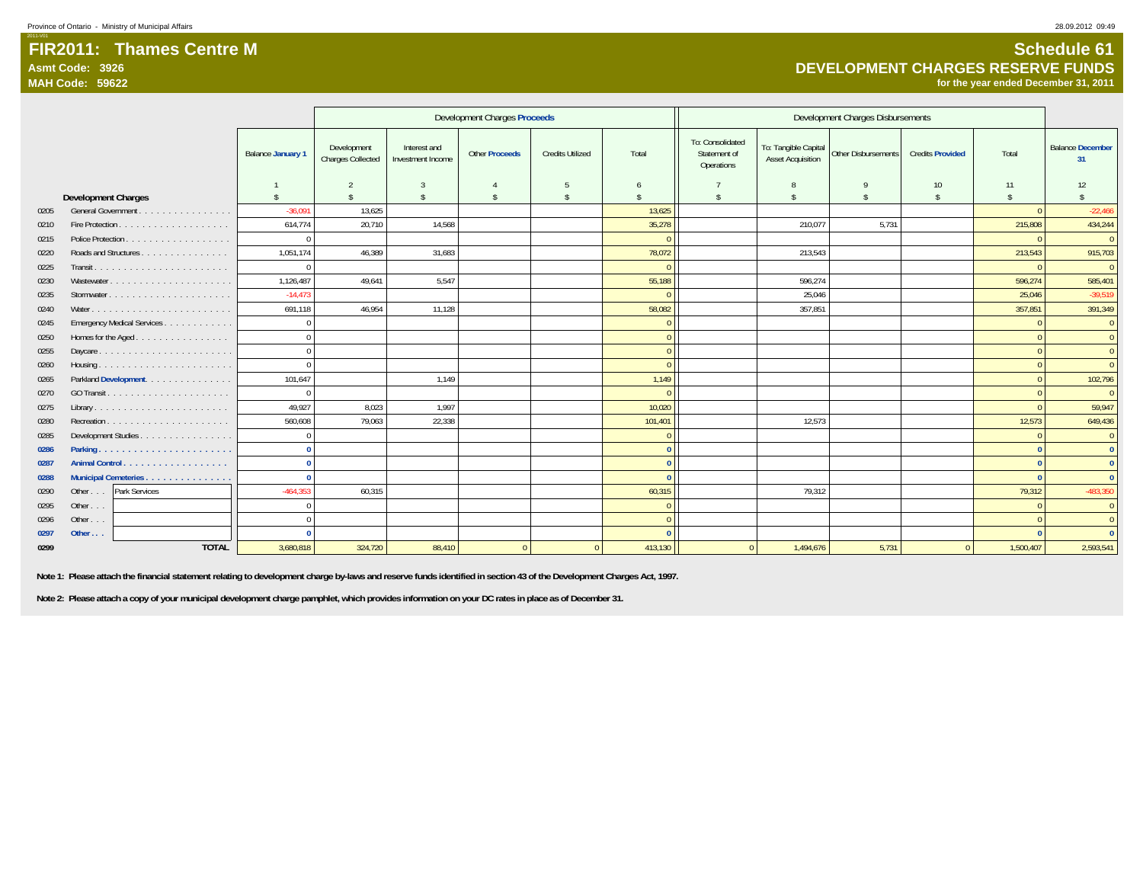#### **FIR2011: Thames Centre MAsmt Code: 3926MAH Code: 59622**

**for the year ended December 31, 2011**

|      |                                 |                          |                                         | <b>Development Charges Proceeds</b> |                       |                         | Development Charges Disbursements |                                                |                                                  |                     |                         |                    |                               |
|------|---------------------------------|--------------------------|-----------------------------------------|-------------------------------------|-----------------------|-------------------------|-----------------------------------|------------------------------------------------|--------------------------------------------------|---------------------|-------------------------|--------------------|-------------------------------|
|      |                                 | <b>Balance January 1</b> | Development<br><b>Charges Collected</b> | Interest and<br>Investment Income   | <b>Other Proceeds</b> | <b>Credits Utilized</b> | Total                             | To: Consolidated<br>Statement of<br>Operations | To: Tangible Capital<br><b>Asset Acquisition</b> | Other Disbursements | <b>Credits Provided</b> | Total              | <b>Balance December</b><br>31 |
|      |                                 |                          | $\mathcal{L}$                           |                                     |                       | 5                       | 6                                 |                                                | 8                                                | $\mathbf Q$         | 10                      | 11                 | 12                            |
|      | <b>Development Charges</b>      | $\mathbf{\hat{s}}$       | $\mathbf{s}$                            | $\mathbb{S}$                        | $\mathbf{\hat{S}}$    | Ŝ.                      | Ŝ.                                | $\mathbf{\hat{S}}$                             | $\hat{\mathbf{S}}$                               | $\mathbf{\hat{s}}$  | s.                      | $\mathbf{\hat{s}}$ | $\mathbf{\hat{S}}$            |
| 0205 | General Government              | $-36.091$                | 13,625                                  |                                     |                       |                         | 13,625                            |                                                |                                                  |                     |                         | $\Omega$           | $-22,466$                     |
| 0210 |                                 | 614,774                  | 20,710                                  | 14,568                              |                       |                         | 35,278                            |                                                | 210,077                                          | 5,731               |                         | 215,808            | 434,244                       |
| 0215 | Police Protection               | $\Omega$                 |                                         |                                     |                       |                         | $\Omega$                          |                                                |                                                  |                     |                         | $\Omega$           | $\overline{0}$                |
| 0220 | Roads and Structures            | 1,051,174                | 46.389                                  | 31,683                              |                       |                         | 78,072                            |                                                | 213,543                                          |                     |                         | 213,543            | 915,703                       |
| 0225 |                                 | $\Omega$                 |                                         |                                     |                       |                         | $\Omega$                          |                                                |                                                  |                     |                         | $\Omega$           | $\overline{0}$                |
| 0230 | Wastewater                      | 1,126,487                | 49,641                                  | 5,547                               |                       |                         | 55,188                            |                                                | 596.274                                          |                     |                         | 596,274            | 585,401                       |
| 0235 |                                 | $-14.473$                |                                         |                                     |                       |                         | $\Omega$                          |                                                | 25.046                                           |                     |                         | 25.046             | $-39,519$                     |
| 0240 |                                 | 691,118                  | 46,954                                  | 11,128                              |                       |                         | 58,082                            |                                                | 357,851                                          |                     |                         | 357,851            | 391,349                       |
| 0245 | Emergency Medical Services      | $\Omega$                 |                                         |                                     |                       |                         | $\Omega$                          |                                                |                                                  |                     |                         | $\Omega$           | $\overline{0}$                |
| 0250 | Homes for the Aged              | $\Omega$                 |                                         |                                     |                       |                         | $\Omega$                          |                                                |                                                  |                     |                         | $\Omega$           | $\overline{0}$                |
| 0255 |                                 | $\Omega$                 |                                         |                                     |                       |                         | $\Omega$                          |                                                |                                                  |                     |                         | $\Omega$           | $\overline{0}$                |
| 0260 |                                 | $\Omega$                 |                                         |                                     |                       |                         | $\Omega$                          |                                                |                                                  |                     |                         | $\Omega$           | $\overline{0}$                |
| 0265 | Parkland Development.           | 101,647                  |                                         | 1,149                               |                       |                         | 1,149                             |                                                |                                                  |                     |                         | $\Omega$           | 102,796                       |
| 0270 |                                 | $\Omega$                 |                                         |                                     |                       |                         | $\Omega$                          |                                                |                                                  |                     |                         |                    | $\overline{0}$                |
| 0275 |                                 | 49,927                   | 8,023                                   | 1,997                               |                       |                         | 10,020                            |                                                |                                                  |                     |                         | $\Omega$           | 59,947                        |
| 0280 |                                 | 560,608                  | 79,063                                  | 22,338                              |                       |                         | 101,401                           |                                                | 12,573                                           |                     |                         | 12,573             | 649,436                       |
| 0285 | Development Studies             | $\Omega$                 |                                         |                                     |                       |                         | $\Omega$                          |                                                |                                                  |                     |                         | $\Omega$           | $\overline{0}$                |
| 0286 |                                 | $\Omega$                 |                                         |                                     |                       |                         | $\Omega$                          |                                                |                                                  |                     |                         | $\Omega$           | $\mathbf{0}$                  |
| 0287 |                                 | $\Omega$                 |                                         |                                     |                       |                         | $\mathbf{0}$                      |                                                |                                                  |                     |                         | $\Omega$           | $\mathbf{0}$                  |
| 0288 | Municipal Cemeteries            | $\Omega$                 |                                         |                                     |                       |                         | $\Omega$                          |                                                |                                                  |                     |                         | $\Omega$           | $\mathbf{0}$                  |
| 0290 | Park Services<br>Other $\ldots$ | $-464,353$               | 60,315                                  |                                     |                       |                         | 60,315                            |                                                | 79,312                                           |                     |                         | 79,312             | $-483,350$                    |
| 0295 | Other                           | $\Omega$                 |                                         |                                     |                       |                         | $\Omega$                          |                                                |                                                  |                     |                         | $\Omega$           | $\overline{0}$                |
| 0296 | Other                           | $\Omega$                 |                                         |                                     |                       |                         | $\Omega$                          |                                                |                                                  |                     |                         | $\Omega$           | $\overline{0}$                |
| 0297 | Other $\ldots$                  |                          |                                         |                                     |                       |                         |                                   |                                                |                                                  |                     |                         |                    | $\Omega$                      |
| 0299 | <b>TOTAL</b>                    | 3,680,818                | 324,720                                 | 88,410                              | $\overline{0}$        | $\overline{0}$          | 413,130                           | $\overline{0}$                                 | 1,494,676                                        | 5,731               | $\overline{0}$          | 1,500,407          | 2,593,541                     |

 **Note 1: Please attach the financial statement relating to development charge by-laws and reserve funds identified in section 43 of the Development Charges Act, 1997.**

 **Note 2: Please attach a copy of your municipal development charge pamphlet, which provides information on your DC rates in place as of December 31.**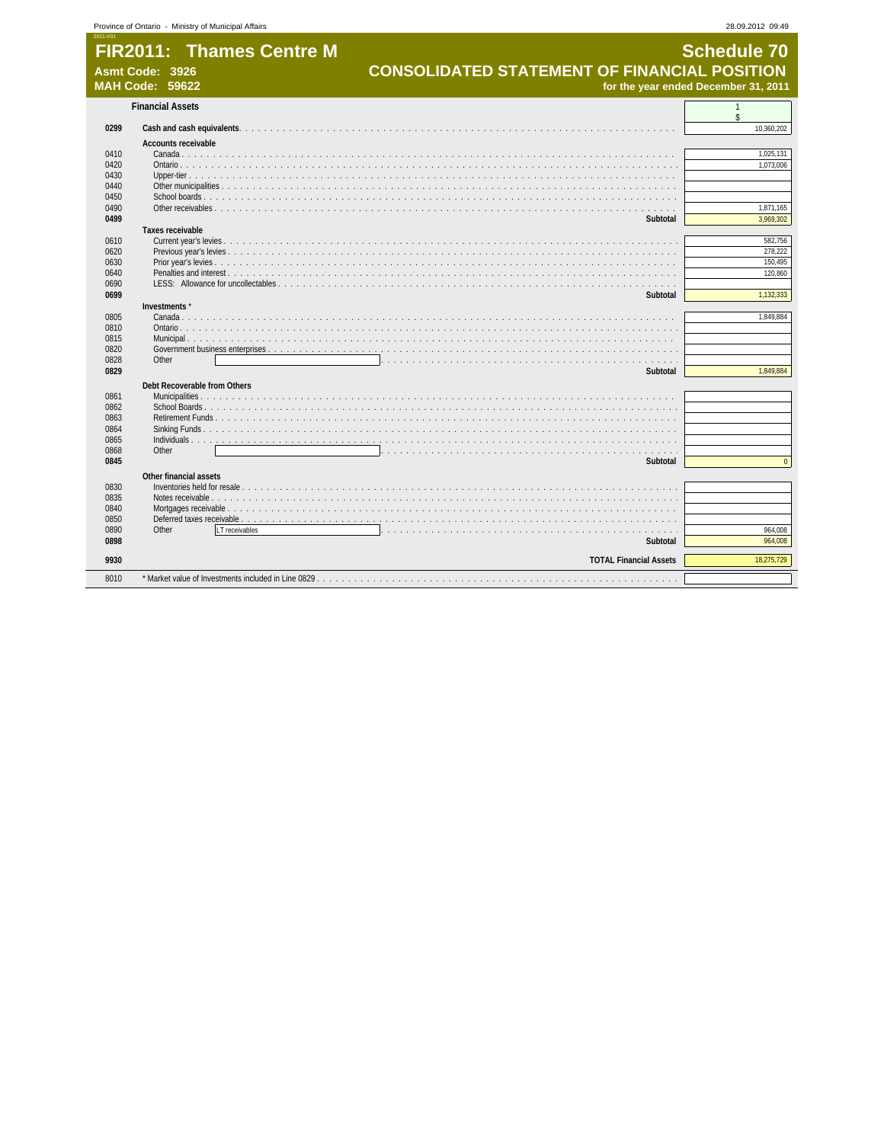|              | <b>FIR2011: Thames Centre M</b><br><b>CONSOLIDATED STATEMENT OF FINANCIAL POSITION</b><br>Asmt Code: 3926 | <b>Schedule 70</b>                   |
|--------------|-----------------------------------------------------------------------------------------------------------|--------------------------------------|
|              | <b>MAH Code: 59622</b>                                                                                    | for the year ended December 31, 2011 |
|              | <b>Financial Assets</b>                                                                                   | $\mathbf{1}$<br>\$                   |
| 0299         |                                                                                                           | 10,360,202                           |
|              | <b>Accounts receivable</b>                                                                                |                                      |
| 0410         |                                                                                                           | 1,025,131                            |
| 0420         |                                                                                                           | 1,073,006                            |
| 0430         |                                                                                                           |                                      |
| 0440         |                                                                                                           |                                      |
| 0450         |                                                                                                           |                                      |
| 0490         |                                                                                                           | 1,871,165                            |
| 0499         | Subtotal                                                                                                  | 3,969,302                            |
|              | <b>Taxes receivable</b>                                                                                   |                                      |
| 0610         |                                                                                                           | 582.756                              |
| 0620         |                                                                                                           | 278,222                              |
| 0630         |                                                                                                           | 150,495                              |
| 0640         |                                                                                                           | 120,860                              |
| 0690<br>0699 | Subtotal                                                                                                  | 1,132,333                            |
|              | Investments*                                                                                              |                                      |
| 0805         |                                                                                                           | 1,849,884                            |
| 0810         |                                                                                                           |                                      |
| 0815         |                                                                                                           |                                      |
| 0820         |                                                                                                           |                                      |
| 0828         | Other                                                                                                     |                                      |
| 0829         | Subtotal                                                                                                  | 1,849,884                            |
|              | Debt Recoverable from Others                                                                              |                                      |
| 0861         |                                                                                                           |                                      |
| 0862         |                                                                                                           |                                      |
| 0863         |                                                                                                           |                                      |
| 0864         |                                                                                                           |                                      |
| 0865         |                                                                                                           |                                      |
| 0868         | Other                                                                                                     |                                      |
| 0845         | Subtotal                                                                                                  | $\Omega$                             |
|              | Other financial assets                                                                                    |                                      |
| 0830         |                                                                                                           |                                      |
| 0835         |                                                                                                           |                                      |
| 0840         |                                                                                                           |                                      |
| 0850         |                                                                                                           |                                      |
| 0890         | Other<br>LT receivables                                                                                   | 964.008                              |
| 0898         | Subtotal                                                                                                  | 964.008                              |
| 9930         | <b>TOTAL Financial Assets</b>                                                                             | 18.275.729                           |
|              |                                                                                                           |                                      |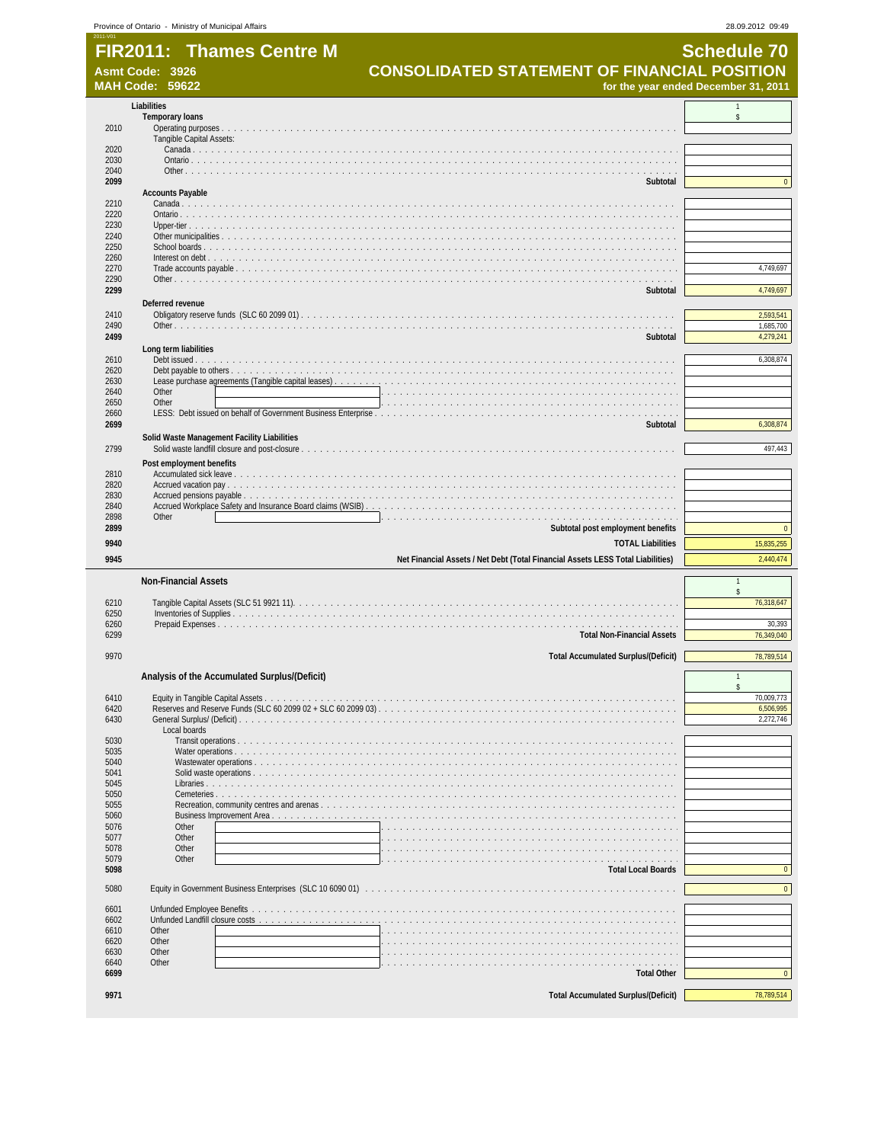|              | <b>FIR2011: Thames Centre M</b><br>Asmt Code: 3926 | <b>CONSOLIDATED STATEMENT OF FINANCIAL POSITION</b>                             | <b>Schedule 70</b>                               |
|--------------|----------------------------------------------------|---------------------------------------------------------------------------------|--------------------------------------------------|
|              | <b>MAH Code: 59622</b>                             | for the year ended December 31, 2011                                            |                                                  |
|              | Liabilities                                        |                                                                                 |                                                  |
| 2010         | <b>Temporary loans</b>                             |                                                                                 | \$                                               |
| 2020         | Tangible Capital Assets:                           |                                                                                 |                                                  |
| 2030         |                                                    |                                                                                 |                                                  |
| 2040         |                                                    |                                                                                 |                                                  |
| 2099         | <b>Accounts Payable</b>                            | Subtotal                                                                        | $\mathbf{0}$                                     |
| 2210         |                                                    |                                                                                 |                                                  |
| 2220         |                                                    |                                                                                 |                                                  |
| 2230<br>2240 |                                                    |                                                                                 |                                                  |
| 2250         |                                                    |                                                                                 |                                                  |
| 2260         |                                                    |                                                                                 |                                                  |
| 2270<br>2290 |                                                    |                                                                                 | 4,749,697                                        |
| 2299         |                                                    | Subtotal                                                                        | 4,749,697                                        |
|              | Deferred revenue                                   |                                                                                 |                                                  |
| 2410         |                                                    |                                                                                 | 2,593,541<br>1,685,700                           |
| 2490<br>2499 |                                                    | Subtotal                                                                        | 4,279,241                                        |
|              | Long term liabilities                              |                                                                                 |                                                  |
| 2610         |                                                    |                                                                                 | 6,308,874                                        |
| 2620<br>2630 |                                                    |                                                                                 |                                                  |
| 2640         | Other                                              |                                                                                 |                                                  |
| 2650         | Other                                              |                                                                                 |                                                  |
| 2660<br>2699 |                                                    | Subtotal                                                                        | 6,308,874                                        |
|              | Solid Waste Management Facility Liabilities        |                                                                                 |                                                  |
| 2799         |                                                    |                                                                                 | 497,443                                          |
|              | Post employment benefits                           |                                                                                 |                                                  |
| 2810<br>2820 |                                                    |                                                                                 |                                                  |
| 2830         |                                                    |                                                                                 |                                                  |
| 2840         |                                                    |                                                                                 |                                                  |
| 2898<br>2899 | Other                                              | Subtotal post employment benefits                                               | $\mathbf{0}$                                     |
| 9940         |                                                    | <b>TOTAL Liabilities</b>                                                        | 15,835,255                                       |
| 9945         |                                                    | Net Financial Assets / Net Debt (Total Financial Assets LESS Total Liabilities) | 2,440,474                                        |
|              |                                                    |                                                                                 |                                                  |
|              | <b>Non-Financial Assets</b>                        |                                                                                 | $\mathsf{s}$                                     |
| 6210<br>6250 |                                                    |                                                                                 | 76,318,647                                       |
| 6260         |                                                    |                                                                                 | 30,393                                           |
| 6299         |                                                    | <b>Total Non-Financial Assets</b>                                               | 76,349,040                                       |
| 9970         |                                                    | <b>Total Accumulated Surplus/(Deficit)</b>                                      | 78,789,514                                       |
|              |                                                    |                                                                                 |                                                  |
|              | Analysis of the Accumulated Surplus/(Deficit)      |                                                                                 | $\mathbf{1}$<br>\$                               |
| 6410         |                                                    |                                                                                 | 70,009,773                                       |
| 6420<br>6430 |                                                    | Reserves and Reserve Funds (SLC 60 2099 02 + SLC 60 2099 03).                   | 6,506,995<br>2,272,746                           |
| 5030         | Local boards                                       |                                                                                 |                                                  |
| 5035         |                                                    |                                                                                 |                                                  |
| 5040<br>5041 |                                                    |                                                                                 |                                                  |
| 5045         |                                                    |                                                                                 |                                                  |
| 5050         |                                                    |                                                                                 |                                                  |
| 5055<br>5060 |                                                    |                                                                                 |                                                  |
| 5076         | Other                                              |                                                                                 |                                                  |
|              | Other                                              |                                                                                 |                                                  |
| 5077         | Other                                              | and and and analysis and                                                        |                                                  |
| 5078         |                                                    |                                                                                 |                                                  |
| 5079<br>5098 | Other                                              | <b>Total Local Boards</b>                                                       |                                                  |
| 5080         |                                                    |                                                                                 |                                                  |
| 6601         | Unfunded Employee Benefits                         |                                                                                 |                                                  |
| 6602         |                                                    |                                                                                 |                                                  |
| 6610<br>6620 | Other<br>Other                                     |                                                                                 |                                                  |
| 6630         | Other                                              |                                                                                 |                                                  |
| 6640         | Other                                              |                                                                                 |                                                  |
| 6699         |                                                    | <b>Total Other</b>                                                              | $\overline{0}$<br>$\mathbf{0}$<br>$\overline{0}$ |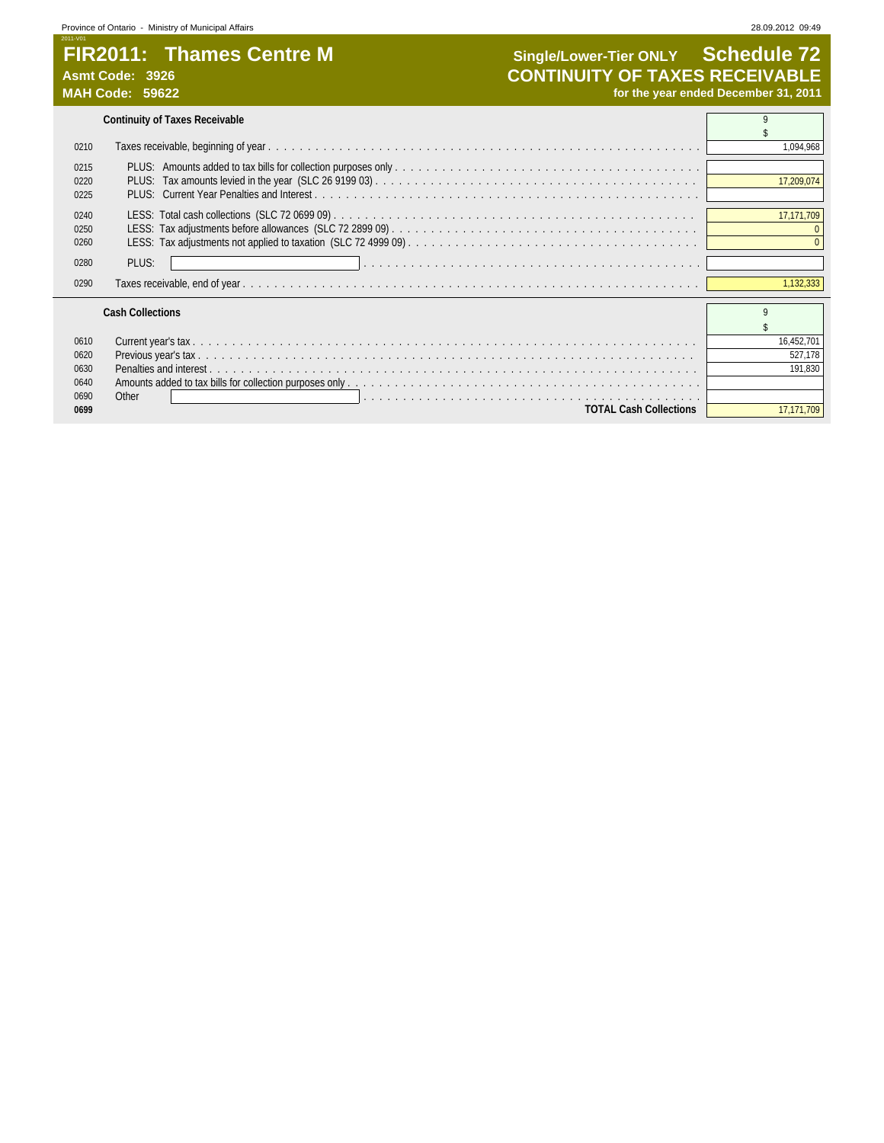## **FIR2011: Thames Centre M Single/Lower-Tier ONLY Schedule 72**<br>CONTINUITY OF TAXES RECEIVABLE Asmt Code: 3926<br>
MAH Code: 59622<br>
MAH Code: 59622<br>
MAH Code: 59622 for the year ended December 31, 2011

|                                      | <b>Continuity of Taxes Receivable</b>                                                                            |                                  |
|--------------------------------------|------------------------------------------------------------------------------------------------------------------|----------------------------------|
|                                      |                                                                                                                  |                                  |
| 0210                                 |                                                                                                                  | 1,094,968                        |
| 0215<br>0220<br>0225                 |                                                                                                                  | 17,209,074                       |
| 0240<br>0250<br>0260                 |                                                                                                                  | 17,171,709                       |
| 0280                                 | PLUS:                                                                                                            |                                  |
| 0290                                 |                                                                                                                  | 1,132,333                        |
|                                      | <b>Cash Collections</b>                                                                                          | $\Omega$                         |
| 0610<br>0620<br>0630<br>0640<br>0690 | Other<br>n de la caractería de la caractería de la caractería de la caractería de la caractería de la caractería | 16,452,701<br>527,178<br>191,830 |
| 0699                                 | <b>TOTAL Cash Collections</b>                                                                                    | 17.171.709                       |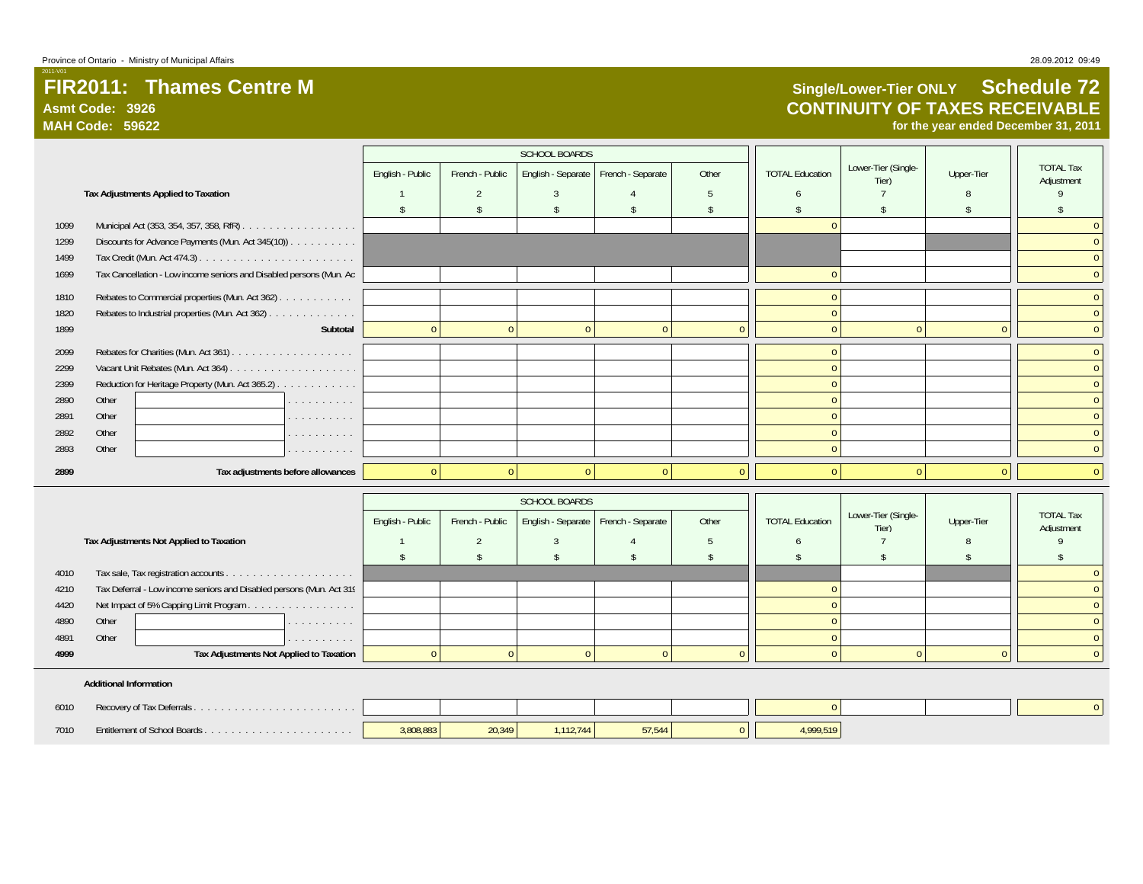# **FIR2011: Thames Centre MAsmt Code: 3926**

**MAH Code: 59622**

2011-V01

# **Single/Lower-Tier ONLY Schedule 72 CONTINUITY OF TAXES RECEIVABLE**

**for the year ended December 31, 2011**

|      |       |                                                                      |          |                  |                 | <b>SCHOOL BOARDS</b> |                   |       |                        |                              |            |                                |
|------|-------|----------------------------------------------------------------------|----------|------------------|-----------------|----------------------|-------------------|-------|------------------------|------------------------------|------------|--------------------------------|
|      |       |                                                                      |          | English - Public | French - Public | English - Separate   | French - Separate | Other | <b>TOTAL Education</b> | Lower-Tier (Single-<br>Tier) | Upper-Tier | <b>TOTAL Tax</b><br>Adiustment |
|      |       | Tax Adjustments Applied to Taxation                                  |          |                  |                 |                      |                   |       |                        |                              |            |                                |
|      |       |                                                                      |          |                  |                 |                      |                   |       |                        |                              |            |                                |
| 1099 |       |                                                                      |          |                  |                 |                      |                   |       |                        |                              |            |                                |
| 1299 |       | Discounts for Advance Payments (Mun. Act 345(10))                    |          |                  |                 |                      |                   |       |                        |                              |            |                                |
| 1499 |       |                                                                      |          |                  |                 |                      |                   |       |                        |                              |            |                                |
| 1699 |       | Tax Cancellation - Low income seniors and Disabled persons (Mun. Act |          |                  |                 |                      |                   |       |                        |                              |            |                                |
| 1810 |       | Rebates to Commercial properties (Mun. Act 362)                      |          |                  |                 |                      |                   |       |                        |                              |            |                                |
| 1820 |       | Rebates to Industrial properties (Mun. Act 362)                      |          |                  |                 |                      |                   |       |                        |                              |            |                                |
| 1899 |       |                                                                      | Subtotal | $\Omega$         |                 |                      |                   |       |                        |                              |            |                                |
| 2099 |       |                                                                      |          |                  |                 |                      |                   |       |                        |                              |            |                                |
| 2299 |       |                                                                      |          |                  |                 |                      |                   |       |                        |                              |            |                                |
| 2399 |       | Reduction for Heritage Property (Mun. Act 365.2)                     |          |                  |                 |                      |                   |       |                        |                              |            |                                |
| 2890 | Other |                                                                      | .        |                  |                 |                      |                   |       |                        |                              |            |                                |
| 2891 | Other |                                                                      | .        |                  |                 |                      |                   |       |                        |                              |            |                                |
| 2892 | Other |                                                                      | .        |                  |                 |                      |                   |       |                        |                              |            |                                |
| 2893 | Other |                                                                      | .        |                  |                 |                      |                   |       |                        |                              |            |                                |
| 2899 |       | Tax adjustments before allowances                                    |          | $\Omega$         |                 |                      |                   |       |                        |                              | $\Omega$   |                                |

|      |       |                                                                      |                  |                 | <b>SCHOOL BOARDS</b> |                                        |       |                        |                              |            |                                |
|------|-------|----------------------------------------------------------------------|------------------|-----------------|----------------------|----------------------------------------|-------|------------------------|------------------------------|------------|--------------------------------|
|      |       |                                                                      | English - Public | French - Public |                      | English - Separate   French - Separate | Other | <b>TOTAL Education</b> | Lower-Tier (Single-<br>Tier) | Upper-Tier | <b>TOTAL Tax</b><br>Adjustment |
|      |       | Tax Adjustments Not Applied to Taxation                              |                  |                 |                      |                                        |       |                        |                              |            |                                |
|      |       |                                                                      |                  |                 |                      |                                        |       |                        |                              |            |                                |
| 4010 |       |                                                                      |                  |                 |                      |                                        |       |                        |                              |            |                                |
| 4210 |       | Tax Deferral - Low income seniors and Disabled persons (Mun. Act 319 |                  |                 |                      |                                        |       |                        |                              |            |                                |
| 4420 |       | Net Impact of 5% Capping Limit Program                               |                  |                 |                      |                                        |       |                        |                              |            |                                |
| 4890 | Other | .                                                                    |                  |                 |                      |                                        |       |                        |                              |            |                                |
| 4891 | Other | the company's company's company's                                    |                  |                 |                      |                                        |       |                        |                              |            |                                |
| 4999 |       | Tax Adjustments Not Applied to Taxation                              |                  |                 |                      |                                        |       |                        |                              |            |                                |
|      |       |                                                                      |                  |                 |                      |                                        |       |                        |                              |            |                                |

#### **Additional Information**

| 6010 |                                       |           |        |           |         |         |  |  |
|------|---------------------------------------|-----------|--------|-----------|---------|---------|--|--|
| 7010 | <b>Frittlement of School Boards</b> . | 3,808,883 | 20,349 | 1.112.744 | $-7544$ | 999,519 |  |  |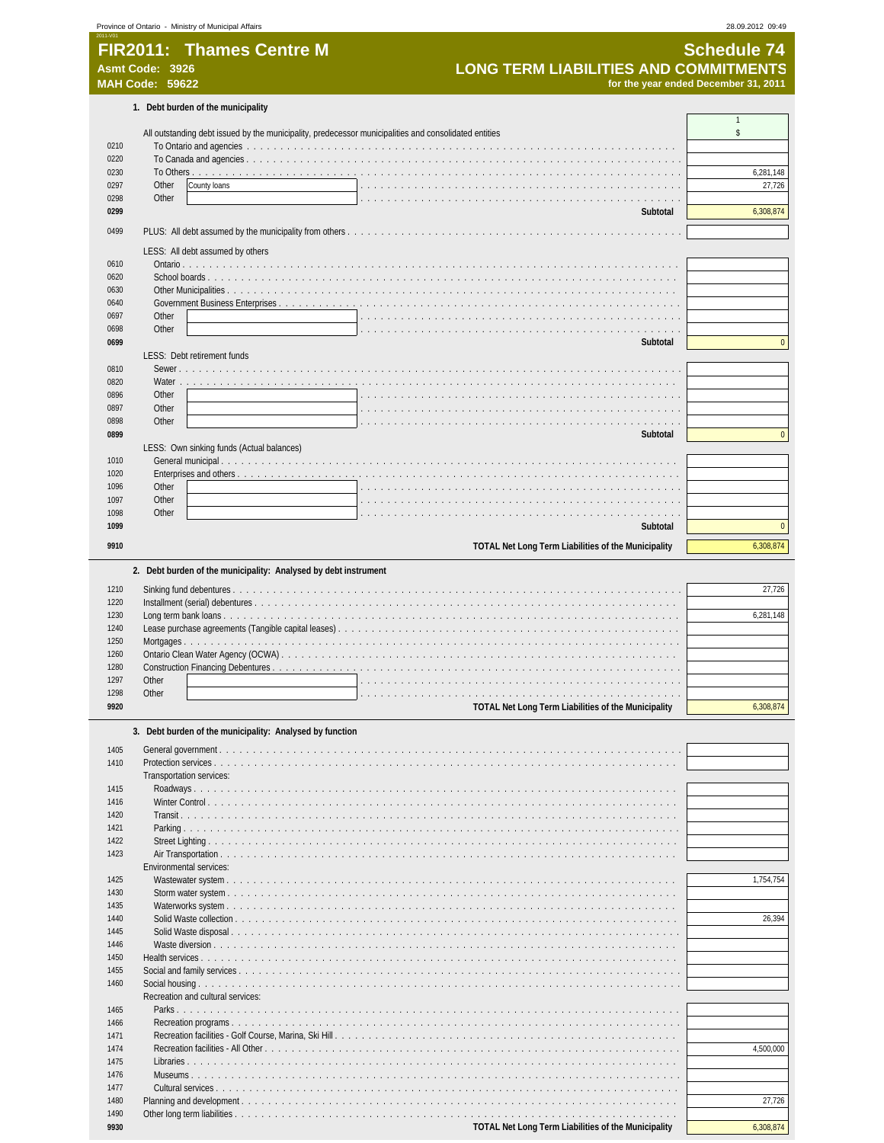| 0210<br>0220<br>0230<br>0297<br>0298<br>0299<br>0499<br>0610<br>0620<br>0630<br>0640<br>0697<br>0698<br>0699                                                                 | <b>LONG TERM LIABILITIES AND COMMITMENTS</b><br><b>Asmt Code: 3926</b><br><b>MAH Code: 59622</b><br>1. Debt burden of the municipality<br>All outstanding debt issued by the municipality, predecessor municipalities and consolidated entities<br>Other<br>County loans<br>Other<br>Subtotal<br>LESS: All debt assumed by others | for the year ended December 31, 2011<br>$\mathbf{1}$<br>\$<br>6,281,148<br>27,726<br>6,308,874 |
|------------------------------------------------------------------------------------------------------------------------------------------------------------------------------|-----------------------------------------------------------------------------------------------------------------------------------------------------------------------------------------------------------------------------------------------------------------------------------------------------------------------------------|------------------------------------------------------------------------------------------------|
|                                                                                                                                                                              |                                                                                                                                                                                                                                                                                                                                   |                                                                                                |
|                                                                                                                                                                              |                                                                                                                                                                                                                                                                                                                                   |                                                                                                |
|                                                                                                                                                                              |                                                                                                                                                                                                                                                                                                                                   |                                                                                                |
|                                                                                                                                                                              |                                                                                                                                                                                                                                                                                                                                   |                                                                                                |
|                                                                                                                                                                              |                                                                                                                                                                                                                                                                                                                                   |                                                                                                |
|                                                                                                                                                                              |                                                                                                                                                                                                                                                                                                                                   |                                                                                                |
|                                                                                                                                                                              |                                                                                                                                                                                                                                                                                                                                   |                                                                                                |
|                                                                                                                                                                              |                                                                                                                                                                                                                                                                                                                                   |                                                                                                |
|                                                                                                                                                                              |                                                                                                                                                                                                                                                                                                                                   |                                                                                                |
|                                                                                                                                                                              |                                                                                                                                                                                                                                                                                                                                   |                                                                                                |
|                                                                                                                                                                              |                                                                                                                                                                                                                                                                                                                                   |                                                                                                |
|                                                                                                                                                                              |                                                                                                                                                                                                                                                                                                                                   |                                                                                                |
|                                                                                                                                                                              |                                                                                                                                                                                                                                                                                                                                   |                                                                                                |
|                                                                                                                                                                              |                                                                                                                                                                                                                                                                                                                                   |                                                                                                |
|                                                                                                                                                                              |                                                                                                                                                                                                                                                                                                                                   |                                                                                                |
|                                                                                                                                                                              |                                                                                                                                                                                                                                                                                                                                   |                                                                                                |
|                                                                                                                                                                              | Other                                                                                                                                                                                                                                                                                                                             |                                                                                                |
|                                                                                                                                                                              | Other                                                                                                                                                                                                                                                                                                                             |                                                                                                |
|                                                                                                                                                                              | Subtotal                                                                                                                                                                                                                                                                                                                          |                                                                                                |
|                                                                                                                                                                              | LESS: Debt retirement funds                                                                                                                                                                                                                                                                                                       |                                                                                                |
| 0810                                                                                                                                                                         | Sewer.                                                                                                                                                                                                                                                                                                                            |                                                                                                |
| 0820                                                                                                                                                                         | Water                                                                                                                                                                                                                                                                                                                             |                                                                                                |
| 0896                                                                                                                                                                         | Other                                                                                                                                                                                                                                                                                                                             |                                                                                                |
| 0897                                                                                                                                                                         | Other                                                                                                                                                                                                                                                                                                                             |                                                                                                |
| 0898                                                                                                                                                                         | Other                                                                                                                                                                                                                                                                                                                             |                                                                                                |
| 0899                                                                                                                                                                         | Subtotal                                                                                                                                                                                                                                                                                                                          |                                                                                                |
|                                                                                                                                                                              | LESS: Own sinking funds (Actual balances)                                                                                                                                                                                                                                                                                         |                                                                                                |
| 1010                                                                                                                                                                         |                                                                                                                                                                                                                                                                                                                                   |                                                                                                |
| 1020                                                                                                                                                                         |                                                                                                                                                                                                                                                                                                                                   |                                                                                                |
| 1096                                                                                                                                                                         | Other                                                                                                                                                                                                                                                                                                                             |                                                                                                |
| 1097<br>1098                                                                                                                                                                 | Other                                                                                                                                                                                                                                                                                                                             |                                                                                                |
| 1099                                                                                                                                                                         | Other<br>Subtotal                                                                                                                                                                                                                                                                                                                 |                                                                                                |
|                                                                                                                                                                              |                                                                                                                                                                                                                                                                                                                                   |                                                                                                |
| 9910                                                                                                                                                                         | TOTAL Net Long Term Liabilities of the Municipality                                                                                                                                                                                                                                                                               | 6,308,874                                                                                      |
|                                                                                                                                                                              | 2. Debt burden of the municipality: Analysed by debt instrument                                                                                                                                                                                                                                                                   |                                                                                                |
|                                                                                                                                                                              |                                                                                                                                                                                                                                                                                                                                   |                                                                                                |
| 1210<br>1220                                                                                                                                                                 |                                                                                                                                                                                                                                                                                                                                   | 27,726                                                                                         |
| 1230                                                                                                                                                                         |                                                                                                                                                                                                                                                                                                                                   | 6,281,148                                                                                      |
| 1240                                                                                                                                                                         |                                                                                                                                                                                                                                                                                                                                   |                                                                                                |
| 1250                                                                                                                                                                         |                                                                                                                                                                                                                                                                                                                                   |                                                                                                |
| 1260                                                                                                                                                                         |                                                                                                                                                                                                                                                                                                                                   |                                                                                                |
| 1280                                                                                                                                                                         |                                                                                                                                                                                                                                                                                                                                   |                                                                                                |
| 1297                                                                                                                                                                         | Other                                                                                                                                                                                                                                                                                                                             |                                                                                                |
| 1298                                                                                                                                                                         | Other                                                                                                                                                                                                                                                                                                                             |                                                                                                |
| 9920                                                                                                                                                                         | <b>TOTAL Net Long Term Liabilities of the Municipality</b>                                                                                                                                                                                                                                                                        | 6,308,874                                                                                      |
|                                                                                                                                                                              | 3. Debt burden of the municipality: Analysed by function                                                                                                                                                                                                                                                                          |                                                                                                |
| 1405                                                                                                                                                                         |                                                                                                                                                                                                                                                                                                                                   |                                                                                                |
| 1410                                                                                                                                                                         | Protection services                                                                                                                                                                                                                                                                                                               |                                                                                                |
|                                                                                                                                                                              | Transportation services:                                                                                                                                                                                                                                                                                                          |                                                                                                |
| 1415                                                                                                                                                                         |                                                                                                                                                                                                                                                                                                                                   |                                                                                                |
|                                                                                                                                                                              | Winter Control                                                                                                                                                                                                                                                                                                                    |                                                                                                |
|                                                                                                                                                                              |                                                                                                                                                                                                                                                                                                                                   |                                                                                                |
|                                                                                                                                                                              | Transit.                                                                                                                                                                                                                                                                                                                          |                                                                                                |
|                                                                                                                                                                              | Parking                                                                                                                                                                                                                                                                                                                           |                                                                                                |
|                                                                                                                                                                              |                                                                                                                                                                                                                                                                                                                                   |                                                                                                |
|                                                                                                                                                                              | Air Transportation                                                                                                                                                                                                                                                                                                                |                                                                                                |
|                                                                                                                                                                              | Environmental services:                                                                                                                                                                                                                                                                                                           |                                                                                                |
|                                                                                                                                                                              |                                                                                                                                                                                                                                                                                                                                   |                                                                                                |
|                                                                                                                                                                              |                                                                                                                                                                                                                                                                                                                                   |                                                                                                |
|                                                                                                                                                                              | Waterworks system                                                                                                                                                                                                                                                                                                                 |                                                                                                |
|                                                                                                                                                                              | Solid Waste collection                                                                                                                                                                                                                                                                                                            |                                                                                                |
|                                                                                                                                                                              | Solid Waste disposal                                                                                                                                                                                                                                                                                                              |                                                                                                |
|                                                                                                                                                                              | Waste diversion                                                                                                                                                                                                                                                                                                                   | 1,754,754<br>26,394                                                                            |
|                                                                                                                                                                              | Health services                                                                                                                                                                                                                                                                                                                   |                                                                                                |
|                                                                                                                                                                              |                                                                                                                                                                                                                                                                                                                                   |                                                                                                |
|                                                                                                                                                                              | Social housing<br>.                                                                                                                                                                                                                                                                                                               |                                                                                                |
|                                                                                                                                                                              | Recreation and cultural services:                                                                                                                                                                                                                                                                                                 |                                                                                                |
|                                                                                                                                                                              |                                                                                                                                                                                                                                                                                                                                   |                                                                                                |
|                                                                                                                                                                              | Recreation programs                                                                                                                                                                                                                                                                                                               |                                                                                                |
|                                                                                                                                                                              | Recreation facilities - Golf Course, Marina, Ski Hill<br>de la caractería de la caractería                                                                                                                                                                                                                                        |                                                                                                |
|                                                                                                                                                                              | Recreation facilities - All Other                                                                                                                                                                                                                                                                                                 | 4,500,000                                                                                      |
|                                                                                                                                                                              | Libraries                                                                                                                                                                                                                                                                                                                         |                                                                                                |
|                                                                                                                                                                              | Museums                                                                                                                                                                                                                                                                                                                           |                                                                                                |
| 1416<br>1420<br>1421<br>1422<br>1423<br>1425<br>1430<br>1435<br>1440<br>1445<br>1446<br>1450<br>1455<br>1460<br>1465<br>1466<br>1471<br>1474<br>1475<br>1476<br>1477<br>1480 | Cultural services                                                                                                                                                                                                                                                                                                                 | 27,726                                                                                         |

**CUTE TOTAL Net Long Term Liabilities of the Municipality CONDUCT CONDUCT ACCOMPTED ACCOMPTED MUNICIPAL NET**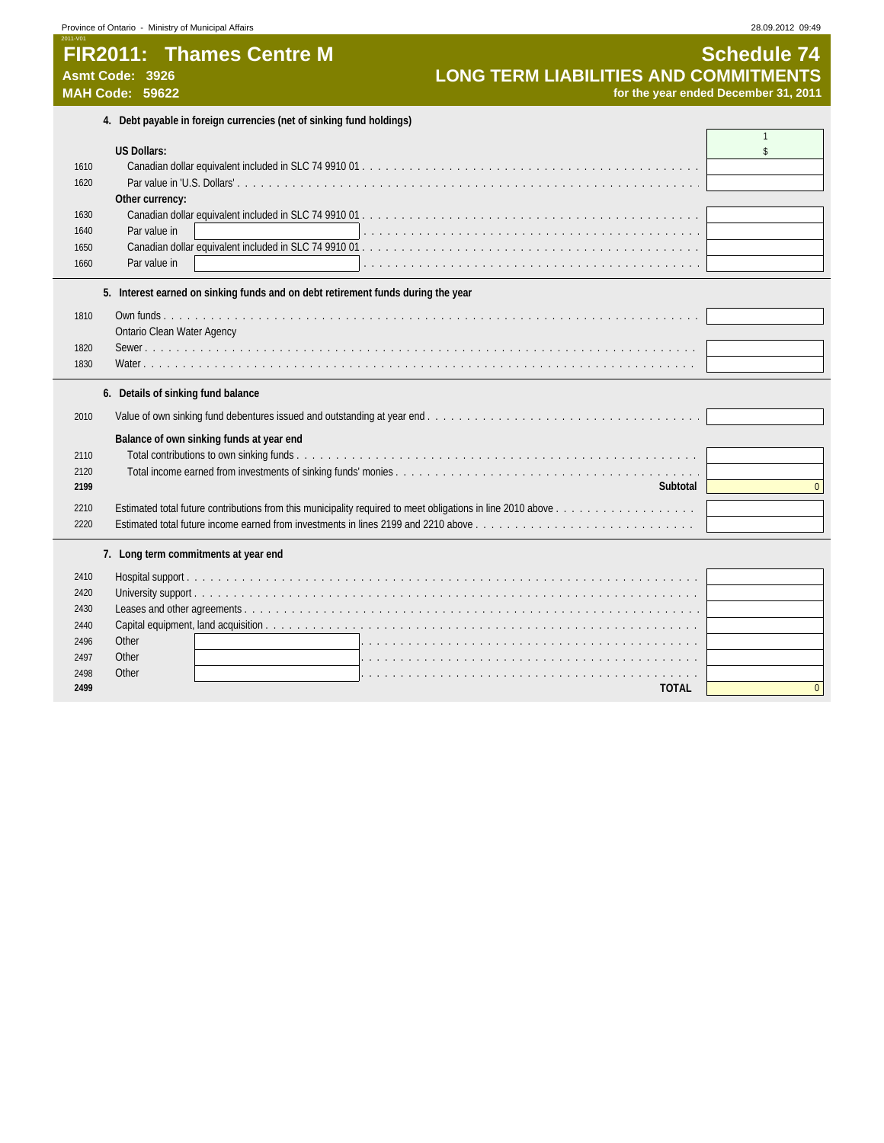## **FIR2011: Thames Centre M**<br>Asmt Code: 3926 **Schedule 74**<br>MAH Code: 59622 **Schedule 24**<br>MAH Code: 59622 **Schedule 21, 2011 Asmt Code: 3926 LONG TERM LIABILITIES AND COMMITMENTS MAH Code: 59622 for the year ended December 31, 2011**

| 4. Debt payable in foreign currencies (net of sinking fund holdings) |  |  |  |  |
|----------------------------------------------------------------------|--|--|--|--|
|----------------------------------------------------------------------|--|--|--|--|

| <b>US Dollars:</b><br>$\mathbf{\hat{S}}$<br>1610<br>1620<br>Other currency:<br>1630<br>Par value in<br>1640<br>1650<br>Par value in<br>1660<br>5. Interest earned on sinking funds and on debt retirement funds during the year<br>1810<br><b>Ontario Clean Water Agency</b><br>1820<br>1830<br>6. Details of sinking fund balance<br>2010<br>Balance of own sinking funds at year end<br>Total contributions to own sinking funds.<br>2110<br>2120<br>Subtotal<br>$\mathbf{0}$<br>2199<br>2210<br>Estimated total future income earned from investments in lines 2199 and 2210 above $\ldots$ , $\ldots$ , $\ldots$ , $\ldots$ , $\ldots$ , $\ldots$ , $\ldots$ , $\ldots$<br>2220<br>7. Long term commitments at year end<br>2410<br>2420<br>2430<br>2440<br>Other<br>2496<br>Other<br>2497<br>Other<br>2498<br>the contract of the contract of the contract of the contract of the contract of the contract of the contract of<br>$\overline{0}$ | 4. Dept payable in foreign currencies (fiel or sinking fund holdings) |  |
|-----------------------------------------------------------------------------------------------------------------------------------------------------------------------------------------------------------------------------------------------------------------------------------------------------------------------------------------------------------------------------------------------------------------------------------------------------------------------------------------------------------------------------------------------------------------------------------------------------------------------------------------------------------------------------------------------------------------------------------------------------------------------------------------------------------------------------------------------------------------------------------------------------------------------------------------------------|-----------------------------------------------------------------------|--|
|                                                                                                                                                                                                                                                                                                                                                                                                                                                                                                                                                                                                                                                                                                                                                                                                                                                                                                                                                     |                                                                       |  |
|                                                                                                                                                                                                                                                                                                                                                                                                                                                                                                                                                                                                                                                                                                                                                                                                                                                                                                                                                     |                                                                       |  |
|                                                                                                                                                                                                                                                                                                                                                                                                                                                                                                                                                                                                                                                                                                                                                                                                                                                                                                                                                     |                                                                       |  |
|                                                                                                                                                                                                                                                                                                                                                                                                                                                                                                                                                                                                                                                                                                                                                                                                                                                                                                                                                     |                                                                       |  |
|                                                                                                                                                                                                                                                                                                                                                                                                                                                                                                                                                                                                                                                                                                                                                                                                                                                                                                                                                     |                                                                       |  |
|                                                                                                                                                                                                                                                                                                                                                                                                                                                                                                                                                                                                                                                                                                                                                                                                                                                                                                                                                     |                                                                       |  |
|                                                                                                                                                                                                                                                                                                                                                                                                                                                                                                                                                                                                                                                                                                                                                                                                                                                                                                                                                     |                                                                       |  |
|                                                                                                                                                                                                                                                                                                                                                                                                                                                                                                                                                                                                                                                                                                                                                                                                                                                                                                                                                     |                                                                       |  |
|                                                                                                                                                                                                                                                                                                                                                                                                                                                                                                                                                                                                                                                                                                                                                                                                                                                                                                                                                     |                                                                       |  |
|                                                                                                                                                                                                                                                                                                                                                                                                                                                                                                                                                                                                                                                                                                                                                                                                                                                                                                                                                     |                                                                       |  |
|                                                                                                                                                                                                                                                                                                                                                                                                                                                                                                                                                                                                                                                                                                                                                                                                                                                                                                                                                     |                                                                       |  |
|                                                                                                                                                                                                                                                                                                                                                                                                                                                                                                                                                                                                                                                                                                                                                                                                                                                                                                                                                     |                                                                       |  |
|                                                                                                                                                                                                                                                                                                                                                                                                                                                                                                                                                                                                                                                                                                                                                                                                                                                                                                                                                     |                                                                       |  |
|                                                                                                                                                                                                                                                                                                                                                                                                                                                                                                                                                                                                                                                                                                                                                                                                                                                                                                                                                     |                                                                       |  |
|                                                                                                                                                                                                                                                                                                                                                                                                                                                                                                                                                                                                                                                                                                                                                                                                                                                                                                                                                     |                                                                       |  |
|                                                                                                                                                                                                                                                                                                                                                                                                                                                                                                                                                                                                                                                                                                                                                                                                                                                                                                                                                     |                                                                       |  |
|                                                                                                                                                                                                                                                                                                                                                                                                                                                                                                                                                                                                                                                                                                                                                                                                                                                                                                                                                     |                                                                       |  |
|                                                                                                                                                                                                                                                                                                                                                                                                                                                                                                                                                                                                                                                                                                                                                                                                                                                                                                                                                     |                                                                       |  |
|                                                                                                                                                                                                                                                                                                                                                                                                                                                                                                                                                                                                                                                                                                                                                                                                                                                                                                                                                     |                                                                       |  |
|                                                                                                                                                                                                                                                                                                                                                                                                                                                                                                                                                                                                                                                                                                                                                                                                                                                                                                                                                     |                                                                       |  |
|                                                                                                                                                                                                                                                                                                                                                                                                                                                                                                                                                                                                                                                                                                                                                                                                                                                                                                                                                     |                                                                       |  |
|                                                                                                                                                                                                                                                                                                                                                                                                                                                                                                                                                                                                                                                                                                                                                                                                                                                                                                                                                     |                                                                       |  |
|                                                                                                                                                                                                                                                                                                                                                                                                                                                                                                                                                                                                                                                                                                                                                                                                                                                                                                                                                     |                                                                       |  |
|                                                                                                                                                                                                                                                                                                                                                                                                                                                                                                                                                                                                                                                                                                                                                                                                                                                                                                                                                     |                                                                       |  |
|                                                                                                                                                                                                                                                                                                                                                                                                                                                                                                                                                                                                                                                                                                                                                                                                                                                                                                                                                     |                                                                       |  |
|                                                                                                                                                                                                                                                                                                                                                                                                                                                                                                                                                                                                                                                                                                                                                                                                                                                                                                                                                     |                                                                       |  |
|                                                                                                                                                                                                                                                                                                                                                                                                                                                                                                                                                                                                                                                                                                                                                                                                                                                                                                                                                     |                                                                       |  |
|                                                                                                                                                                                                                                                                                                                                                                                                                                                                                                                                                                                                                                                                                                                                                                                                                                                                                                                                                     |                                                                       |  |
|                                                                                                                                                                                                                                                                                                                                                                                                                                                                                                                                                                                                                                                                                                                                                                                                                                                                                                                                                     |                                                                       |  |
|                                                                                                                                                                                                                                                                                                                                                                                                                                                                                                                                                                                                                                                                                                                                                                                                                                                                                                                                                     |                                                                       |  |
|                                                                                                                                                                                                                                                                                                                                                                                                                                                                                                                                                                                                                                                                                                                                                                                                                                                                                                                                                     |                                                                       |  |
|                                                                                                                                                                                                                                                                                                                                                                                                                                                                                                                                                                                                                                                                                                                                                                                                                                                                                                                                                     |                                                                       |  |
|                                                                                                                                                                                                                                                                                                                                                                                                                                                                                                                                                                                                                                                                                                                                                                                                                                                                                                                                                     |                                                                       |  |
|                                                                                                                                                                                                                                                                                                                                                                                                                                                                                                                                                                                                                                                                                                                                                                                                                                                                                                                                                     |                                                                       |  |
|                                                                                                                                                                                                                                                                                                                                                                                                                                                                                                                                                                                                                                                                                                                                                                                                                                                                                                                                                     |                                                                       |  |
|                                                                                                                                                                                                                                                                                                                                                                                                                                                                                                                                                                                                                                                                                                                                                                                                                                                                                                                                                     |                                                                       |  |
| 2499<br><b>TOTAL</b>                                                                                                                                                                                                                                                                                                                                                                                                                                                                                                                                                                                                                                                                                                                                                                                                                                                                                                                                |                                                                       |  |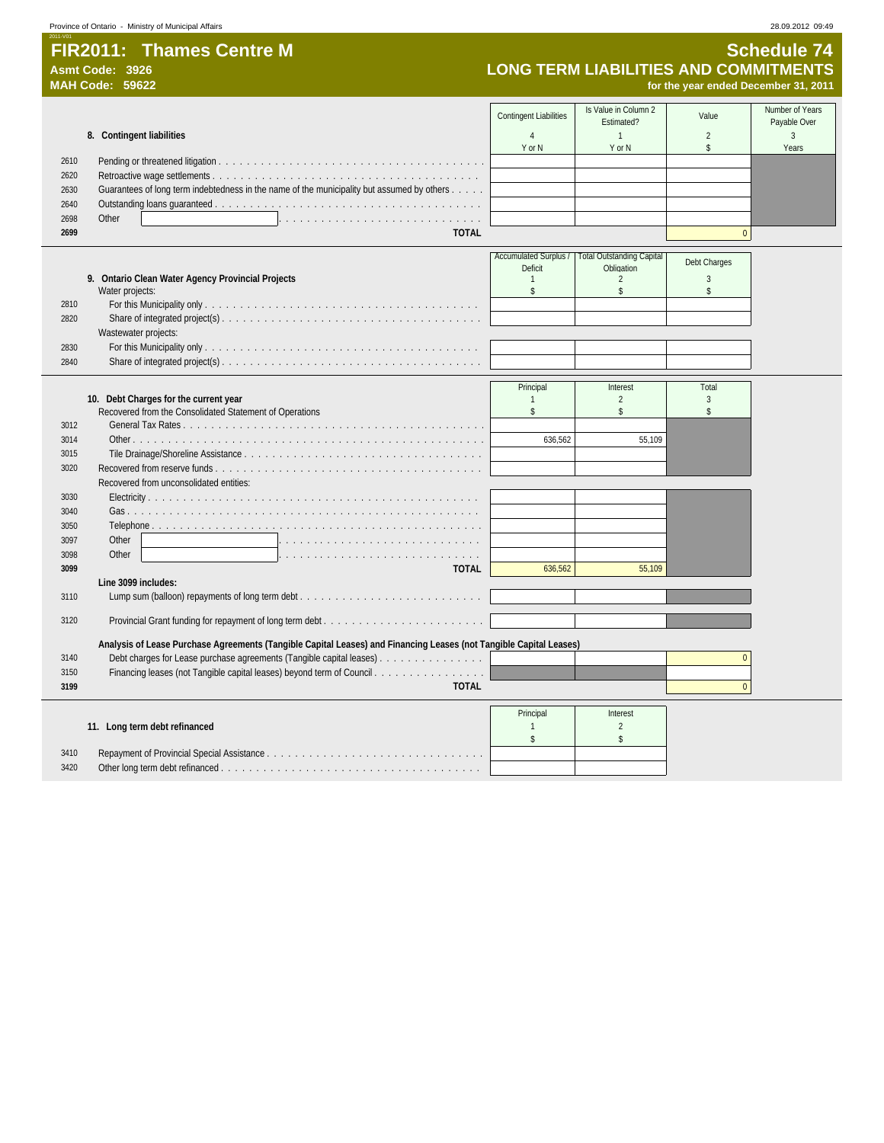## 2011-V01 **FIR2011: Thames Centre M Schedule 74**

# **Asmt Code: 3926 LONG TERM LIABILITIES AND COMMITMENTS**

|      | MAH Code: 59622                                                                                                    |                               |                                                   | for the year ended December 31, 2011 |                                 |
|------|--------------------------------------------------------------------------------------------------------------------|-------------------------------|---------------------------------------------------|--------------------------------------|---------------------------------|
|      |                                                                                                                    | <b>Contingent Liabilities</b> | Is Value in Column 2<br>Estimated?                | Value                                | Number of Years<br>Payable Over |
|      | 8. Contingent liabilities                                                                                          | $\overline{4}$<br>Y or N      | $\mathbf{1}$<br>Y or N                            | 2<br>\$                              | $\overline{3}$<br>Years         |
| 2610 |                                                                                                                    |                               |                                                   |                                      |                                 |
| 2620 |                                                                                                                    |                               |                                                   |                                      |                                 |
| 2630 | Guarantees of long term indebtedness in the name of the municipality but assumed by others                         |                               |                                                   |                                      |                                 |
| 2640 |                                                                                                                    |                               |                                                   |                                      |                                 |
| 2698 | Other                                                                                                              |                               |                                                   |                                      |                                 |
| 2699 | <b>TOTAL</b>                                                                                                       |                               |                                                   | $\mathbf{0}$                         |                                 |
|      |                                                                                                                    |                               | Accumulated Surplus /   Total Outstanding Capital | Debt Charges                         |                                 |
|      |                                                                                                                    | <b>Deficit</b>                | Obligation                                        |                                      |                                 |
|      | 9. Ontario Clean Water Agency Provincial Projects<br>Water projects:                                               | $\mathbf{1}$<br>\$            | $\overline{2}$<br>$\mathsf{s}$                    | $\mathfrak{Z}$<br>\$                 |                                 |
| 2810 |                                                                                                                    |                               |                                                   |                                      |                                 |
| 2820 |                                                                                                                    |                               |                                                   |                                      |                                 |
|      | Wastewater projects:                                                                                               |                               |                                                   |                                      |                                 |
| 2830 |                                                                                                                    |                               |                                                   |                                      |                                 |
| 2840 |                                                                                                                    |                               |                                                   |                                      |                                 |
|      |                                                                                                                    | Principal                     | Interest                                          | Total                                |                                 |
|      | 10. Debt Charges for the current year                                                                              | $\mathbf{1}$                  | $\overline{2}$                                    | $\mathbf{3}$                         |                                 |
|      | Recovered from the Consolidated Statement of Operations                                                            | \$                            | $\mathsf{s}$                                      | $\mathsf{\$}$                        |                                 |
| 3012 |                                                                                                                    |                               |                                                   |                                      |                                 |
| 3014 |                                                                                                                    | 636,562                       | 55,109                                            |                                      |                                 |
| 3015 |                                                                                                                    |                               |                                                   |                                      |                                 |
| 3020 |                                                                                                                    |                               |                                                   |                                      |                                 |
|      | Recovered from unconsolidated entities:                                                                            |                               |                                                   |                                      |                                 |
| 3030 |                                                                                                                    |                               |                                                   |                                      |                                 |
| 3040 |                                                                                                                    |                               |                                                   |                                      |                                 |
| 3050 |                                                                                                                    |                               |                                                   |                                      |                                 |
| 3097 | Other                                                                                                              |                               |                                                   |                                      |                                 |
| 3098 | Other                                                                                                              |                               |                                                   |                                      |                                 |
| 3099 | <b>TOTAL</b><br>Line 3099 includes:                                                                                | 636,562                       | 55,109                                            |                                      |                                 |
| 3110 |                                                                                                                    |                               |                                                   |                                      |                                 |
|      |                                                                                                                    |                               |                                                   |                                      |                                 |
| 3120 |                                                                                                                    |                               |                                                   |                                      |                                 |
|      | Analysis of Lease Purchase Agreements (Tangible Capital Leases) and Financing Leases (not Tangible Capital Leases) |                               |                                                   |                                      |                                 |
| 3140 | Debt charges for Lease purchase agreements (Tangible capital leases)                                               |                               |                                                   | $\mathbf{0}$                         |                                 |
| 3150 | Financing leases (not Tangible capital leases) beyond term of Council                                              |                               |                                                   |                                      |                                 |
| 3199 | <b>TOTAL</b>                                                                                                       |                               |                                                   | $\mathbf{0}$                         |                                 |
|      |                                                                                                                    | Principal                     | Interest                                          |                                      |                                 |
|      | 11. Long term debt refinanced                                                                                      | $\mathbf{1}$                  | $\overline{2}$                                    |                                      |                                 |
|      |                                                                                                                    | \$                            | \$                                                |                                      |                                 |
| 3410 |                                                                                                                    |                               |                                                   |                                      |                                 |
| 3420 |                                                                                                                    |                               |                                                   |                                      |                                 |
|      |                                                                                                                    |                               |                                                   |                                      |                                 |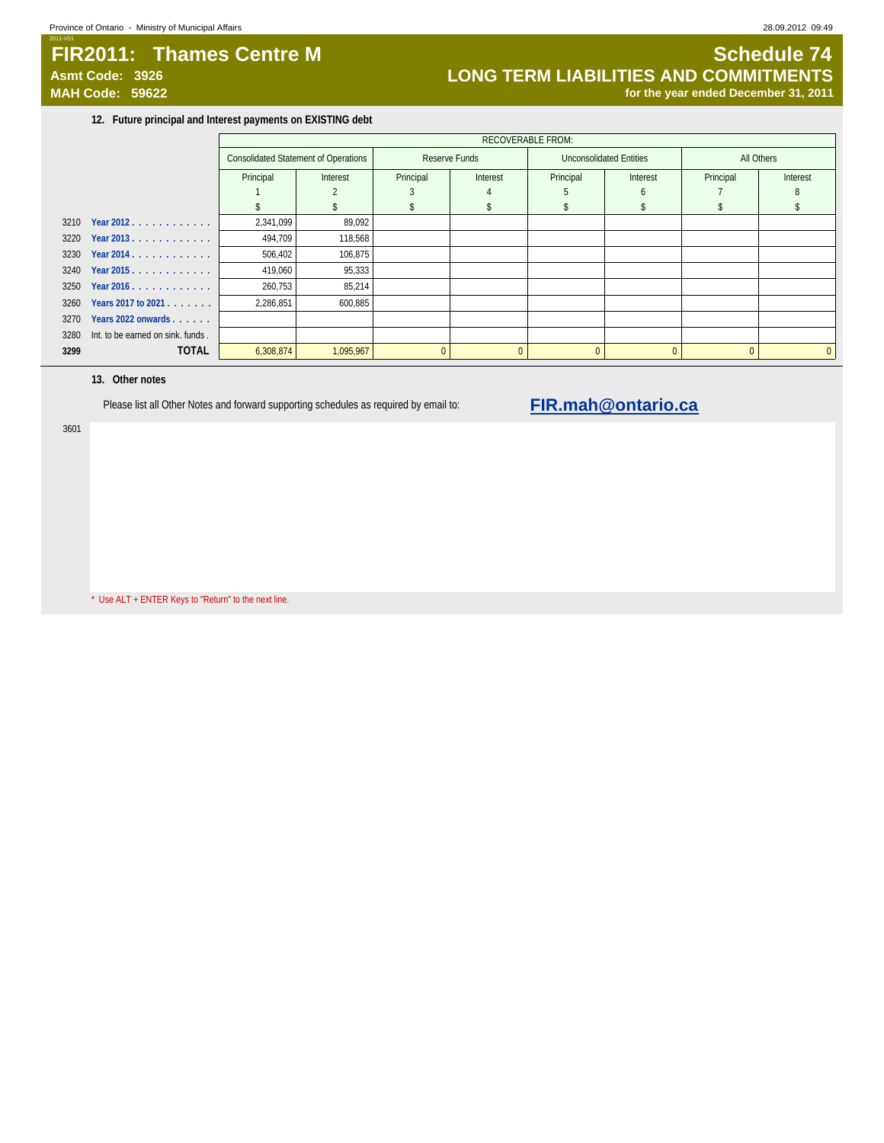# 2011-V01 **FIR2011: Thames Centre M Schedule 74**

Asmt Code: 3926 **LONG TERM LIABILITIES AND COMMITMENTS**<br>MAH Code: 59622 **<b>MAH Code: 59622 Integrated December 31, 2011** for the year ended December 31, 2011

**12. Future principal and Interest payments on EXISTING debt**

|      |                                   |           | <b>RECOVERABLE FROM:</b>                    |           |               |           |                         |           |            |  |  |  |
|------|-----------------------------------|-----------|---------------------------------------------|-----------|---------------|-----------|-------------------------|-----------|------------|--|--|--|
|      |                                   |           | <b>Consolidated Statement of Operations</b> |           | Reserve Funds |           | Unconsolidated Entities |           | All Others |  |  |  |
|      |                                   | Principal | Interest                                    | Principal | Interest      | Principal | Interest                | Principal | Interest   |  |  |  |
|      |                                   |           |                                             |           |               |           | h                       |           |            |  |  |  |
|      |                                   |           |                                             |           |               |           |                         |           |            |  |  |  |
|      | 3210 Year 2012.                   | 2,341,099 | 89,092                                      |           |               |           |                         |           |            |  |  |  |
|      | 3220 Year 2013.                   | 494,709   | 118,568                                     |           |               |           |                         |           |            |  |  |  |
|      | 3230 Year 2014.                   | 506,402   | 106,875                                     |           |               |           |                         |           |            |  |  |  |
|      | 3240 Year 2015.                   | 419,060   | 95,333                                      |           |               |           |                         |           |            |  |  |  |
|      | $3250$ Year 2016.                 | 260,753   | 85,214                                      |           |               |           |                         |           |            |  |  |  |
| 3260 | Years 2017 to 2021                | 2,286,851 | 600,885                                     |           |               |           |                         |           |            |  |  |  |
| 3270 | Years 2022 onwards                |           |                                             |           |               |           |                         |           |            |  |  |  |
| 3280 | Int. to be earned on sink, funds. |           |                                             |           |               |           |                         |           |            |  |  |  |
| 3299 | <b>TOTAL</b>                      | 6,308,874 | 1,095,967                                   |           | $\Omega$      | $\Omega$  |                         | $\Omega$  | $\Omega$   |  |  |  |

### **13. Other notes**

Please list all Other Notes and forward supporting schedules as required by email to: **FIR.mah@ontario.ca** 

3601

\* Use ALT + ENTER Keys to "Return" to the next line.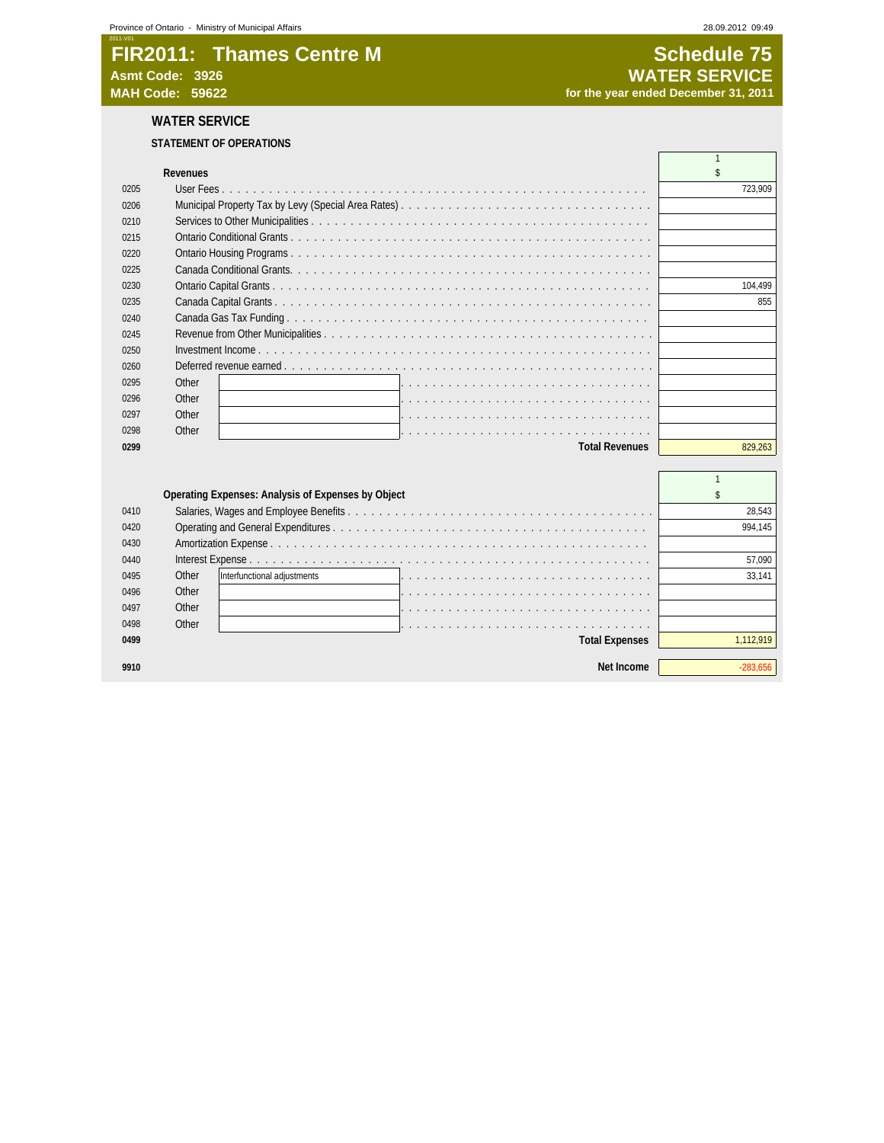# **FIR2011: Thames Centre M Schedule 75**<br>Asmt Code: 3926 **SCHEDULE 2028 Asmt Code: 3926 WATER SERVICE**

for the year ended December 31, 2011

# **WATER SERVICE**

## **STATEMENT OF OPERATIONS**

| Revenues<br>0205<br>723.909<br>0206<br>0210<br>0215<br>0220<br>0225<br>0230<br>104.499<br>0235<br>855<br>0240<br>0245<br>0250<br>0260<br>Other<br>0295 |
|--------------------------------------------------------------------------------------------------------------------------------------------------------|
|                                                                                                                                                        |
|                                                                                                                                                        |
|                                                                                                                                                        |
|                                                                                                                                                        |
|                                                                                                                                                        |
|                                                                                                                                                        |
|                                                                                                                                                        |
|                                                                                                                                                        |
|                                                                                                                                                        |
|                                                                                                                                                        |
|                                                                                                                                                        |
|                                                                                                                                                        |
|                                                                                                                                                        |
|                                                                                                                                                        |
| Other<br>0296                                                                                                                                          |
| Other<br>0297                                                                                                                                          |
| Other<br>0298                                                                                                                                          |
| <b>Total Revenues</b><br>829,263<br>0299                                                                                                               |
|                                                                                                                                                        |

|      |       | Operating Expenses: Analysis of Expenses by Object |                       |         |
|------|-------|----------------------------------------------------|-----------------------|---------|
| 0410 |       |                                                    |                       | 28.543  |
| 0420 |       |                                                    |                       | 994.145 |
| 0430 |       |                                                    |                       |         |
| 0440 |       |                                                    |                       | 57.090  |
| 0495 | Other | Interfunctional adjustments                        |                       | 33.141  |
| 0496 | Other |                                                    |                       |         |
| 0497 | Other |                                                    |                       |         |
| 0498 | Other |                                                    |                       |         |
| 0499 |       |                                                    | <b>Total Expenses</b> |         |
|      |       |                                                    |                       |         |
| 9910 |       |                                                    | Net Income            |         |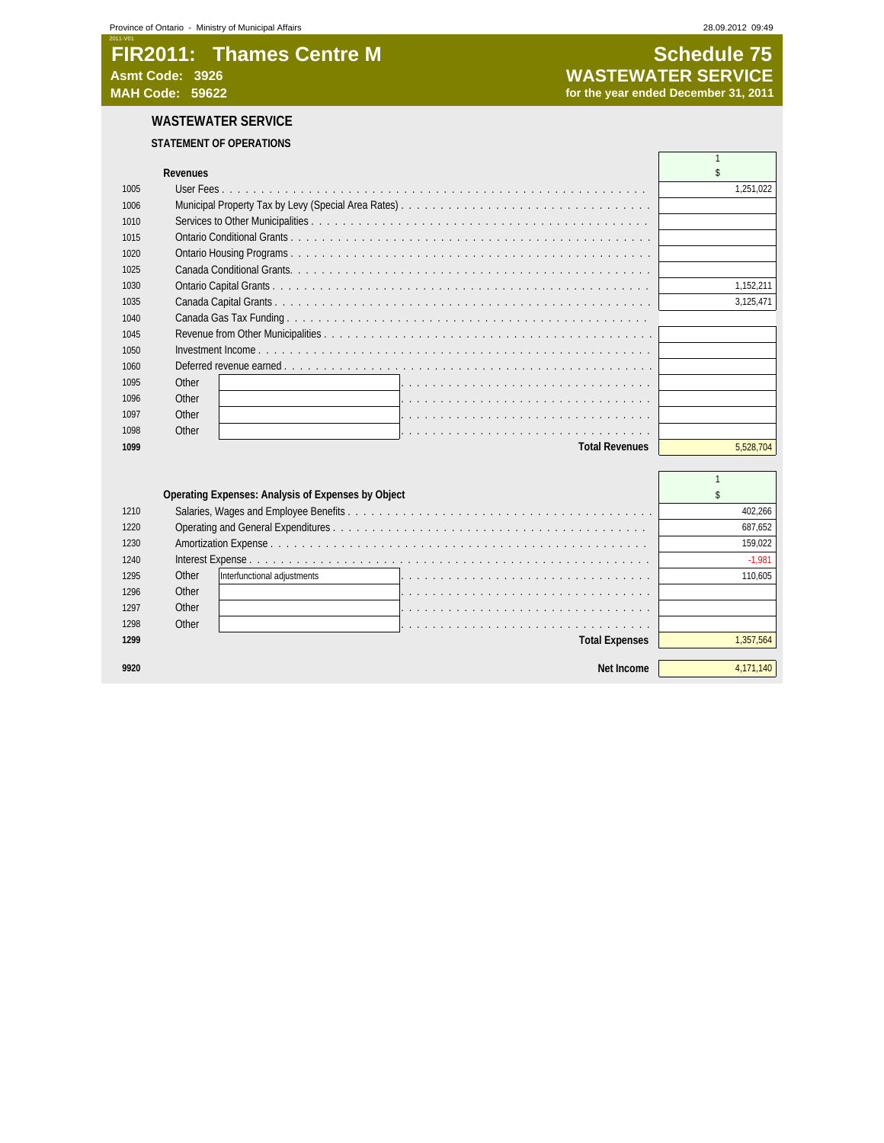# **FIR2011: Thames Centre M Schedule 75**<br>Asmt Code: 3926 **Schedule 75**<br>WASTEWATER SERVICE **Asmt Code: 3926 WASTEWATER SERVICE MAH Code: 59622 for the year ended December 31, 2011**

# **WASTEWATER SERVICE**

# **STATEMENT OF OPERATIONS**

|      | <b>Revenues</b>       |           |
|------|-----------------------|-----------|
| 1005 |                       | 1,251,022 |
| 1006 |                       |           |
| 1010 |                       |           |
| 1015 |                       |           |
| 1020 |                       |           |
| 1025 |                       |           |
| 1030 |                       | 1,152,211 |
| 1035 |                       | 3,125,471 |
| 1040 |                       |           |
| 1045 |                       |           |
| 1050 |                       |           |
| 1060 |                       |           |
| 1095 | Other                 |           |
| 1096 | Other                 |           |
| 1097 | Other                 |           |
| 1098 | Other                 |           |
| 1099 | <b>Total Revenues</b> | 5.528.704 |
|      |                       |           |

|      |       | Operating Expenses: Analysis of Expenses by Object |         |
|------|-------|----------------------------------------------------|---------|
| 1210 |       |                                                    | 402.266 |
| 1220 |       |                                                    | 687.652 |
| 1230 |       |                                                    | 159.022 |
| 1240 |       |                                                    | $-1.98$ |
| 1295 | Other | Interfunctional adjustments                        | 110.605 |
| 1296 | Other |                                                    |         |
| 1297 | Other |                                                    |         |
| 1298 | Other |                                                    |         |
| 1299 |       | <b>Total Expenses</b>                              |         |
|      |       |                                                    |         |
|      |       | Net Income                                         |         |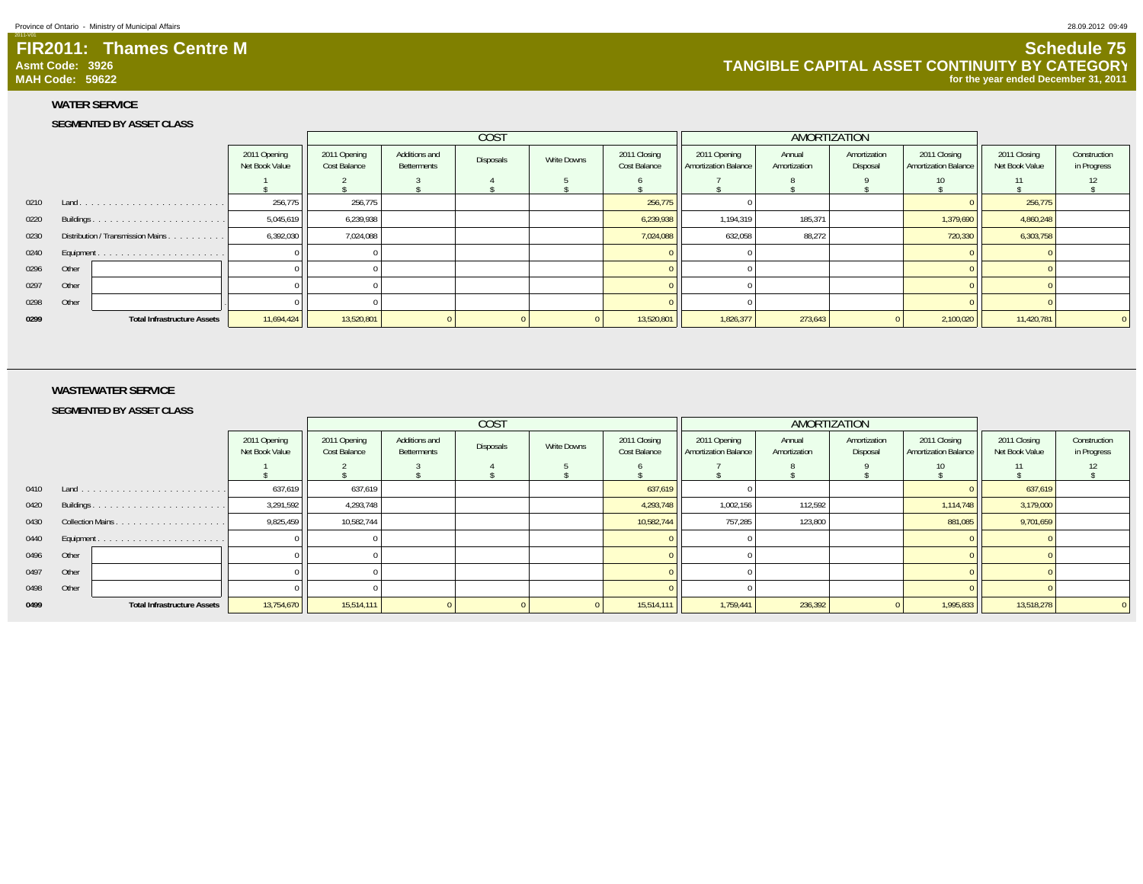### **FIR2011: Thames Centre MAsmt Code: 3926MAH Code: 59622**

# **Schedule 75 TANGIBLE CAPITAL ASSET CONTINUITY BY CATEGORY for the year ended December 31, 2011**

2011-V01

### **WATER SERVICE**

### **SEGMENTED BY ASSET CLASS**

|                    |                                         |                                |                              |                                     | COST      |             |                              | AMORTIZATION                                |                        |                          |                                             |                                |                             |
|--------------------|-----------------------------------------|--------------------------------|------------------------------|-------------------------------------|-----------|-------------|------------------------------|---------------------------------------------|------------------------|--------------------------|---------------------------------------------|--------------------------------|-----------------------------|
|                    |                                         | 2011 Opening<br>Net Book Value | 2011 Opening<br>Cost Balance | Additions and<br><b>Betterments</b> | Disposals | Write Downs | 2011 Closing<br>Cost Balance | 2011 Opening<br><b>Amortization Balance</b> | Annual<br>Amortization | Amortization<br>Disposal | 2011 Closing<br><b>Amortization Balance</b> | 2011 Closing<br>Net Book Value | Construction<br>in Progress |
|                    |                                         |                                |                              |                                     |           |             |                              |                                             |                        |                          |                                             |                                |                             |
| 0210<br>Land       | .                                       | 256,775                        | 256,775                      |                                     |           |             | 256,775                      |                                             |                        |                          |                                             | 256,775                        |                             |
| 0220<br>Buildings. | .                                       | 5,045,619                      | 6,239,938                    |                                     |           |             | 6,239,938                    | 1,194,319                                   | 185,371                |                          | 1,379,690                                   | 4,860,248                      |                             |
| 0230               | Distribution / Transmission Mains.<br>. | 6,392,030                      | 7,024,088                    |                                     |           |             | 7,024,088                    | 632,058                                     | 88.272                 |                          | 720,330                                     | 6,303,758                      |                             |
| 0240               |                                         |                                |                              |                                     |           |             |                              |                                             |                        |                          |                                             |                                |                             |
| 0296<br>Other      |                                         |                                |                              |                                     |           |             |                              |                                             |                        |                          |                                             |                                |                             |
| 0297<br>Other      |                                         |                                |                              |                                     |           |             |                              |                                             |                        |                          |                                             |                                |                             |
| 0298<br>Other      |                                         |                                |                              |                                     |           |             |                              |                                             |                        |                          |                                             |                                |                             |
| 0299               | <b>Total Infrastructure Assets</b>      | 11,694,424                     | 13,520,801                   |                                     |           |             | 13,520,801                   | 1,826,377                                   | 273,643                |                          | 2,100,020                                   | 11,420,781                     |                             |

### **WASTEWATER SERVICE**

**SEGMENTED BY ASSET CLASS**

| <b>COST</b><br>AMORTIZATION |       |                                    |                                |                              |                              |                  |             |                              |                                      |                        |                          |                                             |                                |                             |
|-----------------------------|-------|------------------------------------|--------------------------------|------------------------------|------------------------------|------------------|-------------|------------------------------|--------------------------------------|------------------------|--------------------------|---------------------------------------------|--------------------------------|-----------------------------|
|                             |       |                                    | 2011 Opening<br>Net Book Value | 2011 Opening<br>Cost Balance | Additions and<br>Betterments | <b>Disposals</b> | Write Downs | 2011 Closing<br>Cost Balance | 2011 Opening<br>Amortization Balance | Annual<br>Amortization | Amortization<br>Disposal | 2011 Closing<br><b>Amortization Balance</b> | 2011 Closing<br>Net Book Value | Construction<br>in Progress |
|                             |       |                                    |                                |                              |                              |                  |             |                              |                                      |                        |                          | 10                                          |                                | 12                          |
| 0410 Land                   |       |                                    | 637,619                        | 637,619                      |                              |                  |             | 637,619                      |                                      |                        |                          |                                             | 637,619                        |                             |
| 0420                        |       |                                    | 3,291,592                      | 4,293,748                    |                              |                  |             | 4,293,748                    | 1,002,156                            | 112,592                |                          | 1,114,748                                   | 3,179,000                      |                             |
| 0430                        |       |                                    | 9,825,459                      | 10,582,744                   |                              |                  |             | 10,582,744                   | 757,285                              | 123,800                |                          | 881,085                                     | 9,701,659                      |                             |
| 0440                        |       |                                    |                                |                              |                              |                  |             |                              |                                      |                        |                          |                                             |                                |                             |
| 0496                        | Other |                                    |                                |                              |                              |                  |             |                              |                                      |                        |                          |                                             |                                |                             |
| 0497                        | Other |                                    |                                |                              |                              |                  |             |                              |                                      |                        |                          |                                             |                                |                             |
| 0498                        | Other |                                    |                                |                              |                              |                  |             |                              |                                      |                        |                          |                                             |                                |                             |
| 0499                        |       | <b>Total Infrastructure Assets</b> | 13,754,670                     | 15,514,111                   |                              |                  |             | 15,514,111                   | 1,759,441                            | 236,392                |                          | 1,995,833                                   | 13,518,278                     |                             |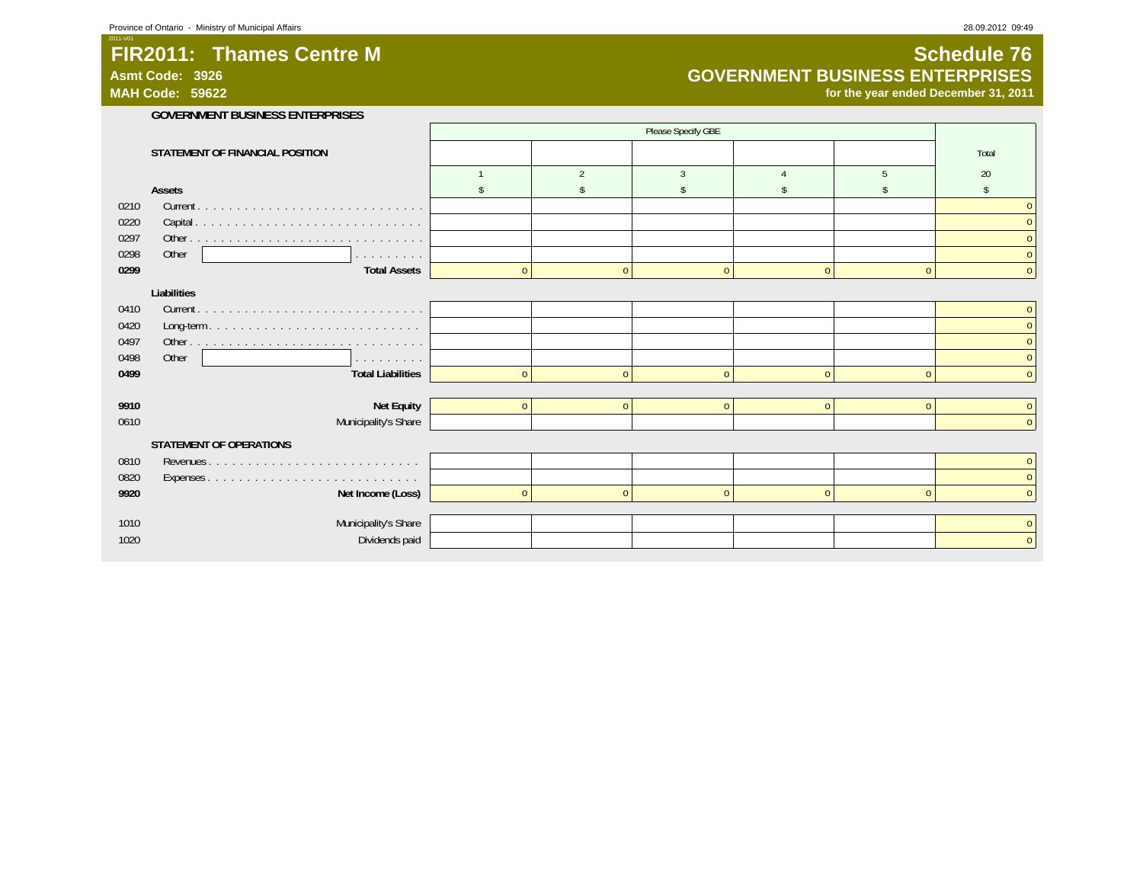**Asmt Code: 3926MAH Code: 59622**

2011-V01

# **Schedule 76 GOVERNMENT BUSINESS ENTERPRISES**

**for the year ended December 31, 2011**

|      | <b>GOVERNMENT BUSINESS ENTERPRISES</b> |              |                |                    |              |                |              |
|------|----------------------------------------|--------------|----------------|--------------------|--------------|----------------|--------------|
|      |                                        |              |                | Please Specify GBE |              |                |              |
|      | STATEMENT OF FINANCIAL POSITION        |              |                |                    |              |                | Total        |
|      |                                        |              | $\mathfrak{D}$ | 3                  |              | 5              | 20           |
|      | Assets                                 |              |                |                    |              |                |              |
| 0210 |                                        |              |                |                    |              |                | $\mathbf{0}$ |
| 0220 |                                        |              |                |                    |              |                | $\mathbf{0}$ |
| 0297 |                                        |              |                |                    |              |                | $\mathbf{0}$ |
| 0298 | Other<br>and a series and a            |              |                |                    |              |                | $\mathbf{0}$ |
| 0299 | <b>Total Assets</b>                    | $\mathbf{0}$ | $\mathbf{0}$   | $\Omega$           | $\Omega$     | $\mathbf{0}$   | $\mathbf{0}$ |
|      | Liabilities                            |              |                |                    |              |                |              |
| 0410 |                                        |              |                |                    |              |                | $\mathbf{0}$ |
| 0420 |                                        |              |                |                    |              |                | $\mathbf{0}$ |
| 0497 |                                        |              |                |                    |              |                | $\mathbf{0}$ |
| 0498 | Other<br>and a straight and            |              |                |                    |              |                | $\mathbf{0}$ |
| 0499 | <b>Total Liabilities</b>               | $\Omega$     | $\mathbf{0}$   | $\Omega$           | $\Omega$     | $\Omega$       | $\Omega$     |
|      |                                        |              |                |                    |              |                |              |
| 9910 | Net Equity                             | $\mathbf{0}$ | $\mathbf{0}$   | $\mathbf{0}$       | $\mathbf{0}$ | $\overline{0}$ | $\mathbf{0}$ |
| 0610 | Municipality's Share                   |              |                |                    |              |                | $\mathbf{0}$ |
|      | STATEMENT OF OPERATIONS                |              |                |                    |              |                |              |
| 0810 |                                        |              |                |                    |              |                | $\mathbf{0}$ |
| 0820 |                                        |              |                |                    |              |                | $\mathbf{0}$ |
| 9920 | Net Income (Loss)                      | $\mathbf{0}$ | $\mathbf{0}$   | $\Omega$           | $\Omega$     | $\Omega$       | $\Omega$     |
|      |                                        |              |                |                    |              |                |              |
| 1010 | Municipality's Share                   |              |                |                    |              |                | $\mathbf{0}$ |
| 1020 | Dividends paid                         |              |                |                    |              |                | $\mathbf{0}$ |
|      |                                        |              |                |                    |              |                |              |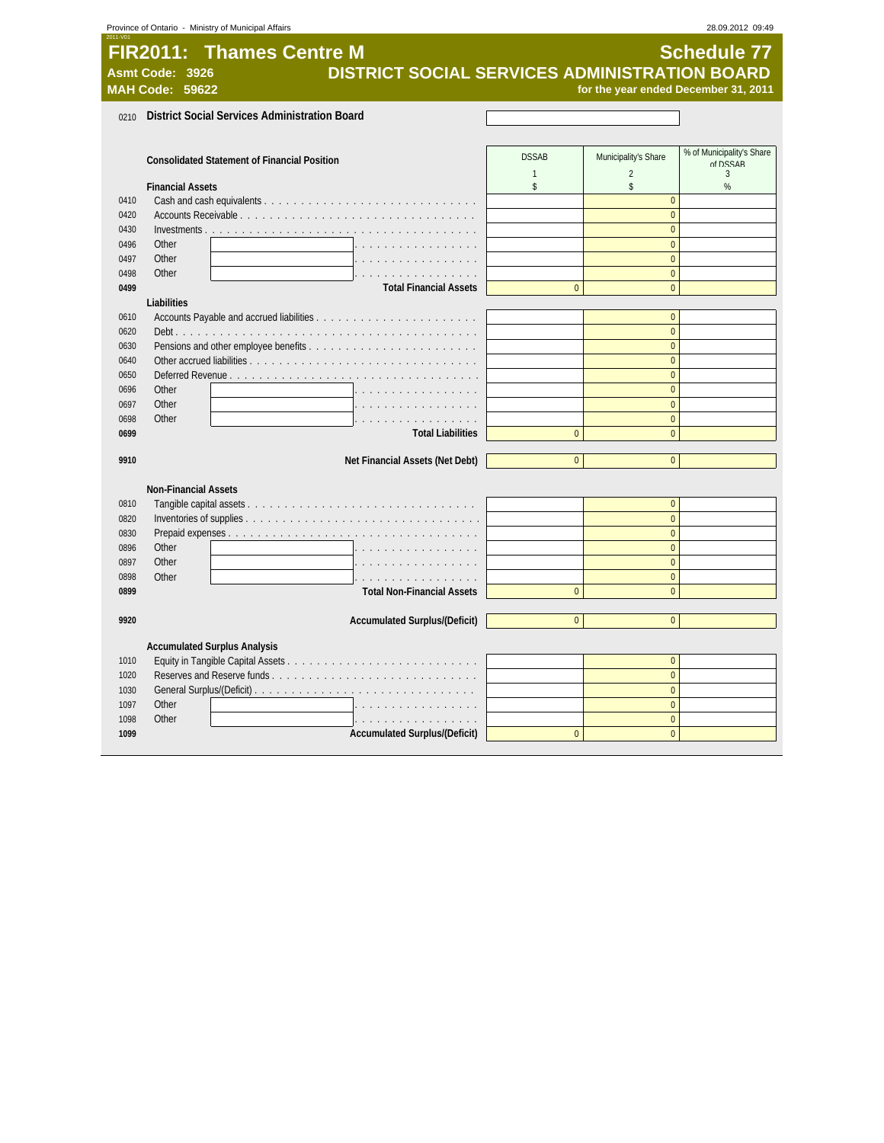|      | Province of Ontario - Ministry of Municipal Affairs              |                |                                      | 28.09.2012 09:49                      |
|------|------------------------------------------------------------------|----------------|--------------------------------------|---------------------------------------|
|      | <b>FIR2011: Thames Centre M</b>                                  |                |                                      | <b>Schedule 77</b>                    |
|      |                                                                  |                |                                      |                                       |
|      | DISTRICT SOCIAL SERVICES ADMINISTRATION BOARD<br>Asmt Code: 3926 |                |                                      |                                       |
|      | <b>MAH Code: 59622</b>                                           |                | for the year ended December 31, 2011 |                                       |
| 0210 | <b>District Social Services Administration Board</b>             |                |                                      |                                       |
|      |                                                                  |                |                                      |                                       |
|      |                                                                  |                |                                      |                                       |
|      | <b>Consolidated Statement of Financial Position</b>              | <b>DSSAB</b>   | Municipality's Share                 | % of Municipality's Share<br>of DSSAR |
|      |                                                                  | $\mathbf{1}$   | $\overline{2}$                       | $\mathbf{3}$                          |
|      | <b>Financial Assets</b>                                          | $\mathbb{S}$   | \$                                   | %                                     |
| 0410 |                                                                  |                | $\Omega$                             |                                       |
| 0420 |                                                                  |                | $\Omega$                             |                                       |
| 0430 |                                                                  |                | $\overline{0}$                       |                                       |
| 0496 | Other                                                            |                | $\overline{0}$                       |                                       |
| 0497 | Other                                                            |                | $\overline{0}$                       |                                       |
| 0498 | Other<br>.                                                       |                | $\overline{0}$                       |                                       |
| 0499 | <b>Total Financial Assets</b>                                    | $\overline{0}$ | $\overline{0}$                       |                                       |
|      | Liabilities                                                      |                |                                      |                                       |
| 0610 |                                                                  |                | $\overline{0}$                       |                                       |
| 0620 |                                                                  |                | $\overline{0}$                       |                                       |
| 0630 |                                                                  |                | $\overline{0}$                       |                                       |
| 0640 |                                                                  |                | $\overline{0}$                       |                                       |
| 0650 | Deferred Revenue                                                 |                | $\overline{0}$                       |                                       |
| 0696 | Other                                                            |                | $\Omega$                             |                                       |
| 0697 | Other                                                            |                | $\overline{0}$                       |                                       |
| 0698 | Other                                                            |                | $\overline{0}$                       |                                       |
| 0699 | <b>Total Liabilities</b>                                         | $\pmb{0}$      | $\overline{0}$                       |                                       |
| 9910 | Net Financial Assets (Net Debt)                                  | $\overline{0}$ | $\overline{0}$                       |                                       |
|      |                                                                  |                |                                      |                                       |
|      | <b>Non-Financial Assets</b>                                      |                |                                      |                                       |
| 0810 |                                                                  |                | $\overline{0}$                       |                                       |
| 0820 |                                                                  |                | $\overline{0}$                       |                                       |
| 0830 |                                                                  |                | $\overline{0}$                       |                                       |
| 0896 | Other                                                            |                | $\overline{0}$                       |                                       |
| 0897 | Other                                                            |                | $\mathbf{0}$                         |                                       |
| 0898 | Other<br>.                                                       |                | $\mathbf 0$                          |                                       |
| 0899 | <b>Total Non-Financial Assets</b>                                | $\overline{0}$ | $\overline{0}$                       |                                       |
|      |                                                                  |                |                                      |                                       |
| 9920 | <b>Accumulated Surplus/(Deficit)</b>                             | $\overline{0}$ | $\mathbf 0$                          |                                       |
|      |                                                                  |                |                                      |                                       |
|      | <b>Accumulated Surplus Analysis</b>                              |                |                                      |                                       |
| 1010 |                                                                  |                | $\overline{0}$                       |                                       |
| 1020 |                                                                  |                | $\overline{0}$                       |                                       |
| 1030 |                                                                  |                | $\overline{0}$                       |                                       |
| 1097 | Other<br>.                                                       |                | $\Omega$                             |                                       |
| 1098 | Other                                                            |                | $\Omega$                             |                                       |
| 1099 | Accumulated Surplus/(Deficit)                                    | $\Omega$       | $\Omega$                             |                                       |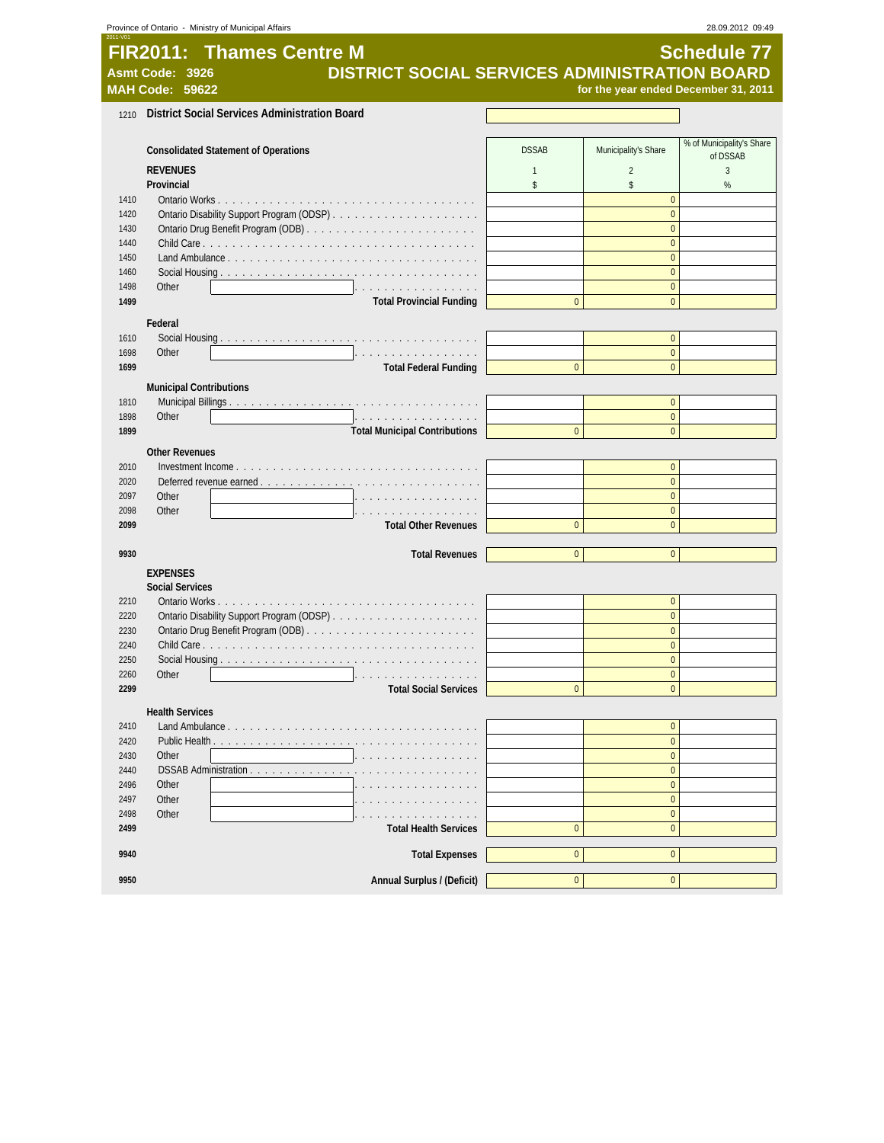|              | Province of Ontario - Ministry of Municipal Affairs                                                 |                |                                  | 28.09.2012 09:49                     |
|--------------|-----------------------------------------------------------------------------------------------------|----------------|----------------------------------|--------------------------------------|
|              | <b>FIR2011: Thames Centre M</b><br>DISTRICT SOCIAL SERVICES ADMINISTRATION BOARD<br>Asmt Code: 3926 |                |                                  | <b>Schedule 77</b>                   |
|              | <b>MAH Code: 59622</b>                                                                              |                |                                  | for the year ended December 31, 2011 |
| 1210         | <b>District Social Services Administration Board</b>                                                |                |                                  |                                      |
|              |                                                                                                     |                |                                  |                                      |
|              | <b>Consolidated Statement of Operations</b>                                                         | <b>DSSAB</b>   | Municipality's Share             | % of Municipality's Share            |
|              | <b>REVENUES</b>                                                                                     | $\mathbf{1}$   | $\overline{2}$                   | of DSSAB<br>3                        |
|              | Provincial                                                                                          | \$             | \$                               | $\%$                                 |
| 1410         |                                                                                                     |                | $\overline{0}$                   |                                      |
| 1420         |                                                                                                     |                | $\overline{0}$                   |                                      |
| 1430         |                                                                                                     |                | $\Omega$                         |                                      |
| 1440         |                                                                                                     |                | $\overline{0}$                   |                                      |
| 1450<br>1460 |                                                                                                     |                | $\mathbf 0$<br>$\overline{0}$    |                                      |
| 1498         | Other<br>.                                                                                          |                | $\overline{0}$                   |                                      |
| 1499         | <b>Total Provincial Funding</b>                                                                     | $\mathbf{0}$   | $\overline{0}$                   |                                      |
|              | Federal                                                                                             |                |                                  |                                      |
| 1610         |                                                                                                     |                | $\overline{0}$                   |                                      |
| 1698         | Other<br>1.                                                                                         |                | $\mathbf 0$                      |                                      |
| 1699         | <b>Total Federal Funding</b>                                                                        | $\mathbf{0}$   | $\overline{0}$                   |                                      |
|              | <b>Municipal Contributions</b>                                                                      |                |                                  |                                      |
| 1810         |                                                                                                     |                | $\overline{0}$                   |                                      |
| 1898         | Other<br>.                                                                                          |                | $\overline{0}$                   |                                      |
| 1899         | <b>Total Municipal Contributions</b>                                                                | $\overline{0}$ | $\overline{0}$                   |                                      |
|              | <b>Other Revenues</b>                                                                               |                |                                  |                                      |
| 2010         |                                                                                                     |                | $\overline{0}$                   |                                      |
| 2020         |                                                                                                     |                | $\overline{0}$                   |                                      |
| 2097<br>2098 | Other<br>Other<br>.                                                                                 |                | $\mathbf 0$<br>$\overline{0}$    |                                      |
| 2099         | <b>Total Other Revenues</b>                                                                         | $\mathbf{0}$   | $\overline{0}$                   |                                      |
|              |                                                                                                     |                |                                  |                                      |
| 9930         | <b>Total Revenues</b>                                                                               | $\overline{0}$ | $\overline{0}$                   |                                      |
|              | <b>EXPENSES</b>                                                                                     |                |                                  |                                      |
|              | <b>Social Services</b>                                                                              |                |                                  |                                      |
| 2210         |                                                                                                     |                | $\overline{0}$                   |                                      |
| 2220<br>2230 |                                                                                                     |                | $\overline{0}$<br>$\mathbf 0$    |                                      |
| 2240         |                                                                                                     |                | $\overline{0}$                   |                                      |
| 2250         |                                                                                                     |                | $\overline{0}$                   |                                      |
| 2260         | Other                                                                                               |                | $\bf{0}$                         |                                      |
| 2299         | <b>Total Social Services</b>                                                                        | $\mathbf 0$    | $\overline{0}$                   |                                      |
|              | <b>Health Services</b>                                                                              |                |                                  |                                      |
| 2410         | Land Ambulance.                                                                                     |                | $\overline{0}$                   |                                      |
| 2420         | Public Health                                                                                       |                | $\overline{0}$                   |                                      |
| 2430         | Other                                                                                               |                | $\overline{0}$                   |                                      |
| 2440<br>2496 | DSSAB Administration<br>Other                                                                       |                | $\overline{0}$<br>$\overline{0}$ |                                      |
| 2497         | Other                                                                                               |                | $\bf{0}$                         |                                      |
| 2498         | Other                                                                                               |                | $\overline{0}$                   |                                      |
| 2499         | <b>Total Health Services</b>                                                                        | $\mathbf{0}$   | $\overline{0}$                   |                                      |
| 9940         | <b>Total Expenses</b>                                                                               | $\pmb{0}$      | $\overline{0}$                   |                                      |
|              |                                                                                                     |                |                                  |                                      |
| 9950         | Annual Surplus / (Deficit)                                                                          | $\pmb{0}$      | $\mathbf 0$                      |                                      |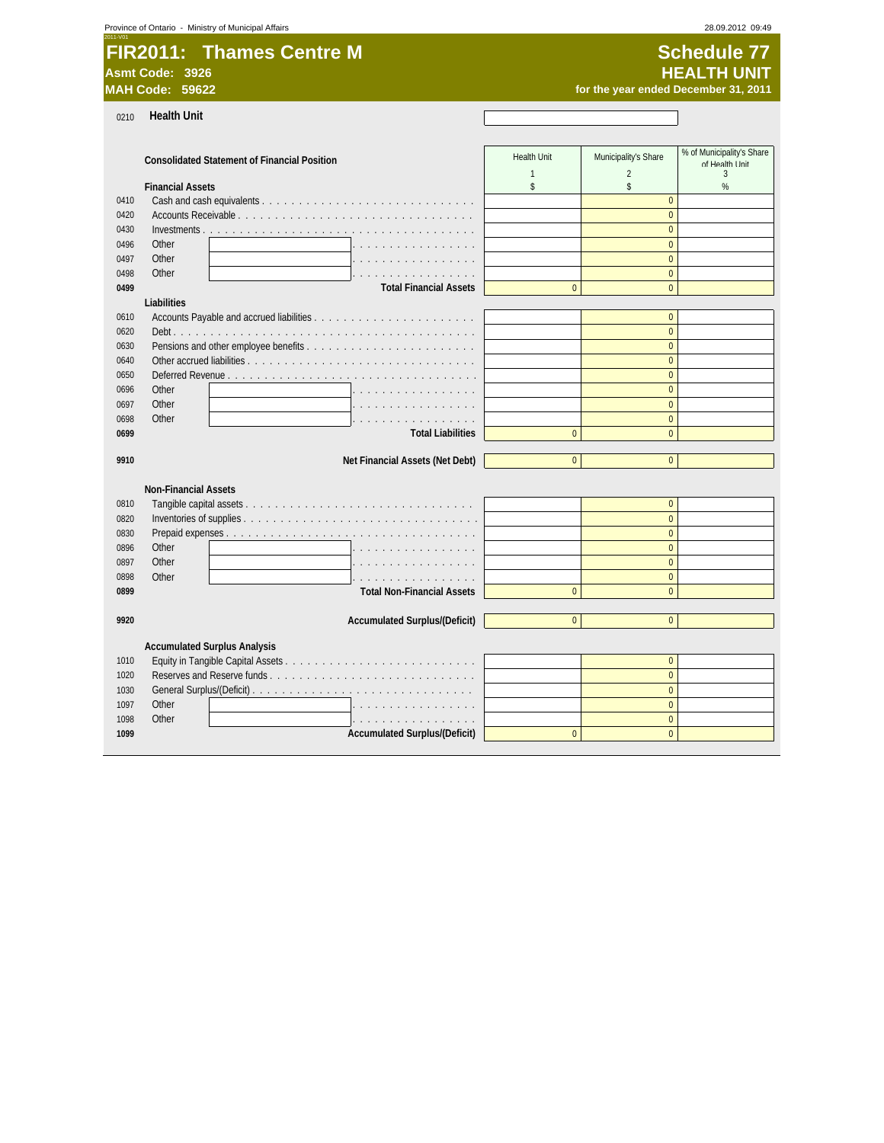| 2011-V01                        |                    |
|---------------------------------|--------------------|
| <b>FIR2011: Thames Centre M</b> | Schedule 77        |
| Asmt Code: 3926                 | <b>HEALTH UNIT</b> |

0210 **Health Unit**

**Schedule 77 MAH Code: 59622 for the year ended December 31, 2011**

 $\overline{\phantom{a}}$ 

|      | <b>Consolidated Statement of Financial Position</b>  | <b>Health Unit</b> | Municipality's Share | % of Municipality's Share |
|------|------------------------------------------------------|--------------------|----------------------|---------------------------|
|      |                                                      | $\mathbf{1}$       | $\overline{2}$       | of Health I Init<br>3     |
|      | <b>Financial Assets</b>                              | \$                 | \$                   | %                         |
| 0410 |                                                      |                    | $\mathbf{0}$         |                           |
| 0420 |                                                      |                    | $\Omega$             |                           |
| 0430 |                                                      |                    | $\Omega$             |                           |
| 0496 | Other                                                |                    | $\Omega$             |                           |
| 0497 | Other                                                |                    | $\overline{0}$       |                           |
| 0498 | Other<br>and a company of the company of the company |                    | $\mathbf{0}$         |                           |
| 0499 | <b>Total Financial Assets</b>                        | $\Omega$           | $\Omega$             |                           |
|      | Liabilities                                          |                    |                      |                           |
| 0610 |                                                      |                    | $\mathbf{0}$         |                           |
| 0620 |                                                      |                    | $\Omega$             |                           |
| 0630 |                                                      |                    | $\mathbf{0}$         |                           |
| 0640 |                                                      |                    | $\Omega$             |                           |
| 0650 |                                                      |                    | $\overline{0}$       |                           |
| 0696 | Other                                                |                    | $\Omega$             |                           |
| 0697 | Other                                                |                    | $\overline{0}$       |                           |
| 0698 | Other<br>.                                           |                    | $\Omega$             |                           |
| 0699 | <b>Total Liabilities</b>                             | $\mathbf{0}$       | $\overline{0}$       |                           |
|      |                                                      |                    |                      |                           |
| 9910 | Net Financial Assets (Net Debt)                      | $\mathbf{0}$       | $\overline{0}$       |                           |
|      |                                                      |                    |                      |                           |
|      | <b>Non-Financial Assets</b>                          |                    |                      |                           |
| 0810 |                                                      |                    | $\mathbf{0}$         |                           |
| 0820 |                                                      |                    | $\mathbf{0}$         |                           |
| 0830 |                                                      |                    | $\Omega$             |                           |
| 0896 | Other                                                |                    | $\Omega$             |                           |
| 0897 | Other                                                |                    | $\Omega$             |                           |
| 0898 | Other<br>.                                           |                    | $\overline{0}$       |                           |
| 0899 | <b>Total Non-Financial Assets</b>                    | $\mathbf{0}$       | $\Omega$             |                           |
|      |                                                      |                    |                      |                           |
| 9920 | <b>Accumulated Surplus/(Deficit)</b>                 | $\mathbf{0}$       | $\mathbf{0}$         |                           |
|      |                                                      |                    |                      |                           |
|      | <b>Accumulated Surplus Analysis</b>                  |                    |                      |                           |
| 1010 |                                                      |                    | $\mathbf{0}$         |                           |
| 1020 |                                                      |                    | $\Omega$             |                           |
| 1030 |                                                      |                    | $\overline{0}$       |                           |
| 1097 | Other<br>.                                           |                    | $\mathbf{0}$         |                           |
| 1098 | Other<br>.                                           |                    | $\overline{0}$       |                           |
| 1099 | <b>Accumulated Surplus/(Deficit)</b>                 | $\Omega$           | $\Omega$             |                           |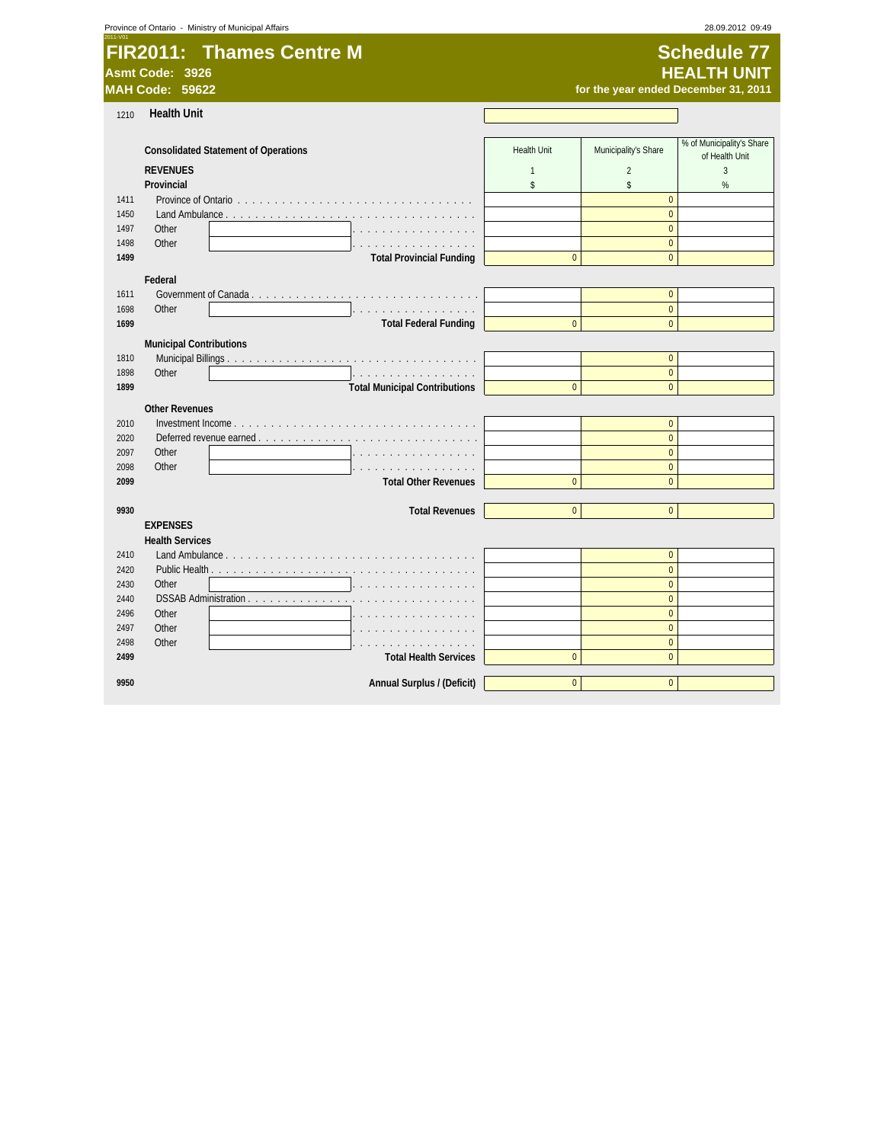|  |  | Province of Ontario - Ministry of Municipal Affairs |  |
|--|--|-----------------------------------------------------|--|
|--|--|-----------------------------------------------------|--|

| 2011-V01                        |                    |
|---------------------------------|--------------------|
| <b>FIR2011: Thames Centre M</b> | Schedule 77        |
| Asmt Code: 3926                 | <b>HEALTH UNIT</b> |

**Schedule 77 MAH Code: 59622 for the year ended December 31, 2011**

| 1210         | <b>Health Unit</b>                          |                    |                                |                                             |
|--------------|---------------------------------------------|--------------------|--------------------------------|---------------------------------------------|
|              |                                             |                    |                                |                                             |
|              | <b>Consolidated Statement of Operations</b> | <b>Health Unit</b> | Municipality's Share           | % of Municipality's Share<br>of Health Unit |
|              | <b>REVENUES</b>                             | $\mathbf{1}$       | $\overline{2}$                 | 3                                           |
|              | Provincial                                  | \$                 | \$                             | %                                           |
| 1411         |                                             |                    | $\pmb{0}$                      |                                             |
| 1450         | Land Ambulance                              |                    | $\overline{0}$                 |                                             |
| 1497         | Other                                       |                    | $\overline{0}$                 |                                             |
| 1498         | Other                                       |                    | $\mathbf{0}$                   |                                             |
| 1499         | <b>Total Provincial Funding</b>             | $\mathbf{0}$       | $\overline{0}$                 |                                             |
|              | Federal                                     |                    |                                |                                             |
| 1611         |                                             |                    | $\pmb{0}$                      |                                             |
| 1698         | Other<br>.                                  |                    | $\overline{0}$                 |                                             |
| 1699         | <b>Total Federal Funding</b>                | $\mathbf{0}$       | $\mathbf{0}$                   |                                             |
|              | <b>Municipal Contributions</b>              |                    |                                |                                             |
| 1810         |                                             |                    | $\mathbf{0}$                   |                                             |
| 1898         | Other<br>.                                  |                    | $\mathbf{0}$                   |                                             |
| 1899         | <b>Total Municipal Contributions</b>        | $\mathbf{0}$       | $\Omega$                       |                                             |
|              | <b>Other Revenues</b>                       |                    |                                |                                             |
| 2010         |                                             |                    | $\mathbf{0}$                   |                                             |
| 2020         | Deferred revenue earned                     |                    | $\theta$                       |                                             |
| 2097         | Other                                       |                    | $\Omega$                       |                                             |
| 2098         | Other                                       |                    | $\mathbf{0}$                   |                                             |
| 2099         | <b>Total Other Revenues</b>                 | $\Omega$           | $\theta$                       |                                             |
|              |                                             |                    |                                |                                             |
| 9930         | <b>Total Revenues</b>                       | $\Omega$           | $\Omega$                       |                                             |
|              | <b>EXPENSES</b>                             |                    |                                |                                             |
|              | <b>Health Services</b>                      |                    |                                |                                             |
| 2410         |                                             |                    | $\mathbf{0}$                   |                                             |
| 2420         |                                             |                    | $\Omega$                       |                                             |
| 2430         | Other                                       |                    | $\Omega$                       |                                             |
| 2440         | DSSAB Administration<br>Other               |                    | $\overline{0}$                 |                                             |
| 2496<br>2497 | Other                                       |                    | $\mathbf{0}$<br>$\overline{0}$ |                                             |
| 2498         | Other                                       |                    | $\pmb{0}$                      |                                             |
| 2499         | <b>Total Health Services</b>                | $\mathbf{0}$       | $\overline{0}$                 |                                             |
|              |                                             |                    |                                |                                             |
| 9950         | Annual Surplus / (Deficit)                  | $\mathbf{0}$       | $\mathbf{0}$                   |                                             |
|              |                                             |                    |                                |                                             |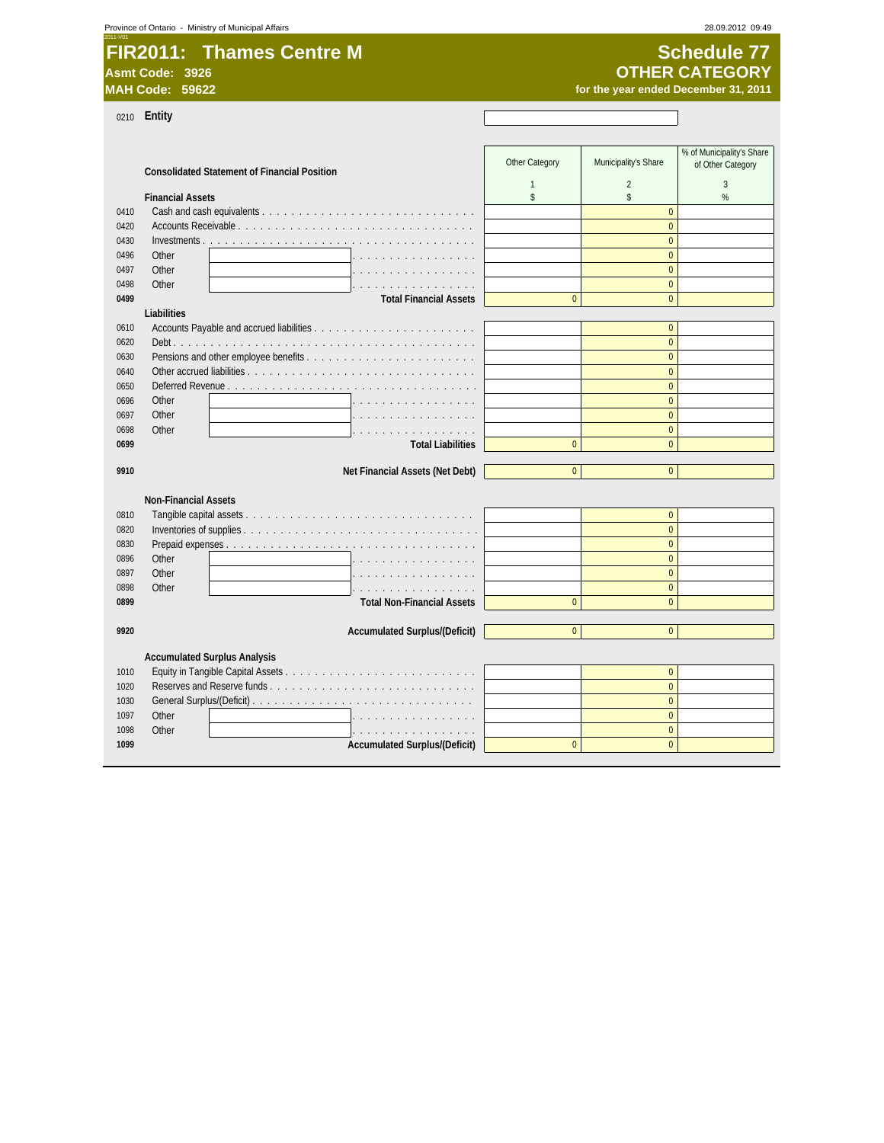|  |  | Province of Ontario - Ministry of Municipal Affairs |
|--|--|-----------------------------------------------------|
|--|--|-----------------------------------------------------|

| 2011-V01        |                                 |  |
|-----------------|---------------------------------|--|
|                 | <b>FIR2011: Thames Centre M</b> |  |
| Asmt Code: 3926 |                                 |  |

# **Schedule 77 MAH Code: 59622** *MAH Code: 59622 for the year ended December 31, 2011* **OTHER CATEGORY**

 $\mathbf{r}$ 

28.09.2012 09:49

0210 **Entity**

|      | 0210 <b>ENIIIY</b>                                  |                |                      |                                                |
|------|-----------------------------------------------------|----------------|----------------------|------------------------------------------------|
|      | <b>Consolidated Statement of Financial Position</b> | Other Category | Municipality's Share | % of Municipality's Share<br>of Other Category |
|      |                                                     | 1              | $\overline{2}$       | 3                                              |
|      | <b>Financial Assets</b>                             | \$             | $\mathsf{\$}$        | $\%$                                           |
| 0410 |                                                     |                | $\Omega$<br>$\Omega$ |                                                |
| 0420 |                                                     |                |                      |                                                |
| 0430 |                                                     |                | $\overline{0}$       |                                                |
| 0496 | Other                                               |                | $\mathbf{0}$         |                                                |
| 0497 | Other                                               |                | $\mathbf{0}$         |                                                |
| 0498 | Other<br>.                                          |                | $\Omega$             |                                                |
| 0499 | <b>Total Financial Assets</b>                       | $\overline{0}$ | $\Omega$             |                                                |
|      | Liabilities                                         |                |                      |                                                |
| 0610 |                                                     |                | $\mathbf{0}$         |                                                |
| 0620 |                                                     |                | $\Omega$             |                                                |
| 0630 |                                                     |                | $\Omega$             |                                                |
| 0640 |                                                     |                | $\Omega$             |                                                |
| 0650 |                                                     |                | $\Omega$             |                                                |
| 0696 | Other                                               |                | $\mathbf{0}$         |                                                |
| 0697 | Other                                               |                | $\Omega$             |                                                |
| 0698 | Other                                               |                | $\mathbf{0}$         |                                                |
| 0699 | <b>Total Liabilities</b>                            | $\Omega$       | $\Omega$             |                                                |
| 9910 | Net Financial Assets (Net Debt)                     | $\Omega$       | $\Omega$             |                                                |
|      |                                                     |                |                      |                                                |
|      | <b>Non-Financial Assets</b>                         |                |                      |                                                |
| 0810 |                                                     |                | $\Omega$             |                                                |
| 0820 |                                                     |                | $\Omega$             |                                                |
| 0830 |                                                     |                | $\Omega$             |                                                |
| 0896 | Other                                               |                | $\Omega$             |                                                |
| 0897 | Other                                               |                | $\mathbf{0}$         |                                                |
| 0898 | Other<br>.                                          |                | $\mathbf{0}$         |                                                |
| 0899 | <b>Total Non-Financial Assets</b>                   | $\Omega$       | $\Omega$             |                                                |
|      |                                                     |                |                      |                                                |
| 9920 | <b>Accumulated Surplus/(Deficit)</b>                | $\Omega$       | $\Omega$             |                                                |
|      |                                                     |                |                      |                                                |
|      | <b>Accumulated Surplus Analysis</b>                 |                |                      |                                                |
| 1010 |                                                     |                | $\mathbf{0}$         |                                                |
| 1020 |                                                     |                | $\Omega$             |                                                |
| 1030 |                                                     |                | $\Omega$             |                                                |
| 1097 | Other                                               |                | $\Omega$             |                                                |
| 1098 | Other<br>.                                          |                | $\Omega$             |                                                |
| 1099 | <b>Accumulated Surplus/(Deficit)</b>                | $\overline{0}$ | $\Omega$             |                                                |
|      |                                                     |                |                      |                                                |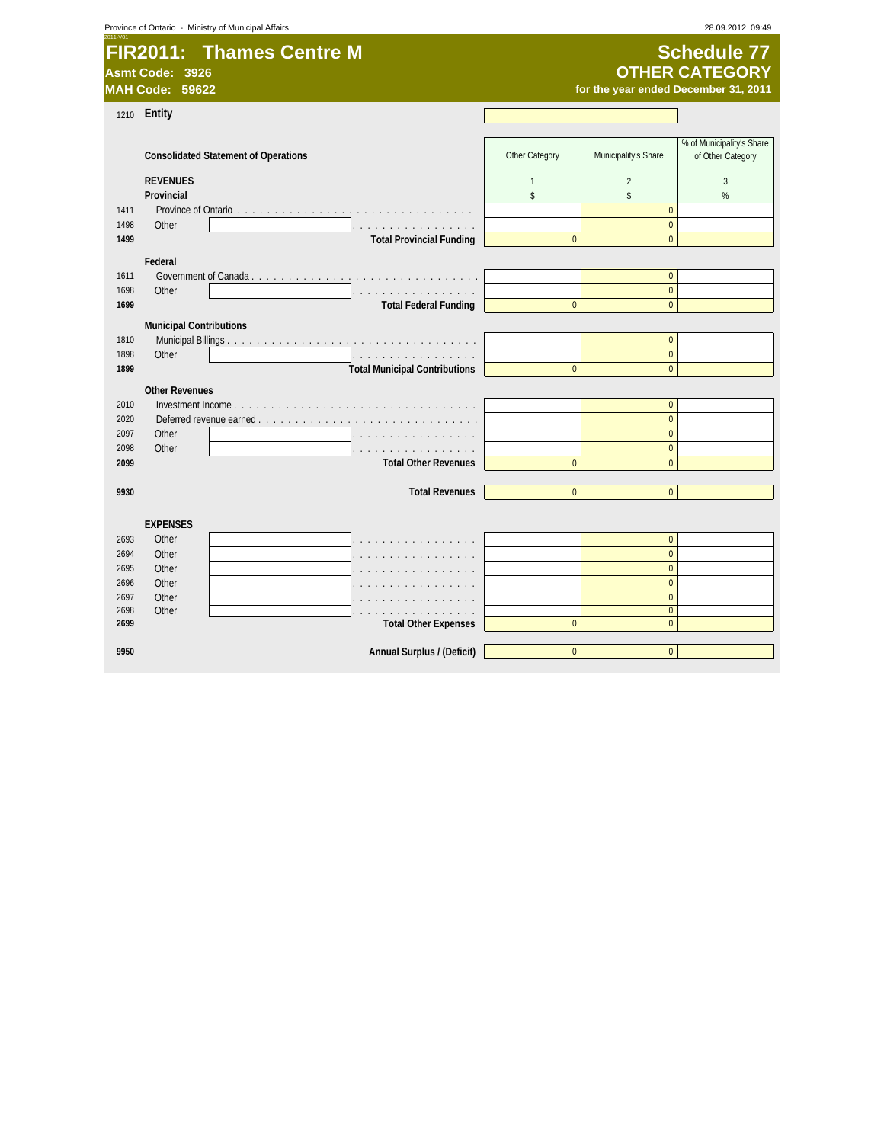| Province of Ontario - Ministry of Municipal Affairs |  |  |  |
|-----------------------------------------------------|--|--|--|
|-----------------------------------------------------|--|--|--|

**FIR2011: Thames Centre M Schedule 77 Asmt Code: 3926**

# **OTHER CATEGORY**

**MAH Code: 59622 for the year ended December 31, 2011**

1210 **Entity**

|              |                                |                                             | Other Category |                                | % of Municipality's Share |
|--------------|--------------------------------|---------------------------------------------|----------------|--------------------------------|---------------------------|
|              |                                | <b>Consolidated Statement of Operations</b> |                | Municipality's Share           | of Other Category         |
|              | <b>REVENUES</b>                |                                             | $\overline{1}$ | $\overline{2}$                 | 3                         |
|              | Provincial                     |                                             | s.             | \$                             | %                         |
| 1411         |                                |                                             |                | $\mathbf{0}$                   |                           |
| 1498         | Other                          | .                                           |                | $\mathbf{0}$                   |                           |
| 1499         |                                | <b>Total Provincial Funding</b>             | $\mathbf{0}$   | $\Omega$                       |                           |
|              | Federal                        |                                             |                |                                |                           |
| 1611         |                                |                                             |                | $\mathbf{0}$                   |                           |
| 1698         | Other                          |                                             |                | $\pmb{0}$                      |                           |
| 1699         |                                | <b>Total Federal Funding</b>                | $\Omega$       | $\overline{0}$                 |                           |
|              | <b>Municipal Contributions</b> |                                             |                |                                |                           |
| 1810         |                                |                                             |                | $\overline{0}$                 |                           |
| 1898         | Other                          | .                                           |                | $\overline{0}$                 |                           |
| 1899         |                                | <b>Total Municipal Contributions</b>        | $\mathbf{0}$   | $\mathbf{0}$                   |                           |
|              |                                |                                             |                |                                |                           |
|              | <b>Other Revenues</b>          |                                             |                |                                |                           |
| 2010         |                                |                                             |                | $\mathbf{0}$                   |                           |
| 2020<br>2097 | Other                          | Deferred revenue earned                     |                | $\mathbf{0}$<br>$\overline{0}$ |                           |
| 2098         | Other                          |                                             |                | $\mathbf 0$                    |                           |
| 2099         |                                | <b>Total Other Revenues</b>                 | $\mathbf{0}$   | $\mathbf{0}$                   |                           |
|              |                                |                                             |                |                                |                           |
| 9930         |                                | <b>Total Revenues</b>                       | $\mathbf{0}$   | $\mathbf{0}$                   |                           |
|              |                                |                                             |                |                                |                           |
|              | <b>EXPENSES</b>                |                                             |                |                                |                           |
| 2693         | Other                          |                                             |                | $\mathbf{0}$                   |                           |
| 2694         | Other                          |                                             |                | $\overline{0}$                 |                           |
| 2695         | Other                          |                                             |                | $\overline{0}$                 |                           |
| 2696         | Other                          |                                             |                | $\overline{0}$                 |                           |
| 2697         | Other                          |                                             |                | $\overline{0}$                 |                           |
| 2698         | Other                          |                                             |                | $\mathbf{0}$                   |                           |
| 2699         |                                | <b>Total Other Expenses</b>                 | $\bf 0$        | $\pmb{0}$                      |                           |
|              |                                |                                             |                |                                |                           |
| 9950         |                                | Annual Surplus / (Deficit)                  | $\bf 0$        | $\mathbf 0$                    |                           |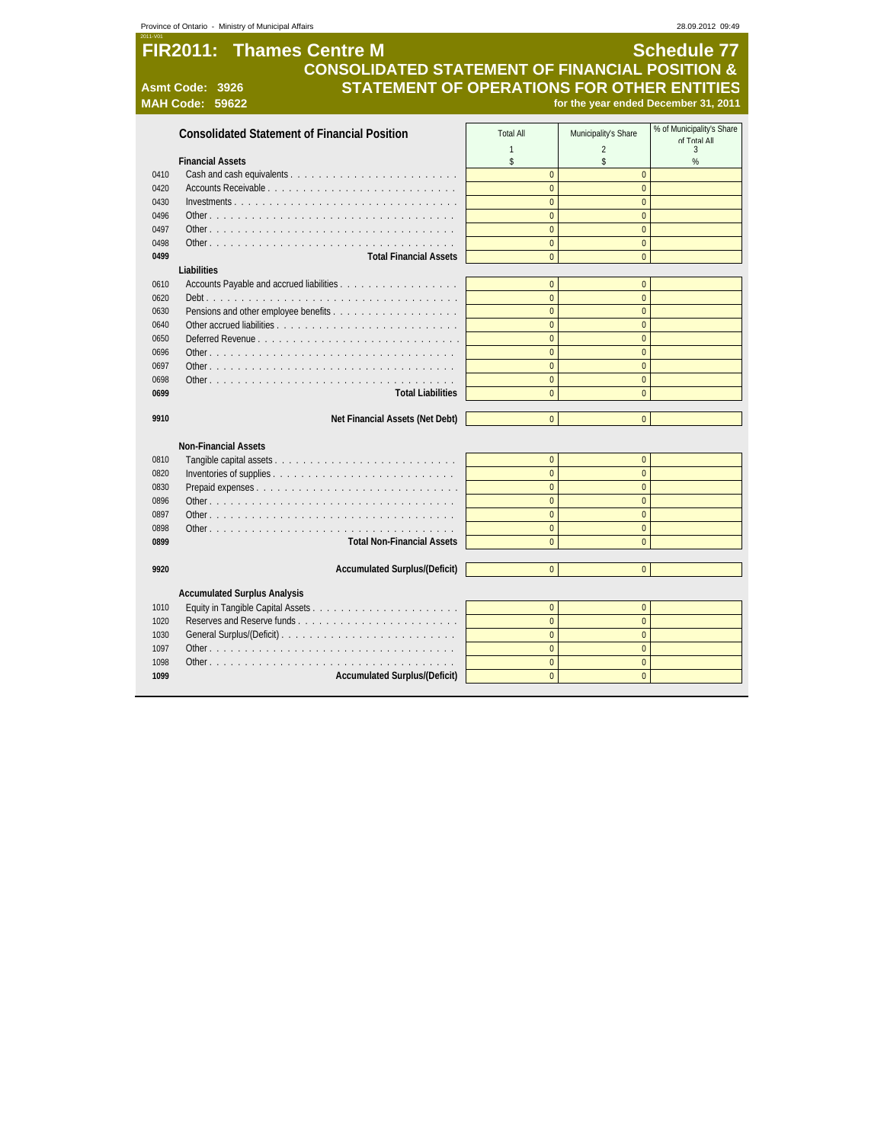| <b>FIR2011: Thames Centre M</b><br><b>Schedule 77</b><br><b>CONSOLIDATED STATEMENT OF FINANCIAL POSITION &amp;</b><br><b>STATEMENT OF OPERATIONS FOR OTHER ENTITIES</b><br>Asmt Code: 3926<br><b>MAH Code: 59622</b><br>for the year ended December 31, 2011<br>% of Municipality's Share<br><b>Consolidated Statement of Financial Position</b><br>Municipality's Share<br><b>Total All</b><br><b>IIA Ictor</b> To<br>$\mathbf{1}$<br>$\overline{2}$<br>$\overline{3}$<br>\$<br>\$<br>%<br><b>Financial Assets</b><br>$\overline{0}$<br>$\mathbf{0}$<br>0410<br>$\overline{0}$<br>$\overline{0}$<br>0420<br>$\overline{0}$<br>$\overline{0}$<br>0430<br>$\overline{0}$<br>$\overline{0}$<br>0496<br>Other<br>0497<br>$\overline{0}$<br>$\overline{0}$<br>$\overline{0}$<br>$\overline{0}$<br>0498<br>$\overline{0}$<br>$\overline{0}$<br><b>Total Financial Assets</b><br>0499<br>Liabilities<br>$\overline{0}$<br>$\overline{0}$<br>0610<br>Accounts Payable and accrued liabilities<br>$\mathbf{0}$<br>$\overline{0}$<br>0620<br>$\overline{0}$<br>$\overline{0}$<br>0630<br>$\overline{0}$<br>$\overline{0}$<br>0640<br>$\overline{0}$<br>$\overline{0}$<br>0650<br>Deferred Revenue<br>$\overline{0}$<br>$\overline{0}$<br>0696<br>$\overline{0}$<br>$\overline{0}$<br>0697<br>$\overline{0}$<br>$\overline{0}$<br>0698<br>$\overline{0}$<br>$\overline{0}$<br>0699<br><b>Total Liabilities</b><br>Net Financial Assets (Net Debt)<br>$\overline{0}$<br>$\overline{0}$<br>9910<br><b>Non-Financial Assets</b><br>$\overline{0}$<br>$\overline{0}$<br>0810<br>$\overline{0}$<br>$\overline{0}$<br>0820<br>$\overline{0}$<br>$\overline{0}$<br>Prepaid expenses<br>0830<br>$\overline{0}$<br>$\overline{0}$<br>0896<br>$\mathbf{0}$<br>$\mathbf 0$<br>0897<br>$\mathbf 0$<br>$\mathbf 0$<br>0898<br>$\overline{0}$<br>0899<br><b>Total Non-Financial Assets</b><br>$\overline{0}$<br>$\overline{0}$<br>9920<br><b>Accumulated Surplus/(Deficit)</b><br>$\overline{0}$<br><b>Accumulated Surplus Analysis</b><br>$\mathbf{0}$<br>$\overline{0}$<br>1010<br>$\overline{0}$<br>$\overline{0}$<br>1020<br>$\overline{0}$<br>$\overline{0}$<br>General Surplus/(Deficit)<br>1030<br>$\overline{0}$<br>$\overline{0}$<br>1097<br>$\overline{0}$<br>$\overline{0}$<br>1098<br><b>Accumulated Surplus/(Deficit)</b><br>$\overline{0}$<br>$\overline{0}$<br>1099 | Province of Ontario - Ministry of Municipal Affairs |  | 28.09.2012 09:49 |
|------------------------------------------------------------------------------------------------------------------------------------------------------------------------------------------------------------------------------------------------------------------------------------------------------------------------------------------------------------------------------------------------------------------------------------------------------------------------------------------------------------------------------------------------------------------------------------------------------------------------------------------------------------------------------------------------------------------------------------------------------------------------------------------------------------------------------------------------------------------------------------------------------------------------------------------------------------------------------------------------------------------------------------------------------------------------------------------------------------------------------------------------------------------------------------------------------------------------------------------------------------------------------------------------------------------------------------------------------------------------------------------------------------------------------------------------------------------------------------------------------------------------------------------------------------------------------------------------------------------------------------------------------------------------------------------------------------------------------------------------------------------------------------------------------------------------------------------------------------------------------------------------------------------------------------------------------------------------------------------------------------------------------------------------------------------------------------------------------------------------------------------------------------------------------------------------------------------------------------------------------------------------------------------------------------------------------------------------------------|-----------------------------------------------------|--|------------------|
|                                                                                                                                                                                                                                                                                                                                                                                                                                                                                                                                                                                                                                                                                                                                                                                                                                                                                                                                                                                                                                                                                                                                                                                                                                                                                                                                                                                                                                                                                                                                                                                                                                                                                                                                                                                                                                                                                                                                                                                                                                                                                                                                                                                                                                                                                                                                                            |                                                     |  |                  |
|                                                                                                                                                                                                                                                                                                                                                                                                                                                                                                                                                                                                                                                                                                                                                                                                                                                                                                                                                                                                                                                                                                                                                                                                                                                                                                                                                                                                                                                                                                                                                                                                                                                                                                                                                                                                                                                                                                                                                                                                                                                                                                                                                                                                                                                                                                                                                            |                                                     |  |                  |
|                                                                                                                                                                                                                                                                                                                                                                                                                                                                                                                                                                                                                                                                                                                                                                                                                                                                                                                                                                                                                                                                                                                                                                                                                                                                                                                                                                                                                                                                                                                                                                                                                                                                                                                                                                                                                                                                                                                                                                                                                                                                                                                                                                                                                                                                                                                                                            |                                                     |  |                  |
|                                                                                                                                                                                                                                                                                                                                                                                                                                                                                                                                                                                                                                                                                                                                                                                                                                                                                                                                                                                                                                                                                                                                                                                                                                                                                                                                                                                                                                                                                                                                                                                                                                                                                                                                                                                                                                                                                                                                                                                                                                                                                                                                                                                                                                                                                                                                                            |                                                     |  |                  |
|                                                                                                                                                                                                                                                                                                                                                                                                                                                                                                                                                                                                                                                                                                                                                                                                                                                                                                                                                                                                                                                                                                                                                                                                                                                                                                                                                                                                                                                                                                                                                                                                                                                                                                                                                                                                                                                                                                                                                                                                                                                                                                                                                                                                                                                                                                                                                            |                                                     |  |                  |
|                                                                                                                                                                                                                                                                                                                                                                                                                                                                                                                                                                                                                                                                                                                                                                                                                                                                                                                                                                                                                                                                                                                                                                                                                                                                                                                                                                                                                                                                                                                                                                                                                                                                                                                                                                                                                                                                                                                                                                                                                                                                                                                                                                                                                                                                                                                                                            |                                                     |  |                  |
|                                                                                                                                                                                                                                                                                                                                                                                                                                                                                                                                                                                                                                                                                                                                                                                                                                                                                                                                                                                                                                                                                                                                                                                                                                                                                                                                                                                                                                                                                                                                                                                                                                                                                                                                                                                                                                                                                                                                                                                                                                                                                                                                                                                                                                                                                                                                                            |                                                     |  |                  |
|                                                                                                                                                                                                                                                                                                                                                                                                                                                                                                                                                                                                                                                                                                                                                                                                                                                                                                                                                                                                                                                                                                                                                                                                                                                                                                                                                                                                                                                                                                                                                                                                                                                                                                                                                                                                                                                                                                                                                                                                                                                                                                                                                                                                                                                                                                                                                            |                                                     |  |                  |
|                                                                                                                                                                                                                                                                                                                                                                                                                                                                                                                                                                                                                                                                                                                                                                                                                                                                                                                                                                                                                                                                                                                                                                                                                                                                                                                                                                                                                                                                                                                                                                                                                                                                                                                                                                                                                                                                                                                                                                                                                                                                                                                                                                                                                                                                                                                                                            |                                                     |  |                  |
|                                                                                                                                                                                                                                                                                                                                                                                                                                                                                                                                                                                                                                                                                                                                                                                                                                                                                                                                                                                                                                                                                                                                                                                                                                                                                                                                                                                                                                                                                                                                                                                                                                                                                                                                                                                                                                                                                                                                                                                                                                                                                                                                                                                                                                                                                                                                                            |                                                     |  |                  |
|                                                                                                                                                                                                                                                                                                                                                                                                                                                                                                                                                                                                                                                                                                                                                                                                                                                                                                                                                                                                                                                                                                                                                                                                                                                                                                                                                                                                                                                                                                                                                                                                                                                                                                                                                                                                                                                                                                                                                                                                                                                                                                                                                                                                                                                                                                                                                            |                                                     |  |                  |
|                                                                                                                                                                                                                                                                                                                                                                                                                                                                                                                                                                                                                                                                                                                                                                                                                                                                                                                                                                                                                                                                                                                                                                                                                                                                                                                                                                                                                                                                                                                                                                                                                                                                                                                                                                                                                                                                                                                                                                                                                                                                                                                                                                                                                                                                                                                                                            |                                                     |  |                  |
|                                                                                                                                                                                                                                                                                                                                                                                                                                                                                                                                                                                                                                                                                                                                                                                                                                                                                                                                                                                                                                                                                                                                                                                                                                                                                                                                                                                                                                                                                                                                                                                                                                                                                                                                                                                                                                                                                                                                                                                                                                                                                                                                                                                                                                                                                                                                                            |                                                     |  |                  |
|                                                                                                                                                                                                                                                                                                                                                                                                                                                                                                                                                                                                                                                                                                                                                                                                                                                                                                                                                                                                                                                                                                                                                                                                                                                                                                                                                                                                                                                                                                                                                                                                                                                                                                                                                                                                                                                                                                                                                                                                                                                                                                                                                                                                                                                                                                                                                            |                                                     |  |                  |
|                                                                                                                                                                                                                                                                                                                                                                                                                                                                                                                                                                                                                                                                                                                                                                                                                                                                                                                                                                                                                                                                                                                                                                                                                                                                                                                                                                                                                                                                                                                                                                                                                                                                                                                                                                                                                                                                                                                                                                                                                                                                                                                                                                                                                                                                                                                                                            |                                                     |  |                  |
|                                                                                                                                                                                                                                                                                                                                                                                                                                                                                                                                                                                                                                                                                                                                                                                                                                                                                                                                                                                                                                                                                                                                                                                                                                                                                                                                                                                                                                                                                                                                                                                                                                                                                                                                                                                                                                                                                                                                                                                                                                                                                                                                                                                                                                                                                                                                                            |                                                     |  |                  |
|                                                                                                                                                                                                                                                                                                                                                                                                                                                                                                                                                                                                                                                                                                                                                                                                                                                                                                                                                                                                                                                                                                                                                                                                                                                                                                                                                                                                                                                                                                                                                                                                                                                                                                                                                                                                                                                                                                                                                                                                                                                                                                                                                                                                                                                                                                                                                            |                                                     |  |                  |
|                                                                                                                                                                                                                                                                                                                                                                                                                                                                                                                                                                                                                                                                                                                                                                                                                                                                                                                                                                                                                                                                                                                                                                                                                                                                                                                                                                                                                                                                                                                                                                                                                                                                                                                                                                                                                                                                                                                                                                                                                                                                                                                                                                                                                                                                                                                                                            |                                                     |  |                  |
|                                                                                                                                                                                                                                                                                                                                                                                                                                                                                                                                                                                                                                                                                                                                                                                                                                                                                                                                                                                                                                                                                                                                                                                                                                                                                                                                                                                                                                                                                                                                                                                                                                                                                                                                                                                                                                                                                                                                                                                                                                                                                                                                                                                                                                                                                                                                                            |                                                     |  |                  |
|                                                                                                                                                                                                                                                                                                                                                                                                                                                                                                                                                                                                                                                                                                                                                                                                                                                                                                                                                                                                                                                                                                                                                                                                                                                                                                                                                                                                                                                                                                                                                                                                                                                                                                                                                                                                                                                                                                                                                                                                                                                                                                                                                                                                                                                                                                                                                            |                                                     |  |                  |
|                                                                                                                                                                                                                                                                                                                                                                                                                                                                                                                                                                                                                                                                                                                                                                                                                                                                                                                                                                                                                                                                                                                                                                                                                                                                                                                                                                                                                                                                                                                                                                                                                                                                                                                                                                                                                                                                                                                                                                                                                                                                                                                                                                                                                                                                                                                                                            |                                                     |  |                  |
|                                                                                                                                                                                                                                                                                                                                                                                                                                                                                                                                                                                                                                                                                                                                                                                                                                                                                                                                                                                                                                                                                                                                                                                                                                                                                                                                                                                                                                                                                                                                                                                                                                                                                                                                                                                                                                                                                                                                                                                                                                                                                                                                                                                                                                                                                                                                                            |                                                     |  |                  |
|                                                                                                                                                                                                                                                                                                                                                                                                                                                                                                                                                                                                                                                                                                                                                                                                                                                                                                                                                                                                                                                                                                                                                                                                                                                                                                                                                                                                                                                                                                                                                                                                                                                                                                                                                                                                                                                                                                                                                                                                                                                                                                                                                                                                                                                                                                                                                            |                                                     |  |                  |
|                                                                                                                                                                                                                                                                                                                                                                                                                                                                                                                                                                                                                                                                                                                                                                                                                                                                                                                                                                                                                                                                                                                                                                                                                                                                                                                                                                                                                                                                                                                                                                                                                                                                                                                                                                                                                                                                                                                                                                                                                                                                                                                                                                                                                                                                                                                                                            |                                                     |  |                  |
|                                                                                                                                                                                                                                                                                                                                                                                                                                                                                                                                                                                                                                                                                                                                                                                                                                                                                                                                                                                                                                                                                                                                                                                                                                                                                                                                                                                                                                                                                                                                                                                                                                                                                                                                                                                                                                                                                                                                                                                                                                                                                                                                                                                                                                                                                                                                                            |                                                     |  |                  |
|                                                                                                                                                                                                                                                                                                                                                                                                                                                                                                                                                                                                                                                                                                                                                                                                                                                                                                                                                                                                                                                                                                                                                                                                                                                                                                                                                                                                                                                                                                                                                                                                                                                                                                                                                                                                                                                                                                                                                                                                                                                                                                                                                                                                                                                                                                                                                            |                                                     |  |                  |
|                                                                                                                                                                                                                                                                                                                                                                                                                                                                                                                                                                                                                                                                                                                                                                                                                                                                                                                                                                                                                                                                                                                                                                                                                                                                                                                                                                                                                                                                                                                                                                                                                                                                                                                                                                                                                                                                                                                                                                                                                                                                                                                                                                                                                                                                                                                                                            |                                                     |  |                  |
|                                                                                                                                                                                                                                                                                                                                                                                                                                                                                                                                                                                                                                                                                                                                                                                                                                                                                                                                                                                                                                                                                                                                                                                                                                                                                                                                                                                                                                                                                                                                                                                                                                                                                                                                                                                                                                                                                                                                                                                                                                                                                                                                                                                                                                                                                                                                                            |                                                     |  |                  |
|                                                                                                                                                                                                                                                                                                                                                                                                                                                                                                                                                                                                                                                                                                                                                                                                                                                                                                                                                                                                                                                                                                                                                                                                                                                                                                                                                                                                                                                                                                                                                                                                                                                                                                                                                                                                                                                                                                                                                                                                                                                                                                                                                                                                                                                                                                                                                            |                                                     |  |                  |
|                                                                                                                                                                                                                                                                                                                                                                                                                                                                                                                                                                                                                                                                                                                                                                                                                                                                                                                                                                                                                                                                                                                                                                                                                                                                                                                                                                                                                                                                                                                                                                                                                                                                                                                                                                                                                                                                                                                                                                                                                                                                                                                                                                                                                                                                                                                                                            |                                                     |  |                  |
|                                                                                                                                                                                                                                                                                                                                                                                                                                                                                                                                                                                                                                                                                                                                                                                                                                                                                                                                                                                                                                                                                                                                                                                                                                                                                                                                                                                                                                                                                                                                                                                                                                                                                                                                                                                                                                                                                                                                                                                                                                                                                                                                                                                                                                                                                                                                                            |                                                     |  |                  |
|                                                                                                                                                                                                                                                                                                                                                                                                                                                                                                                                                                                                                                                                                                                                                                                                                                                                                                                                                                                                                                                                                                                                                                                                                                                                                                                                                                                                                                                                                                                                                                                                                                                                                                                                                                                                                                                                                                                                                                                                                                                                                                                                                                                                                                                                                                                                                            |                                                     |  |                  |
|                                                                                                                                                                                                                                                                                                                                                                                                                                                                                                                                                                                                                                                                                                                                                                                                                                                                                                                                                                                                                                                                                                                                                                                                                                                                                                                                                                                                                                                                                                                                                                                                                                                                                                                                                                                                                                                                                                                                                                                                                                                                                                                                                                                                                                                                                                                                                            |                                                     |  |                  |
|                                                                                                                                                                                                                                                                                                                                                                                                                                                                                                                                                                                                                                                                                                                                                                                                                                                                                                                                                                                                                                                                                                                                                                                                                                                                                                                                                                                                                                                                                                                                                                                                                                                                                                                                                                                                                                                                                                                                                                                                                                                                                                                                                                                                                                                                                                                                                            |                                                     |  |                  |
|                                                                                                                                                                                                                                                                                                                                                                                                                                                                                                                                                                                                                                                                                                                                                                                                                                                                                                                                                                                                                                                                                                                                                                                                                                                                                                                                                                                                                                                                                                                                                                                                                                                                                                                                                                                                                                                                                                                                                                                                                                                                                                                                                                                                                                                                                                                                                            |                                                     |  |                  |
|                                                                                                                                                                                                                                                                                                                                                                                                                                                                                                                                                                                                                                                                                                                                                                                                                                                                                                                                                                                                                                                                                                                                                                                                                                                                                                                                                                                                                                                                                                                                                                                                                                                                                                                                                                                                                                                                                                                                                                                                                                                                                                                                                                                                                                                                                                                                                            |                                                     |  |                  |
|                                                                                                                                                                                                                                                                                                                                                                                                                                                                                                                                                                                                                                                                                                                                                                                                                                                                                                                                                                                                                                                                                                                                                                                                                                                                                                                                                                                                                                                                                                                                                                                                                                                                                                                                                                                                                                                                                                                                                                                                                                                                                                                                                                                                                                                                                                                                                            |                                                     |  |                  |
|                                                                                                                                                                                                                                                                                                                                                                                                                                                                                                                                                                                                                                                                                                                                                                                                                                                                                                                                                                                                                                                                                                                                                                                                                                                                                                                                                                                                                                                                                                                                                                                                                                                                                                                                                                                                                                                                                                                                                                                                                                                                                                                                                                                                                                                                                                                                                            |                                                     |  |                  |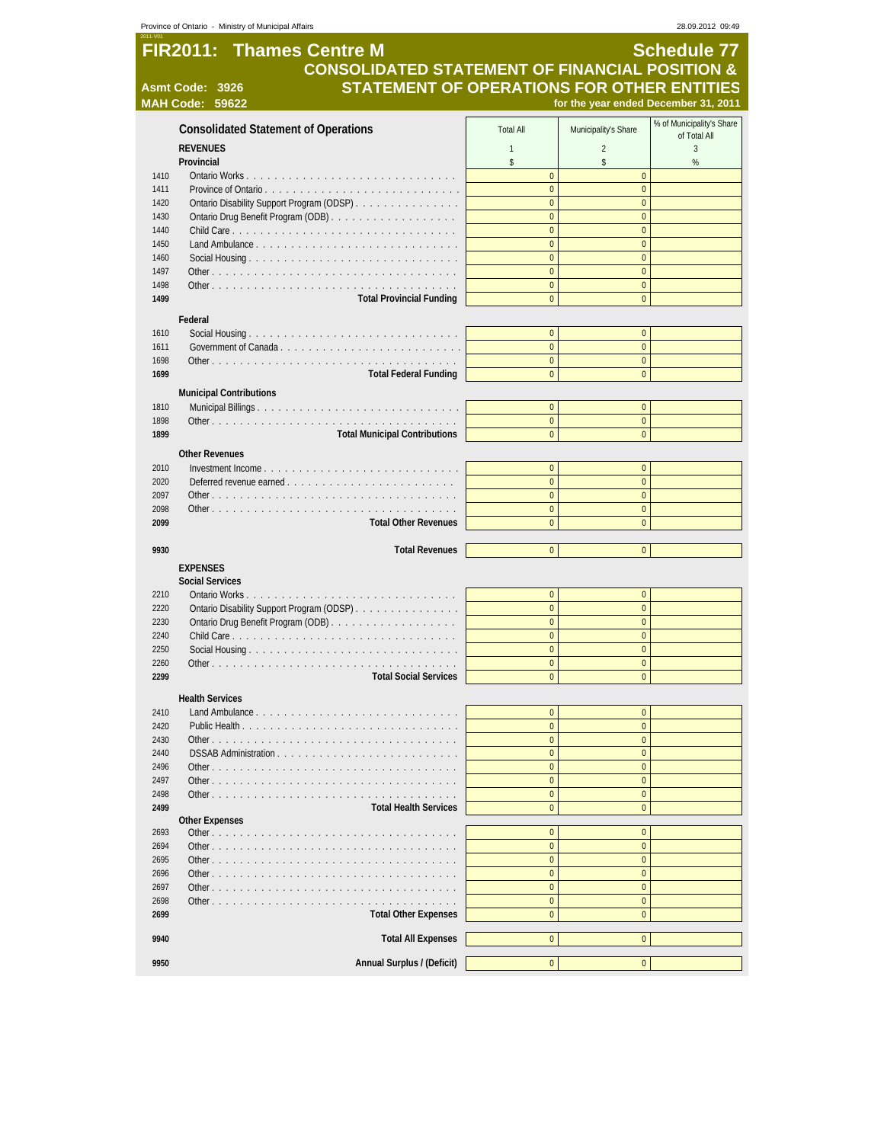| Province of Ontario - Ministry of Municipal Affairs<br>28.09.2012 09:49 |                                                               |                                  |                                      |                           |
|-------------------------------------------------------------------------|---------------------------------------------------------------|----------------------------------|--------------------------------------|---------------------------|
|                                                                         | <b>FIR2011: Thames Centre M</b>                               |                                  |                                      | <b>Schedule 77</b>        |
|                                                                         | <b>CONSOLIDATED STATEMENT OF FINANCIAL POSITION &amp;</b>     |                                  |                                      |                           |
|                                                                         |                                                               |                                  |                                      |                           |
|                                                                         | STATEMENT OF OPERATIONS FOR OTHER ENTITIES<br>Asmt Code: 3926 |                                  |                                      |                           |
|                                                                         | <b>MAH Code: 59622</b>                                        |                                  | for the year ended December 31, 2011 |                           |
|                                                                         | <b>Consolidated Statement of Operations</b>                   | <b>Total All</b>                 | Municipality's Share                 | % of Municipality's Share |
|                                                                         |                                                               |                                  |                                      | of Total All              |
|                                                                         | <b>REVENUES</b>                                               | $\mathbf{1}$                     | $\overline{2}$                       | 3                         |
| 1410                                                                    | Provincial                                                    | \$<br>$\overline{0}$             | \$<br>$\overline{0}$                 | $\%$                      |
| 1411                                                                    | Province of Ontario                                           | $\mathbf{0}$                     | $\overline{0}$                       |                           |
| 1420                                                                    | Ontario Disability Support Program (ODSP)                     | $\mathbf{0}$                     | $\overline{0}$                       |                           |
| 1430                                                                    |                                                               | $\mathbf{0}$                     | $\overline{0}$                       |                           |
| 1440                                                                    |                                                               | $\mathbf{0}$                     | $\overline{0}$                       |                           |
| 1450                                                                    |                                                               | $\overline{0}$                   | $\overline{0}$                       |                           |
| 1460                                                                    |                                                               | $\mathbf{0}$                     | $\overline{0}$                       |                           |
| 1497                                                                    |                                                               | $\pmb{0}$                        | $\overline{0}$                       |                           |
| 1498                                                                    |                                                               | $\pmb{0}$                        | $\mathbf 0$                          |                           |
| 1499                                                                    | <b>Total Provincial Funding</b>                               | $\mathbf{0}$                     | $\mathbf 0$                          |                           |
|                                                                         | Federal                                                       |                                  |                                      |                           |
| 1610                                                                    |                                                               | $\mathbf{0}$                     | $\mathbf 0$                          |                           |
| 1611                                                                    |                                                               | $\mathbf{0}$                     | $\overline{0}$                       |                           |
| 1698                                                                    |                                                               | $\mathbf{0}$                     | $\overline{0}$                       |                           |
| 1699                                                                    | <b>Total Federal Funding</b>                                  | $\mathbf{0}$                     | $\overline{0}$                       |                           |
|                                                                         | <b>Municipal Contributions</b>                                |                                  |                                      |                           |
| 1810                                                                    |                                                               | $\mathbf{0}$                     | $\mathbf 0$                          |                           |
| 1898                                                                    |                                                               | $\mathbf{0}$                     | $\overline{0}$                       |                           |
| 1899                                                                    | <b>Total Municipal Contributions</b>                          | $\overline{0}$                   | $\overline{0}$                       |                           |
|                                                                         |                                                               |                                  |                                      |                           |
|                                                                         | <b>Other Revenues</b>                                         |                                  |                                      |                           |
| 2010                                                                    |                                                               | $\overline{0}$                   | $\overline{0}$                       |                           |
| 2020                                                                    |                                                               | $\mathbf{0}$                     | $\overline{0}$                       |                           |
| 2097<br>2098                                                            |                                                               | $\mathbf{0}$<br>$\overline{0}$   | $\mathbf 0$<br>$\overline{0}$        |                           |
| 2099                                                                    | <b>Total Other Revenues</b>                                   | $\mathbf{0}$                     | $\overline{0}$                       |                           |
|                                                                         |                                                               |                                  |                                      |                           |
| 9930                                                                    | <b>Total Revenues</b>                                         | $\overline{0}$                   | $\overline{0}$                       |                           |
|                                                                         | <b>EXPENSES</b>                                               |                                  |                                      |                           |
|                                                                         | <b>Social Services</b>                                        |                                  |                                      |                           |
| 2210                                                                    |                                                               | $\mathbf{0}$                     | $\overline{0}$                       |                           |
| 2220                                                                    | Ontario Disability Support Program (ODSP)                     | $\mathbf{0}$                     | $\overline{0}$                       |                           |
| 2230                                                                    |                                                               | $\mathbf{0}$                     | $\overline{0}$                       |                           |
| 2240                                                                    |                                                               | $\overline{0}$                   | $\overline{0}$                       |                           |
| 2250                                                                    |                                                               | $\overline{0}$                   | $\mathbf 0$                          |                           |
| 2260                                                                    |                                                               | $\overline{0}$                   | $\overline{0}$                       |                           |
| 2299                                                                    | <b>Total Social Services</b>                                  | $\overline{0}$                   | $\overline{0}$                       |                           |
|                                                                         | <b>Health Services</b>                                        |                                  |                                      |                           |
| 2410                                                                    |                                                               | $\pmb{0}$                        | $\overline{0}$                       |                           |
| 2420                                                                    |                                                               | $\mathbf{0}$                     | $\overline{0}$                       |                           |
| 2430                                                                    |                                                               | $\overline{0}$                   | $\overline{0}$                       |                           |
| 2440                                                                    |                                                               | $\bf{0}$                         | $\mathbf 0$                          |                           |
| 2496                                                                    |                                                               | $\overline{0}$                   | $\overline{0}$                       |                           |
| 2497                                                                    |                                                               | $\overline{0}$                   | $\overline{0}$                       |                           |
| 2498                                                                    | Other.                                                        | $\bf{0}$                         | $\bf{0}$                             |                           |
| 2499                                                                    | <b>Total Health Services</b>                                  | $\overline{0}$                   | $\overline{0}$                       |                           |
|                                                                         | <b>Other Expenses</b>                                         |                                  |                                      |                           |
| 2693                                                                    |                                                               | $\overline{0}$                   | $\overline{0}$                       |                           |
| 2694                                                                    |                                                               | $\bf{0}$                         | $\overline{0}$<br>$\overline{0}$     |                           |
| 2695<br>2696                                                            |                                                               | $\overline{0}$<br>$\overline{0}$ | $\overline{0}$                       |                           |
| 2697                                                                    |                                                               | $\overline{0}$                   | $\overline{0}$                       |                           |
| 2698                                                                    |                                                               | $\overline{0}$                   | $\overline{0}$                       |                           |
| 2699                                                                    | <b>Total Other Expenses</b>                                   | $\overline{0}$                   | $\overline{0}$                       |                           |
|                                                                         |                                                               |                                  |                                      |                           |
| 9940                                                                    | <b>Total All Expenses</b>                                     | $\overline{0}$                   | $\overline{0}$                       |                           |
|                                                                         |                                                               |                                  |                                      |                           |
| 9950                                                                    | Annual Surplus / (Deficit)                                    | $\overline{0}$                   | $\overline{0}$                       |                           |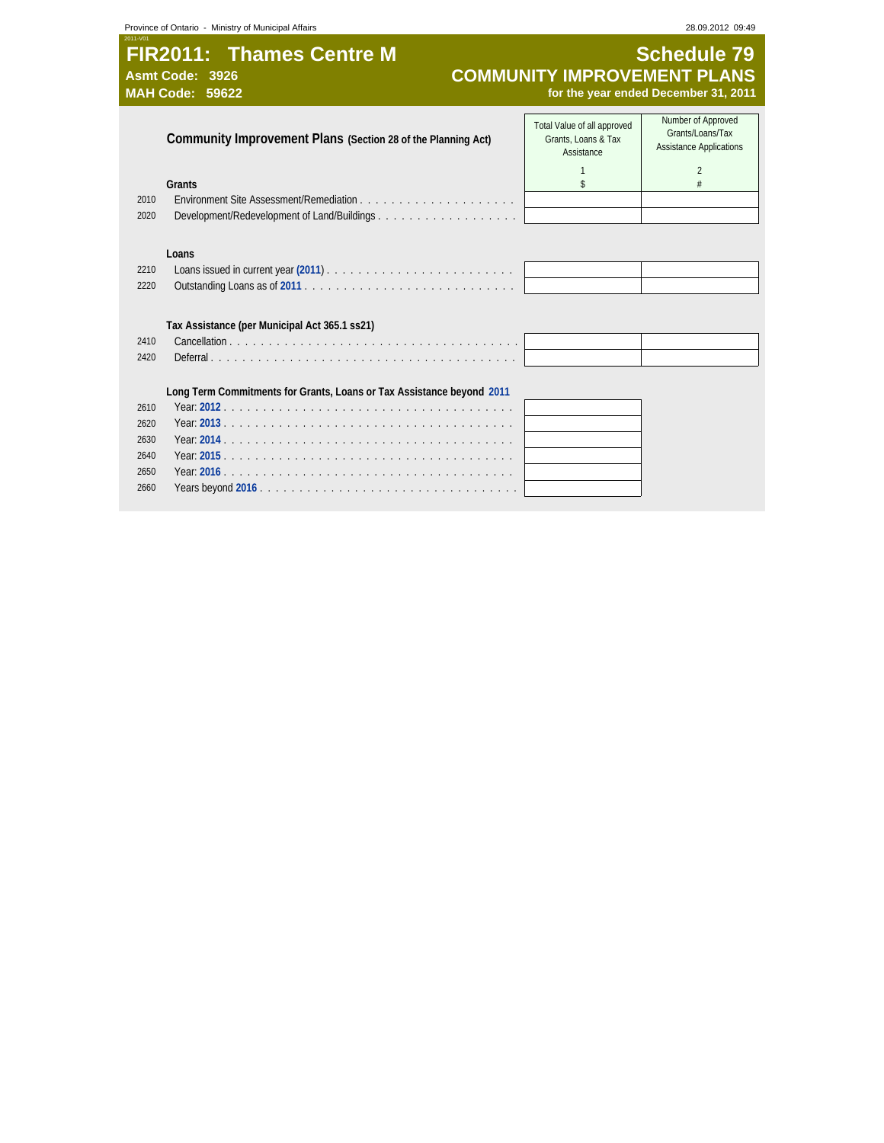# **FIR2011: Thames Centre M**<br>Asmt Code: 3926 **COMMUNITY IMPROVEMENT PLANS**<br>MAH Code: 59622 **COMMUNITY IMPROVEMENT PLANS**<br>for the year ended December 31, 2011 **Asmt Code: 3926 COMMUNITY IMPROVEMENT PLANS MAH Code: 59622 for the year ended December 31, 2011**

|      | Community Improvement Plans (Section 28 of the Planning Act)          | Total Value of all approved<br>Grants, Loans & Tax<br>Assistance | Number of Approved<br>Grants/Loans/Tax<br><b>Assistance Applications</b> |
|------|-----------------------------------------------------------------------|------------------------------------------------------------------|--------------------------------------------------------------------------|
|      |                                                                       |                                                                  | $\mathfrak{D}$                                                           |
|      | Grants                                                                | \$                                                               |                                                                          |
| 2010 |                                                                       |                                                                  |                                                                          |
| 2020 | Development/Redevelopment of Land/Buildings                           |                                                                  |                                                                          |
|      |                                                                       |                                                                  |                                                                          |
|      | Loans                                                                 |                                                                  |                                                                          |
| 2210 |                                                                       |                                                                  |                                                                          |
| 2220 |                                                                       |                                                                  |                                                                          |
|      |                                                                       |                                                                  |                                                                          |
|      | Tax Assistance (per Municipal Act 365.1 ss21)                         |                                                                  |                                                                          |
| 2410 |                                                                       |                                                                  |                                                                          |
| 2420 |                                                                       |                                                                  |                                                                          |
|      |                                                                       |                                                                  |                                                                          |
|      | Long Term Commitments for Grants, Loans or Tax Assistance beyond 2011 |                                                                  |                                                                          |
| 2610 |                                                                       |                                                                  |                                                                          |
| 2620 |                                                                       |                                                                  |                                                                          |
|      |                                                                       |                                                                  |                                                                          |
| 2630 |                                                                       |                                                                  |                                                                          |
| 2640 |                                                                       |                                                                  |                                                                          |
| 2650 |                                                                       |                                                                  |                                                                          |
| 2660 |                                                                       |                                                                  |                                                                          |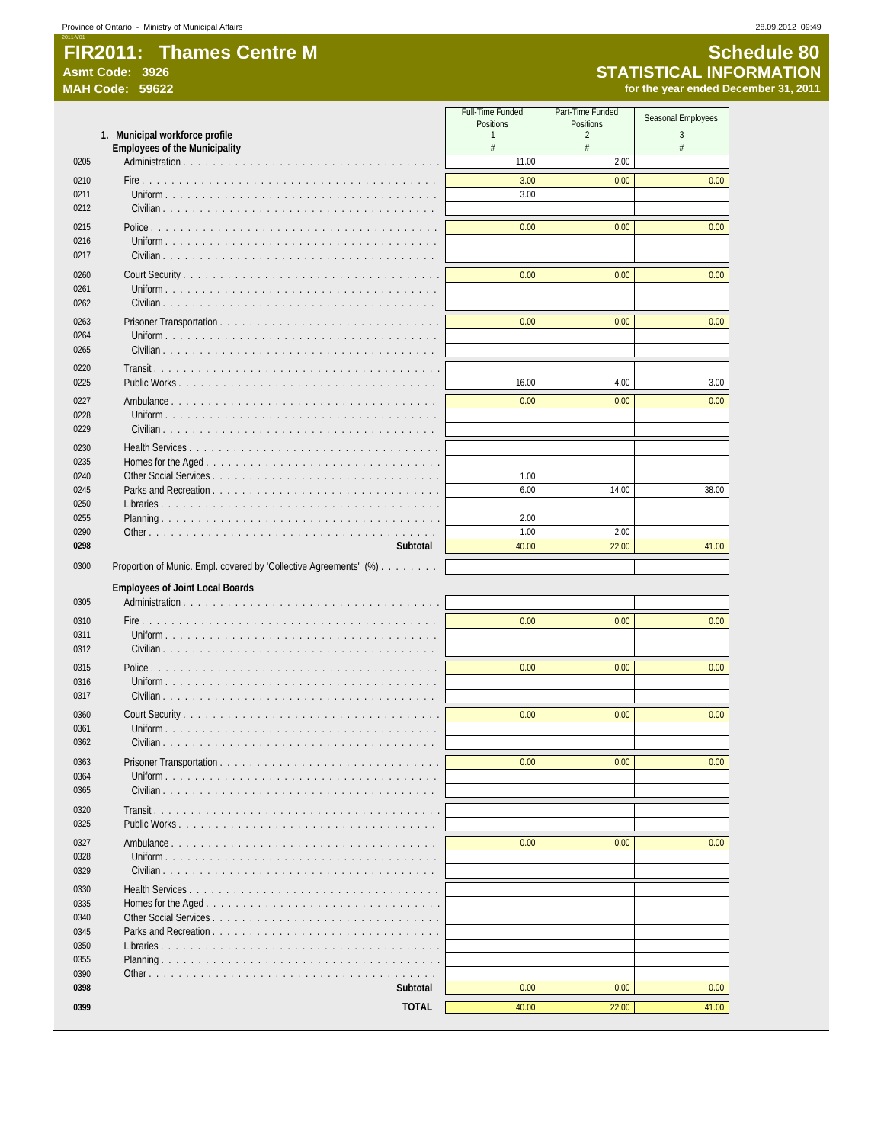|              |                                                                        | <b>Full-Time Funded</b><br>Positions | Part-Time Funded<br><b>Positions</b> | Seasonal Employees |
|--------------|------------------------------------------------------------------------|--------------------------------------|--------------------------------------|--------------------|
|              | 1. Municipal workforce profile<br><b>Employees of the Municipality</b> | 1<br>#                               | $\overline{2}$<br>#                  | 3<br>#             |
| 0205         |                                                                        | 11.00                                | 2.00                                 |                    |
| 0210         |                                                                        | 3.00                                 | 0.00                                 | 0.00               |
| 0211         |                                                                        | 3.00                                 |                                      |                    |
| 0212         |                                                                        |                                      |                                      |                    |
| 0215         |                                                                        | 0.00                                 | 0.00                                 | 0.00               |
| 0216<br>0217 |                                                                        |                                      |                                      |                    |
| 0260         |                                                                        | 0.00                                 | 0.00                                 | 0.00               |
| 0261<br>0262 |                                                                        |                                      |                                      |                    |
| 0263         |                                                                        | 0.00                                 | 0.00                                 | 0.00               |
| 0264         |                                                                        |                                      |                                      |                    |
| 0265         |                                                                        |                                      |                                      |                    |
| 0220         |                                                                        |                                      |                                      |                    |
| 0225         | Public Works                                                           | 16.00                                | 4.00                                 | 3.00               |
| 0227         |                                                                        | 0.00                                 | 0.00                                 | 0.00               |
| 0228         |                                                                        |                                      |                                      |                    |
| 0229         |                                                                        |                                      |                                      |                    |
| 0230         |                                                                        |                                      |                                      |                    |
| 0235<br>0240 |                                                                        | 1.00                                 |                                      |                    |
| 0245         | Parks and Recreation                                                   | 6.00                                 | 14.00                                | 38.00              |
| 0250         | Libraries                                                              |                                      |                                      |                    |
| 0255         |                                                                        | 2.00                                 |                                      |                    |
| 0290         |                                                                        | 1.00                                 | 2.00                                 |                    |
| 0298         | Subtotal                                                               | 40.00                                | 22.00                                | 41.00              |
| 0300         | Proportion of Munic. Empl. covered by 'Collective Agreements' (%).     |                                      |                                      |                    |
|              | <b>Employees of Joint Local Boards</b>                                 |                                      |                                      |                    |
| 0305         |                                                                        |                                      |                                      |                    |
| 0310         |                                                                        | 0.00                                 | 0.00                                 | 0.00               |
| 0311         |                                                                        |                                      |                                      |                    |
| 0312         |                                                                        |                                      |                                      |                    |
| 0315<br>0316 |                                                                        | 0.00                                 | 0.00                                 | 0.00               |
| 0317         |                                                                        |                                      |                                      |                    |
| 0360         |                                                                        | 0.00                                 | 0.00                                 | 0.00               |
| 0361         |                                                                        |                                      |                                      |                    |
| 0362         |                                                                        |                                      |                                      |                    |
| 0363         |                                                                        | 0.00                                 | 0.00                                 | 0.00               |
| 0364         |                                                                        |                                      |                                      |                    |
| 0365         |                                                                        |                                      |                                      |                    |
| 0320<br>0325 | Public Works                                                           |                                      |                                      |                    |
| 0327         |                                                                        | 0.00                                 | 0.00                                 | 0.00               |
| 0328         |                                                                        |                                      |                                      |                    |
| 0329         |                                                                        |                                      |                                      |                    |
| 0330         |                                                                        |                                      |                                      |                    |
| 0335         |                                                                        |                                      |                                      |                    |
| 0340         |                                                                        |                                      |                                      |                    |
| 0345         |                                                                        |                                      |                                      |                    |
| 0350<br>0355 | Libraries                                                              |                                      |                                      |                    |
| 0390         |                                                                        |                                      |                                      |                    |
| 0398         | Subtotal                                                               | 0.00                                 | 0.00                                 | 0.00               |
| 0399         | <b>TOTAL</b>                                                           | 40.00                                | 22.00                                | 41.00              |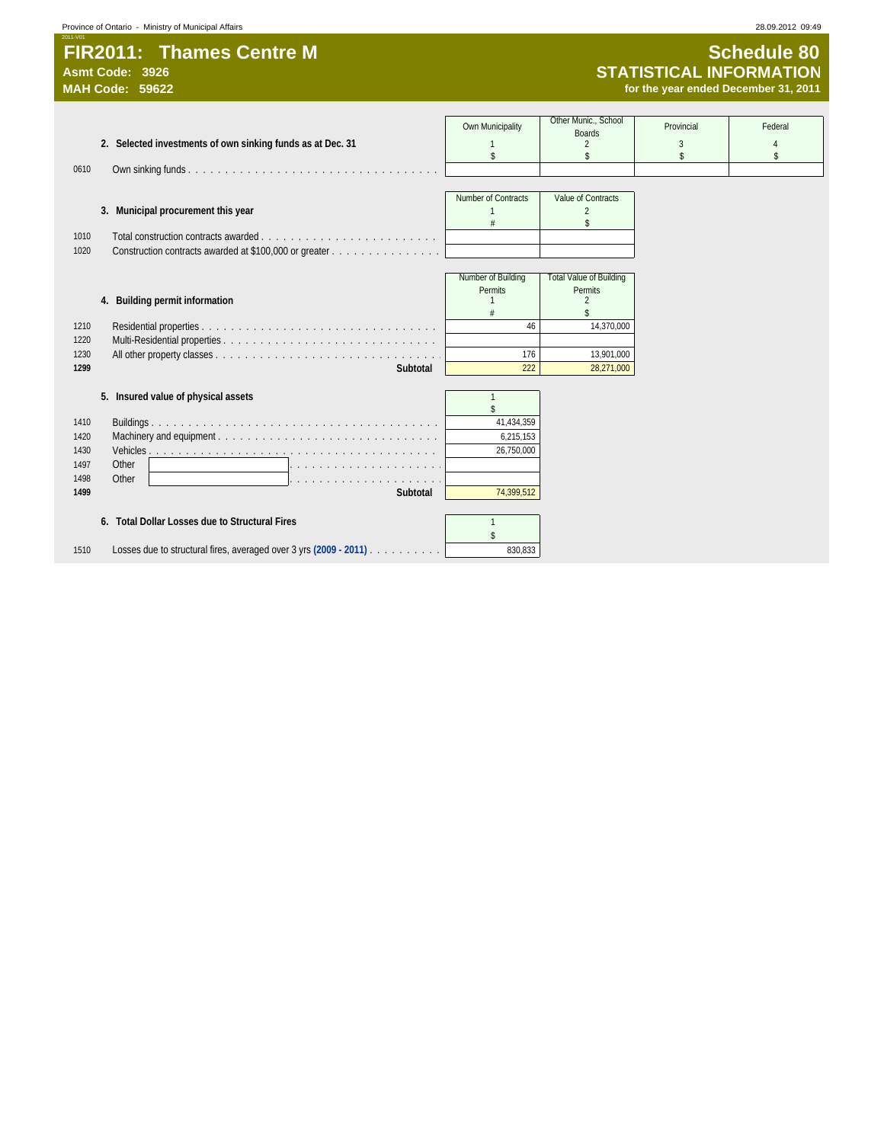# 2011-V01 **FIR2011: Thames Centre M SCHED SCHEDUIS SCHEDUIS SCHEDUIS Asmt Code: 3926**<br>Asmt Code: 3926 **STATISTICAL INFORMATION** Asmt Code: 3926<br>
MAH Code: 59622<br>
MAH Code: 59622<br>
MAH Code: 59622

# **MAH Code: 59622 for the year ended December 31, 2011**

|                                                                           | Own Municipality        | Other Munic., School<br><b>Boards</b> | Provincial | Federal |
|---------------------------------------------------------------------------|-------------------------|---------------------------------------|------------|---------|
| 2. Selected investments of own sinking funds as at Dec. 31                | \$                      |                                       | 3<br>\$    | 4<br>\$ |
| 0610                                                                      |                         |                                       |            |         |
|                                                                           |                         |                                       |            |         |
| 3. Municipal procurement this year                                        | Number of Contracts     | Value of Contracts<br>$\mathfrak{D}$  |            |         |
|                                                                           |                         | \$                                    |            |         |
| 1010                                                                      |                         |                                       |            |         |
| Construction contracts awarded at \$100,000 or greater<br>1020            |                         |                                       |            |         |
|                                                                           | Number of Building      | <b>Total Value of Building</b>        |            |         |
|                                                                           | Permits                 | Permits                               |            |         |
| 4. Building permit information                                            |                         | 2                                     |            |         |
| 1210                                                                      | 46                      | 14.370.000                            |            |         |
| 1220                                                                      |                         |                                       |            |         |
| 1230                                                                      | 176                     | 13,901,000                            |            |         |
| 1299                                                                      | Subtotal<br>222         | 28,271,000                            |            |         |
| 5. Insured value of physical assets                                       | $\overline{1}$          |                                       |            |         |
|                                                                           |                         |                                       |            |         |
| 1410                                                                      | 41,434,359              |                                       |            |         |
| 1420<br>1430                                                              | 6,215,153<br>26,750,000 |                                       |            |         |
| 1497<br>Other                                                             |                         |                                       |            |         |
| 1498<br>Other                                                             |                         |                                       |            |         |
| 1499                                                                      | 74,399,512<br>Subtotal  |                                       |            |         |
|                                                                           |                         |                                       |            |         |
| 6. Total Dollar Losses due to Structural Fires                            | $\mathbf{1}$            |                                       |            |         |
| Losses due to structural fires, averaged over 3 yrs (2009 - 2011)<br>1510 | 830,833                 |                                       |            |         |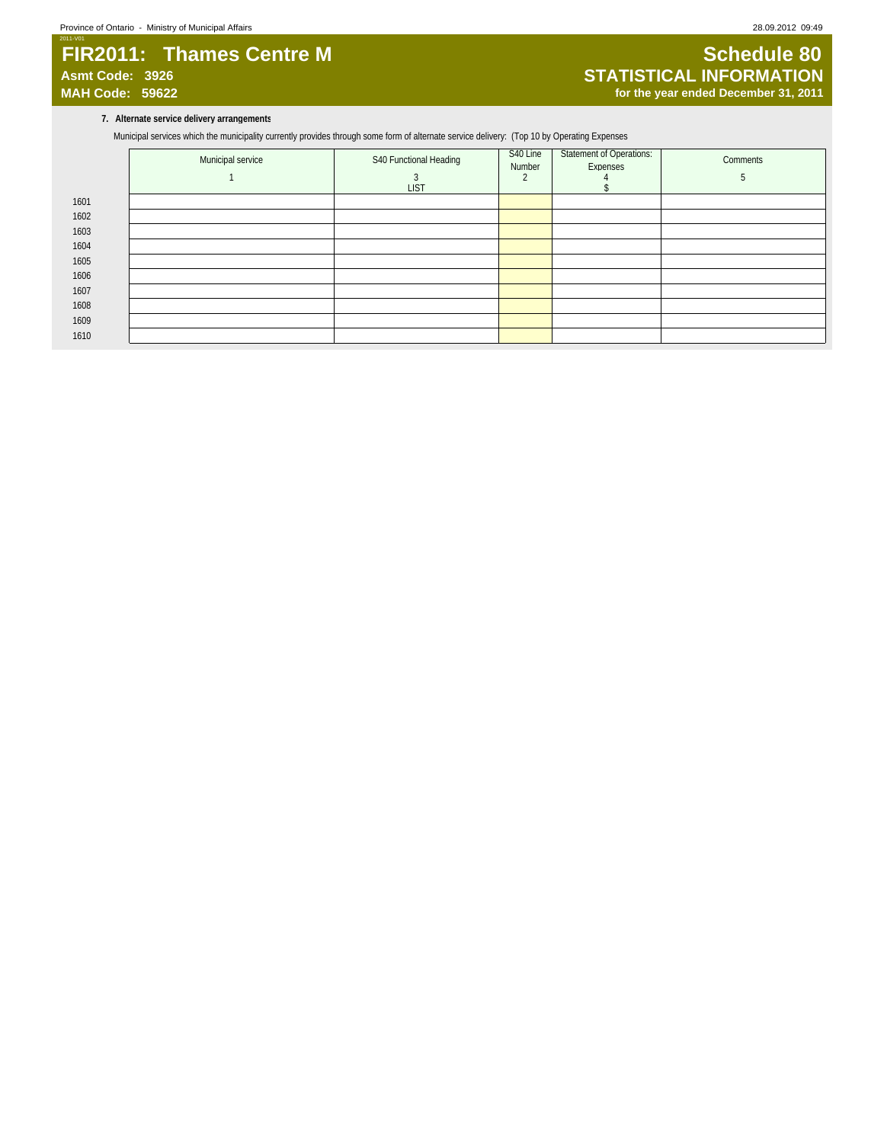# 2011-V01 **FIR2011: Thames Centre M SCHED SCHEDUIS SERVICES**<br>Asmt Code: 3926 **STATISTICAL INFORMATION Asmt Code: 3926 STATISTICAL INFORMATION**

# for the year ended December 31, 2011

### **7. Alternate service delivery arrangements**

Municipal services which the municipality currently provides through some form of alternate service delivery: (Top 10 by Operating Expenses

|      | Municipal service | S40 Functional Heading | S40 Line<br>Number | Statement of Operations:<br>Expenses | Comments |
|------|-------------------|------------------------|--------------------|--------------------------------------|----------|
|      |                   | <b>LIST</b>            |                    |                                      |          |
| 1601 |                   |                        |                    |                                      |          |
| 1602 |                   |                        |                    |                                      |          |
| 1603 |                   |                        |                    |                                      |          |
| 1604 |                   |                        |                    |                                      |          |
| 1605 |                   |                        |                    |                                      |          |
| 1606 |                   |                        |                    |                                      |          |
| 1607 |                   |                        |                    |                                      |          |
| 1608 |                   |                        |                    |                                      |          |
| 1609 |                   |                        |                    |                                      |          |
| 1610 |                   |                        |                    |                                      |          |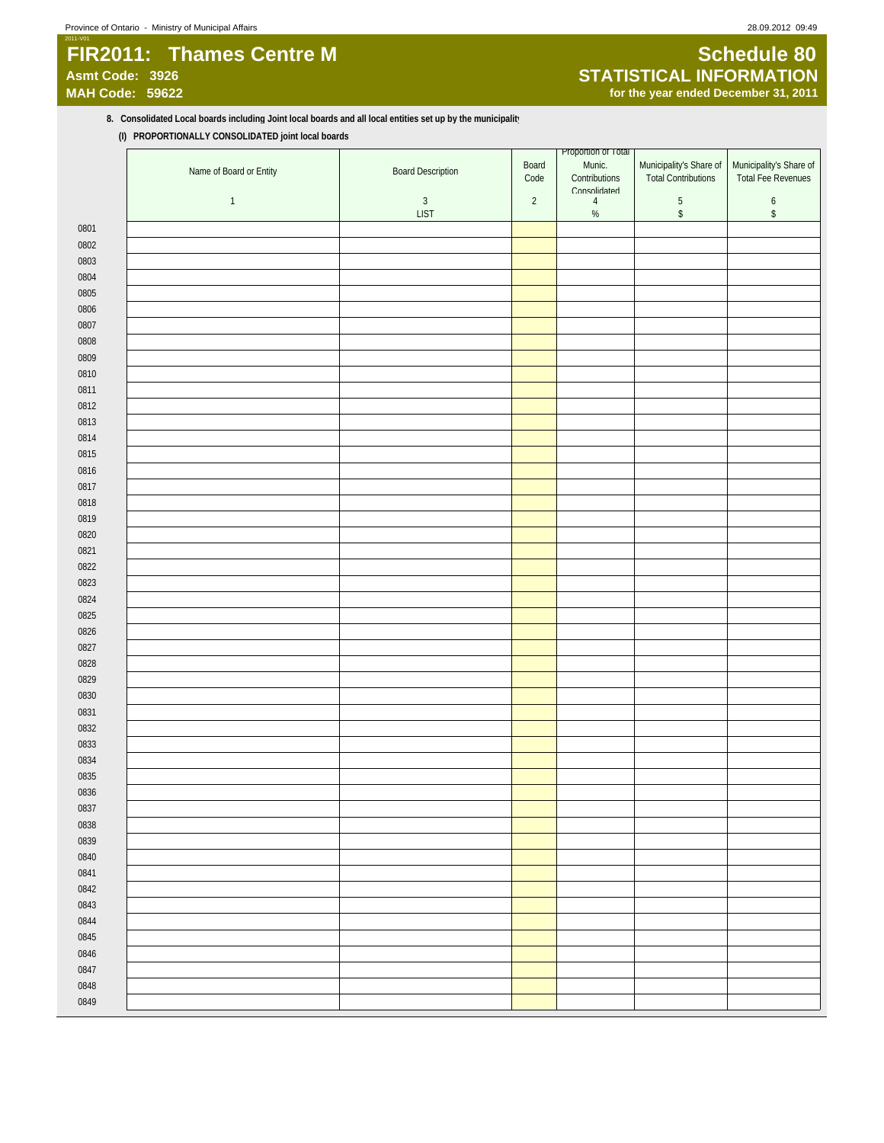# 2011-V01 **FIR2011: Thames Centre M Schedule 80**<br>Asmt Code: 3926 **STATISTICAL INFORMATION**

# **Asmt Code: 3926 STATISTICAL INFORMATION** for the year ended December 31, 2011

## 8. Consolidated Local boards including Joint local boards and all local entities set up by the municipalit<sup>1</sup> **(I) PROPORTIONALLY CONSOLIDATED joint local boards**

|      | Name of Board or Entity | <b>Board Description</b> | Board<br>Code | Proportion of Total<br>Munic.<br>Contributions | Municipality's Share of<br><b>Total Contributions</b> | Municipality's Share of<br><b>Total Fee Revenues</b> |
|------|-------------------------|--------------------------|---------------|------------------------------------------------|-------------------------------------------------------|------------------------------------------------------|
|      |                         |                          |               | Consolidated                                   |                                                       |                                                      |
|      | $\mathbf{1}$            | $\sqrt{3}$               | $\sqrt{2}$    | $\overline{4}$                                 | $\,$ 5 $\,$                                           | $\boldsymbol{6}$                                     |
|      |                         | <b>LIST</b>              |               | $\%$                                           | $\,$                                                  | $\,$                                                 |
| 0801 |                         |                          |               |                                                |                                                       |                                                      |
| 0802 |                         |                          |               |                                                |                                                       |                                                      |
| 0803 |                         |                          |               |                                                |                                                       |                                                      |
| 0804 |                         |                          |               |                                                |                                                       |                                                      |
| 0805 |                         |                          |               |                                                |                                                       |                                                      |
| 0806 |                         |                          |               |                                                |                                                       |                                                      |
| 0807 |                         |                          |               |                                                |                                                       |                                                      |
| 0808 |                         |                          |               |                                                |                                                       |                                                      |
| 0809 |                         |                          |               |                                                |                                                       |                                                      |
| 0810 |                         |                          |               |                                                |                                                       |                                                      |
| 0811 |                         |                          |               |                                                |                                                       |                                                      |
| 0812 |                         |                          |               |                                                |                                                       |                                                      |
| 0813 |                         |                          |               |                                                |                                                       |                                                      |
| 0814 |                         |                          |               |                                                |                                                       |                                                      |
| 0815 |                         |                          |               |                                                |                                                       |                                                      |
| 0816 |                         |                          |               |                                                |                                                       |                                                      |
| 0817 |                         |                          |               |                                                |                                                       |                                                      |
| 0818 |                         |                          |               |                                                |                                                       |                                                      |
| 0819 |                         |                          |               |                                                |                                                       |                                                      |
| 0820 |                         |                          |               |                                                |                                                       |                                                      |
| 0821 |                         |                          |               |                                                |                                                       |                                                      |
| 0822 |                         |                          |               |                                                |                                                       |                                                      |
| 0823 |                         |                          |               |                                                |                                                       |                                                      |
| 0824 |                         |                          |               |                                                |                                                       |                                                      |
| 0825 |                         |                          |               |                                                |                                                       |                                                      |
| 0826 |                         |                          |               |                                                |                                                       |                                                      |
| 0827 |                         |                          |               |                                                |                                                       |                                                      |
| 0828 |                         |                          |               |                                                |                                                       |                                                      |
| 0829 |                         |                          |               |                                                |                                                       |                                                      |
| 0830 |                         |                          |               |                                                |                                                       |                                                      |
| 0831 |                         |                          |               |                                                |                                                       |                                                      |
| 0832 |                         |                          |               |                                                |                                                       |                                                      |
| 0833 |                         |                          |               |                                                |                                                       |                                                      |
| 0834 |                         |                          |               |                                                |                                                       |                                                      |
| 0835 |                         |                          |               |                                                |                                                       |                                                      |
| 0836 |                         |                          |               |                                                |                                                       |                                                      |
| 0837 |                         |                          |               |                                                |                                                       |                                                      |
| 0838 |                         |                          |               |                                                |                                                       |                                                      |
| 0839 |                         |                          |               |                                                |                                                       |                                                      |
| 0840 |                         |                          |               |                                                |                                                       |                                                      |
| 0841 |                         |                          |               |                                                |                                                       |                                                      |
| 0842 |                         |                          |               |                                                |                                                       |                                                      |
| 0843 |                         |                          |               |                                                |                                                       |                                                      |
| 0844 |                         |                          |               |                                                |                                                       |                                                      |
| 0845 |                         |                          |               |                                                |                                                       |                                                      |
| 0846 |                         |                          |               |                                                |                                                       |                                                      |
| 0847 |                         |                          |               |                                                |                                                       |                                                      |
| 0848 |                         |                          |               |                                                |                                                       |                                                      |
| 0849 |                         |                          |               |                                                |                                                       |                                                      |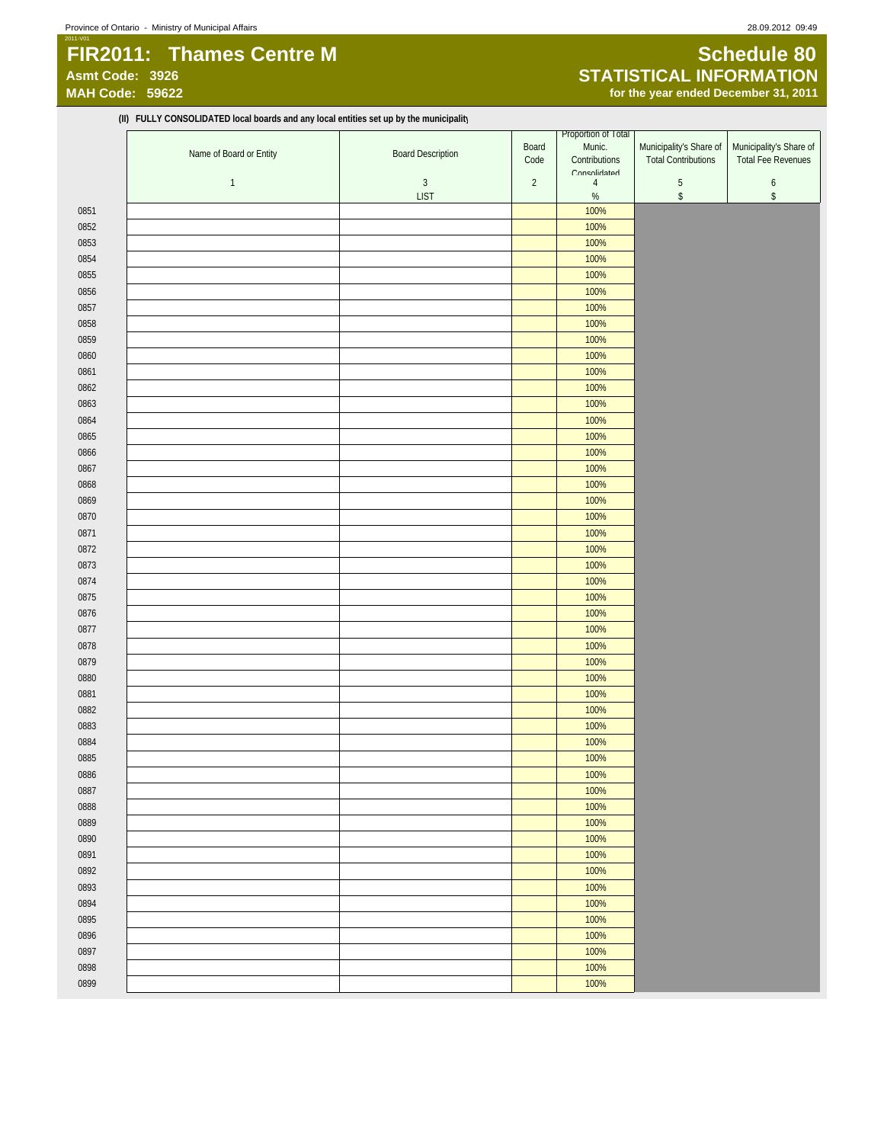# 2011-V01 **FIR2011: Thames Centre M Schedule 80**<br>Asmt Code: 3926 **STATISTICAL INFORMATION**

**(II) FULLY CONSOLIDATED local boards and any local entities set up by the municipality**

# **Asmt Code: 3926 STATISTICAL INFORMATION** for the year ended December 31, 2011

|      |                         |                          |            | Proportion of Total            |                            |                         |
|------|-------------------------|--------------------------|------------|--------------------------------|----------------------------|-------------------------|
|      | Name of Board or Entity | <b>Board Description</b> | Board      | Munic.                         | Municipality's Share of    | Municipality's Share of |
|      |                         |                          | Code       | Contributions                  | <b>Total Contributions</b> | Total Fee Revenues      |
|      | $\mathbf{1}$            | $\sqrt{3}$               | $\sqrt{2}$ | Consolidated<br>$\overline{4}$ | $\sqrt{5}$                 | $\boldsymbol{6}$        |
|      |                         | <b>LIST</b>              |            | $\%$                           | $\,$                       | $\mathbb{S}$            |
| 0851 |                         |                          |            | 100%                           |                            |                         |
| 0852 |                         |                          |            | 100%                           |                            |                         |
| 0853 |                         |                          |            | 100%                           |                            |                         |
| 0854 |                         |                          |            | 100%                           |                            |                         |
|      |                         |                          |            |                                |                            |                         |
| 0855 |                         |                          |            | 100%                           |                            |                         |
| 0856 |                         |                          |            | 100%                           |                            |                         |
| 0857 |                         |                          |            | 100%                           |                            |                         |
| 0858 |                         |                          |            | 100%                           |                            |                         |
| 0859 |                         |                          |            | 100%                           |                            |                         |
| 0860 |                         |                          |            | 100%                           |                            |                         |
| 0861 |                         |                          |            | 100%                           |                            |                         |
| 0862 |                         |                          |            | 100%                           |                            |                         |
| 0863 |                         |                          |            | 100%                           |                            |                         |
| 0864 |                         |                          |            | 100%                           |                            |                         |
| 0865 |                         |                          |            | 100%                           |                            |                         |
| 0866 |                         |                          |            | 100%                           |                            |                         |
| 0867 |                         |                          |            | 100%                           |                            |                         |
| 0868 |                         |                          |            | 100%                           |                            |                         |
|      |                         |                          |            |                                |                            |                         |
| 0869 |                         |                          |            | 100%                           |                            |                         |
| 0870 |                         |                          |            | 100%                           |                            |                         |
| 0871 |                         |                          |            | 100%                           |                            |                         |
| 0872 |                         |                          |            | 100%                           |                            |                         |
| 0873 |                         |                          |            | 100%                           |                            |                         |
| 0874 |                         |                          |            | 100%                           |                            |                         |
| 0875 |                         |                          |            | 100%                           |                            |                         |
| 0876 |                         |                          |            | 100%                           |                            |                         |
| 0877 |                         |                          |            | 100%                           |                            |                         |
| 0878 |                         |                          |            | 100%                           |                            |                         |
| 0879 |                         |                          |            | 100%                           |                            |                         |
| 0880 |                         |                          |            | 100%                           |                            |                         |
| 0881 |                         |                          |            | 100%                           |                            |                         |
| 0882 |                         |                          |            | 100%                           |                            |                         |
| 0883 |                         |                          |            | 100%                           |                            |                         |
| 0884 |                         |                          |            | 100%                           |                            |                         |
|      |                         |                          |            |                                |                            |                         |
| 0885 |                         |                          |            | 100%                           |                            |                         |
| 0886 |                         |                          |            | 100%                           |                            |                         |
| 0887 |                         |                          |            | 100%                           |                            |                         |
| 0888 |                         |                          |            | 100%                           |                            |                         |
| 0889 |                         |                          |            | 100%                           |                            |                         |
| 0890 |                         |                          |            | 100%                           |                            |                         |
| 0891 |                         |                          |            | 100%                           |                            |                         |
| 0892 |                         |                          |            | 100%                           |                            |                         |
| 0893 |                         |                          |            | 100%                           |                            |                         |
| 0894 |                         |                          |            | 100%                           |                            |                         |
| 0895 |                         |                          |            | 100%                           |                            |                         |
| 0896 |                         |                          |            | 100%                           |                            |                         |
| 0897 |                         |                          |            | 100%                           |                            |                         |
| 0898 |                         |                          |            | 100%                           |                            |                         |
| 0899 |                         |                          |            | 100%                           |                            |                         |
|      |                         |                          |            |                                |                            |                         |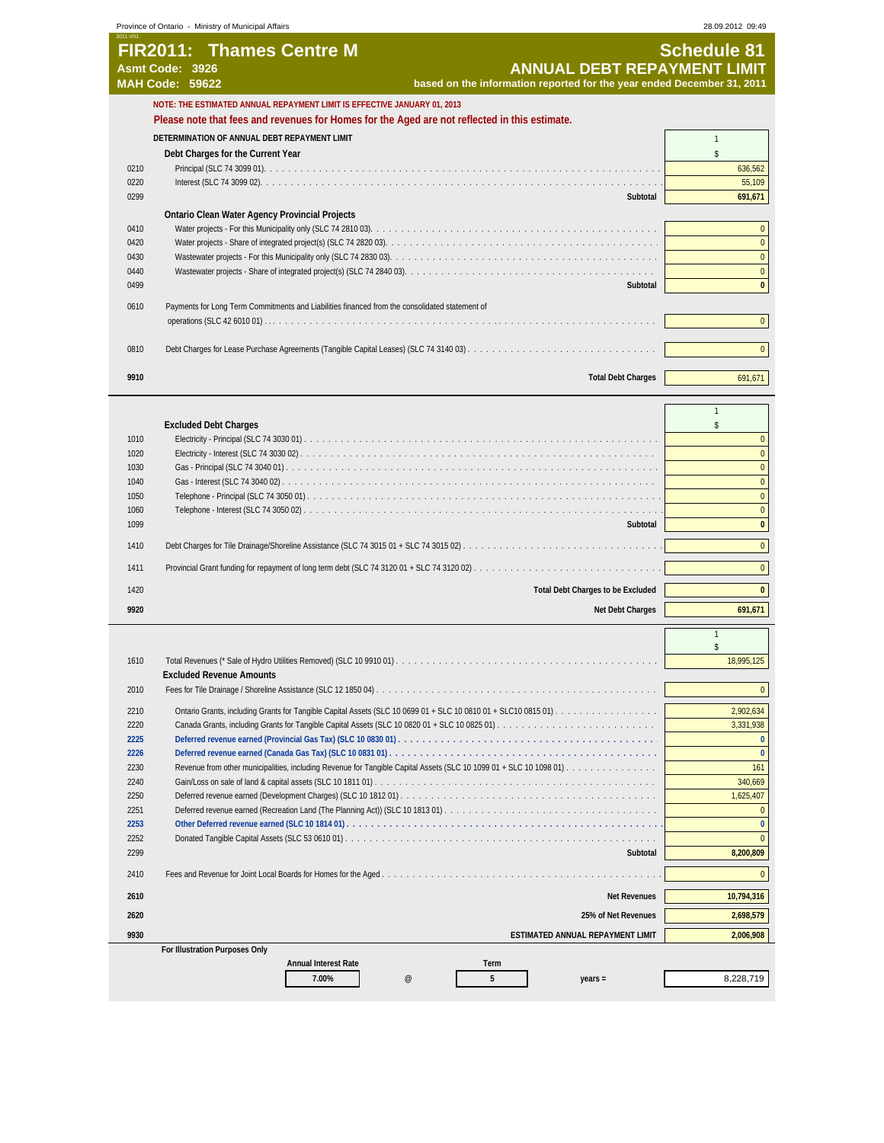|                                                                                      | <b>FIR2011: Thames Centre M</b>                                                                  | <b>Schedule 81</b>                                             |
|--------------------------------------------------------------------------------------|--------------------------------------------------------------------------------------------------|----------------------------------------------------------------|
|                                                                                      | <b>ANNUAL DEBT REPAYMENT LIMIT</b><br>Asmt Code: 3926                                            |                                                                |
|                                                                                      | <b>MAH Code: 59622</b><br>based on the information reported for the year ended December 31, 2011 |                                                                |
|                                                                                      | NOTE: THE ESTIMATED ANNUAL REPAYMENT LIMIT IS EFFECTIVE JANUARY 01, 2013                         |                                                                |
|                                                                                      | Please note that fees and revenues for Homes for the Aged are not reflected in this estimate.    |                                                                |
|                                                                                      | DETERMINATION OF ANNUAL DEBT REPAYMENT LIMIT                                                     | $\mathbf{1}$                                                   |
|                                                                                      | Debt Charges for the Current Year                                                                | \$                                                             |
| 0210                                                                                 |                                                                                                  | 636,562                                                        |
| 0220                                                                                 |                                                                                                  | 55,109                                                         |
| 0299                                                                                 | Subtotal                                                                                         | 691,671                                                        |
|                                                                                      |                                                                                                  |                                                                |
|                                                                                      | <b>Ontario Clean Water Agency Provincial Projects</b>                                            |                                                                |
| 0410                                                                                 |                                                                                                  |                                                                |
| 0420                                                                                 |                                                                                                  |                                                                |
| 0430                                                                                 |                                                                                                  |                                                                |
| 0440                                                                                 |                                                                                                  |                                                                |
| 0499                                                                                 | Subtotal                                                                                         |                                                                |
| 0610                                                                                 | Payments for Long Term Commitments and Liabilities financed from the consolidated statement of   |                                                                |
|                                                                                      |                                                                                                  |                                                                |
|                                                                                      |                                                                                                  |                                                                |
| 0810                                                                                 |                                                                                                  |                                                                |
|                                                                                      |                                                                                                  |                                                                |
| 9910                                                                                 | <b>Total Debt Charges</b>                                                                        | 691,671                                                        |
|                                                                                      |                                                                                                  |                                                                |
|                                                                                      |                                                                                                  | $\mathbf{1}$                                                   |
|                                                                                      | <b>Excluded Debt Charges</b>                                                                     | \$                                                             |
| 1010                                                                                 |                                                                                                  |                                                                |
| 1020                                                                                 |                                                                                                  |                                                                |
| 1030                                                                                 |                                                                                                  |                                                                |
| 1040                                                                                 |                                                                                                  |                                                                |
| 1050                                                                                 |                                                                                                  |                                                                |
|                                                                                      |                                                                                                  |                                                                |
| 1060                                                                                 |                                                                                                  |                                                                |
| 1099                                                                                 | Subtotal                                                                                         |                                                                |
| 1410                                                                                 |                                                                                                  |                                                                |
|                                                                                      |                                                                                                  |                                                                |
| 1411                                                                                 |                                                                                                  |                                                                |
| 1420                                                                                 | <b>Total Debt Charges to be Excluded</b>                                                         |                                                                |
| 9920                                                                                 | Net Debt Charges                                                                                 | 691,671                                                        |
|                                                                                      |                                                                                                  |                                                                |
|                                                                                      |                                                                                                  | $\mathbf{1}$                                                   |
|                                                                                      |                                                                                                  |                                                                |
| 1610                                                                                 |                                                                                                  | 18,995,125                                                     |
|                                                                                      | <b>Excluded Revenue Amounts</b>                                                                  |                                                                |
| 2010                                                                                 |                                                                                                  |                                                                |
| 2210                                                                                 |                                                                                                  | 2,902,634                                                      |
| 2220                                                                                 |                                                                                                  | 3,331,938                                                      |
| 2225                                                                                 |                                                                                                  |                                                                |
| 2226                                                                                 |                                                                                                  |                                                                |
|                                                                                      |                                                                                                  | 161                                                            |
|                                                                                      |                                                                                                  | 340,669                                                        |
|                                                                                      |                                                                                                  |                                                                |
|                                                                                      |                                                                                                  |                                                                |
|                                                                                      |                                                                                                  |                                                                |
|                                                                                      |                                                                                                  |                                                                |
|                                                                                      |                                                                                                  |                                                                |
|                                                                                      |                                                                                                  |                                                                |
|                                                                                      | Subtotal                                                                                         |                                                                |
|                                                                                      |                                                                                                  |                                                                |
|                                                                                      |                                                                                                  |                                                                |
|                                                                                      | <b>Net Revenues</b>                                                                              |                                                                |
|                                                                                      | 25% of Net Revenues                                                                              |                                                                |
| 2230<br>2240<br>2250<br>2251<br>2253<br>2252<br>2299<br>2410<br>2610<br>2620<br>9930 | ESTIMATED ANNUAL REPAYMENT LIMIT                                                                 | 1,625,407<br>8,200,809<br>10,794,316<br>2,698,579<br>2,006,908 |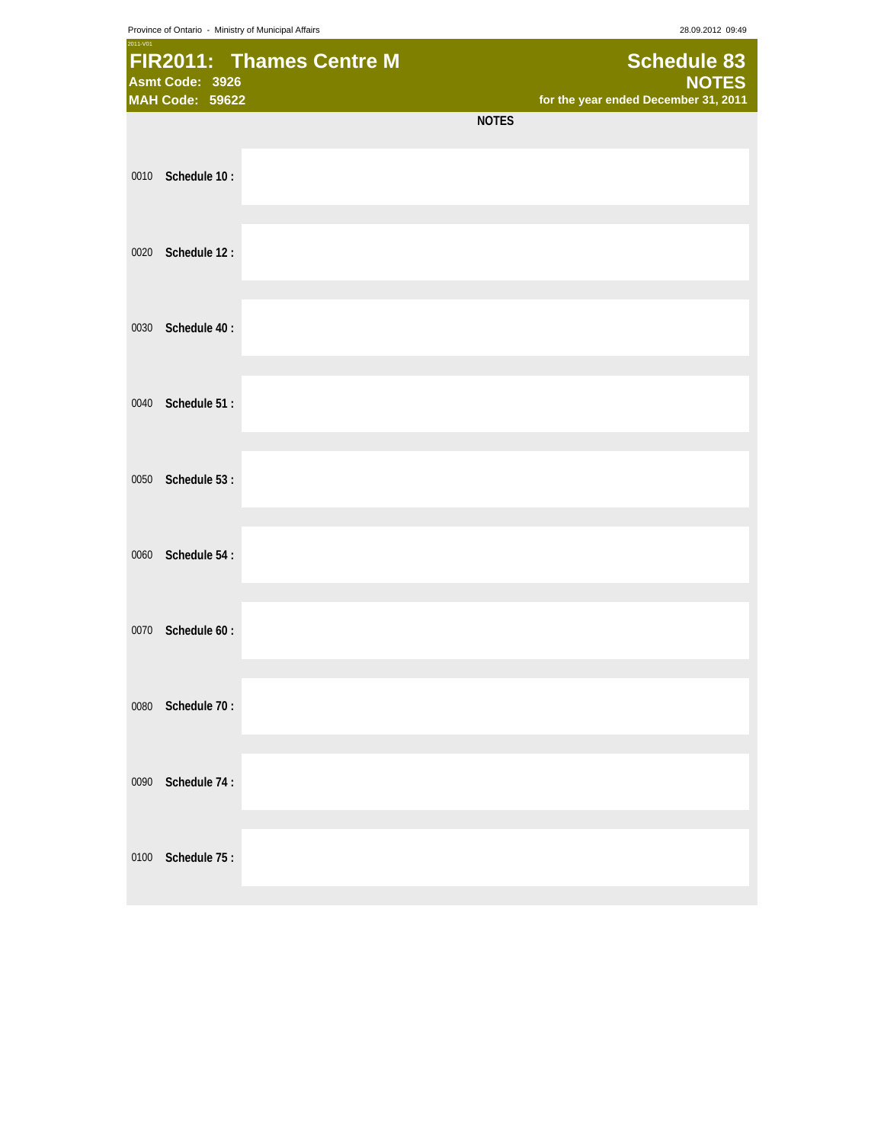Province of Ontario - Ministry of Municipal Affairs 28.09.2012 09:49

| 2011-V01 | Asmt Code: 3926<br><b>MAH Code: 59622</b> | FIR2011: Thames Centre M |              | <b>Schedule 83</b><br><b>NOTES</b><br>for the year ended December 31, 2011 |
|----------|-------------------------------------------|--------------------------|--------------|----------------------------------------------------------------------------|
|          |                                           |                          | <b>NOTES</b> |                                                                            |
| 0010     | Schedule 10:                              |                          |              |                                                                            |
| 0020     | Schedule 12:                              |                          |              |                                                                            |
| 0030     | Schedule 40:                              |                          |              |                                                                            |
| 0040     | Schedule 51:                              |                          |              |                                                                            |
| 0050     | Schedule 53:                              |                          |              |                                                                            |
| 0060     | Schedule 54:                              |                          |              |                                                                            |
| 0070     | Schedule 60:                              |                          |              |                                                                            |
| 0080     | Schedule 70:                              |                          |              |                                                                            |
| 0090     | Schedule 74:                              |                          |              |                                                                            |
| 0100     | Schedule 75:                              |                          |              |                                                                            |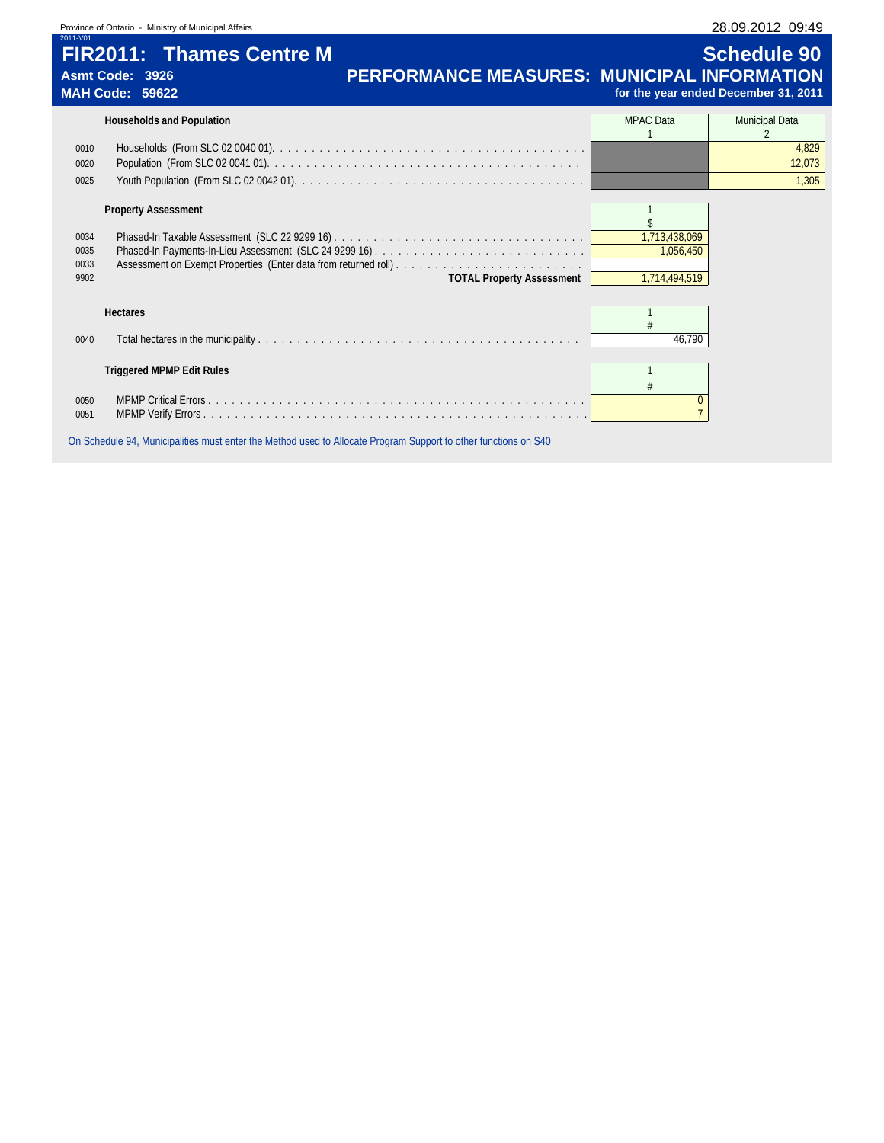| Province of Ontario - Ministry of Municipal Affairs |  |  |  |
|-----------------------------------------------------|--|--|--|
|-----------------------------------------------------|--|--|--|

|                      | Province of Ontario - Ministry of Municipal Affairs                          |                                                    |                            | 28.09.2012 09:49                                           |
|----------------------|------------------------------------------------------------------------------|----------------------------------------------------|----------------------------|------------------------------------------------------------|
| 2011-V01             | <b>FIR2011: Thames Centre M</b><br>Asmt Code: 3926<br><b>MAH Code: 59622</b> | <b>PERFORMANCE MEASURES: MUNICIPAL INFORMATION</b> |                            | <b>Schedule 90</b><br>for the year ended December 31, 2011 |
|                      | <b>Households and Population</b>                                             |                                                    | <b>MPAC</b> Data           | Municipal Data                                             |
| 0010                 |                                                                              |                                                    |                            | 4,829                                                      |
| 0020                 |                                                                              |                                                    |                            | 12,073                                                     |
| 0025                 |                                                                              |                                                    |                            | 1,305                                                      |
| 0034                 | <b>Property Assessment</b>                                                   |                                                    | 1,713,438,069              |                                                            |
| 0035<br>0033<br>9902 |                                                                              | <b>TOTAL Property Assessment</b>                   | 1,056,450<br>1,714,494,519 |                                                            |
|                      | <b>Hectares</b>                                                              |                                                    |                            |                                                            |
| 0040                 |                                                                              |                                                    | 46,790                     |                                                            |
|                      | <b>Triggered MPMP Edit Rules</b>                                             |                                                    |                            |                                                            |
| 0050<br>0051         |                                                                              |                                                    | $\mathbf{0}$               |                                                            |

On Schedule 94, Municipalities must enter the Method used to Allocate Program Support to other functions on S40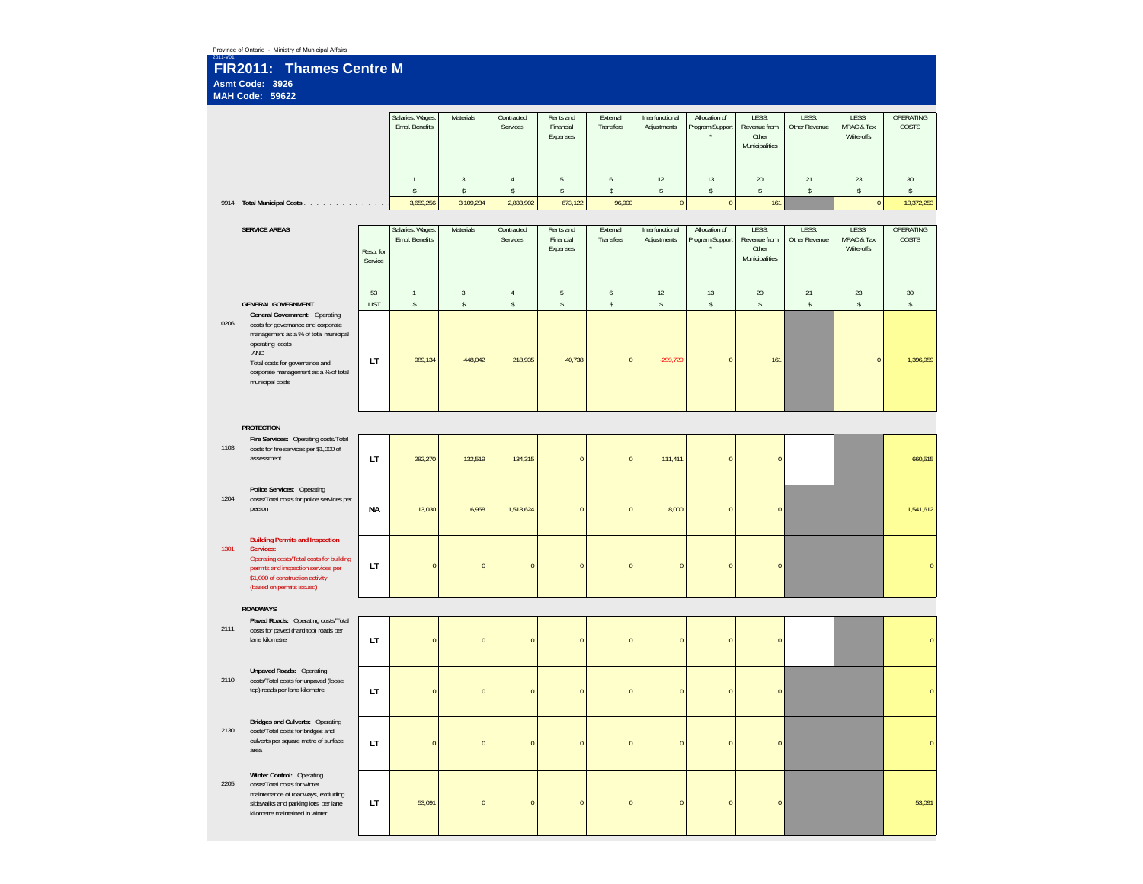| 2011-V01 | Province of Ontario - Ministry of Municipal Affairs<br>FIR2011: Thames Centre M                                                                                                                                                                                 |                      |                                    |                        |                                |                                    |                          |                                |                                  |                                                  |                        |                                   |                           |
|----------|-----------------------------------------------------------------------------------------------------------------------------------------------------------------------------------------------------------------------------------------------------------------|----------------------|------------------------------------|------------------------|--------------------------------|------------------------------------|--------------------------|--------------------------------|----------------------------------|--------------------------------------------------|------------------------|-----------------------------------|---------------------------|
|          | Asmt Code: 3926<br>MAH Code: 59622                                                                                                                                                                                                                              |                      |                                    |                        |                                |                                    |                          |                                |                                  |                                                  |                        |                                   |                           |
|          |                                                                                                                                                                                                                                                                 |                      | Salaries, Wages,<br>Empl. Benefits | Materials              | Contracted<br>Services         | Rents and<br>Financial<br>Expenses | External<br>Transfers    | Interfunctional<br>Adjustments | Allocation of<br>Program Support | LESS:<br>Revenue from<br>Other<br>Municipalities | LESS:<br>Other Revenue | LESS:<br>MPAC & Tax<br>Write-offs | <b>OPERATING</b><br>COSTS |
|          |                                                                                                                                                                                                                                                                 |                      | $\mathbf{1}$<br>$\mathbb{S}$       | $_{3}$<br>$\mathbb{S}$ | $\overline{4}$<br>$\mathbb{S}$ | $\overline{5}$<br>$\mathbb S$      | 6<br>$\mathbb S$         | 12<br>$\mathbb{S}$             | $13\,$<br>$\sqrt{s}$             | $20\,$<br>$\mathbb{S}$                           | 21<br>$\mathbb{S}$     | $23\,$<br>\$                      | $30\,$<br>\$              |
|          | 9914 Total Municipal Costs                                                                                                                                                                                                                                      |                      | 3,659,256                          | 3,109,234              | 2,833,902                      | 673,122                            | 96,900                   | $\,$ 0                         | $\,0\,$                          | 161                                              |                        | $\mathbf 0$                       | 10,372,253                |
|          | <b>SERVICE AREAS</b>                                                                                                                                                                                                                                            |                      | Salaries, Wages,                   | Materials              | Contracted                     | Rents and                          | External                 | Interfunctional                | Allocation of                    | LESS:                                            | LESS:                  | LESS:                             | OPERATING                 |
|          |                                                                                                                                                                                                                                                                 | Resp. for<br>Service | Empl. Benefits                     |                        | Services                       | Financial<br>Expenses              | Transfers                | Adjustments                    | Program Support                  | Revenue from<br>Other<br>Municipalities          | Other Revenue          | MPAC & Tax<br>Write-offs          | COSTS                     |
|          |                                                                                                                                                                                                                                                                 | 53                   | $\mathbf{1}$                       | $\overline{3}$         | $\overline{4}$                 | 5                                  | 6                        | 12                             | 13                               | 20                                               | 21                     | 23                                | $30\,$                    |
| 0206     | <b>GENERAL GOVERNMENT</b><br>General Government: Operating<br>costs for governance and corporate<br>management as a % of total municipal<br>operating costs<br>AND<br>Total costs for governance and<br>corporate management as a % of total<br>municipal costs | <b>LIST</b><br>LT    | \$<br>989,134                      | \$<br>448,042          | $\mathbb{S}$<br>218,935        | $\mathbb S$<br>40,738              | $\mathbb S$<br>$\pmb{0}$ | $\mathsf S$<br>$-299,729$      | $\sqrt{2}$<br>$\overline{0}$     | $\mathbb{S}$<br>161                              | $\mathsf S$            | \$<br>$\overline{0}$              | \$<br>1,396,959           |
|          |                                                                                                                                                                                                                                                                 |                      |                                    |                        |                                |                                    |                          |                                |                                  |                                                  |                        |                                   |                           |
|          | <b>PROTECTION</b><br>Fire Services: Operating costs/Total                                                                                                                                                                                                       |                      |                                    |                        |                                |                                    |                          |                                |                                  |                                                  |                        |                                   |                           |
| 1103     | costs for fire services per \$1,000 of<br>assessment                                                                                                                                                                                                            | LT                   | 282,270                            | 132,519                | 134,315                        | $\pmb{0}$                          | $\pmb{0}$                | 111,411                        | $\overline{0}$                   | $\overline{0}$                                   |                        |                                   | 660,515                   |
| 1204     | Police Services: Operating<br>costs/Total costs for police services per<br>person                                                                                                                                                                               | NА                   | 13,030                             | 6,958                  | 1,513,624                      | $\pmb{0}$                          | $\pmb{0}$                | 8,000                          | $\overline{0}$                   | $\overline{0}$                                   |                        |                                   | 1,541,612                 |
| 1301     | <b>Building Permits and Inspection</b><br>Services:<br>Operating costs/Total costs for building<br>permits and inspection services per<br>\$1,000 of construction activity<br>(based on permits issued)                                                         | LT                   | $\overline{0}$                     | $\overline{0}$         | $\overline{0}$                 | $\pmb{0}$                          | $\pmb{0}$                | $\mathbf 0$                    | $\overline{0}$                   | $\overline{0}$                                   |                        |                                   | $\pmb{0}$                 |
|          | <b>ROADWAYS</b>                                                                                                                                                                                                                                                 |                      |                                    |                        |                                |                                    |                          |                                |                                  |                                                  |                        |                                   |                           |
| 2111     | Paved Roads: Operating costs/Total<br>costs for paved (hard top) roads per<br>lane kilometre                                                                                                                                                                    | LT                   | $\pmb{0}$                          | $\pmb{0}$              | $\pmb{0}$                      | $\pmb{0}$                          | $\pmb{0}$                | $\overline{0}$                 | $\overline{0}$                   | $\overline{0}$                                   |                        |                                   | $\pmb{0}$                 |
| 2110     | <b>Unpaved Roads: Operating</b><br>costs/Total costs for unpaved (loose<br>top) roads per lane kilometre                                                                                                                                                        | LT                   | $\pmb{0}$                          | $\bf{0}$               | $\pmb{0}$                      | $\bf 0$                            | $\pmb{0}$                | $\overline{0}$                 | $\bf 0$                          | $\pmb{0}$                                        |                        |                                   | $\pmb{0}$                 |
| 2130     | Bridges and Culverts: Operating<br>costs/Total costs for bridges and<br>culverts per square metre of surface<br>area                                                                                                                                            | LT.                  | $\mathbf 0$                        | $\bf{0}$               | $\pmb{0}$                      | $\pmb{0}$                          | $\pmb{0}$                | $\overline{0}$                 | $\overline{0}$                   | $\pmb{0}$                                        |                        |                                   | $\mathbf{0}$              |
| 2205     | Winter Control: Operating<br>costs/Total costs for winter<br>maintenance of roadways, excluding<br>sidewalks and parking lots, per lane<br>kilometre maintained in winter                                                                                       | LT.                  | 53,091                             | $\overline{0}$         | $\pmb{0}$                      | $\pmb{0}$                          | $\pmb{0}$                | $\overline{0}$                 | $\overline{0}$                   | $\pmb{0}$                                        |                        |                                   | 53,091                    |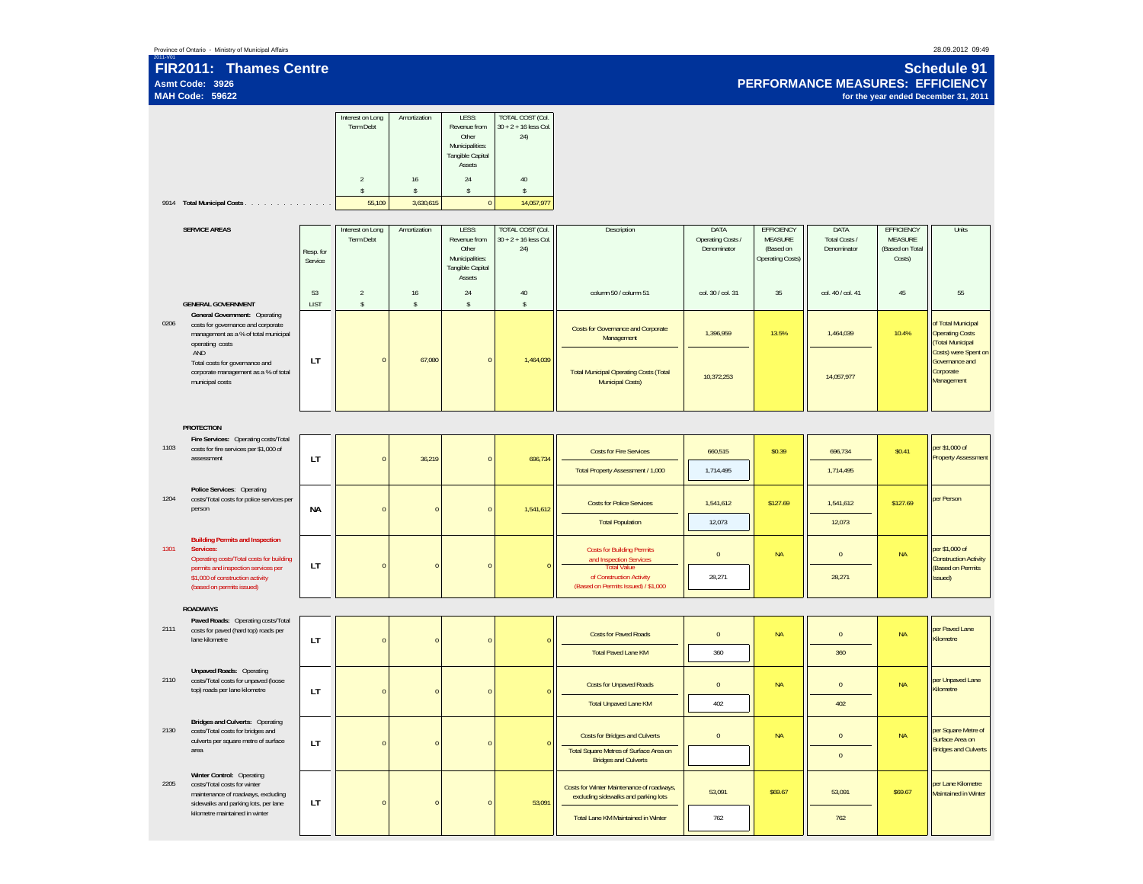### **FIR2011: Thames Centre Asmt Code: 3926MAH Code: 59622**

**Schedule 91 PERFORMANCE MEASURES: EFFICIENCYfor the year ended December 31, 2011**

|      |                                                                                                                                         |                      | Interest on Long<br>Term Debt<br>$\overline{2}$ | Amortization<br>16        | LESS:<br>Revenue from<br>Other<br>Municipalities:<br>Tangible Capital<br>Assets<br>24 | TOTAL COST (Col.<br>$30 + 2 + 16$ less Col.<br>24)<br>40 |                                                                                    |                                          |                                                                             |                                      |                                                    |                                                                                          |
|------|-----------------------------------------------------------------------------------------------------------------------------------------|----------------------|-------------------------------------------------|---------------------------|---------------------------------------------------------------------------------------|----------------------------------------------------------|------------------------------------------------------------------------------------|------------------------------------------|-----------------------------------------------------------------------------|--------------------------------------|----------------------------------------------------|------------------------------------------------------------------------------------------|
|      | 9914 Total Municipal Costs                                                                                                              |                      | $\mathsf{s}$<br>55,109                          | $\mathsf{s}$<br>3,630,615 | $\mathbb{S}$<br>$\pmb{0}$                                                             | $\mathbb{S}$<br>14,057,977                               |                                                                                    |                                          |                                                                             |                                      |                                                    |                                                                                          |
|      |                                                                                                                                         |                      |                                                 |                           |                                                                                       |                                                          |                                                                                    |                                          |                                                                             |                                      |                                                    |                                                                                          |
|      | <b>SERVICE AREAS</b>                                                                                                                    | Resp. for<br>Service | Interest on Long<br>Term Debt                   | Amortization              | LESS:<br>Revenue from<br>Other<br>Municipalities:<br>Tangible Capital<br>Assets       | TOTAL COST (Col.<br>$30 + 2 + 16$ less Col.<br>24)       | Description                                                                        | DATA<br>Operating Costs /<br>Denominator | <b>EFFICIENCY</b><br><b>MEASURE</b><br>(Based on<br><b>Operating Costs)</b> | DATA<br>Total Costs /<br>Denominator | EFFICIENCY<br>MEASURE<br>(Based on Total<br>Costs) | Units                                                                                    |
|      | <b>GENERAL GOVERNMENT</b>                                                                                                               | 53<br><b>LIST</b>    | $\sqrt{2}$<br>$\mathbb{S}$                      | 16<br>$\mathbb{S}$        | 24<br>$\mathbb{S}$                                                                    | 40<br>$\mathbb{S}$                                       | column 50 / column 51                                                              | col. 30 / col. 31                        | 35                                                                          | col. 40 / col. 41                    | 45                                                 | 55                                                                                       |
| 0206 | General Government: Operating<br>costs for governance and corporate<br>management as a % of total municipal<br>operating costs          |                      |                                                 |                           |                                                                                       |                                                          | Costs for Governance and Corporate<br>Management                                   | 1,396,959                                | 13.5%                                                                       | 1,464,039                            | 10.4%                                              | of Total Municipal<br><b>Operating Costs</b><br>(Total Municipal<br>Costs) were Spent on |
|      | AND<br>Total costs for governance and<br>corporate management as a % of total<br>municipal costs                                        | LT                   | $\theta$                                        | 67,080                    | $\overline{0}$                                                                        | 1,464,039                                                | <b>Total Municipal Operating Costs (Total</b><br><b>Municipal Costs)</b>           | 10.372.253                               |                                                                             | 14.057.977                           |                                                    | Governance and<br>Corporate<br>Management                                                |
|      | <b>PROTECTION</b>                                                                                                                       |                      |                                                 |                           |                                                                                       |                                                          |                                                                                    |                                          |                                                                             |                                      |                                                    |                                                                                          |
|      | Fire Services: Operating costs/Total                                                                                                    |                      |                                                 |                           |                                                                                       |                                                          |                                                                                    |                                          |                                                                             |                                      |                                                    |                                                                                          |
| 1103 | costs for fire services per \$1,000 of<br>assessment                                                                                    | LT                   | $\mathbf{0}$                                    | 36,219                    | $\pmb{0}$                                                                             | 696,734                                                  | <b>Costs for Fire Services</b>                                                     | 660,515                                  | \$0.39                                                                      | 696,734                              | \$0.41                                             | per \$1,000 of<br><b>Property Assessment</b>                                             |
|      |                                                                                                                                         |                      |                                                 |                           |                                                                                       |                                                          | Total Property Assessment / 1,000                                                  | 1,714,495                                |                                                                             | 1,714,495                            |                                                    |                                                                                          |
| 1204 | Police Services: Operating<br>costs/Total costs for police services per<br>person                                                       | <b>NA</b>            | $\overline{0}$                                  | $\sqrt{ }$                | $\pmb{0}$                                                                             | 1,541,612                                                | <b>Costs for Police Services</b>                                                   | 1,541,612                                | \$127.69                                                                    | 1,541,612                            | \$127.69                                           | per Person                                                                               |
|      |                                                                                                                                         |                      |                                                 |                           |                                                                                       |                                                          | <b>Total Population</b>                                                            | 12,073                                   |                                                                             | 12,073                               |                                                    |                                                                                          |
| 1301 | <b>Building Permits and Inspection</b><br>Services:<br>Operating costs/Total costs for building<br>permits and inspection services per  | LT                   | $\overline{0}$                                  | $\sqrt{ }$                | $\pmb{0}$                                                                             |                                                          | <b>Costs for Building Permits</b><br>and Inspection Services<br><b>Total Value</b> | $\mathbf 0$                              | <b>NA</b>                                                                   | $\mathbf 0$                          | <b>NA</b>                                          | per \$1,000 of<br><b>Construction Activity</b><br>(Based on Permits                      |
|      | \$1,000 of construction activity<br>(based on permits issued)                                                                           |                      |                                                 |                           |                                                                                       |                                                          | of Construction Activity<br>(Based on Permits Issued) / \$1,000                    | 28,271                                   |                                                                             | 28,271                               |                                                    | Issued)                                                                                  |
|      | <b>ROADWAYS</b>                                                                                                                         |                      |                                                 |                           |                                                                                       |                                                          |                                                                                    |                                          |                                                                             |                                      |                                                    |                                                                                          |
| 2111 | Paved Roads: Operating costs/Total<br>costs for paved (hard top) roads per<br>lane kilometre                                            | LT                   | $\overline{0}$                                  | $\overline{0}$            | $\overline{0}$                                                                        |                                                          | <b>Costs for Paved Roads</b>                                                       | $\mathbf{0}$                             | <b>NA</b>                                                                   | $\mathbf 0$                          | <b>NA</b>                                          | per Paved Lane<br>Kilometre                                                              |
|      |                                                                                                                                         |                      |                                                 |                           |                                                                                       |                                                          | <b>Total Paved Lane KM</b>                                                         | 360                                      |                                                                             | 360                                  |                                                    |                                                                                          |
| 2110 | <b>Unpaved Roads: Operating</b><br>costs/Total costs for unpaved (loose<br>top) roads per lane kilometre                                | LT                   | $\overline{0}$                                  | $\sqrt{a}$                | $\overline{0}$                                                                        |                                                          | <b>Costs for Unpaved Roads</b>                                                     | $\mathbf 0$                              | <b>NA</b>                                                                   | $\mathbf{0}$                         | <b>NA</b>                                          | per Unpaved Lane<br>Kilometre                                                            |
|      |                                                                                                                                         |                      |                                                 |                           |                                                                                       |                                                          | <b>Total Unpaved Lane KM</b>                                                       | 402                                      |                                                                             | 402                                  |                                                    |                                                                                          |
| 2130 | Bridges and Culverts: Operating<br>costs/Total costs for bridges and<br>culverts per square metre of surface                            | LT                   | $\overline{0}$                                  | $\sqrt{ }$                | $\pmb{0}$                                                                             |                                                          | Costs for Bridges and Culverts                                                     | $\pmb{0}$                                | <b>NA</b>                                                                   | $\mathbf 0$                          | $\sf NA$                                           | per Square Metre of<br>Surface Area on<br><b>Bridges and Culverts</b>                    |
|      | area                                                                                                                                    |                      |                                                 |                           |                                                                                       |                                                          | Total Square Metres of Surface Area on<br><b>Bridges and Culverts</b>              |                                          |                                                                             | $\mathbf 0$                          |                                                    |                                                                                          |
| 2205 | Winter Control: Operating<br>costs/Total costs for winter<br>maintenance of roadways, excluding<br>sidewalks and parking lots, per lane | LT                   | $\overline{0}$                                  | $\overline{0}$            | $\mathbf 0$                                                                           | 53,091                                                   | Costs for Winter Maintenance of roadways,<br>excluding sidewalks and parking lots  | 53,091                                   | \$69.67                                                                     | 53,091                               | \$69.67                                            | per Lane Kilometre<br>Maintained in Winter                                               |
|      | kilometre maintained in winter                                                                                                          |                      |                                                 |                           |                                                                                       |                                                          | Total Lane KM Maintained in Winter                                                 | 762                                      |                                                                             | 762                                  |                                                    |                                                                                          |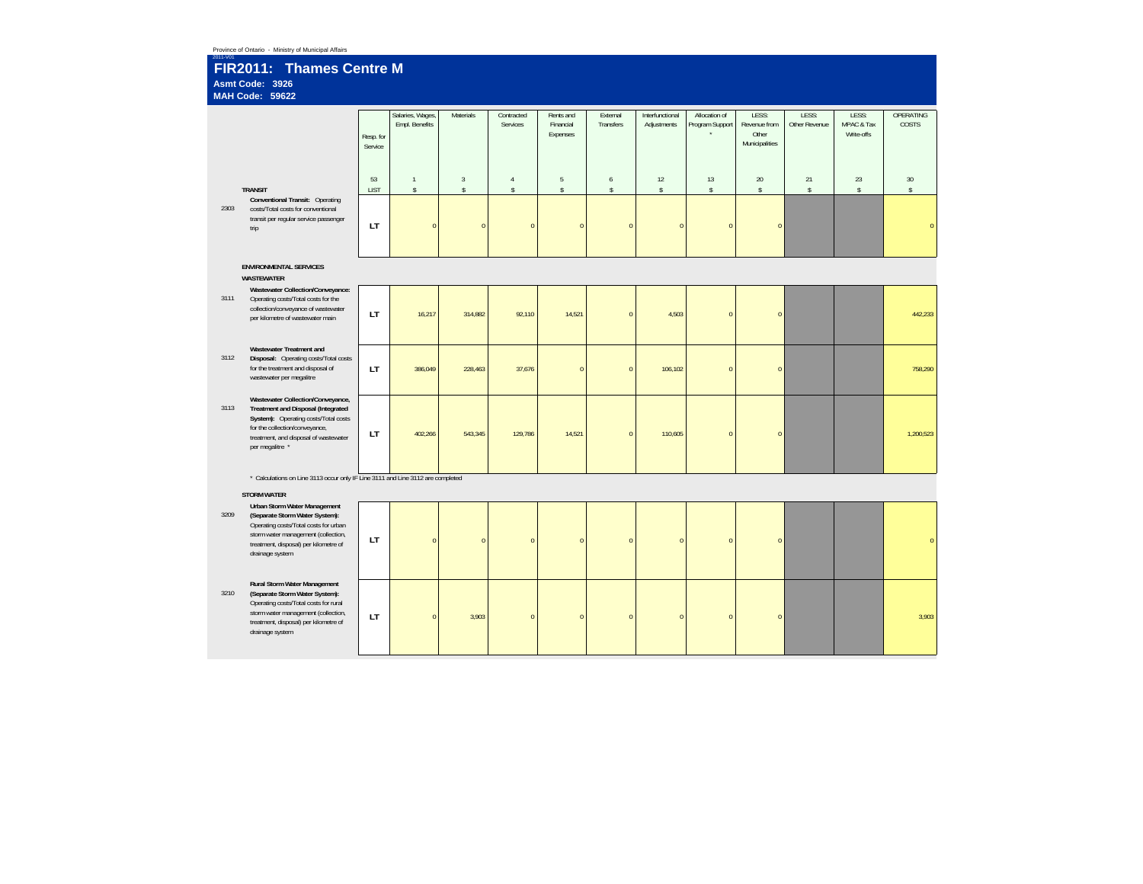| Province of Ontario - Ministry of Municipal Affairs<br>$2011 - V0$    |                                                                                                                                                                                                               |                      |                                    |                      |                            |                                    |                       |                                |                                  |                                                  |                        |                                   |                    |
|-----------------------------------------------------------------------|---------------------------------------------------------------------------------------------------------------------------------------------------------------------------------------------------------------|----------------------|------------------------------------|----------------------|----------------------------|------------------------------------|-----------------------|--------------------------------|----------------------------------|--------------------------------------------------|------------------------|-----------------------------------|--------------------|
| FIR2011: Thames Centre M<br>Asmt Code: 3926<br><b>MAH Code: 59622</b> |                                                                                                                                                                                                               |                      |                                    |                      |                            |                                    |                       |                                |                                  |                                                  |                        |                                   |                    |
|                                                                       |                                                                                                                                                                                                               | Resp. for<br>Service | Salaries, Wages,<br>Empl. Benefits | Materials            | Contracted<br>Services     | Rents and<br>Financial<br>Expenses | External<br>Transfers | Interfunctional<br>Adjustments | Allocation of<br>Program Support | LESS:<br>Revenue from<br>Other<br>Municipalities | LESS:<br>Other Revenue | LESS:<br>MPAC & Tax<br>Write-offs | OPERATING<br>COSTS |
|                                                                       | <b>TRANSIT</b>                                                                                                                                                                                                | 53<br><b>LIST</b>    | $\mathbf{1}$<br>$\mathbb{S}$       | $\overline{3}$<br>\$ | $\sqrt{4}$<br>$\mathsf{s}$ | $\sqrt{5}$<br>$\mathbb{S}$         | 6<br>$\mathbb S$      | 12<br>$\mathbb{S}$             | 13<br>\$                         | 20<br>$\mathbb S$                                | 21<br>$\mathsf S$      | 23<br>$\mathsf{s}$                | 30<br>$\mathbb{S}$ |
| 2303                                                                  | Conventional Transit: Operating<br>costs/Total costs for conventional<br>transit per regular service passenger<br>trip                                                                                        | LT.                  | $\overline{0}$                     | $\mathbf{C}$         | $\overline{0}$             | $\overline{0}$                     | $\overline{0}$        | $\overline{0}$                 | $\Omega$                         | $\overline{0}$                                   |                        |                                   |                    |
|                                                                       | <b>ENVIRONMENTAL SERVICES</b><br><b>WASTEWATER</b>                                                                                                                                                            |                      |                                    |                      |                            |                                    |                       |                                |                                  |                                                  |                        |                                   |                    |
| 3111                                                                  | Wastewater Collection/Conveyance:<br>Operating costs/Total costs for the<br>collection/conveyance of wastewater<br>per kilometre of wastewater main                                                           | LT                   | 16,217                             | 314,882              | 92,110                     | 14,521                             | $\pmb{0}$             | 4,503                          | $\Omega$                         | $\pmb{0}$                                        |                        |                                   | 442,233            |
| 3112                                                                  | Wastewater Treatment and<br>Disposal: Operating costs/Total costs<br>for the treatment and disposal of<br>wastewater per megalitre                                                                            | LT                   | 386,049                            | 228,463              | 37,676                     | $\overline{0}$                     | $\pmb{0}$             | 106,102                        | $\Omega$                         | $\pmb{0}$                                        |                        |                                   | 758,290            |
| 3113                                                                  | Wastewater Collection/Conveyance,<br>Treatment and Disposal (Integrated<br>System): Operating costs/Total costs<br>for the collection/conveyance,<br>treatment, and disposal of wastewater<br>per megalitre * | LT                   | 402,266                            | 543,345              | 129,786                    | 14,521                             | $\pmb{0}$             | 110,605                        | $\overline{0}$                   | $\pmb{0}$                                        |                        |                                   | 1,200,523          |
|                                                                       | * Calculations on Line 3113 occur only IF Line 3111 and Line 3112 are completed                                                                                                                               |                      |                                    |                      |                            |                                    |                       |                                |                                  |                                                  |                        |                                   |                    |
|                                                                       | <b>STORM WATER</b><br>Urban Storm Water Management                                                                                                                                                            |                      |                                    |                      |                            |                                    |                       |                                |                                  |                                                  |                        |                                   |                    |
| 3209                                                                  | (Separate Storm Water System):<br>Operating costs/Total costs for urban<br>storm water management (collection,<br>treatment, disposal) per kilometre of<br>drainage system                                    | LT                   | $\sqrt{ }$                         | $\sqrt{2}$           | $\Omega$                   | $\Omega$                           | $\overline{0}$        | $\overline{0}$                 | $\Omega$                         | $\overline{0}$                                   |                        |                                   |                    |
| 3210                                                                  | Rural Storm Water Management<br>(Separate Storm Water System):<br>Operating costs/Total costs for rural<br>storm water management (collection,<br>treatment, disposal) per kilometre of<br>drainage system    | LT                   | $\overline{0}$                     | 3.903                | $\overline{0}$             | $\overline{0}$                     | $\overline{0}$        | $\overline{0}$                 | $\overline{0}$                   | $\overline{0}$                                   |                        |                                   | 3.903              |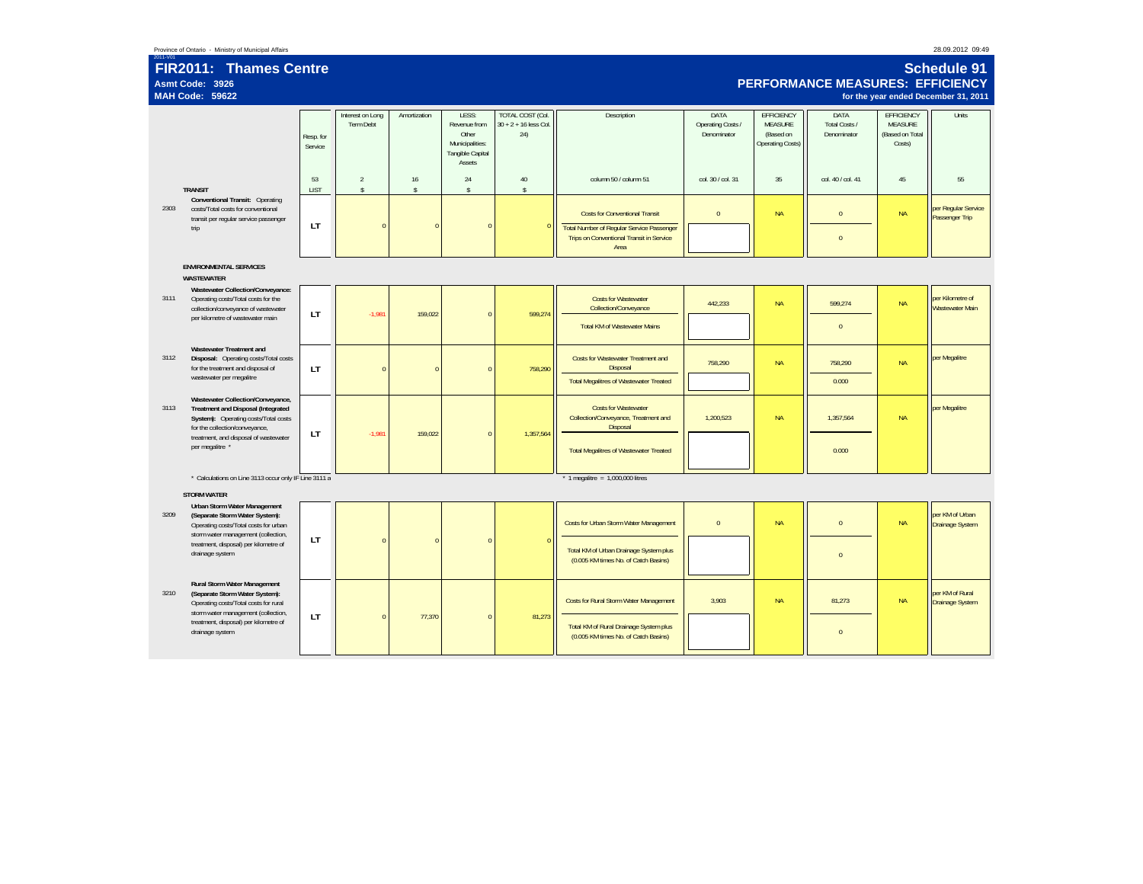| Province of Ontario | Ministry of Municipal Affairs |  |
|---------------------|-------------------------------|--|
|                     |                               |  |

|      | Schedule 91<br>FIR2011: Thames Centre<br><b>PERFORMANCE MEASURES: EFFICIENCY</b><br>Asmt Code: 3926<br><b>MAH Code: 59622</b><br>for the year ended December 31, 2011 |                      |                                |                    |                                                                                 |                                                           |                                                                                           |                                          |                                                               |                                      |                                                           |                                            |
|------|-----------------------------------------------------------------------------------------------------------------------------------------------------------------------|----------------------|--------------------------------|--------------------|---------------------------------------------------------------------------------|-----------------------------------------------------------|-------------------------------------------------------------------------------------------|------------------------------------------|---------------------------------------------------------------|--------------------------------------|-----------------------------------------------------------|--------------------------------------------|
|      |                                                                                                                                                                       | Resp. for<br>Service | Interest on Long<br>Term Debt  | Amortization       | LESS:<br>Revenue from<br>Other<br>Municipalities:<br>Tangible Capital<br>Assets | <b>TOTAL COST (Col.</b><br>$30 + 2 + 16$ less Col.<br>24) | Description                                                                               | DATA<br>Operating Costs /<br>Denominator | <b>EFFICIENCY</b><br>MEASURE<br>(Based on<br>Operating Costs) | DATA<br>Total Costs /<br>Denominator | EFFICIENCY<br><b>MEASURE</b><br>(Based on Total<br>Costs) | Units                                      |
|      | <b>TRANSIT</b>                                                                                                                                                        | 53<br><b>LIST</b>    | $\overline{2}$<br>$\mathbb{S}$ | 16<br>$\mathsf{s}$ | 24<br>$\mathbf{\hat{S}}$                                                        | 40<br>$\mathbb{S}$                                        | column 50 / column 51                                                                     | col. 30 / col. 31                        | 35                                                            | col. 40 / col. 41                    | 45                                                        | 55                                         |
| 2303 | Conventional Transit: Operating<br>costs/Total costs for conventional<br>transit per regular service passenger<br>trip                                                | LT                   | $\pmb{0}$                      | $\sqrt{ }$         | $\Omega$                                                                        |                                                           | <b>Costs for Conventional Transit</b><br><b>Total Number of Regular Service Passenger</b> | $\mathbf{0}$                             | <b>NA</b>                                                     | $\mathbf{0}$                         | <b>NA</b>                                                 | per Regular Service<br>Passenger Trip      |
|      |                                                                                                                                                                       |                      |                                |                    |                                                                                 |                                                           | Trips on Conventional Transit in Service<br>Area                                          |                                          |                                                               | $\Omega$                             |                                                           |                                            |
|      | <b>ENVIRONMENTAL SERVICES</b><br><b>WASTEWATER</b>                                                                                                                    |                      |                                |                    |                                                                                 |                                                           |                                                                                           |                                          |                                                               |                                      |                                                           |                                            |
| 3111 | Wastewater Collection/Conveyance:<br>Operating costs/Total costs for the<br>collection/conveyance of wastewater                                                       | LT                   | $-1,981$                       | 159,022            | $\Omega$                                                                        | 599,274                                                   | <b>Costs for Wastewater</b><br>Collection/Conveyance                                      | 442,233                                  | <b>NA</b>                                                     | 599,274                              | <b>NA</b>                                                 | per Kilometre of<br><b>Wastewater Main</b> |
|      | per kilometre of wastewater main                                                                                                                                      |                      |                                |                    |                                                                                 |                                                           | <b>Total KM of Wastewater Mains</b>                                                       |                                          |                                                               | $\overline{0}$                       |                                                           |                                            |
| 3112 | Wastewater Treatment and<br>Disposal: Operating costs/Total costs<br>for the treatment and disposal of                                                                | LT                   | $\mathbf{0}$                   | $\sqrt{ }$         | $\Omega$                                                                        | 758.290                                                   | <b>Costs for Wastewater Treatment and</b><br>Disposal                                     | 758.290                                  | <b>NA</b>                                                     | 758.290                              | <b>NA</b>                                                 | per Megalitre                              |
|      | wastewater per megalitre                                                                                                                                              |                      |                                |                    |                                                                                 |                                                           | <b>Total Megalitres of Wastewater Treated</b>                                             |                                          |                                                               | 0.000                                |                                                           |                                            |
| 3113 | Wastewater Collection/Conveyance,<br>Treatment and Disposal (Integrated<br>System): Operating costs/Total costs<br>for the collection/conveyance,                     | <b>LT</b>            | $-1,981$                       | 159,022            | $\Omega$                                                                        | 1,357,564                                                 | <b>Costs for Wastewater</b><br>Collection/Conveyance, Treatment and<br>Disposal           | 1,200,523                                | <b>NA</b>                                                     | 1,357,564                            | <b>NA</b>                                                 | per Megalitre                              |
|      | treatment, and disposal of wastewater<br>per megalitre *                                                                                                              |                      |                                |                    |                                                                                 |                                                           | <b>Total Megalitres of Wastewater Treated</b>                                             |                                          |                                                               | 0.000                                |                                                           |                                            |
|      | * Calculations on Line 3113 occur only IF Line 3111 a                                                                                                                 |                      |                                |                    |                                                                                 |                                                           | $*$ 1 megalitre = 1,000,000 litres                                                        |                                          |                                                               |                                      |                                                           |                                            |
|      | <b>STORM WATER</b><br>Urban Storm Water Management                                                                                                                    |                      |                                |                    |                                                                                 |                                                           |                                                                                           |                                          |                                                               |                                      |                                                           |                                            |
| 3209 | (Separate Storm Water System):<br>Operating costs/Total costs for urban<br>storm water management (collection,                                                        | LT                   | $\mathbf{0}$                   | $\sqrt{ }$         | $\Omega$                                                                        | г                                                         | Costs for Urban Storm Water Management                                                    | $\mathbf{0}$                             | <b>NA</b>                                                     | $\mathbf{0}$                         | <b>NA</b>                                                 | per KM of Urban<br><b>Drainage System</b>  |
|      | treatment, disposal) per kilometre of<br>drainage system                                                                                                              |                      |                                |                    |                                                                                 |                                                           | Total KM of Urban Drainage System plus<br>(0.005 KM times No. of Catch Basins)            |                                          |                                                               | $\Omega$                             |                                                           |                                            |
| 3210 | Rural Storm Water Management<br>(Separate Storm Water System):<br>Operating costs/Total costs for rural<br>storm water management (collection,                        |                      |                                |                    |                                                                                 |                                                           | <b>Costs for Rural Storm Water Management</b>                                             | 3.903                                    | <b>NA</b>                                                     | 81.273                               | <b>NA</b>                                                 | per KM of Rural<br>Drainage System         |
|      | treatment, disposal) per kilometre of<br>drainage system                                                                                                              | LT                   | $\overline{0}$                 | 77,370             | $\Omega$                                                                        | 81,273                                                    | Total KM of Rural Drainage System plus<br>(0.005 KM times No. of Catch Basins)            |                                          |                                                               | $\mathbf{0}$                         |                                                           |                                            |
|      |                                                                                                                                                                       |                      |                                |                    |                                                                                 |                                                           |                                                                                           |                                          |                                                               |                                      |                                                           |                                            |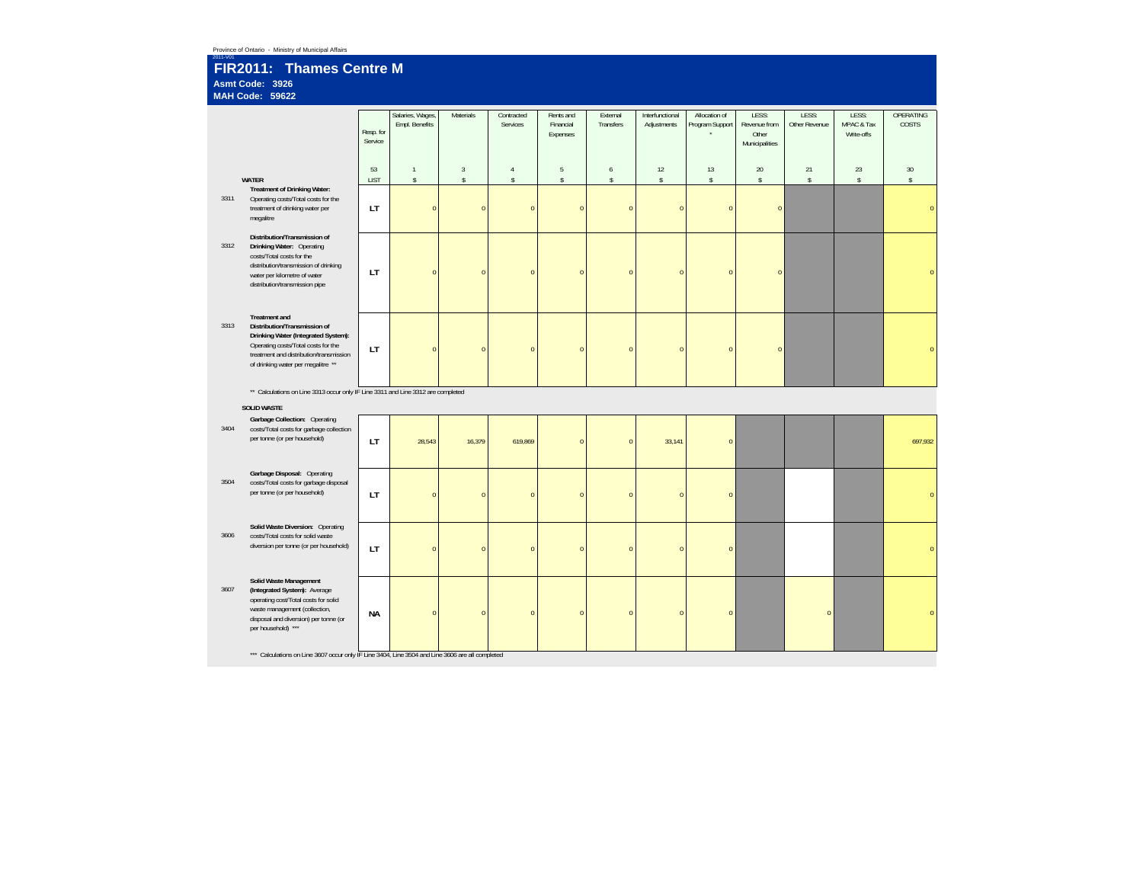|                                                                       | Province of Ontario - Ministry of Municipal Affairs<br>2011-V01                                                                                                                                                     |                      |                                    |                             |                          |                                    |                             |                                |                                  |                                                  |                        |                                   |                           |
|-----------------------------------------------------------------------|---------------------------------------------------------------------------------------------------------------------------------------------------------------------------------------------------------------------|----------------------|------------------------------------|-----------------------------|--------------------------|------------------------------------|-----------------------------|--------------------------------|----------------------------------|--------------------------------------------------|------------------------|-----------------------------------|---------------------------|
| FIR2011: Thames Centre M<br>Asmt Code: 3926<br><b>MAH Code: 59622</b> |                                                                                                                                                                                                                     |                      |                                    |                             |                          |                                    |                             |                                |                                  |                                                  |                        |                                   |                           |
|                                                                       |                                                                                                                                                                                                                     | Resp. for<br>Service | Salaries, Wages,<br>Empl. Benefits | Materials                   | Contracted<br>Services   | Rents and<br>Financial<br>Expenses | External<br>Transfers       | Interfunctional<br>Adjustments | Allocation of<br>Program Support | LESS:<br>Revenue from<br>Other<br>Municipalities | LESS:<br>Other Revenue | LESS:<br>MPAC & Tax<br>Write-offs | <b>OPERATING</b><br>COSTS |
|                                                                       |                                                                                                                                                                                                                     | 53                   | $\mathbf{1}$                       | $\overline{3}$              | $\sqrt{4}$               | $5\phantom{.0}$                    | $\boldsymbol{6}$            | 12                             | 13                               | 20                                               | 21                     | 23                                | 30                        |
| 3311                                                                  | <b>WATER</b><br>Treatment of Drinking Water:<br>Operating costs/Total costs for the<br>treatment of drinking water per<br>megalitre                                                                                 | <b>LIST</b><br>LT    | $\mathbb{S}$<br>$\pmb{0}$          | $\mathbb{S}$<br>$\mathbf 0$ | $\mathbb{S}$<br>$\bf{0}$ | $\mathbb S$<br>$\pmb{0}$           | $\mathbb{S}$<br>$\mathbf 0$ | $\mathbb{S}$<br>$\overline{0}$ | \$<br>$\overline{0}$             | $\mathbb{S}$<br>$\overline{0}$                   | $\mathsf{s}$           | $\mathsf{s}$                      | $\mathbb{S}$<br>$\Omega$  |
| 3312                                                                  | Distribution/Transmission of<br>Drinking Water: Operating<br>costs/Total costs for the<br>distribution/transmission of drinking<br>water per kilometre of water<br>distribution/transmission pipe                   | LT                   | $\overline{0}$                     | $\overline{0}$              | $\overline{0}$           | $\mathbf{0}$                       | $\overline{0}$              | $\overline{0}$                 | $\overline{0}$                   | $\overline{0}$                                   |                        |                                   |                           |
| 3313                                                                  | <b>Treatment</b> and<br>Distribution/Transmission of<br>Drinking Water (Integrated System):<br>Operating costs/Total costs for the<br>treatment and distribution/transmission<br>of drinking water per megalitre ** | LT.                  | $\mathbf{0}$                       | $\overline{0}$              | $\overline{0}$           | $\pmb{0}$                          | $\pmb{0}$                   | $\overline{0}$                 | $\pmb{0}$                        | $\pmb{0}$                                        |                        |                                   |                           |
|                                                                       | ** Calculations on Line 3313 occur only IF Line 3311 and Line 3312 are completed                                                                                                                                    |                      |                                    |                             |                          |                                    |                             |                                |                                  |                                                  |                        |                                   |                           |
| 3404                                                                  | <b>SOLID WASTE</b><br>Garbage Collection: Operating<br>costs/Total costs for garbage collection<br>per tonne (or per household)                                                                                     | LT                   | 28,543                             | 16,379                      | 619,869                  | $\pmb{0}$                          | $\overline{0}$              | 33,141                         | $\overline{0}$                   |                                                  |                        |                                   | 697,932                   |
| 3504                                                                  | Garbage Disposal: Operating<br>costs/Total costs for garbage disposal<br>per tonne (or per household)                                                                                                               | LT                   | $\overline{0}$                     | $\Omega$                    | $\overline{0}$           | $\pmb{0}$                          | $\overline{0}$              | $\Omega$                       | $\overline{0}$                   |                                                  |                        |                                   | $\Omega$                  |
| 3606                                                                  | Solid Waste Diversion: Operating<br>costs/Total costs for solid waste<br>diversion per tonne (or per household)                                                                                                     | LT                   | $\overline{0}$                     | $\overline{0}$              | $\overline{0}$           | $\pmb{0}$                          | $\pmb{0}$                   | $\overline{0}$                 | $\pmb{0}$                        |                                                  |                        |                                   | $\Omega$                  |
| 3607                                                                  | Solid Waste Management<br>(Integrated System): Average<br>operating cost/Total costs for solid<br>waste management (collection,<br>disposal and diversion) per tonne (or<br>per household) ***                      | NA                   | $\mathbf{0}$                       | $\pmb{0}$                   | $\pmb{0}$                | $\mathbf 0$                        | $\mathbf 0$                 | $\pmb{0}$                      | $\mathbf{0}$                     |                                                  | $\mathbf{0}$           |                                   | $\overline{0}$            |
|                                                                       | *** Calculations on Line 3607 occur only IF Line 3404, Line 3504 and Line 3606 are all completed                                                                                                                    |                      |                                    |                             |                          |                                    |                             |                                |                                  |                                                  |                        |                                   |                           |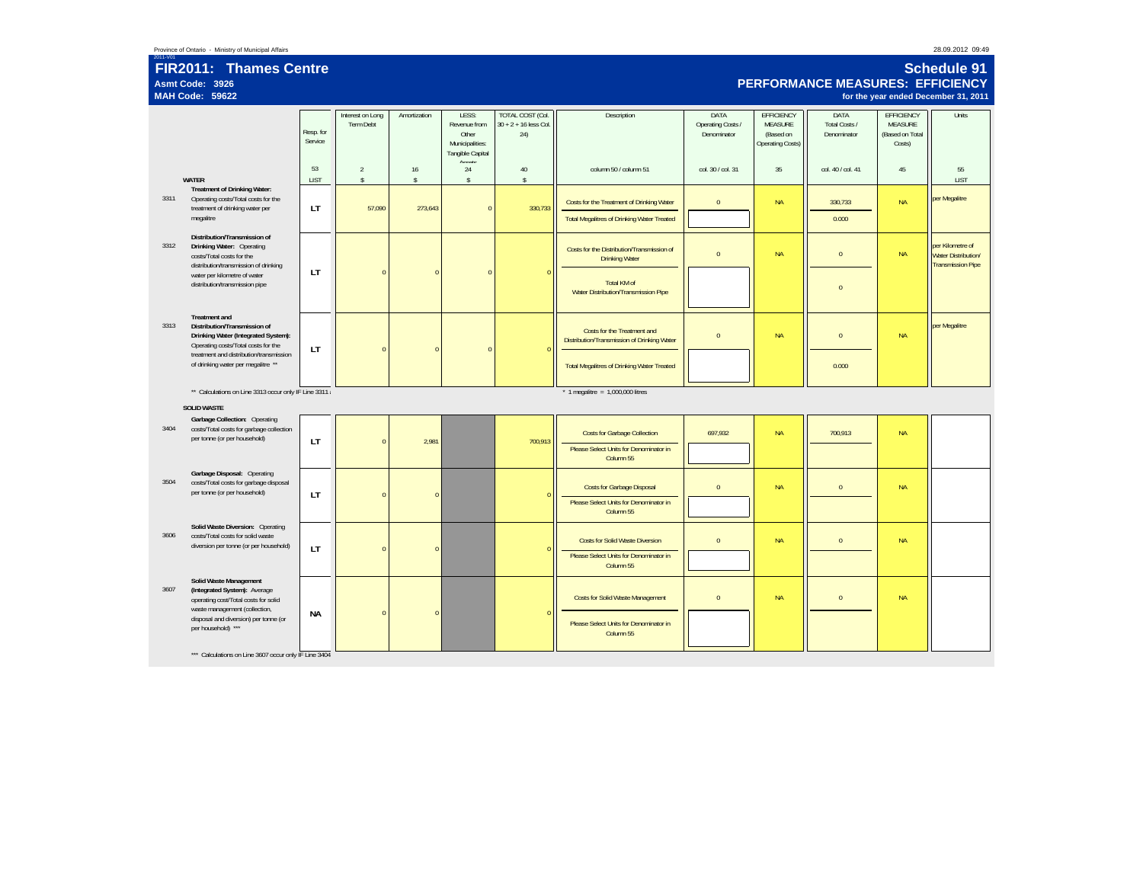### 2011-V01 **FIR2011: Thames Centre Asmt Code: 3926MAH Code: 59622**

# **Schedule 91PERFORMANCE MEASURES: EFFICIENCY**

**for the year ended December 31, 2011**

|      |                                                                                                                                    | Resp. for<br>Service | Interest on Long<br><b>Term Debt</b> | Amortization       | LESS:<br>Revenue from<br>Other<br>Municipalities:<br>Tangible Capital | <b>TOTAL COST (Col.</b><br>$30 + 2 + 16$ less Col.<br>24) | Description                                                                | DATA<br>Operating Costs /<br>Denominator | <b>EFFICIENCY</b><br>MEASURE<br>(Based on<br>Operating Costs) | <b>DATA</b><br>Total Costs /<br>Denominator | EFFICIENCY<br><b>MEASURE</b><br>(Based on Total<br>Costs) | Units                                                                      |
|------|------------------------------------------------------------------------------------------------------------------------------------|----------------------|--------------------------------------|--------------------|-----------------------------------------------------------------------|-----------------------------------------------------------|----------------------------------------------------------------------------|------------------------------------------|---------------------------------------------------------------|---------------------------------------------|-----------------------------------------------------------|----------------------------------------------------------------------------|
|      | WATER                                                                                                                              | 53<br>LIST           | $\overline{2}$<br>$\mathsf S$        | 16<br>$\mathsf{s}$ | Accode<br>24<br>$\mathsf S$                                           | 40<br>$\mathbb{S}$                                        | column 50 / column 51                                                      | col. 30 / col. 31                        | 35                                                            | col. 40 / col. 41                           | 45                                                        | 55<br>LIST                                                                 |
| 3311 | <b>Treatment of Drinking Water:</b><br>Operating costs/Total costs for the<br>treatment of drinking water per                      | LT                   | 57,090                               | 273,643            | $\bf 0$                                                               | 330,733                                                   | Costs for the Treatment of Drinking Water                                  | $\bf 0$                                  | <b>NA</b>                                                     | 330,733                                     | <b>NA</b>                                                 | per Megalitre                                                              |
|      | megalitre                                                                                                                          |                      |                                      |                    |                                                                       |                                                           | <b>Total Megalitres of Drinking Water Treated</b>                          |                                          |                                                               | 0.000                                       |                                                           |                                                                            |
| 3312 | Distribution/Transmission of<br>Drinking Water: Operating<br>costs/Total costs for the<br>distribution/transmission of drinking    |                      |                                      |                    |                                                                       |                                                           | Costs for the Distribution/Transmission of<br><b>Drinking Water</b>        | $\bf 0$                                  | <b>NA</b>                                                     | $\mathbf 0$                                 | <b>NA</b>                                                 | per Kilometre of<br><b>Water Distribution/</b><br><b>Transmission Pipe</b> |
|      | water per kilometre of water<br>distribution/transmission pipe                                                                     | LT                   | $\mathbf{0}$                         | $\Omega$           | $\mathbf{0}$                                                          |                                                           | Total KM of<br>Water Distribution/Transmission Pipe                        |                                          |                                                               | $\mathbf{0}$                                |                                                           |                                                                            |
| 3313 | <b>Treatment and</b><br>Distribution/Transmission of<br>Drinking Water (Integrated System):<br>Operating costs/Total costs for the | LT                   | $\mathbf{0}$                         | $\Omega$           | $\mathbf{0}$                                                          |                                                           | Costs for the Treatment and<br>Distribution/Transmission of Drinking Water | $\mathbf{0}$                             | <b>NA</b>                                                     | $\mathbf{0}$                                | <b>NA</b>                                                 | per Megalitre                                                              |
|      | treatment and distribution/transmission<br>of drinking water per megalitre **                                                      |                      |                                      |                    |                                                                       |                                                           | <b>Total Megalitres of Drinking Water Treated</b>                          |                                          |                                                               | 0.000                                       |                                                           |                                                                            |
|      | ** Calculations on Line 3313 occur only IF Line 3311 a                                                                             |                      |                                      |                    |                                                                       |                                                           | $*$ 1 megalitre = 1,000,000 litres                                         |                                          |                                                               |                                             |                                                           |                                                                            |
|      | <b>SOLID WASTE</b><br>Garbage Collection: Operating                                                                                |                      |                                      |                    |                                                                       |                                                           |                                                                            |                                          |                                                               |                                             |                                                           |                                                                            |
| 3404 | costs/Total costs for garbage collection<br>per tonne (or per household)                                                           | LT                   | $\mathbf{0}$                         | 2,981              |                                                                       | 700,913                                                   | <b>Costs for Garbage Collection</b>                                        | 697,932                                  | <b>NA</b>                                                     | 700,913                                     | <b>NA</b>                                                 |                                                                            |
|      |                                                                                                                                    |                      |                                      |                    |                                                                       |                                                           | Please Select Units for Denominator in<br>Column 55                        |                                          |                                                               |                                             |                                                           |                                                                            |
| 3504 | Garbage Disposal: Operating<br>costs/Total costs for garbage disposal<br>per tonne (or per household)                              |                      | $\mathbf{0}$                         | $\Omega$           |                                                                       |                                                           | <b>Costs for Garbage Disposal</b>                                          | $\mathbf{0}$                             | <b>NA</b>                                                     | $\mathbf{0}$                                | <b>NA</b>                                                 |                                                                            |
|      |                                                                                                                                    | LT                   |                                      |                    |                                                                       |                                                           | Please Select Units for Denominator in<br>Column 55                        |                                          |                                                               |                                             |                                                           |                                                                            |
| 3606 | Solid Waste Diversion: Operating<br>costs/Total costs for solid waste<br>diversion per tonne (or per household)                    |                      | $\mathbf{0}$                         | $\Omega$           |                                                                       |                                                           | <b>Costs for Solid Waste Diversion</b>                                     | $\pmb{0}$                                | <b>NA</b>                                                     | $\mathbf 0$                                 | <b>NA</b>                                                 |                                                                            |
|      |                                                                                                                                    | LT                   |                                      |                    |                                                                       |                                                           | Please Select Units for Denominator in<br>Column 55                        |                                          |                                                               |                                             |                                                           |                                                                            |
| 3607 | Solid Waste Management<br>(Integrated System): Average<br>operating cost/Total costs for solid<br>waste management (collection,    |                      |                                      |                    |                                                                       |                                                           | <b>Costs for Solid Waste Management</b>                                    | $\mathbf{0}$                             | <b>NA</b>                                                     | $\mathbf 0$                                 | <b>NA</b>                                                 |                                                                            |
|      | disposal and diversion) per tonne (or<br>per household) ***                                                                        | <b>NA</b>            | $\mathbf{0}$                         | $\Omega$           |                                                                       |                                                           | Please Select Units for Denominator in<br>Column 55                        |                                          |                                                               |                                             |                                                           |                                                                            |
|      | *** Calculations on Line 3607 occur only IF Line 3404                                                                              |                      |                                      |                    |                                                                       |                                                           |                                                                            |                                          |                                                               |                                             |                                                           |                                                                            |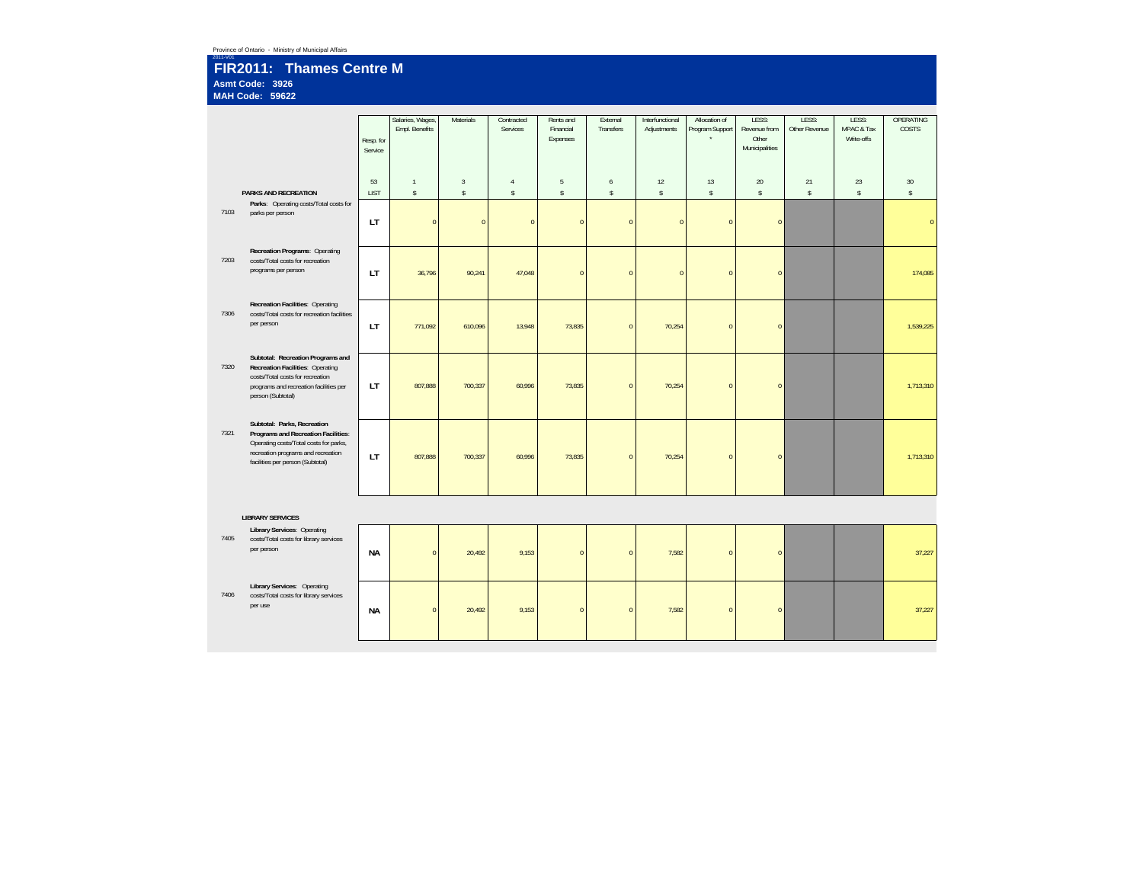### 2011-V01 **FIR2011: Thames Centre M Asmt Code: 3926MAH Code: 59622**

|      |                                                                                 | Resp. for<br>Service | Salaries, Wages,<br>Empl. Benefits | Materials      | Contracted<br>Services | Rents and<br>Financial<br>Expenses | External<br>Transfers | Interfunctional<br>Adjustments | Allocation of<br>Program Support | LESS:<br>Revenue from<br>Other<br>Municipalities | LESS:<br>Other Revenue | LESS:<br>MPAC & Tax<br>Write-offs | <b>OPERATING</b><br>COSTS |
|------|---------------------------------------------------------------------------------|----------------------|------------------------------------|----------------|------------------------|------------------------------------|-----------------------|--------------------------------|----------------------------------|--------------------------------------------------|------------------------|-----------------------------------|---------------------------|
|      |                                                                                 | 53                   | $\mathbf{1}$                       | $\overline{3}$ | $\sqrt{4}$             | $\,$ 5 $\,$                        | $6\phantom{a}$        | 12                             | 13                               | $20\,$                                           | 21                     | 23                                | 30                        |
|      | PARKS AND RECREATION<br>Parks: Operating costs/Total costs for                  | <b>LIST</b>          | $\mathsf{s}$                       | $\mathsf S$    | $\mathsf{s}$           | $\mathsf S$                        | $\mathsf{s}$          | $\mathsf{s}$                   | $\mathsf S$                      | $\mathsf{s}$                                     | $\mathsf S$            | $\mathsf S$                       | $\mathbb{S}$              |
| 7103 | parks per person                                                                | <b>LT</b>            | $\overline{0}$                     | $\Omega$       | $\mathbf{0}$           | $\mathbf{0}$                       | $\mathbf{0}$          | $\overline{0}$                 | $\Omega$                         | $\pmb{0}$                                        |                        |                                   | $\Omega$                  |
| 7203 | Recreation Programs: Operating<br>costs/Total costs for recreation              |                      |                                    |                |                        |                                    |                       |                                |                                  |                                                  |                        |                                   |                           |
|      | programs per person                                                             | LT.                  | 36,796                             | 90,241         | 47,048                 | $\overline{0}$                     | $\mathbf{0}$          | $\pmb{0}$                      | $\Omega$                         | $\mathbf{0}$                                     |                        |                                   | 174,085                   |
|      |                                                                                 |                      |                                    |                |                        |                                    |                       |                                |                                  |                                                  |                        |                                   |                           |
| 7306 | Recreation Facilities: Operating<br>costs/Total costs for recreation facilities |                      |                                    |                |                        |                                    |                       |                                |                                  |                                                  |                        |                                   |                           |
|      | per person                                                                      | LT                   | 771.092                            | 610,096        | 13,948                 | 73,835                             | $\mathbf{0}$          | 70,254                         | $\Omega$                         | $\overline{0}$                                   |                        |                                   | 1,539,225                 |
|      |                                                                                 |                      |                                    |                |                        |                                    |                       |                                |                                  |                                                  |                        |                                   |                           |
| 7320 | Subtotal: Recreation Programs and<br>Recreation Facilities: Operating           |                      |                                    |                |                        |                                    |                       |                                |                                  |                                                  |                        |                                   |                           |
|      | costs/Total costs for recreation<br>programs and recreation facilities per      | <b>LT</b>            | 807.888                            | 700,337        | 60.996                 | 73,835                             | $\mathbf{0}$          | 70,254                         | $\Omega$                         | $\overline{0}$                                   |                        |                                   | 1,713,310                 |
|      | person (Subtotal)                                                               |                      |                                    |                |                        |                                    |                       |                                |                                  |                                                  |                        |                                   |                           |
|      | Subtotal: Parks, Recreation                                                     |                      |                                    |                |                        |                                    |                       |                                |                                  |                                                  |                        |                                   |                           |
| 7321 | Programs and Recreation Facilities:<br>Operating costs/Total costs for parks,   |                      |                                    |                |                        |                                    |                       |                                |                                  |                                                  |                        |                                   |                           |
|      | recreation programs and recreation<br>facilities per person (Subtotal)          | <b>LT</b>            | 807,888                            | 700,337        | 60,996                 | 73,835                             | $\mathbf{0}$          | 70,254                         | $\Omega$                         | $\mathbf{0}$                                     |                        |                                   | 1,713,310                 |
|      |                                                                                 |                      |                                    |                |                        |                                    |                       |                                |                                  |                                                  |                        |                                   |                           |
|      |                                                                                 |                      |                                    |                |                        |                                    |                       |                                |                                  |                                                  |                        |                                   |                           |
|      | <b>LIBRARY SERVICES</b>                                                         |                      |                                    |                |                        |                                    |                       |                                |                                  |                                                  |                        |                                   |                           |
|      | <b>Library Services: Operating</b>                                              |                      |                                    |                |                        |                                    |                       |                                |                                  |                                                  |                        |                                   |                           |
| 7405 | costs/Total costs for library services<br>per person                            | <b>NA</b>            | $\overline{0}$                     | 20,492         | 9,153                  | $\Omega$                           | $\Omega$              | 7,582                          | $\Omega$                         | $\overline{0}$                                   |                        |                                   | 37,227                    |
|      |                                                                                 |                      |                                    |                |                        |                                    |                       |                                |                                  |                                                  |                        |                                   |                           |
|      | Library Services: Operating                                                     |                      |                                    |                |                        |                                    |                       |                                |                                  |                                                  |                        |                                   |                           |
| 7406 | costs/Total costs for library services<br>per use                               | <b>NA</b>            | $\overline{0}$                     | 20,492         | 9,153                  | $\overline{0}$                     | $\mathbf{0}$          | 7,582                          | $\Omega$                         | $\overline{0}$                                   |                        |                                   |                           |
|      |                                                                                 |                      |                                    |                |                        |                                    |                       |                                |                                  |                                                  |                        |                                   | 37,227                    |
|      |                                                                                 |                      |                                    |                |                        |                                    |                       |                                |                                  |                                                  |                        |                                   |                           |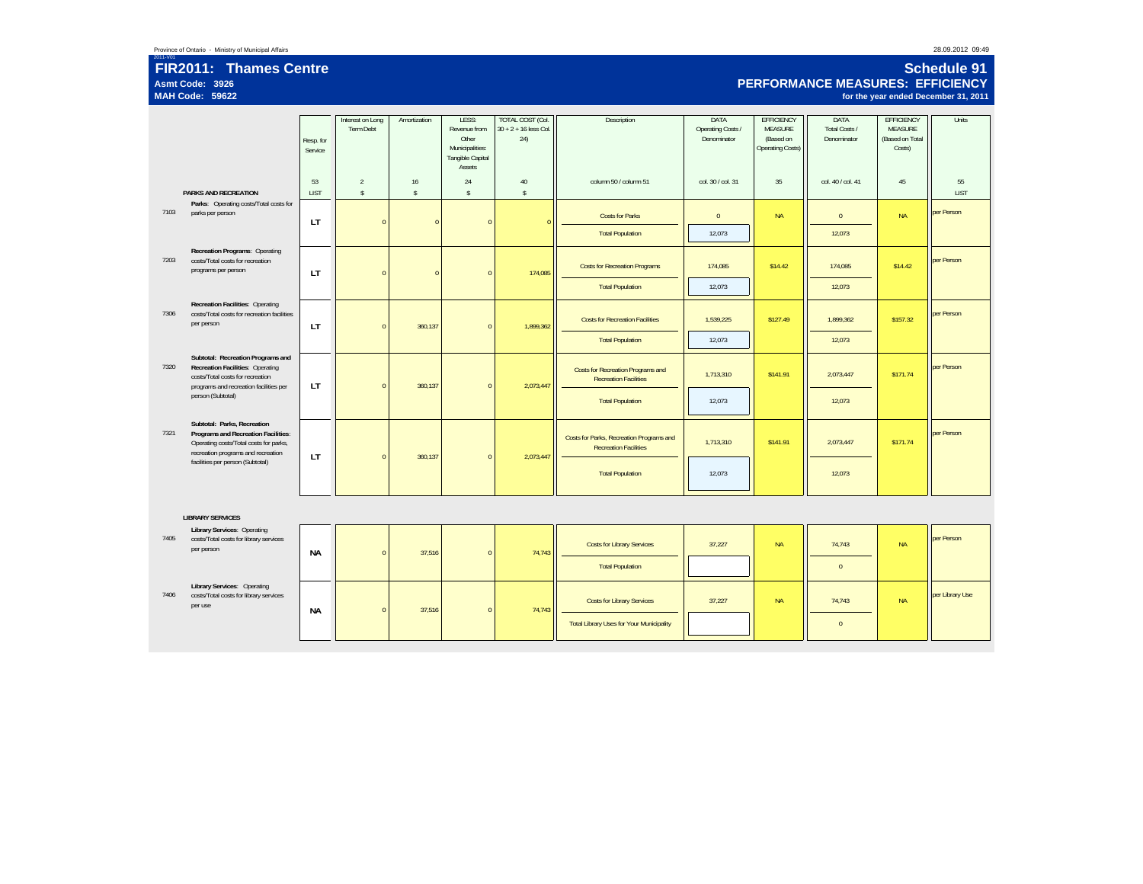### 2011-V01 **FIR2011: Thames Centre Asmt Code: 3926MAH Code: 59622**

### **Schedule 91PERFORMANCE MEASURES: EFFICIENCY**

**for the year ended December 31, 2011**

|      |                                                                                                                                                     | Resp. for<br>Service | Interest on Long<br>Term Debt  | Amortization       | LESS:<br>Revenue from<br>Other<br>Municipalities:<br>Tangible Capital<br>Assets | <b>TOTAL COST (Col.</b><br>$30 + 2 + 16$ less Col.<br>24) | Description                                                              | DATA<br>Operating Costs /<br>Denominator | <b>EFFICIENCY</b><br><b>MEASURE</b><br>(Based on<br>Operating Costs) | DATA<br>Total Costs /<br>Denominator | <b>EFFICIENCY</b><br><b>MEASURE</b><br>(Based on Total<br>Costs) | Units             |
|------|-----------------------------------------------------------------------------------------------------------------------------------------------------|----------------------|--------------------------------|--------------------|---------------------------------------------------------------------------------|-----------------------------------------------------------|--------------------------------------------------------------------------|------------------------------------------|----------------------------------------------------------------------|--------------------------------------|------------------------------------------------------------------|-------------------|
|      | <b>PARKS AND RECREATION</b>                                                                                                                         | 53<br><b>LIST</b>    | $\overline{2}$<br>$\mathbb{S}$ | 16<br>$\mathbb{S}$ | 24<br>$\mathsf{s}$                                                              | $40\,$<br>$\mathbb{S}$                                    | column 50 / column 51                                                    | col. 30 / col. 31                        | 35                                                                   | col. 40 / col. 41                    | 45                                                               | 55<br><b>LIST</b> |
| 7103 | Parks: Operating costs/Total costs for<br>parks per person                                                                                          | LT                   | $\mathbf{0}$                   | $\sqrt{ }$         | $\Omega$                                                                        |                                                           | <b>Costs for Parks</b>                                                   | $\mathbf{0}$                             | <b>NA</b>                                                            | $\mathbf{0}$                         | <b>NA</b>                                                        | per Person        |
|      |                                                                                                                                                     |                      |                                |                    |                                                                                 |                                                           | <b>Total Population</b>                                                  | 12,073                                   |                                                                      | 12,073                               |                                                                  |                   |
| 7203 | Recreation Programs: Operating<br>costs/Total costs for recreation<br>programs per person                                                           | <b>LT</b>            | $\mathbf{0}$                   | $\Omega$           | $\Omega$                                                                        | 174,085                                                   | <b>Costs for Recreation Programs</b>                                     | 174,085                                  | \$14.42                                                              | 174,085                              | \$14.42                                                          | per Person        |
|      |                                                                                                                                                     |                      |                                |                    |                                                                                 |                                                           | <b>Total Population</b>                                                  | 12,073                                   |                                                                      | 12,073                               |                                                                  |                   |
| 7306 | Recreation Facilities: Operating<br>costs/Total costs for recreation facilities<br>per person                                                       | <b>LT</b>            | $\mathbf{0}$                   | 360,137            | $\mathbf{0}$                                                                    | 1,899,362                                                 | <b>Costs for Recreation Facilities</b>                                   | 1,539,225                                | \$127.49                                                             | 1,899,362                            | \$157.32                                                         | per Person        |
|      |                                                                                                                                                     |                      |                                |                    |                                                                                 |                                                           | <b>Total Population</b>                                                  | 12,073                                   |                                                                      | 12,073                               |                                                                  |                   |
| 7320 | Subtotal: Recreation Programs and<br>Recreation Facilities: Operating<br>costs/Total costs for recreation<br>programs and recreation facilities per | LT                   | $\mathbf{0}$                   | 360,137            | $\bf 0$                                                                         | 2,073,447                                                 | Costs for Recreation Programs and<br><b>Recreation Facilities</b>        | 1,713,310                                | \$141.91                                                             | 2,073,447                            | \$171.74                                                         | per Person        |
|      | person (Subtotal)                                                                                                                                   |                      |                                |                    |                                                                                 |                                                           | <b>Total Population</b>                                                  | 12,073                                   |                                                                      | 12,073                               |                                                                  |                   |
| 7321 | Subtotal: Parks, Recreation<br>Programs and Recreation Facilities:<br>Operating costs/Total costs for parks,<br>recreation programs and recreation  | LT                   | $\mathbf{0}$                   | 360,137            | $\mathbf{0}$                                                                    | 2,073,447                                                 | Costs for Parks, Recreation Programs and<br><b>Recreation Facilities</b> | 1,713,310                                | \$141.91                                                             | 2,073,447                            | \$171.74                                                         | per Person        |
|      | facilities per person (Subtotal)                                                                                                                    |                      |                                |                    |                                                                                 |                                                           | <b>Total Population</b>                                                  | 12,073                                   |                                                                      | 12,073                               |                                                                  |                   |
|      |                                                                                                                                                     |                      |                                |                    |                                                                                 |                                                           |                                                                          |                                          |                                                                      |                                      |                                                                  |                   |
|      | <b>LIBRARY SERVICES</b><br><b>Library Services: Operating</b>                                                                                       |                      |                                |                    |                                                                                 |                                                           |                                                                          |                                          |                                                                      |                                      |                                                                  |                   |
| 7405 | costs/Total costs for library services<br>per person                                                                                                | <b>NA</b>            | $\Omega$                       | 37,516             | $\Omega$                                                                        | 74,743                                                    | <b>Costs for Library Services</b>                                        | 37,227                                   | <b>NA</b>                                                            | 74,743                               | <b>NA</b>                                                        | per Person        |
|      |                                                                                                                                                     |                      |                                |                    |                                                                                 |                                                           | <b>Total Population</b>                                                  |                                          |                                                                      | $\mathbf{0}$                         |                                                                  |                   |
| 7406 | Library Services: Operating<br>costs/Total costs for library services<br>per use                                                                    | <b>NA</b>            | $\bf{0}$                       | 37,516             | $\bf{0}$                                                                        | 74,743                                                    | <b>Costs for Library Services</b>                                        | 37,227                                   | <b>NA</b>                                                            | 74,743                               | <b>NA</b>                                                        | per Library Use   |
|      |                                                                                                                                                     |                      |                                |                    |                                                                                 |                                                           | <b>Total Library Uses for Your Municipality</b>                          |                                          |                                                                      | $\mathbf{0}$                         |                                                                  |                   |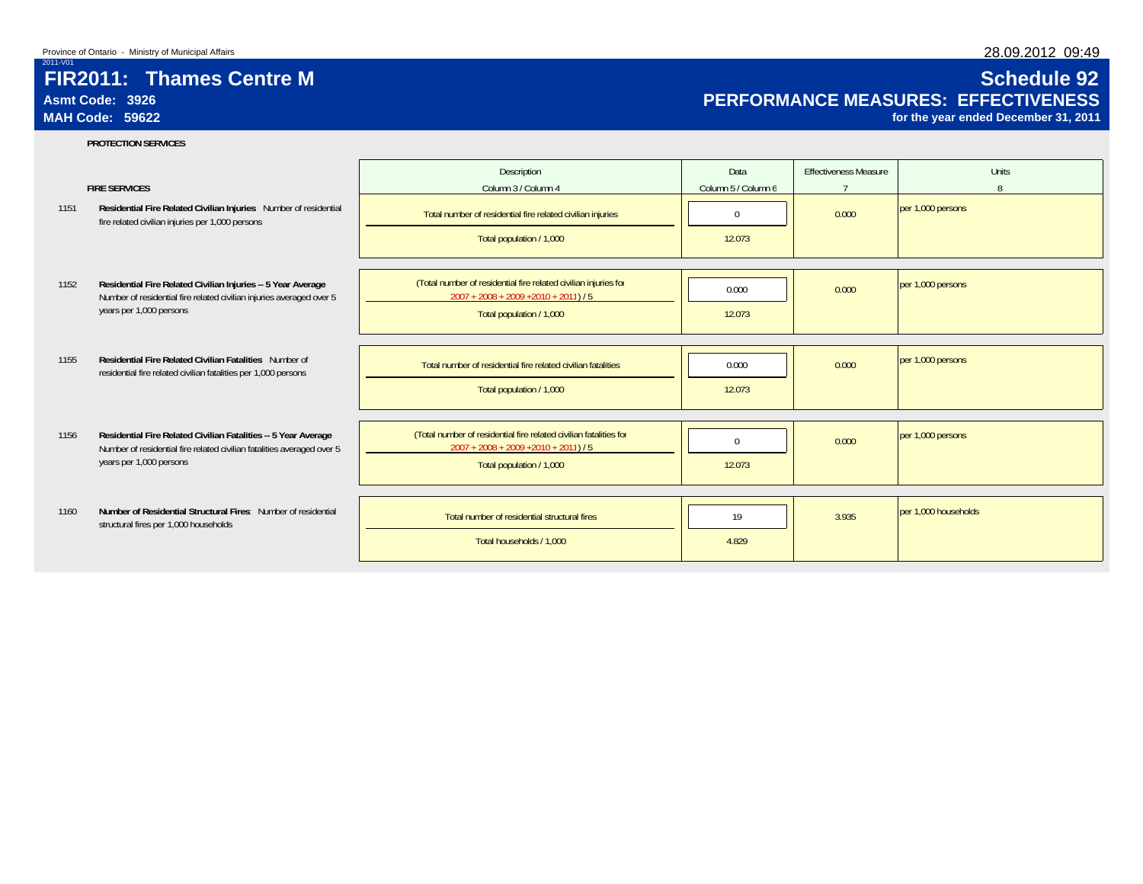# **Asmt Code: 3926MAH Code: 59622**

# **Schedule 92 PERFORMANCE MEASURES: EFFECTIVENESS**

**for the year ended December 31, 2011**

### **PROTECTION SERVICES**

|      | <b>FIRE SERVICES</b>                                                                                                                     | Description<br>Column 3 / Column 4                                                                          | Data<br>Column 5 / Column 6 | <b>Effectiveness Measure</b><br>$\overline{ }$ | <b>Units</b><br>$\mathsf{R}$ |
|------|------------------------------------------------------------------------------------------------------------------------------------------|-------------------------------------------------------------------------------------------------------------|-----------------------------|------------------------------------------------|------------------------------|
| 1151 | Residential Fire Related Civilian Injuries Number of residential<br>fire related civilian injuries per 1,000 persons                     | Total number of residential fire related civilian injuries<br>Total population / 1,000                      | $\mathbf{0}$<br>12.073      | 0.000                                          | per 1,000 persons            |
|      |                                                                                                                                          |                                                                                                             |                             |                                                |                              |
| 1152 | Residential Fire Related Civilian Injuries -- 5 Year Average<br>Number of residential fire related civilian injuries averaged over 5     | (Total number of residential fire related civilian injuries for<br>$2007 + 2008 + 2009 + 2010 + 2011$ / 5   | 0.000                       | 0.000                                          | per 1,000 persons            |
|      | years per 1,000 persons                                                                                                                  | Total population / 1,000                                                                                    | 12.073                      |                                                |                              |
| 1155 | Residential Fire Related Civilian Fatalities Number of                                                                                   |                                                                                                             |                             |                                                | per 1,000 persons            |
|      | residential fire related civilian fatalities per 1,000 persons                                                                           | Total number of residential fire related civilian fatalities                                                | 0.000                       | 0.000                                          |                              |
|      |                                                                                                                                          | Total population / 1,000                                                                                    | 12.073                      |                                                |                              |
| 1156 | Residential Fire Related Civilian Fatalities -- 5 Year Average<br>Number of residential fire related civilian fatalities averaged over 5 | (Total number of residential fire related civilian fatalities for<br>$2007 + 2008 + 2009 + 2010 + 2011$ / 5 | $\Omega$                    | 0.000                                          | per 1,000 persons            |
|      | years per 1,000 persons                                                                                                                  | Total population / 1,000                                                                                    | 12.073                      |                                                |                              |
|      |                                                                                                                                          |                                                                                                             |                             |                                                |                              |
| 1160 | Number of Residential Structural Fires: Number of residential<br>structural fires per 1,000 households                                   | Total number of residential structural fires                                                                | 19                          | 3.935                                          | per 1,000 households         |
|      |                                                                                                                                          | Total households / 1,000                                                                                    | 4.829                       |                                                |                              |

# 28.09.2012 09:49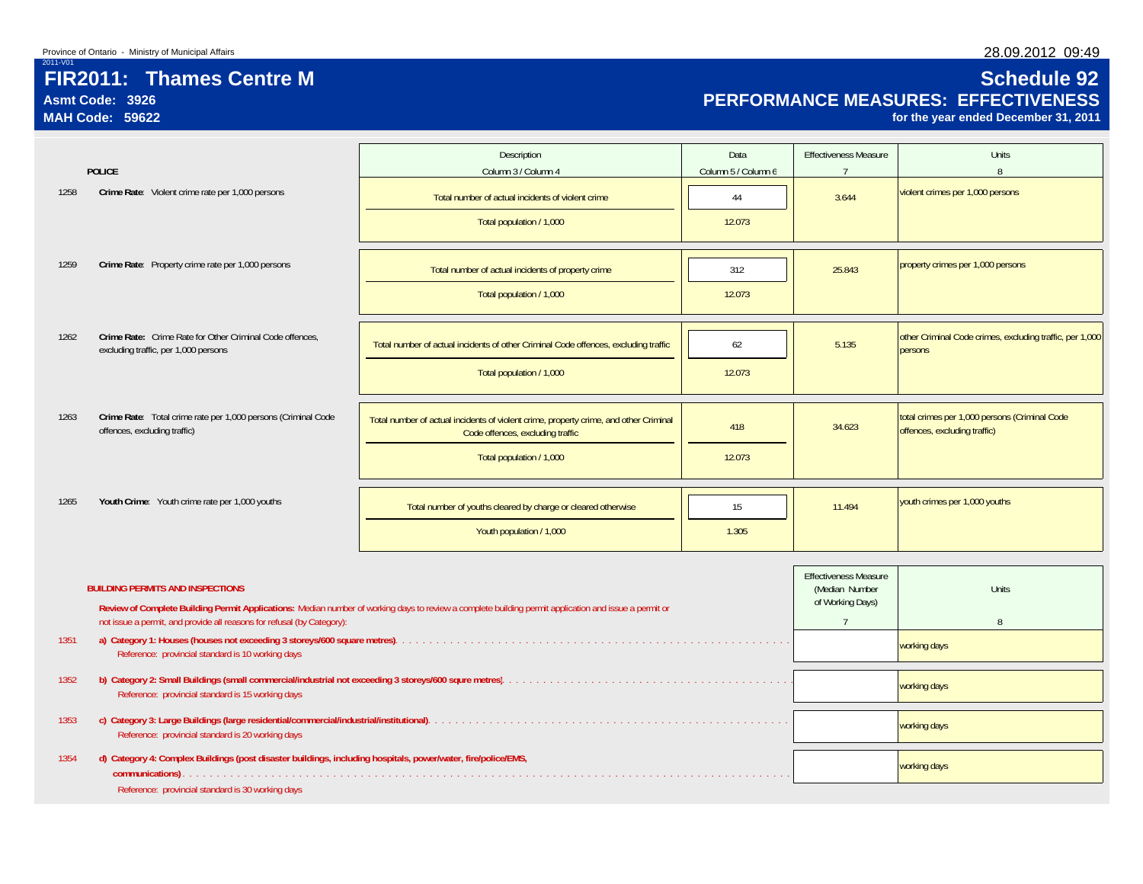# **Asmt Code: 3926MAH Code: 59622**

# **Schedule 92 PERFORMANCE MEASURES: EFFECTIVENESS**

**for the year ended December 31, 2011**

|      |                                                                                                               | Description                                                                                                                                           | Data                | <b>Effectiveness Measure</b>                                                  | <b>Units</b>                                                        |
|------|---------------------------------------------------------------------------------------------------------------|-------------------------------------------------------------------------------------------------------------------------------------------------------|---------------------|-------------------------------------------------------------------------------|---------------------------------------------------------------------|
|      | <b>POLICE</b>                                                                                                 | Column 3 / Column 4                                                                                                                                   | Column 5 / Column 6 | $7^{\circ}$                                                                   | 8                                                                   |
| 1258 | Crime Rate: Violent crime rate per 1,000 persons                                                              | Total number of actual incidents of violent crime                                                                                                     | 44                  | 3.644                                                                         | violent crimes per 1,000 persons                                    |
|      |                                                                                                               | Total population / 1,000                                                                                                                              | 12.073              |                                                                               |                                                                     |
| 1259 | Crime Rate: Property crime rate per 1,000 persons                                                             | Total number of actual incidents of property crime                                                                                                    | 312                 | 25,843                                                                        | property crimes per 1,000 persons                                   |
|      |                                                                                                               | Total population / 1,000                                                                                                                              | 12.073              |                                                                               |                                                                     |
|      |                                                                                                               |                                                                                                                                                       |                     |                                                                               |                                                                     |
| 1262 | Crime Rate: Crime Rate for Other Criminal Code offences,<br>excluding traffic, per 1,000 persons              | Total number of actual incidents of other Criminal Code offences, excluding traffic                                                                   | 62                  | 5.135                                                                         | other Criminal Code crimes, excluding traffic, per 1,000<br>persons |
|      |                                                                                                               | Total population / 1,000                                                                                                                              | 12.073              |                                                                               |                                                                     |
|      |                                                                                                               |                                                                                                                                                       |                     |                                                                               |                                                                     |
| 1263 | Crime Rate: Total crime rate per 1,000 persons (Criminal Code<br>offences, excluding traffic)                 | 418                                                                                                                                                   | 34.623              | total crimes per 1,000 persons (Criminal Code<br>offences, excluding traffic) |                                                                     |
|      |                                                                                                               | Total population / 1,000                                                                                                                              | 12.073              |                                                                               |                                                                     |
|      |                                                                                                               |                                                                                                                                                       |                     |                                                                               |                                                                     |
| 1265 | Youth Crime: Youth crime rate per 1,000 youths                                                                | Total number of youths cleared by charge or cleared otherwise                                                                                         | 15                  | 11.494                                                                        | youth crimes per 1,000 youths                                       |
|      |                                                                                                               | Youth population / 1,000                                                                                                                              | 1.305               |                                                                               |                                                                     |
|      |                                                                                                               |                                                                                                                                                       |                     |                                                                               |                                                                     |
|      | <b>BUILDING PERMITS AND INSPECTIONS</b>                                                                       |                                                                                                                                                       |                     | <b>Effectiveness Measure</b><br>(Median Number<br>of Working Days)            | <b>Units</b>                                                        |
|      | not issue a permit, and provide all reasons for refusal (by Category):                                        | Review of Complete Building Permit Applications: Median number of working days to review a complete building permit application and issue a permit or |                     | $7^{\circ}$                                                                   | 8                                                                   |
| 1351 | Reference: provincial standard is 10 working days                                                             |                                                                                                                                                       |                     |                                                                               | working days                                                        |
| 1352 |                                                                                                               |                                                                                                                                                       |                     | working days                                                                  |                                                                     |
|      | Reference: provincial standard is 15 working days                                                             |                                                                                                                                                       |                     |                                                                               |                                                                     |
| 1353 | Reference: provincial standard is 20 working days                                                             |                                                                                                                                                       |                     | working days                                                                  |                                                                     |
| 1354 | d) Category 4: Complex Buildings (post disaster buildings, including hospitals, power/water, fire/police/EMS, |                                                                                                                                                       |                     | working days                                                                  |                                                                     |
|      | Reference: provincial standard is 30 working days                                                             |                                                                                                                                                       |                     |                                                                               |                                                                     |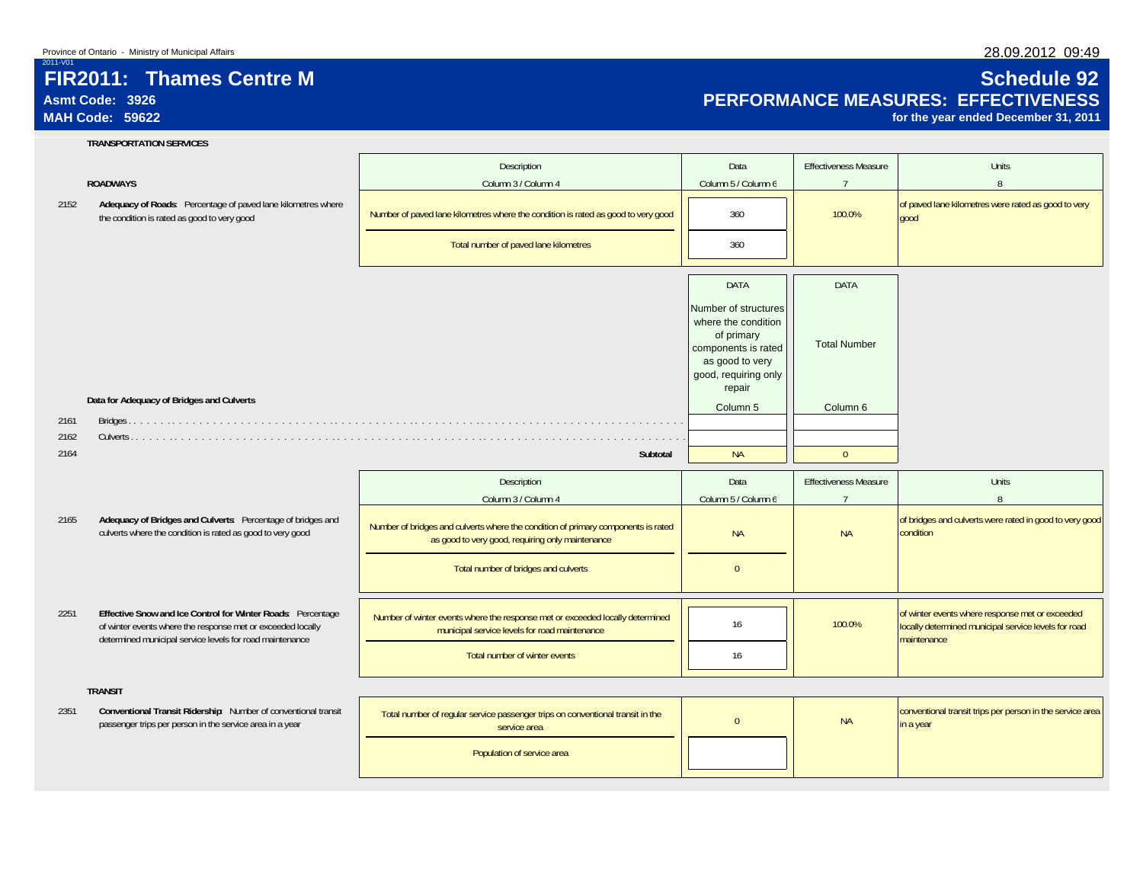# **Asmt Code: 3926MAH Code: 59622**

2011-V01

2161 2162 2164

2165

2251

2351

# **Schedule 92 PERFORMANCE MEASURES: EFFECTIVENESS**

**for the year ended December 31, 2011**

# **TRANSPORTATION SERVICES**

### **ROADWAYS**

|                                                                                                                                                                                        | Description                                                                                                                           | Data                                                                                                                                  | <b>Effectiveness Measure</b> | Units                                                                                                                  |
|----------------------------------------------------------------------------------------------------------------------------------------------------------------------------------------|---------------------------------------------------------------------------------------------------------------------------------------|---------------------------------------------------------------------------------------------------------------------------------------|------------------------------|------------------------------------------------------------------------------------------------------------------------|
| <b>ROADWAYS</b>                                                                                                                                                                        | Column 3 / Column 4                                                                                                                   | Column 5 / Column 6                                                                                                                   | $7\overline{ }$              | $\mathsf{R}$                                                                                                           |
| Adequacy of Roads: Percentage of paved lane kilometres where<br>the condition is rated as good to very good                                                                            | Number of paved lane kilometres where the condition is rated as good to very good                                                     | 360                                                                                                                                   | 100.0%                       | of paved lane kilometres were rated as good to very<br>good                                                            |
|                                                                                                                                                                                        | Total number of paved lane kilometres                                                                                                 | 360                                                                                                                                   |                              |                                                                                                                        |
|                                                                                                                                                                                        |                                                                                                                                       | <b>DATA</b>                                                                                                                           | <b>DATA</b>                  |                                                                                                                        |
|                                                                                                                                                                                        |                                                                                                                                       | Number of structures<br>where the condition<br>of primary<br>components is rated<br>as good to very<br>good, requiring only<br>repair | <b>Total Number</b>          |                                                                                                                        |
| Data for Adequacy of Bridges and Culverts                                                                                                                                              |                                                                                                                                       | Column 5                                                                                                                              | Column 6                     |                                                                                                                        |
|                                                                                                                                                                                        |                                                                                                                                       |                                                                                                                                       |                              |                                                                                                                        |
|                                                                                                                                                                                        | Subtotal                                                                                                                              | <b>NA</b>                                                                                                                             | $\mathbf{0}$                 |                                                                                                                        |
|                                                                                                                                                                                        |                                                                                                                                       |                                                                                                                                       |                              |                                                                                                                        |
|                                                                                                                                                                                        | Description                                                                                                                           | Data                                                                                                                                  | <b>Effectiveness Measure</b> | <b>Units</b>                                                                                                           |
|                                                                                                                                                                                        | Column 3 / Column 4                                                                                                                   | Column 5 / Column 6                                                                                                                   | $\overline{7}$               | $\mathsf{R}$                                                                                                           |
| Adequacy of Bridges and Culverts: Percentage of bridges and<br>culverts where the condition is rated as good to very good                                                              | Number of bridges and culverts where the condition of primary components is rated<br>as good to very good, requiring only maintenance | <b>NA</b>                                                                                                                             | <b>NA</b>                    | of bridges and culverts were rated in good to very good<br>condition                                                   |
|                                                                                                                                                                                        | Total number of bridges and culverts                                                                                                  | $\mathbf{0}$                                                                                                                          |                              |                                                                                                                        |
| Effective Snow and Ice Control for Winter Roads: Percentage<br>of winter events where the response met or exceeded locally<br>determined municipal service levels for road maintenance | Number of winter events where the response met or exceeded locally determined<br>municipal service levels for road maintenance        | 16                                                                                                                                    | 100.0%                       | of winter events where response met or exceeded<br>locally determined municipal service levels for road<br>maintenance |
|                                                                                                                                                                                        | Total number of winter events                                                                                                         | 16                                                                                                                                    |                              |                                                                                                                        |
| <b>TRANSIT</b>                                                                                                                                                                         |                                                                                                                                       |                                                                                                                                       |                              |                                                                                                                        |
| Conventional Transit Ridership: Number of conventional transit<br>passenger trips per person in the service area in a year                                                             | Total number of regular service passenger trips on conventional transit in the<br>service area                                        | $\overline{0}$                                                                                                                        | <b>NA</b>                    | conventional transit trips per person in the service area<br>in a year                                                 |
|                                                                                                                                                                                        | Population of service area                                                                                                            |                                                                                                                                       |                              |                                                                                                                        |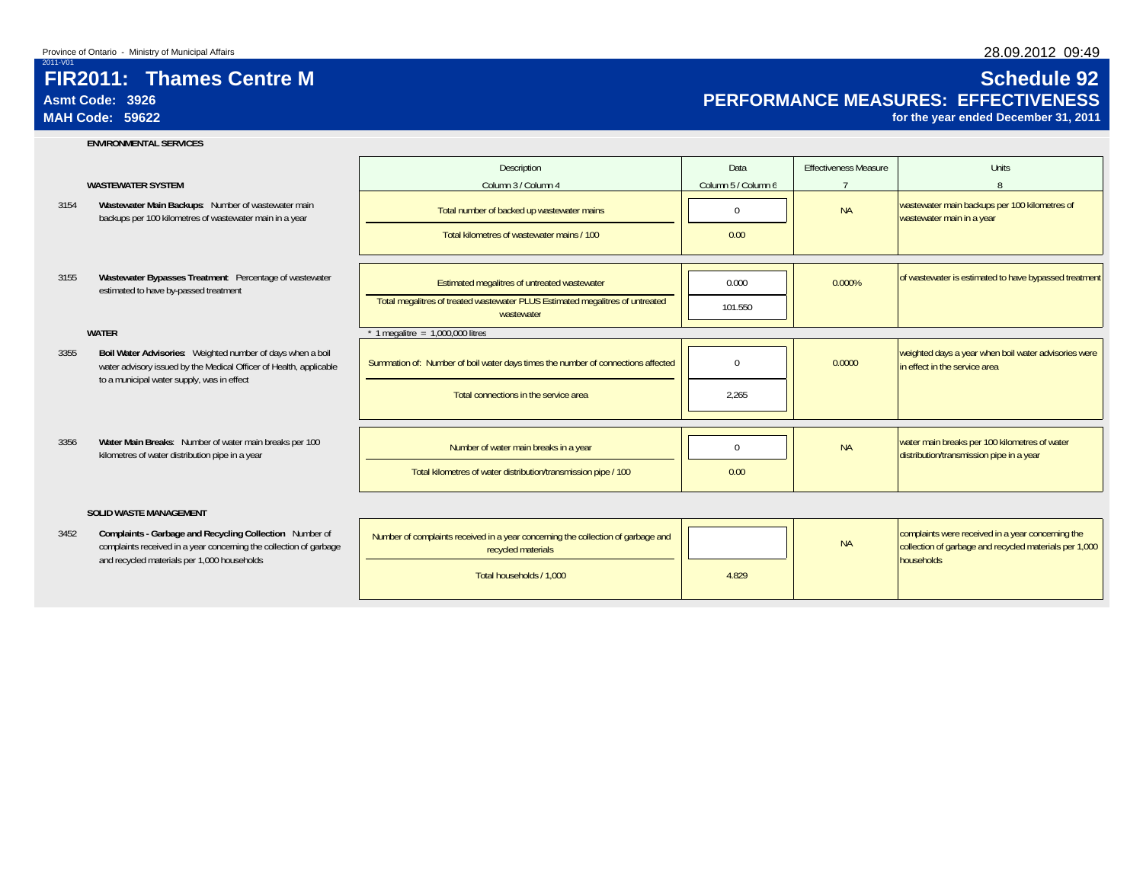# **Asmt Code: 3926MAH Code: 59622**

2011-V01

### **ENVIRONMENTAL SERVICES**

### **WASTEWATER SYSTEM**

- 3154**Wastewater Main Backups**: Number of wastewater main
- 3155estimated to have by-passed treatment

### **WATER**

- 3355**Boil Water Advisories**: Weighted number of days when a boil water advisory issued by the Medical Officer of Health, applicable to a municipal water supply, was in effect
- 3356**Water Main Breaks**: Number of water main breaks per 100

### **SOLID WASTE MANAGEMENT**

3452complaints received in a year concerning the collection of garbage and recycled materials per 1,000 households

|                                                                                                                                  | Description                                                                                            | Data                | <b>Fffectiveness Measure</b> | Units                                                                                                       |
|----------------------------------------------------------------------------------------------------------------------------------|--------------------------------------------------------------------------------------------------------|---------------------|------------------------------|-------------------------------------------------------------------------------------------------------------|
| <b>WASTEWATER SYSTEM</b>                                                                                                         | Column 3 / Column 4                                                                                    | Column 5 / Column 6 |                              |                                                                                                             |
| Wastewater Main Backups: Number of wastewater main<br>backups per 100 kilometres of wastewater main in a year                    | Total number of backed up wastewater mains                                                             | $\Omega$            | <b>NA</b>                    | wastewater main backups per 100 kilometres of<br>wastewater main in a year                                  |
|                                                                                                                                  | Total kilometres of wastewater mains / 100                                                             | 0.00                |                              |                                                                                                             |
| Wastewater Bypasses Treatment Percentage of wastewater                                                                           | Estimated megalitres of untreated wastewater                                                           | 0.000               | 0.000%                       | of wastewater is estimated to have bypassed treatment                                                       |
| estimated to have by-passed treatment                                                                                            | Total megalitres of treated wastewater PLUS Estimated megalitres of untreated<br>wastewater            | 101.550             |                              |                                                                                                             |
| <b>WATER</b>                                                                                                                     | 1 megalitre = $1,000,000$ litres                                                                       |                     |                              |                                                                                                             |
| Boil Water Advisories: Weighted number of days when a boil<br>water advisory issued by the Medical Officer of Health, applicable | Summation of: Number of boil water days times the number of connections affected                       | $\Omega$            | 0.0000                       | weighted days a year when boil water advisories were<br>in effect in the service area                       |
| to a municipal water supply, was in effect                                                                                       | Total connections in the service area                                                                  | 2.265               |                              |                                                                                                             |
|                                                                                                                                  |                                                                                                        |                     |                              |                                                                                                             |
| Water Main Breaks: Number of water main breaks per 100<br>kilometres of water distribution pipe in a year                        | Number of water main breaks in a year                                                                  | $\Omega$            | <b>NA</b>                    | water main breaks per 100 kilometres of water<br>distribution/transmission pipe in a year                   |
|                                                                                                                                  | Total kilometres of water distribution/transmission pipe / 100                                         | 0.00                |                              |                                                                                                             |
| <b>SOLID WASTE MANAGEMENT</b>                                                                                                    |                                                                                                        |                     |                              |                                                                                                             |
| Complaints - Garbage and Recycling Collection Number of<br>complaints received in a year concerning the collection of garbage    | Number of complaints received in a year concerning the collection of garbage and<br>recycled materials |                     | <b>NA</b>                    | complaints were received in a year concerning the<br>collection of garbage and recycled materials per 1,000 |
| and recycled materials per 1,000 households                                                                                      | Total households / 1.000                                                                               | 4.829               |                              | households                                                                                                  |

### 28.09.2012 09:49

# **Schedule 92 PERFORMANCE MEASURES: EFFECTIVENESS**

**for the year ended December 31, 2011**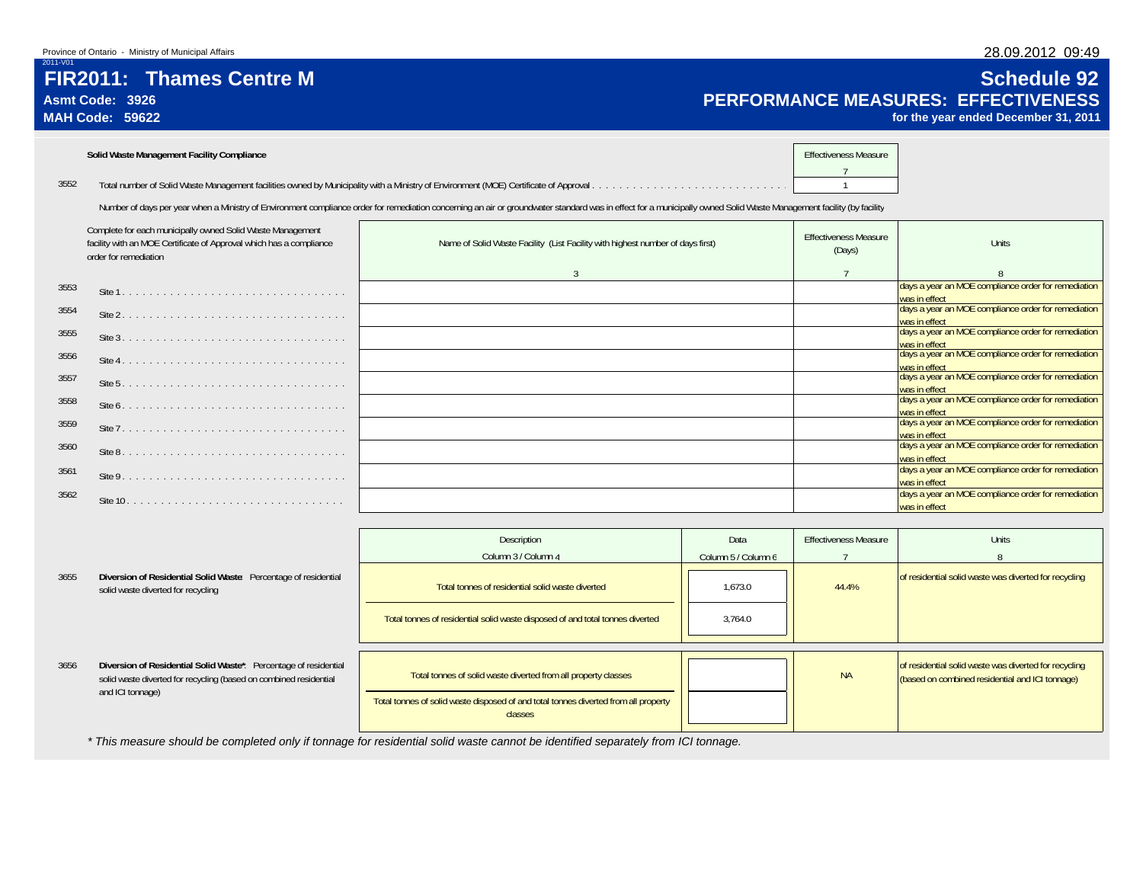# **FIR2011: Thames Centre MAsmt Code: 3926**

Site 10 . . . . . . . . . . . . . . . . . . . . . . . . . . . . . . . . days a year an MOE compliance order for remediation was in effect

**MAH Code: 59622**

2011-V01

3562

# **Schedule 92 PERFORMANCE MEASURES: EFFECTIVENESS**

**for the year ended December 31, 2011**

days a year an MOE compliance order for remediation

was in effect

|      | Solid Waste Management Facility Compliance                                                                                                                 |                                                                                                                                                                                                                      | <b>Effectiveness Measure</b>           |                                                                      |
|------|------------------------------------------------------------------------------------------------------------------------------------------------------------|----------------------------------------------------------------------------------------------------------------------------------------------------------------------------------------------------------------------|----------------------------------------|----------------------------------------------------------------------|
| 3552 |                                                                                                                                                            |                                                                                                                                                                                                                      |                                        |                                                                      |
|      |                                                                                                                                                            | Number of days per year when a Ministry of Environment compliance order for remediation concerning an air or groundwater standard was in effect for a municipally owned Solid Waste Management facility (by facility |                                        |                                                                      |
|      | Complete for each municipally owned Solid Waste Management<br>facility with an MOE Certificate of Approval which has a compliance<br>order for remediation | Name of Solid Waste Facility (List Facility with highest number of days first)                                                                                                                                       | <b>Effectiveness Measure</b><br>(Days) | Units                                                                |
|      |                                                                                                                                                            | 3                                                                                                                                                                                                                    | $\overline{7}$                         |                                                                      |
| 3553 |                                                                                                                                                            |                                                                                                                                                                                                                      |                                        | days a year an MOE compliance order for remediation<br>was in effect |
| 3554 |                                                                                                                                                            |                                                                                                                                                                                                                      |                                        | days a year an MOE compliance order for remediation<br>was in effect |
| 3555 |                                                                                                                                                            |                                                                                                                                                                                                                      |                                        | days a year an MOE compliance order for remediation<br>was in effect |
| 3556 |                                                                                                                                                            |                                                                                                                                                                                                                      |                                        | days a year an MOE compliance order for remediation<br>was in effect |
| 3557 |                                                                                                                                                            |                                                                                                                                                                                                                      |                                        | days a year an MOE compliance order for remediation<br>was in effect |
| 3558 |                                                                                                                                                            |                                                                                                                                                                                                                      |                                        | days a year an MOE compliance order for remediation<br>was in effect |
| 3559 |                                                                                                                                                            |                                                                                                                                                                                                                      |                                        | days a year an MOE compliance order for remediation<br>was in effect |
| 3560 |                                                                                                                                                            |                                                                                                                                                                                                                      |                                        | days a year an MOE compliance order for remediation<br>was in effect |
| 3561 |                                                                                                                                                            |                                                                                                                                                                                                                      |                                        | days a year an MOE compliance order for remediation<br>was in effect |

|      |                                                                                                                                                           | Description<br>Column 3 / Column 4                                                                                                                               | Data<br>Column 5 / Column 6 | <b>Effectiveness Measure</b> | <b>Units</b>                                                                                             |
|------|-----------------------------------------------------------------------------------------------------------------------------------------------------------|------------------------------------------------------------------------------------------------------------------------------------------------------------------|-----------------------------|------------------------------|----------------------------------------------------------------------------------------------------------|
| 3655 | Diversion of Residential Solid Waste: Percentage of residential<br>solid waste diverted for recycling                                                     | Total tonnes of residential solid waste diverted                                                                                                                 | 1.673.0                     | 44.4%                        | of residential solid waste was diverted for recycling                                                    |
|      |                                                                                                                                                           | Total tonnes of residential solid waste disposed of and total tonnes diverted                                                                                    | 3,764.0                     |                              |                                                                                                          |
| 3656 | Diversion of Residential Solid Waste*: Percentage of residential<br>solid waste diverted for recycling (based on combined residential<br>and ICI tonnage) | Total tonnes of solid waste diverted from all property classes<br>Total tonnes of solid waste disposed of and total tonnes diverted from all property<br>classes |                             | <b>NA</b>                    | of residential solid waste was diverted for recycling<br>(based on combined residential and ICI tonnage) |

*\* This measure should be completed only if tonnage for residential solid waste cannot be identified separately from ICI tonnage.*

# 28.09.2012 09:49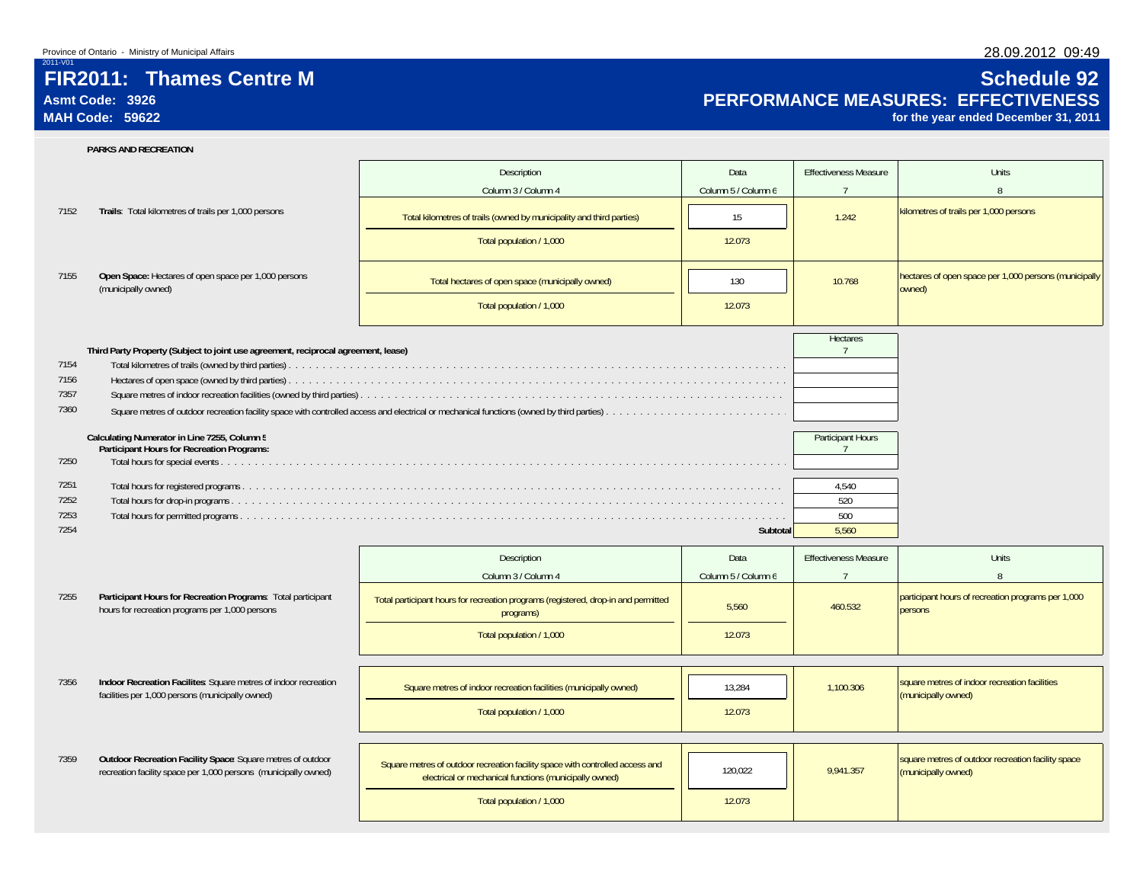# **FIR2011: Thames Centre M**

## **Asmt Code: 3926MAH Code: 59622**

# **Schedule 92 PERFORMANCE MEASURES: EFFECTIVENESS**

**for the year ended December 31, 2011**

|      | PARKS AND RECREATION                                                                                                           |                                                                                                                                         |                     |                                     |                                                                           |
|------|--------------------------------------------------------------------------------------------------------------------------------|-----------------------------------------------------------------------------------------------------------------------------------------|---------------------|-------------------------------------|---------------------------------------------------------------------------|
|      |                                                                                                                                | Description                                                                                                                             | Data                | <b>Effectiveness Measure</b>        | Units                                                                     |
|      |                                                                                                                                | Column 3 / Column 4                                                                                                                     | Column 5 / Column 6 | $\overline{7}$                      | 8                                                                         |
| 7152 | Trails: Total kilometres of trails per 1,000 persons                                                                           | Total kilometres of trails (owned by municipality and third parties)                                                                    | 15                  | 1.242                               | kilometres of trails per 1,000 persons                                    |
|      |                                                                                                                                | Total population / 1,000                                                                                                                | 12.073              |                                     |                                                                           |
| 7155 | Open Space: Hectares of open space per 1,000 persons<br>(municipally owned)                                                    | Total hectares of open space (municipally owned)                                                                                        | 130                 | 10.768                              | hectares of open space per 1,000 persons (municipally<br>owned)           |
|      |                                                                                                                                | Total population / 1,000                                                                                                                | 12.073              |                                     |                                                                           |
|      | Third Party Property (Subject to joint use agreement, reciprocal agreement, lease)                                             |                                                                                                                                         |                     | Hectares<br>$\overline{7}$          |                                                                           |
| 7154 |                                                                                                                                |                                                                                                                                         |                     |                                     |                                                                           |
| 7156 |                                                                                                                                |                                                                                                                                         |                     |                                     |                                                                           |
| 7357 |                                                                                                                                |                                                                                                                                         |                     |                                     |                                                                           |
| 7360 |                                                                                                                                |                                                                                                                                         |                     |                                     |                                                                           |
|      | Calculating Numerator in Line 7255, Column 5<br>Participant Hours for Recreation Programs:                                     |                                                                                                                                         |                     | Participant Hours<br>$\overline{7}$ |                                                                           |
| 7250 |                                                                                                                                |                                                                                                                                         |                     |                                     |                                                                           |
| 7251 |                                                                                                                                |                                                                                                                                         |                     | 4,540                               |                                                                           |
| 7252 |                                                                                                                                |                                                                                                                                         |                     | 520                                 |                                                                           |
| 7253 |                                                                                                                                |                                                                                                                                         |                     | 500                                 |                                                                           |
| 7254 |                                                                                                                                |                                                                                                                                         | Subtotal            | 5,560                               |                                                                           |
|      |                                                                                                                                | Description                                                                                                                             | Data                | <b>Effectiveness Measure</b>        | <b>Units</b>                                                              |
|      |                                                                                                                                | Column 3 / Column 4                                                                                                                     | Column 5 / Column 6 | $\overline{7}$                      | 8                                                                         |
| 7255 | Participant Hours for Recreation Programs: Total participant<br>hours for recreation programs per 1,000 persons                | Total participant hours for recreation programs (registered, drop-in and permitted<br>programs)                                         | 5,560               | 460.532                             | participant hours of recreation programs per 1,000<br>persons             |
|      |                                                                                                                                | Total population / 1,000                                                                                                                | 12.073              |                                     |                                                                           |
|      |                                                                                                                                |                                                                                                                                         |                     |                                     |                                                                           |
| 7356 | Indoor Recreation Facilites: Square metres of indoor recreation<br>facilities per 1,000 persons (municipally owned)            | Square metres of indoor recreation facilities (municipally owned)                                                                       | 13.284              | 1.100.306                           | square metres of indoor recreation facilities<br>(municipally owned)      |
|      |                                                                                                                                | Total population / 1,000                                                                                                                | 12.073              |                                     |                                                                           |
|      |                                                                                                                                |                                                                                                                                         |                     |                                     |                                                                           |
| 7359 | Outdoor Recreation Facility Space: Square metres of outdoor<br>recreation facility space per 1,000 persons (municipally owned) | Square metres of outdoor recreation facility space with controlled access and<br>electrical or mechanical functions (municipally owned) | 120,022             | 9,941.357                           | square metres of outdoor recreation facility space<br>(municipally owned) |
|      |                                                                                                                                | Total population / 1,000                                                                                                                | 12.073              |                                     |                                                                           |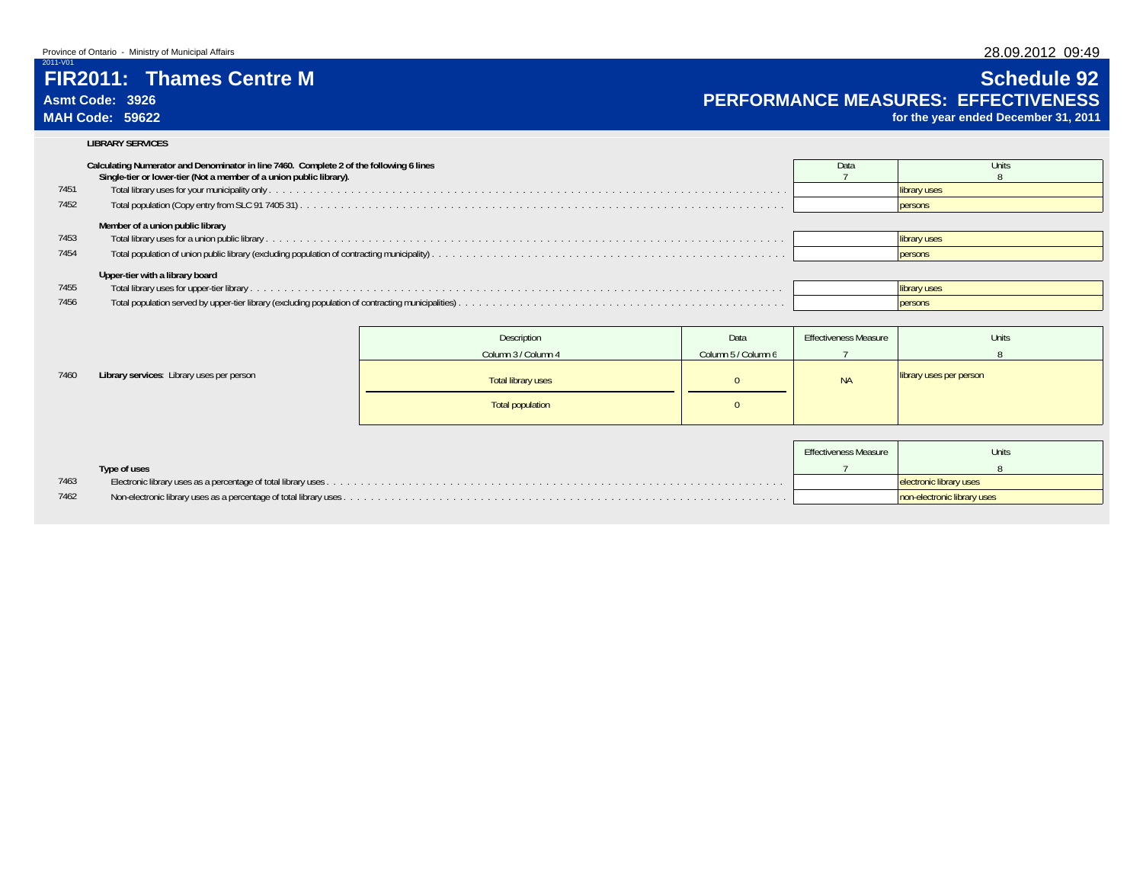# **FIR2011: Thames Centre M**

## **Asmt Code: 3926MAH Code: 59622**

7460

# **Schedule 92**

# **PERFORMANCE MEASURES: EFFECTIVENESS**

**for the year ended December 31, 2011**

### **LIBRARY SERVICES**

|      | Calculating Numerator and Denominator in line 7460. Complete 2 of the following 6 lines<br>Single-tier or lower-tier (Not a member of a union public library). | Data | Units          |
|------|----------------------------------------------------------------------------------------------------------------------------------------------------------------|------|----------------|
| 7451 |                                                                                                                                                                |      | library uses   |
| 7452 |                                                                                                                                                                |      | persons        |
|      | Member of a union public library                                                                                                                               |      |                |
| 7453 |                                                                                                                                                                |      | library uses   |
| 7454 |                                                                                                                                                                |      | <b>persons</b> |
|      | Upper-tier with a library board                                                                                                                                |      |                |
| 7455 |                                                                                                                                                                |      | library uses   |
| 7456 |                                                                                                                                                                |      | persons        |
|      |                                                                                                                                                                |      |                |

|                                           | Description             | Data                | <b>Effectiveness Measure</b> | Units                   |
|-------------------------------------------|-------------------------|---------------------|------------------------------|-------------------------|
|                                           | Column 3 / Column 4     | Column 5 / Column 6 |                              |                         |
| Library services: Library uses per person | Total library uses      |                     | <b>NA</b>                    | library uses per person |
|                                           | <b>Total population</b> |                     |                              |                         |

|      |              | Effectiveness Measure | Units                       |
|------|--------------|-----------------------|-----------------------------|
|      | Type of uses |                       |                             |
| 7463 |              |                       | electronic library uses     |
| 7462 |              |                       | non-electronic library uses |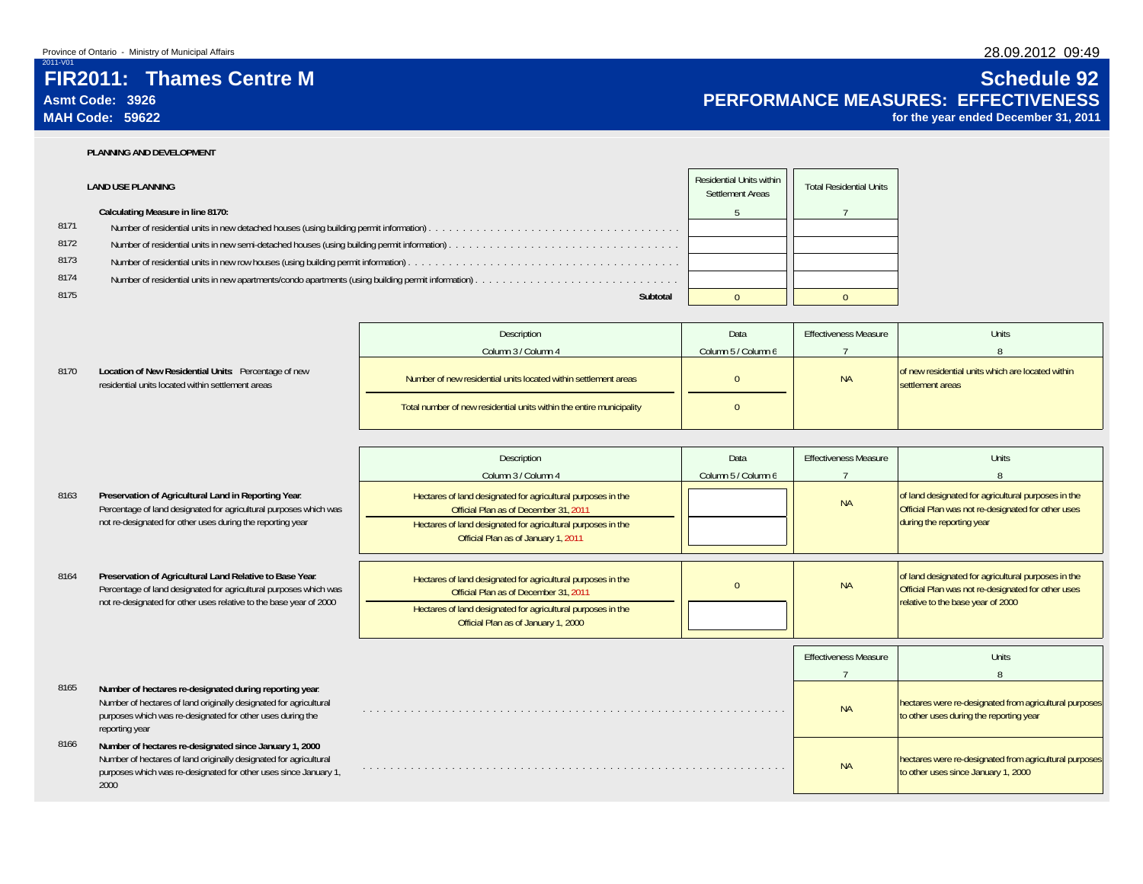# **FIR2011: Thames Centre MAsmt Code: 3926**

**MAH Code: 59622**

2011-V01

8170

8165

# **Schedule 92 PERFORMANCE MEASURES: EFFECTIVENESS**

**for the year ended December 31, 2011**

hectares were re-designated from agricultural purposes<br>to other uses since January 1, 2000

### **PLANNING AND DEVELOPMENT**

|      | <b>LAND USE PLANNING</b>          | Residential Units within<br>Settlement Areas | <b>Total Residential Units</b> |
|------|-----------------------------------|----------------------------------------------|--------------------------------|
|      | Calculating Measure in line 8170: |                                              |                                |
| 8171 |                                   |                                              |                                |
| 8172 |                                   |                                              |                                |
| 8173 |                                   |                                              |                                |
|      |                                   |                                              |                                |
| 8175 | Subtotal                          |                                              |                                |
| 8174 |                                   |                                              |                                |

|                                                                                                           | Description                                                          | Data                | <b>Effectiveness Measure</b> | Units                                                                 |
|-----------------------------------------------------------------------------------------------------------|----------------------------------------------------------------------|---------------------|------------------------------|-----------------------------------------------------------------------|
|                                                                                                           | Column 3 / Column 4                                                  | Column 5 / Column 6 |                              |                                                                       |
| Location of New Residential Units: Percentage of new<br>residential units located within settlement areas | Number of new residential units located within settlement areas      |                     | <b>NA</b>                    | of new residential units which are located within<br>settlement areas |
|                                                                                                           | Total number of new residential units within the entire municipality | $\mathbf{U}$        |                              |                                                                       |

| 8163 | Preservation of Agricultural Land in Reporting Year.              |
|------|-------------------------------------------------------------------|
|      | Percentage of land designated for agricultural purposes which was |
|      | not re-designated for other uses during the reporting year        |

### 8164Percentage of land designated for agricultural purposes which not re-designated for other uses relative to the base year of

|                                                                                                                                                                                                              | Description                                                                                                                                                                                                  | Data                | <b>Effectiveness Measure</b> | <b>Units</b>                                                                                                                           |
|--------------------------------------------------------------------------------------------------------------------------------------------------------------------------------------------------------------|--------------------------------------------------------------------------------------------------------------------------------------------------------------------------------------------------------------|---------------------|------------------------------|----------------------------------------------------------------------------------------------------------------------------------------|
|                                                                                                                                                                                                              | Column 3 / Column 4                                                                                                                                                                                          | Column 5 / Column 6 |                              |                                                                                                                                        |
| Preservation of Agricultural Land in Reporting Year.<br>Percentage of land designated for agricultural purposes which was<br>not re-designated for other uses during the reporting year                      | Hectares of land designated for agricultural purposes in the<br>Official Plan as of December 31, 2011<br>Hectares of land designated for agricultural purposes in the<br>Official Plan as of January 1, 2011 |                     | <b>NA</b>                    | of land designated for agricultural purposes in the<br>Official Plan was not re-designated for other uses<br>during the reporting year |
| Preservation of Agricultural Land Relative to Base Year.<br>Percentage of land designated for agricultural purposes which was                                                                                | Hectares of land designated for agricultural purposes in the<br>Official Plan as of December 31, 2011                                                                                                        |                     | <b>NA</b>                    | of land designated for agricultural purposes in the<br>Official Plan was not re-designated for other uses                              |
| not re-designated for other uses relative to the base year of 2000                                                                                                                                           | Hectares of land designated for agricultural purposes in the<br>Official Plan as of January 1, 2000                                                                                                          |                     |                              | relative to the base year of 2000                                                                                                      |
|                                                                                                                                                                                                              |                                                                                                                                                                                                              |                     | <b>Effectiveness Measure</b> | Units                                                                                                                                  |
|                                                                                                                                                                                                              |                                                                                                                                                                                                              |                     |                              | 8                                                                                                                                      |
| Number of hectares re-designated during reporting year.<br>Number of hectares of land originally designated for agricultural<br>purposes which was re-designated for other uses during the<br>reporting year |                                                                                                                                                                                                              |                     | <b>NA</b>                    | hectares were re-designated from agricultural purposes<br>to other uses during the reporting year                                      |
| Number of hectares re-designated since January 1, 2000                                                                                                                                                       |                                                                                                                                                                                                              |                     |                              |                                                                                                                                        |

. . . . . . . . . . . . . . . . . . . . . . . . . . . . . . . . . . . . . . . . . . . . . . . . . . . . . . . . . . . . . . NA

### 8166 **Number of hectares re-designated since January 1, 2000**: Number of hectares of land originally designated for agricultural purposes which was re-designated for other uses since January 1, 2000

28.09.2012 09:49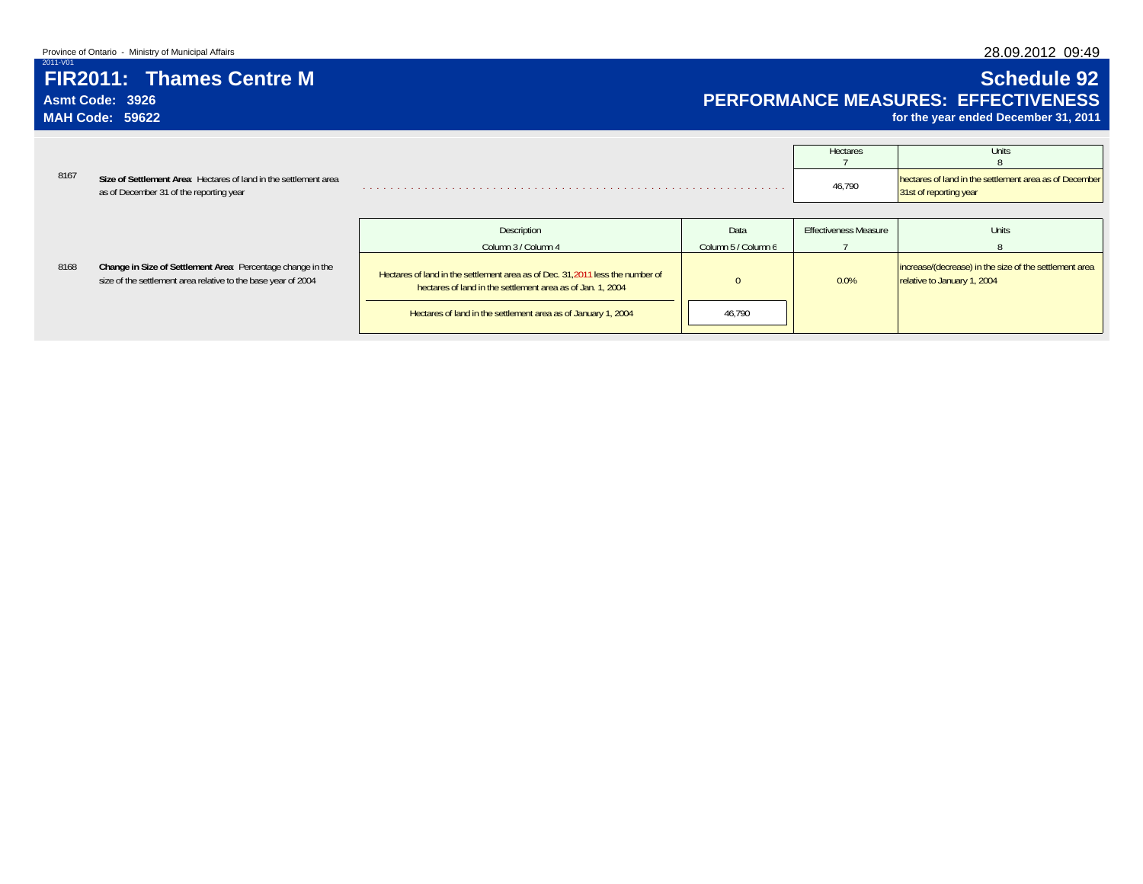## 28.09.2012 09:49

# **FIR2011: Thames Centre MAsmt Code: 3926**

**MAH Code: 59622**

# **Schedule 92 PERFORMANCE MEASURES: EFFECTIVENESS**

**for the year ended December 31, 2011**

|      |                                                                                                             | <b>Hectares</b> | Units                                                  |
|------|-------------------------------------------------------------------------------------------------------------|-----------------|--------------------------------------------------------|
| 8167 | Size of Settlement Area: Hectares of land in the settlement area<br>as of December 31 of the reporting year | 46,790          | hectares of land in the settlement area as of December |
|      |                                                                                                             |                 |                                                        |

|  |                                                                                                                              | Description                                                                                                                                 | Data                | Effectiveness Measure | Units                                                                                 |  |
|--|------------------------------------------------------------------------------------------------------------------------------|---------------------------------------------------------------------------------------------------------------------------------------------|---------------------|-----------------------|---------------------------------------------------------------------------------------|--|
|  |                                                                                                                              | Column 3 / Column 4                                                                                                                         | Column 5 / Column 6 |                       |                                                                                       |  |
|  | Change in Size of Settlement Area: Percentage change in the<br>size of the settlement area relative to the base year of 2004 | Hectares of land in the settlement area as of Dec. 31,2011 less the number of<br>hectares of land in the settlement area as of Jan. 1, 2004 |                     | 0.0%                  | increase/(decrease) in the size of the settlement area<br>relative to January 1, 2004 |  |
|  |                                                                                                                              | Hectares of land in the settlement area as of January 1, 2004                                                                               | 46.790              |                       |                                                                                       |  |

8168**Change in Size of Settler**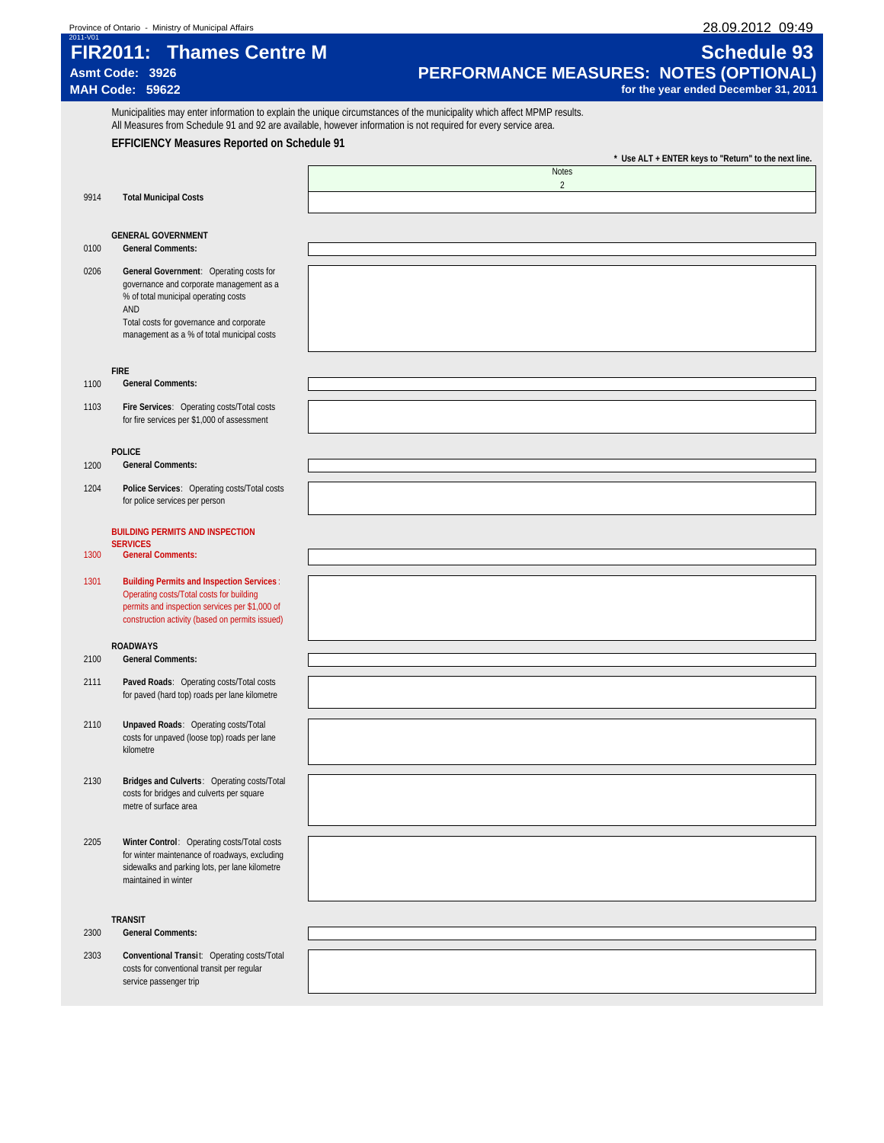| Province of Ontario<br>Ministry of Municipal Affairs | 09:49<br>1.09.2012<br>ንՋ<br>. <del>. .</del> |
|------------------------------------------------------|----------------------------------------------|
| 2011-V01                                             |                                              |

# **FIR2011: Thames Centre M Schedule 93**<br>Asmt Code: 3926 **Schedule 93 Asmt Code: 3926 PERFORMANCE MEASURES: NOTES (OPTIONAL)**

Municipalities may enter information to explain the unique circumstances of the municipality which affect MPMP results. All Measures from Schedule 91 and 92 are available, however information is not required for every service area.

| ASINT COUP: 3920       | <b>PERFURMANGE MEASURES: NOTES (UPTIUNAL)</b> |
|------------------------|-----------------------------------------------|
| <b>MAH Code: 59622</b> | for the year ended December 31, 2011          |
|                        |                                               |

**EFFICIENCY Measures Reported on Schedule 91 \* Use ALT + ENTER keys to "Return" to the next line. Notes**  $\overline{2}$ 9914 **Total Municipal Costs GENERAL GOVERNMENT** 0100 **General Comments:** 0206 **General Government**: Operating costs for governance and corporate management as a % of total municipal operating costs AND

Total costs for governance and corporate management as a % of total municipal costs

### **FIRE**

### 1100 **General Comments:**

1103 **Fire Services**: Operating costs/Total costs for fire services per \$1,000 of assessment

### **POLICE**

- 1200 **General Comments:**
- 1204 **Police Services**: Operating costs/Total costs for police services per person

### **BUILDING PERMITS AND INSPECTION SERVICES**

- 1300 **General Comments:**
- 1301 **Building Permits and Inspection Services** : Operating costs/Total costs for building permits and inspection services per \$1,000 of construction activity (based on permits issued)

### **ROADWAYS**

- 2100 **General Comments:**
- 2111 **Paved Roads**: Operating costs/Total costs for paved (hard top) roads per lane kilometre
- 2110 **Unpaved Roads**: Operating costs/Total costs for unpaved (loose top) roads per lane kilometre
- 2130 **Bridges and Culverts**: Operating costs/Total costs for bridges and culverts per square metre of surface area
- 2205 **Winter Control**: Operating costs/Total costs for winter maintenance of roadways, excluding sidewalks and parking lots, per lane kilometre maintained in winter

### **TRANSIT**

- 2300 **General Comments:**
- 2303 **Conventional Transi**t: Operating costs/Total costs for conventional transit per regular service passenger trip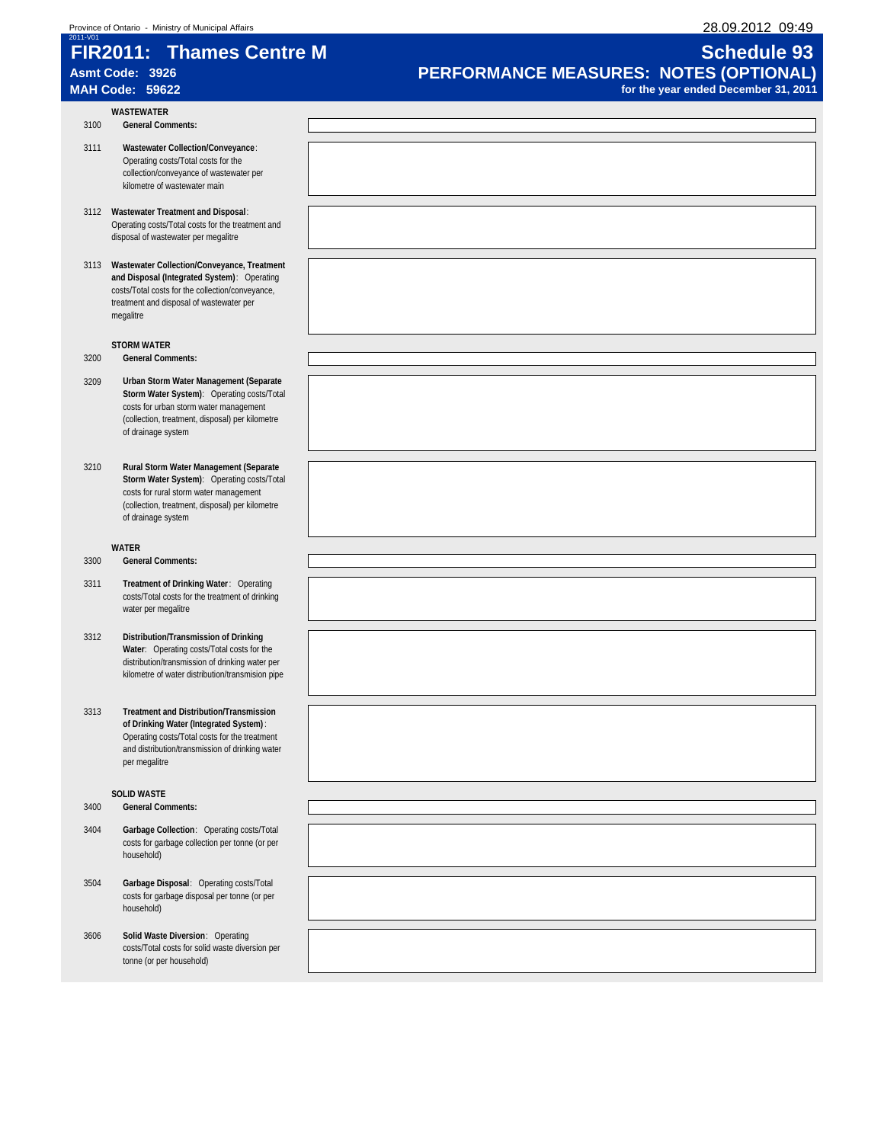# **FIR2011: Thames Centre M Schedule 93**

- **WASTEWATER** 3100 **General Comments:**
- 3111 **Wastewater Collection/Conveyance**: Operating costs/Total costs for the collection/conveyance of wastewater per kilometre of wastewater main
- 3112 **Wastewater Treatment and Disposal**: Operating costs/Total costs for the treatment and disposal of wastewater per megalitre
- 3113 **Wastewater Collection/Conveyance, Treatment and Disposal (Integrated System)**: Operating costs/Total costs for the collection/conveyance, treatment and disposal of wastewater per megalitre

### **STORM WATER**

- 3200 **General Comments:**
- 3209 **Urban Storm Water Management (Separate Storm Water System)**: Operating costs/Total costs for urban storm water management (collection, treatment, disposal) per kilometre of drainage system
- 3210 **Rural Storm Water Management (Separate Storm Water System)**: Operating costs/Total costs for rural storm water management (collection, treatment, disposal) per kilometre of drainage system

### **WATER**

- 3300 **General Comments:**
- 3311 **Treatment of Drinking Water**: Operating costs/Total costs for the treatment of drinking water per megalitre
- 3312 **Distribution/Transmission of Drinking Water**: Operating costs/Total costs for the distribution/transmission of drinking water per kilometre of water distribution/transmision pipe
- 3313 **Treatment and Distribution/Transmission of Drinking Water (Integrated System)** : Operating costs/Total costs for the treatment and distribution/transmission of drinking water per megalitre

### **SOLID WASTE**

3400 **General Comments:**

- 3404 **Garbage Collection**: Operating costs/Total costs for garbage collection per tonne (or per household)
- 3504 **Garbage Disposal**: Operating costs/Total costs for garbage disposal per tonne (or per household)
- 3606 **Solid Waste Diversion**: Operating costs/Total costs for solid waste diversion per tonne (or per household)

# Asmt Code: 3926<br> **PERFORMANCE MEASURES: NOTES (OPTIONAL)**<br>
for the year ended December 31, 2011 for the year ended December 31, 2011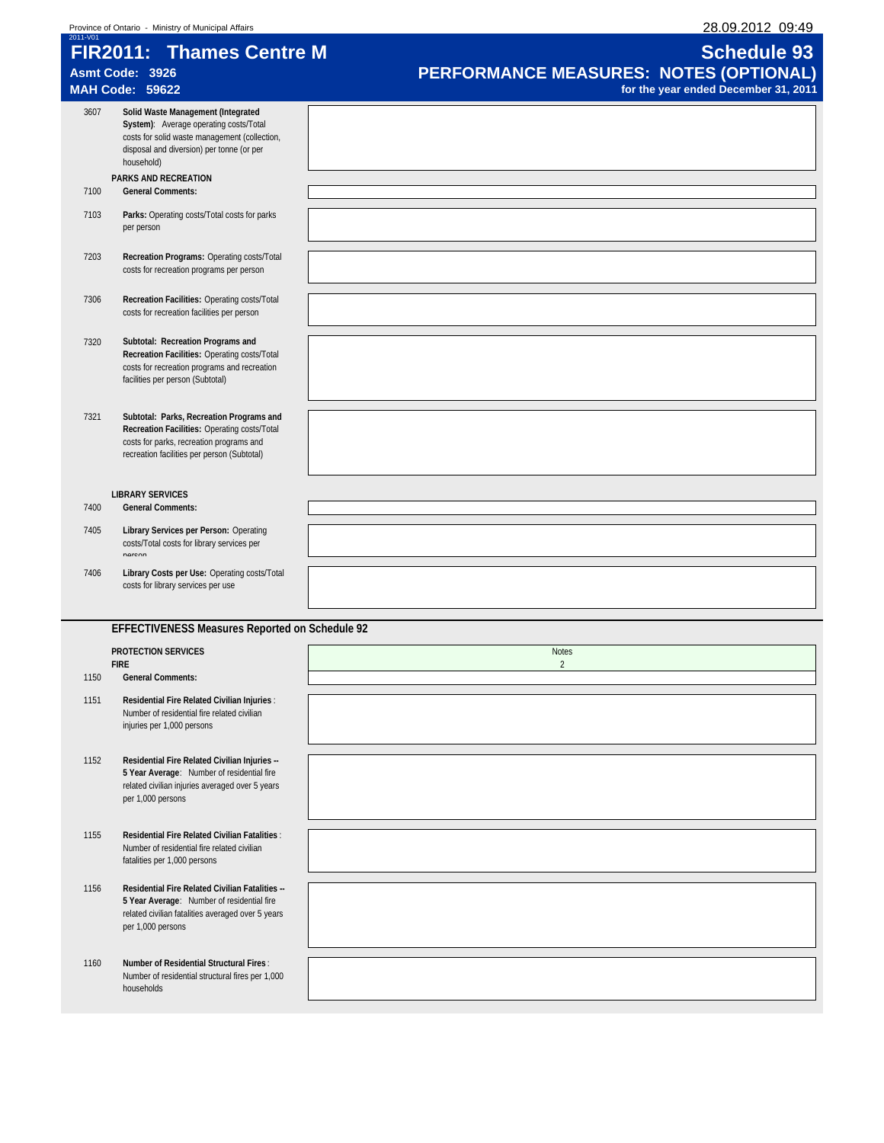| 2011-V01 | Province of Ontario - Ministry of Municipal Affairs                                                                                                                                      | 28.09.2012 09:49                                                               |
|----------|------------------------------------------------------------------------------------------------------------------------------------------------------------------------------------------|--------------------------------------------------------------------------------|
|          | <b>FIR2011: Thames Centre M</b>                                                                                                                                                          | <b>Schedule 93</b>                                                             |
|          | Asmt Code: 3926<br><b>MAH Code: 59622</b>                                                                                                                                                | PERFORMANCE MEASURES: NOTES (OPTIONAL)<br>for the year ended December 31, 2011 |
| 3607     | Solid Waste Management (Integrated<br>System): Average operating costs/Total<br>costs for solid waste management (collection,<br>disposal and diversion) per tonne (or per<br>household) |                                                                                |
| 7100     | PARKS AND RECREATION<br><b>General Comments:</b>                                                                                                                                         |                                                                                |
| 7103     | Parks: Operating costs/Total costs for parks<br>per person                                                                                                                               |                                                                                |
| 7203     | Recreation Programs: Operating costs/Total<br>costs for recreation programs per person                                                                                                   |                                                                                |
| 7306     | Recreation Facilities: Operating costs/Total<br>costs for recreation facilities per person                                                                                               |                                                                                |
| 7320     | Subtotal: Recreation Programs and<br>Recreation Facilities: Operating costs/Total<br>costs for recreation programs and recreation<br>facilities per person (Subtotal)                    |                                                                                |
| 7321     | Subtotal: Parks, Recreation Programs and<br>Recreation Facilities: Operating costs/Total<br>costs for parks, recreation programs and<br>recreation facilities per person (Subtotal)      |                                                                                |
| 7400     | <b>LIBRARY SERVICES</b><br><b>General Comments:</b>                                                                                                                                      |                                                                                |
| 7405     | Library Services per Person: Operating<br>costs/Total costs for library services per<br>norcon                                                                                           |                                                                                |
| 7406     | Library Costs per Use: Operating costs/Total<br>costs for library services per use                                                                                                       |                                                                                |
|          | EFFECTIVENESS Measures Reported on Schedule 92                                                                                                                                           |                                                                                |
|          | <b>PROTECTION SERVICES</b>                                                                                                                                                               | <b>Notes</b>                                                                   |
| 1150     | <b>FIRE</b><br><b>General Comments:</b>                                                                                                                                                  | $\mathfrak{D}$                                                                 |
| 1151     | Residential Fire Related Civilian Injuries :<br>Number of residential fire related civilian<br>injuries per 1,000 persons                                                                |                                                                                |
| 1152     | Residential Fire Related Civilian Injuries --<br>5 Year Average: Number of residential fire<br>related civilian injuries averaged over 5 years<br>per 1,000 persons                      |                                                                                |
| 1155     | <b>Residential Fire Related Civilian Fatalities:</b><br>Number of residential fire related civilian<br>fatalities per 1,000 persons                                                      |                                                                                |
| 1156     | Residential Fire Related Civilian Fatalities --<br>5 Year Average: Number of residential fire<br>related civilian fatalities averaged over 5 years<br>per 1,000 persons                  |                                                                                |
| 1160     | <b>Number of Residential Structural Fires:</b><br>Number of residential structural fires per 1,000<br>households                                                                         |                                                                                |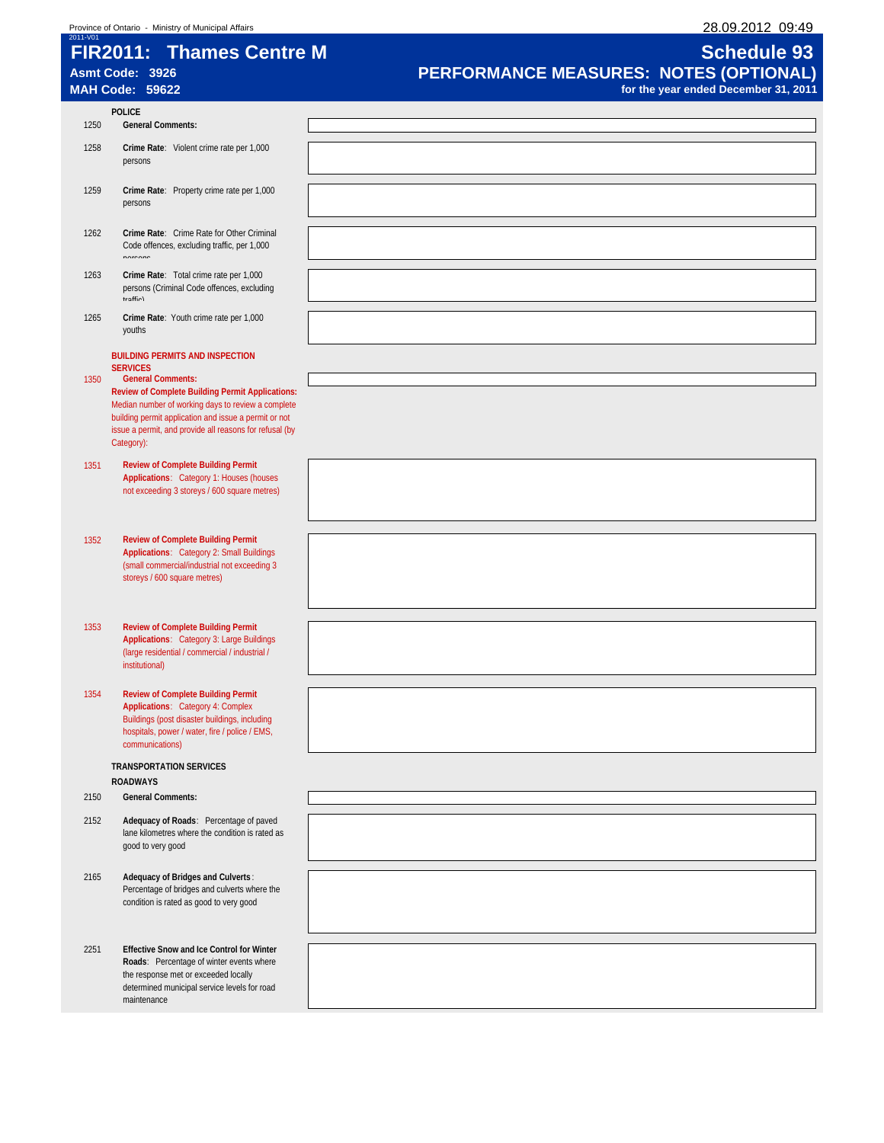# Province of Ontario - Ministry of Municipal Affairs 28.09.2012 09:49<br>
28.09.2012 09:49 2011-V01<br> **FIR2011: Thames Centre M FIR2011: Thames Centre M**<br>Asmt Code: 3926

# **Asmt Code: 3926 PERFORMANCE MEASURES: NOTES (OPTIONAL) MAH Code: 59622 for the year ended December 31, 2011**

| 1250 | <b>POLICE</b><br><b>General Comments:</b>                                                                     |  |
|------|---------------------------------------------------------------------------------------------------------------|--|
|      |                                                                                                               |  |
| 1258 | Crime Rate: Violent crime rate per 1,000<br>persons                                                           |  |
| 1259 | Crime Rate: Property crime rate per 1,000                                                                     |  |
|      | persons                                                                                                       |  |
| 1262 | Crime Rate: Crime Rate for Other Criminal                                                                     |  |
|      | Code offences, excluding traffic, per 1,000<br>norcone                                                        |  |
| 1263 | Crime Rate: Total crime rate per 1,000                                                                        |  |
|      | persons (Criminal Code offences, excluding<br>traffio)                                                        |  |
| 1265 | Crime Rate: Youth crime rate per 1,000                                                                        |  |
|      | youths                                                                                                        |  |
|      | <b>BUILDING PERMITS AND INSPECTION</b><br><b>SERVICES</b>                                                     |  |
| 1350 | <b>General Comments:</b>                                                                                      |  |
|      | <b>Review of Complete Building Permit Applications:</b><br>Median number of working days to review a complete |  |
|      | building permit application and issue a permit or not                                                         |  |
|      | issue a permit, and provide all reasons for refusal (by<br>Category):                                         |  |
| 1351 | <b>Review of Complete Building Permit</b>                                                                     |  |
|      | Applications: Category 1: Houses (houses                                                                      |  |
|      | not exceeding 3 storeys / 600 square metres)                                                                  |  |
|      |                                                                                                               |  |
| 1352 | <b>Review of Complete Building Permit</b>                                                                     |  |
|      | Applications: Category 2: Small Buildings                                                                     |  |
|      | (small commercial/industrial not exceeding 3<br>storeys / 600 square metres)                                  |  |
|      |                                                                                                               |  |
|      |                                                                                                               |  |
| 1353 | <b>Review of Complete Building Permit</b><br>Applications: Category 3: Large Buildings                        |  |
|      | (large residential / commercial / industrial /                                                                |  |
|      | institutional)                                                                                                |  |
| 1354 | <b>Review of Complete Building Permit</b>                                                                     |  |
|      | Applications: Category 4: Complex<br>Buildings (post disaster buildings, including                            |  |
|      | hospitals, power / water, fire / police / EMS,                                                                |  |
|      | communications)                                                                                               |  |
|      | <b>TRANSPORTATION SERVICES</b>                                                                                |  |
| 2150 | <b>ROADWAYS</b><br><b>General Comments:</b>                                                                   |  |
|      |                                                                                                               |  |
| 2152 | Adequacy of Roads: Percentage of paved<br>lane kilometres where the condition is rated as                     |  |
|      | good to very good                                                                                             |  |
| 2165 | Adequacy of Bridges and Culverts:                                                                             |  |
|      | Percentage of bridges and culverts where the                                                                  |  |
|      | condition is rated as good to very good                                                                       |  |
|      |                                                                                                               |  |
| 2251 | Effective Snow and Ice Control for Winter                                                                     |  |
|      | Roads: Percentage of winter events where                                                                      |  |
|      | the response met or exceeded locally<br>determined municipal service levels for road                          |  |
|      | maintenance                                                                                                   |  |
|      |                                                                                                               |  |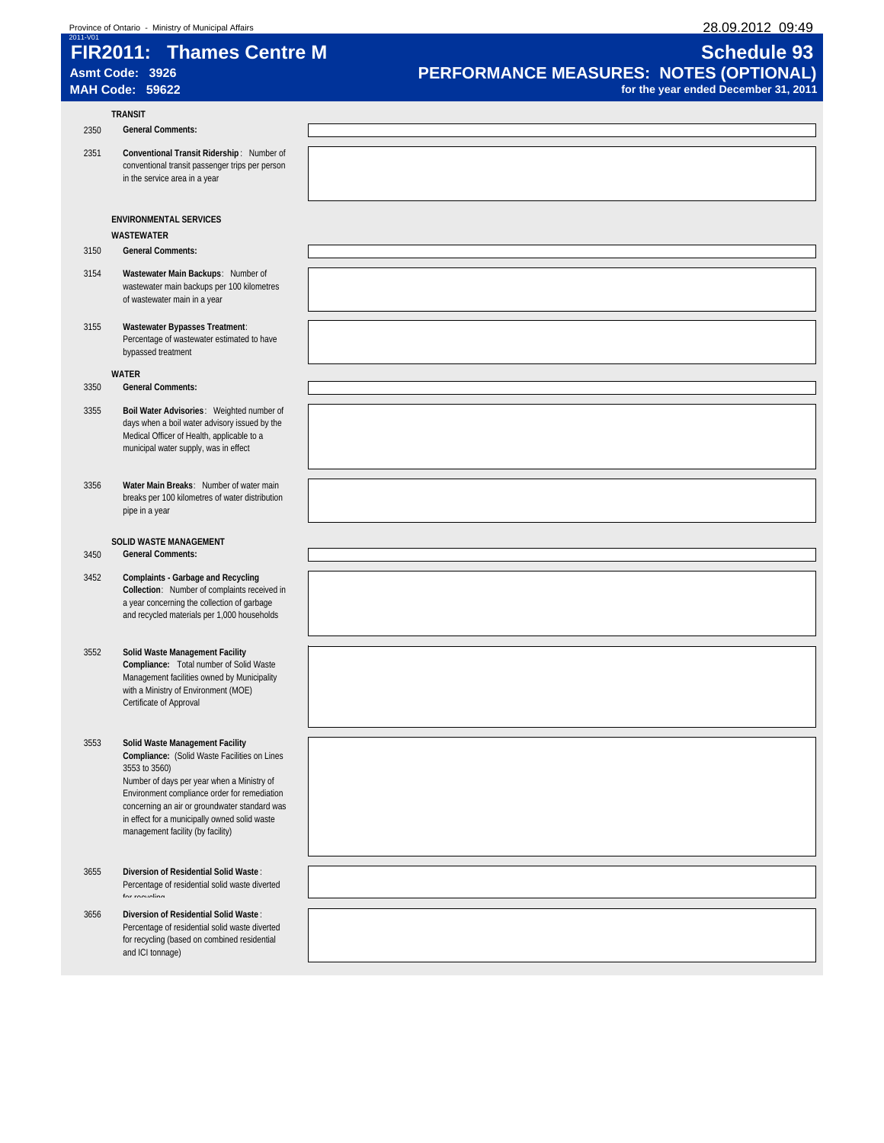# Province of Ontario - Ministry of Municipal Affairs 28.09.2012 09:49<br>
28.09.2012 09:49 2011-V01<br> **FIR2011: Thames Centre M FIR2011: Thames Centre M**<br>Asmt Code: 3926

# **Asmt Code: 3926 PERFORMANCE MEASURES: NOTES (OPTIONAL) MAH Code: 59622 for the year ended December 31, 2011**

|      | <b>TRANSIT</b>                                                                                                                                                                                                                                                                                                                        |  |
|------|---------------------------------------------------------------------------------------------------------------------------------------------------------------------------------------------------------------------------------------------------------------------------------------------------------------------------------------|--|
| 2350 | <b>General Comments:</b>                                                                                                                                                                                                                                                                                                              |  |
| 2351 | Conventional Transit Ridership: Number of<br>conventional transit passenger trips per person<br>in the service area in a year                                                                                                                                                                                                         |  |
|      | <b>ENVIRONMENTAL SERVICES</b><br><b>WASTEWATER</b>                                                                                                                                                                                                                                                                                    |  |
| 3150 | <b>General Comments:</b>                                                                                                                                                                                                                                                                                                              |  |
| 3154 | Wastewater Main Backups: Number of<br>wastewater main backups per 100 kilometres<br>of wastewater main in a year                                                                                                                                                                                                                      |  |
| 3155 | Wastewater Bypasses Treatment:<br>Percentage of wastewater estimated to have<br>bypassed treatment                                                                                                                                                                                                                                    |  |
| 3350 | WATER<br><b>General Comments:</b>                                                                                                                                                                                                                                                                                                     |  |
| 3355 | Boil Water Advisories: Weighted number of<br>days when a boil water advisory issued by the<br>Medical Officer of Health, applicable to a<br>municipal water supply, was in effect                                                                                                                                                     |  |
| 3356 | Water Main Breaks: Number of water main<br>breaks per 100 kilometres of water distribution<br>pipe in a year                                                                                                                                                                                                                          |  |
| 3450 | SOLID WASTE MANAGEMENT<br><b>General Comments:</b>                                                                                                                                                                                                                                                                                    |  |
| 3452 | <b>Complaints - Garbage and Recycling</b><br>Collection: Number of complaints received in<br>a year concerning the collection of garbage<br>and recycled materials per 1,000 households                                                                                                                                               |  |
| 3552 | Solid Waste Management Facility<br>Compliance: Total number of Solid Waste<br>Management facilities owned by Municipality<br>with a Ministry of Environment (MOE)<br>Certificate of Approval                                                                                                                                          |  |
| 3553 | Solid Waste Management Facility<br>Compliance: (Solid Waste Facilities on Lines<br>3553 to 3560)<br>Number of days per year when a Ministry of<br>Environment compliance order for remediation<br>concerning an air or groundwater standard was<br>in effect for a municipally owned solid waste<br>management facility (by facility) |  |
| 3655 | Diversion of Residential Solid Waste:<br>Percentage of residential solid waste diverted<br>for roounling                                                                                                                                                                                                                              |  |
| 3656 | Diversion of Residential Solid Waste:<br>Percentage of residential solid waste diverted<br>for recycling (based on combined residential<br>and ICI tonnage)                                                                                                                                                                           |  |
|      |                                                                                                                                                                                                                                                                                                                                       |  |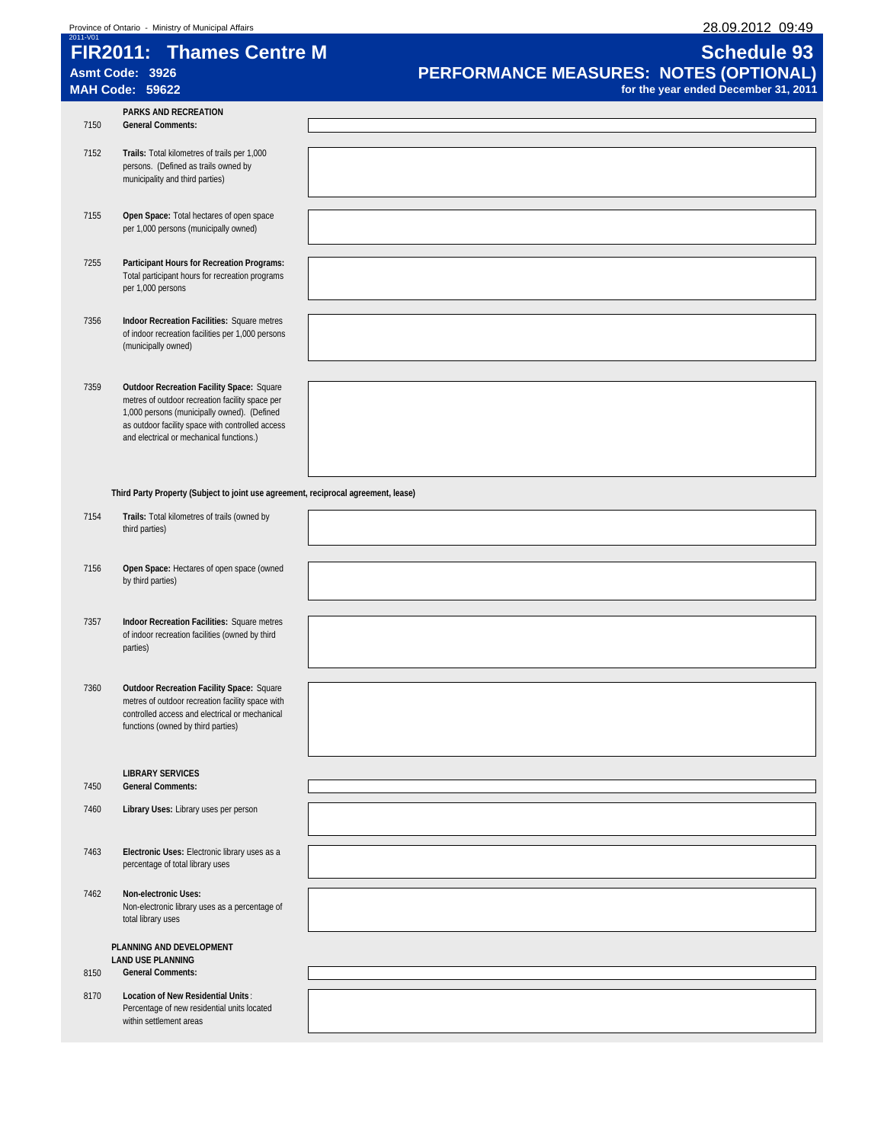| 2011-V01 | 28.09.2012 09:49<br>Province of Ontario - Ministry of Municipal Affairs                                                                                                                                                                            |                                                              |  |  |  |  |  |
|----------|----------------------------------------------------------------------------------------------------------------------------------------------------------------------------------------------------------------------------------------------------|--------------------------------------------------------------|--|--|--|--|--|
|          | <b>FIR2011: Thames Centre M</b><br>Asmt Code: 3926                                                                                                                                                                                                 | <b>Schedule 93</b><br>PERFORMANCE MEASURES: NOTES (OPTIONAL) |  |  |  |  |  |
|          | <b>MAH Code: 59622</b>                                                                                                                                                                                                                             | for the year ended December 31, 2011                         |  |  |  |  |  |
| 7150     | PARKS AND RECREATION<br><b>General Comments:</b>                                                                                                                                                                                                   |                                                              |  |  |  |  |  |
| 7152     | Trails: Total kilometres of trails per 1,000<br>persons. (Defined as trails owned by<br>municipality and third parties)                                                                                                                            |                                                              |  |  |  |  |  |
| 7155     | Open Space: Total hectares of open space<br>per 1,000 persons (municipally owned)                                                                                                                                                                  |                                                              |  |  |  |  |  |
| 7255     | Participant Hours for Recreation Programs:<br>Total participant hours for recreation programs<br>per 1,000 persons                                                                                                                                 |                                                              |  |  |  |  |  |
| 7356     | Indoor Recreation Facilities: Square metres<br>of indoor recreation facilities per 1,000 persons<br>(municipally owned)                                                                                                                            |                                                              |  |  |  |  |  |
| 7359     | <b>Outdoor Recreation Facility Space: Square</b><br>metres of outdoor recreation facility space per<br>1,000 persons (municipally owned). (Defined<br>as outdoor facility space with controlled access<br>and electrical or mechanical functions.) |                                                              |  |  |  |  |  |
|          | Third Party Property (Subject to joint use agreement, reciprocal agreement, lease)                                                                                                                                                                 |                                                              |  |  |  |  |  |
| 7154     | Trails: Total kilometres of trails (owned by<br>third parties)                                                                                                                                                                                     |                                                              |  |  |  |  |  |
| 7156     | Open Space: Hectares of open space (owned<br>by third parties)                                                                                                                                                                                     |                                                              |  |  |  |  |  |
| 7357     | Indoor Recreation Facilities: Square metres<br>of indoor recreation facilities (owned by third<br>parties)                                                                                                                                         |                                                              |  |  |  |  |  |
| 7360     | <b>Outdoor Recreation Facility Space: Square</b><br>metres of outdoor recreation facility space with<br>controlled access and electrical or mechanical<br>functions (owned by third parties)                                                       |                                                              |  |  |  |  |  |
| 7450     | <b>LIBRARY SERVICES</b><br><b>General Comments:</b>                                                                                                                                                                                                |                                                              |  |  |  |  |  |
| 7460     | Library Uses: Library uses per person                                                                                                                                                                                                              |                                                              |  |  |  |  |  |
| 7463     | Electronic Uses: Electronic library uses as a<br>percentage of total library uses                                                                                                                                                                  |                                                              |  |  |  |  |  |
| 7462     | Non-electronic Uses:<br>Non-electronic library uses as a percentage of<br>total library uses                                                                                                                                                       |                                                              |  |  |  |  |  |
| 8150     | PLANNING AND DEVELOPMENT<br><b>LAND USE PLANNING</b><br><b>General Comments:</b>                                                                                                                                                                   |                                                              |  |  |  |  |  |
| 8170     | Location of New Residential Units:<br>Percentage of new residential units located<br>within settlement areas                                                                                                                                       |                                                              |  |  |  |  |  |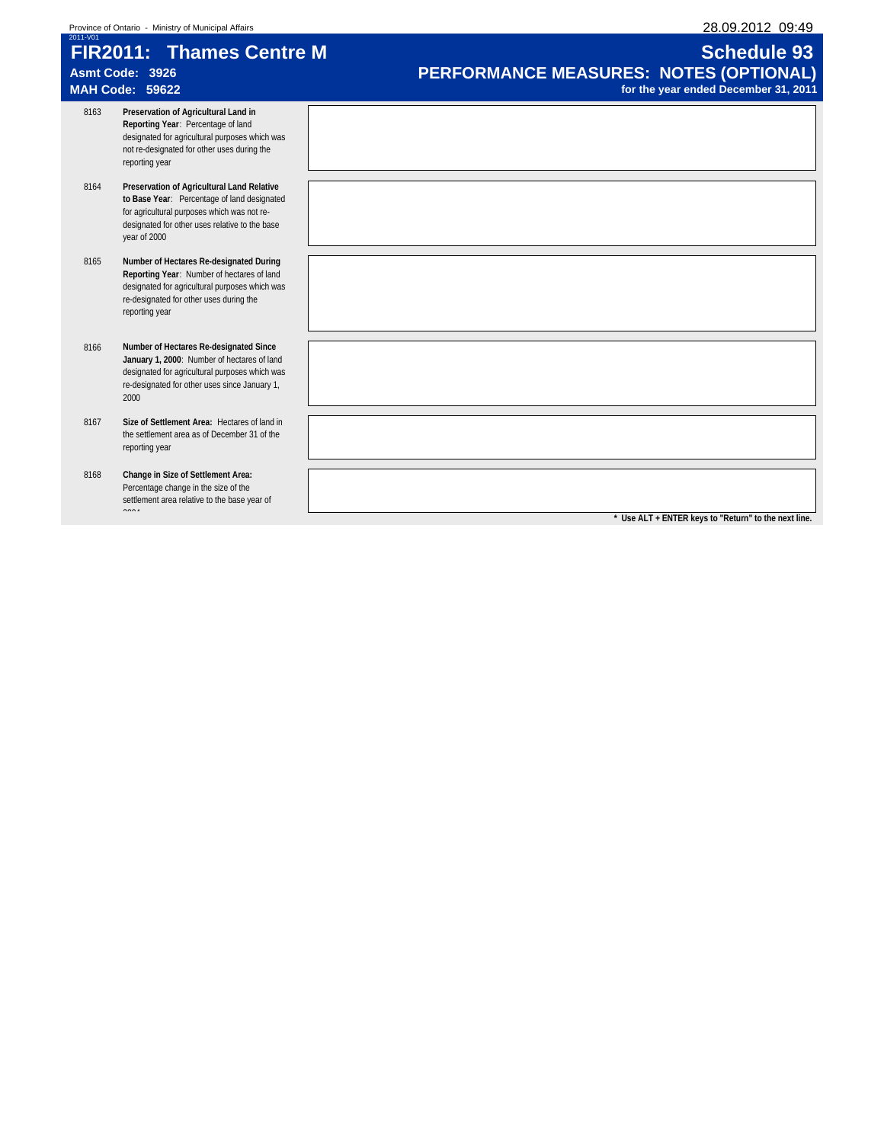| 2011-V01 | <b>FIR2011: Thames Centre M</b><br>Asmt Code: 3926<br><b>MAH Code: 59622</b>                                                                                                                               | <b>Schedule 93</b><br>PERFORMANCE MEASURES: NOTES (OPTIONAL)<br>for the year ended December 31, 2011 |
|----------|------------------------------------------------------------------------------------------------------------------------------------------------------------------------------------------------------------|------------------------------------------------------------------------------------------------------|
| 8163     | Preservation of Agricultural Land in<br>Reporting Year: Percentage of land<br>designated for agricultural purposes which was<br>not re-designated for other uses during the<br>reporting year              |                                                                                                      |
| 8164     | Preservation of Agricultural Land Relative<br>to Base Year: Percentage of land designated<br>for agricultural purposes which was not re-<br>designated for other uses relative to the base<br>year of 2000 |                                                                                                      |
| 8165     | Number of Hectares Re-designated During<br>Reporting Year: Number of hectares of land<br>designated for agricultural purposes which was<br>re-designated for other uses during the<br>reporting year       |                                                                                                      |
| 8166     | Number of Hectares Re-designated Since<br>January 1, 2000: Number of hectares of land<br>designated for agricultural purposes which was<br>re-designated for other uses since January 1,<br>2000           |                                                                                                      |
| 8167     | Size of Settlement Area: Hectares of land in<br>the settlement area as of December 31 of the<br>reporting year                                                                                             |                                                                                                      |
| 8168     | Change in Size of Settlement Area:<br>Percentage change in the size of the<br>settlement area relative to the base year of<br>2001                                                                         | * Use ALT + ENTER keys to "Return" to the next line.                                                 |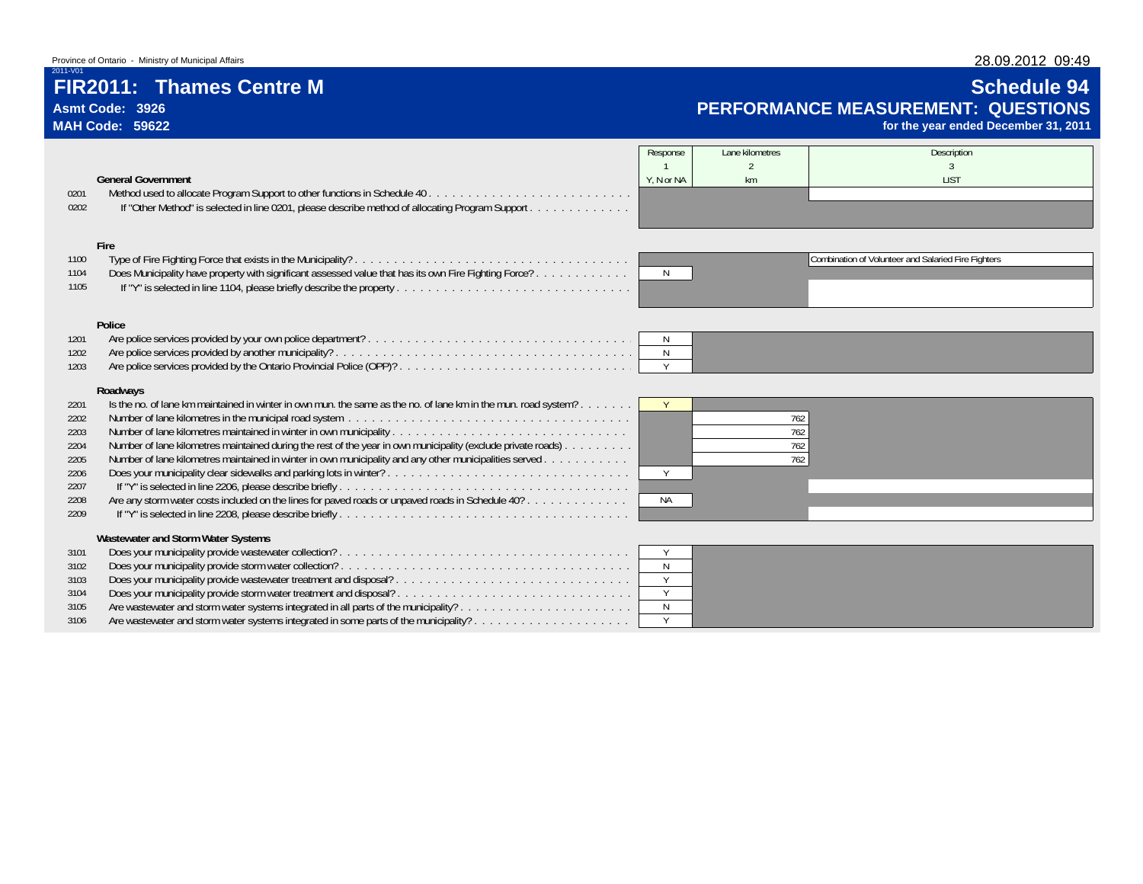# **FIR2011: Thames Centre M Schedule 94**

**Asmt Code: 3926MAH Code: 59622**

2011-V01

# **Schedule 94 PERFORMANCE MEASUREMENT: QUESTIONS**

**for the year ended December 31, 2011**

|      |                                                                                                                | Response     | Lane kilometres | Description                                         |
|------|----------------------------------------------------------------------------------------------------------------|--------------|-----------------|-----------------------------------------------------|
|      |                                                                                                                |              |                 |                                                     |
|      | <b>General Government</b>                                                                                      | Y, N or NA   | km              | <b>LIST</b>                                         |
| 0201 |                                                                                                                |              |                 |                                                     |
| 0202 | If "Other Method" is selected in line 0201, please describe method of allocating Program Support               |              |                 |                                                     |
|      |                                                                                                                |              |                 |                                                     |
|      |                                                                                                                |              |                 |                                                     |
|      | Fire                                                                                                           |              |                 |                                                     |
| 1100 |                                                                                                                |              |                 | Combination of Volunteer and Salaried Fire Fighters |
| 1104 | Does Municipality have property with significant assessed value that has its own Fire Fighting Force?          | N            |                 |                                                     |
| 1105 |                                                                                                                |              |                 |                                                     |
|      |                                                                                                                |              |                 |                                                     |
|      |                                                                                                                |              |                 |                                                     |
|      | Police                                                                                                         |              |                 |                                                     |
| 1201 |                                                                                                                | N            |                 |                                                     |
| 1202 |                                                                                                                | N            |                 |                                                     |
| 1203 |                                                                                                                | Y            |                 |                                                     |
|      | Roadways                                                                                                       |              |                 |                                                     |
| 2201 | Is the no. of lane km maintained in winter in own mun, the same as the no. of lane km in the mun, road system? |              |                 |                                                     |
| 2202 |                                                                                                                |              | 762             |                                                     |
| 2203 | Number of lane kilometres maintained in winter in own municipality                                             |              | 762             |                                                     |
| 2204 | Number of lane kilometres maintained during the rest of the year in own municipality (exclude private roads)   |              | 762             |                                                     |
| 2205 | Number of lane kilometres maintained in winter in own municipality and any other municipalities served         |              | 762             |                                                     |
| 2206 |                                                                                                                | Y            |                 |                                                     |
| 2207 |                                                                                                                |              |                 |                                                     |
| 2208 | Are any storm water costs included on the lines for paved roads or unpaved roads in Schedule 40?               | <b>NA</b>    |                 |                                                     |
| 2209 |                                                                                                                |              |                 |                                                     |
|      |                                                                                                                |              |                 |                                                     |
|      | Wastewater and Storm Water Systems                                                                             |              |                 |                                                     |
| 3101 |                                                                                                                | Y            |                 |                                                     |
| 3102 |                                                                                                                | $\mathbb N$  |                 |                                                     |
| 3103 |                                                                                                                | Y            |                 |                                                     |
| 3104 |                                                                                                                | Y            |                 |                                                     |
| 3105 |                                                                                                                | $\mathsf{N}$ |                 |                                                     |
| 3106 | Are wastewater and storm water systems integrated in some parts of the municipality?                           | Y            |                 |                                                     |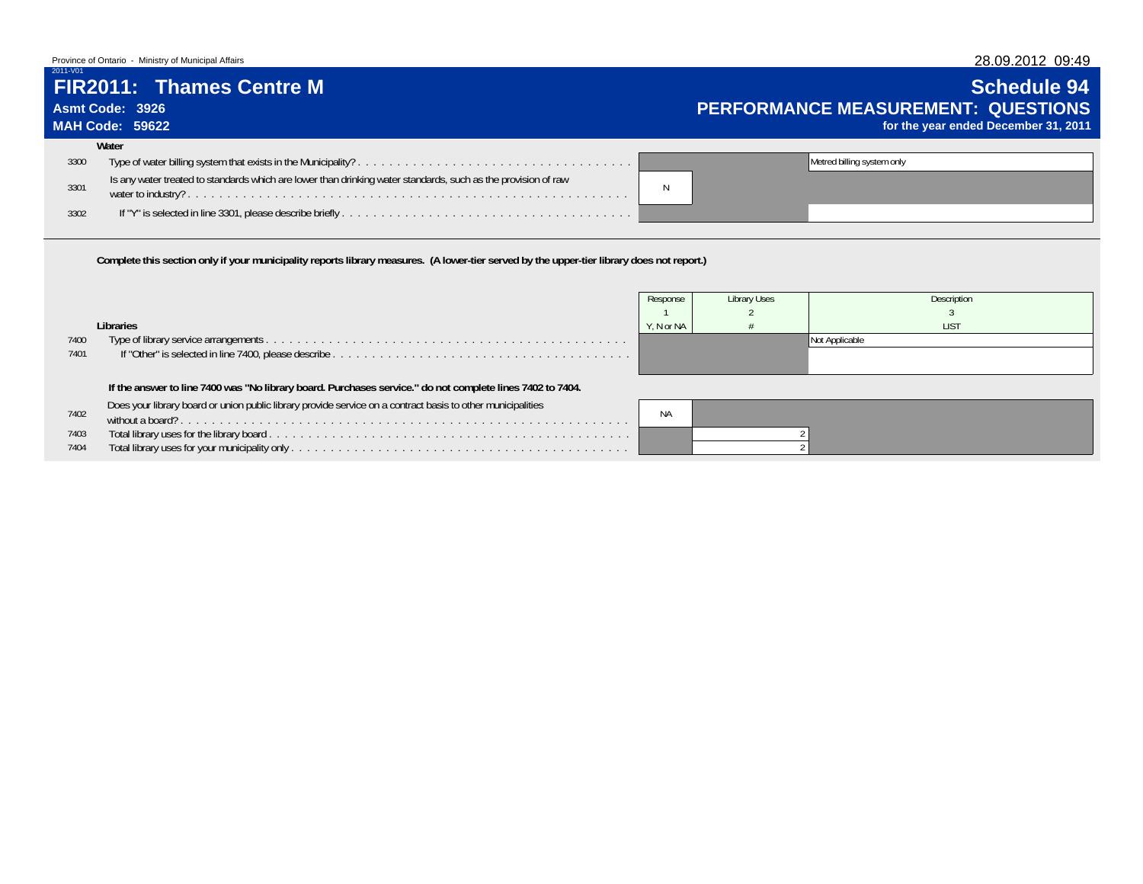### Province of Ontario - Ministry of Municipal Affairs

# **Asmt Code: 3926**

### **MAH Code: 59622**

2011-V01

### **FIR2011: Thames Centre M Schedule 94Schedule 94 PERFORMANCE MEASUREMENT: QUESTIONSfor the year ended December 31, 2011**

|      | Water                                                                                                         |                            |
|------|---------------------------------------------------------------------------------------------------------------|----------------------------|
| 3300 |                                                                                                               | Metred billing system only |
| 3301 | Is any water treated to standards which are lower than drinking water standards, such as the provision of raw |                            |
| 3302 |                                                                                                               |                            |

**Complete this section only if your municipality reports library measures. (A lower-tier served by the upper-tier library does not report.)**

|      |                                                                                                             | Response   | Library Uses | Description    |
|------|-------------------------------------------------------------------------------------------------------------|------------|--------------|----------------|
|      |                                                                                                             |            |              |                |
|      | Libraries                                                                                                   | Y. N or NA |              | <b>LIST</b>    |
| 7400 |                                                                                                             |            |              | Not Applicable |
| 7401 |                                                                                                             |            |              |                |
|      |                                                                                                             |            |              |                |
|      | If the answer to line 7400 was "No library board. Purchases service." do not complete lines 7402 to 7404.   |            |              |                |
|      | Does your library board or union public library provide service on a contract basis to other municipalities |            |              |                |
| 7402 |                                                                                                             | <b>NA</b>  |              |                |
| 7403 |                                                                                                             |            |              |                |
| 7404 |                                                                                                             |            |              |                |
|      |                                                                                                             |            |              |                |

## 28.09.2012 09:49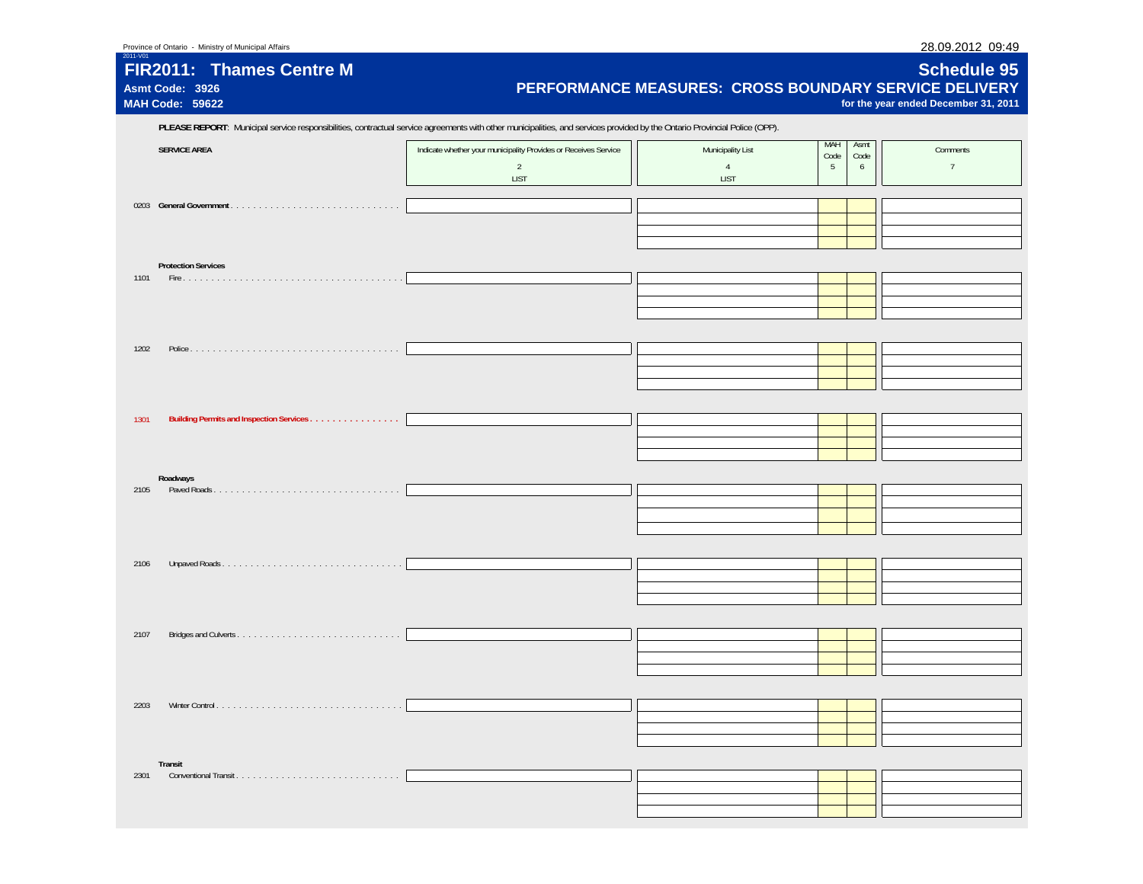| FIR2011: Thames Centre M<br>Asmt Code: 3926<br>MAH Code: 59622 | PERFORMANCE MEASURES: CROSS BOUNDARY SERVICE DELIVERY                                                                                                                      |                                     |                  |                   | <b>Schedule 95</b><br>for the year ended December 31, 2011 |
|----------------------------------------------------------------|----------------------------------------------------------------------------------------------------------------------------------------------------------------------------|-------------------------------------|------------------|-------------------|------------------------------------------------------------|
|                                                                | PLEASE REPORT: Municipal service responsibilities, contractual service agreements with other municipalities, and services provided by the Ontario Provincial Police (OPP). |                                     |                  |                   |                                                            |
| <b>SERVICE AREA</b>                                            | Indicate whether your municipality Provides or Receives Service<br>$\overline{2}$                                                                                          | Municipality List<br>$\overline{4}$ | MAH<br>Code<br>5 | Asmt<br>Code<br>6 | Comments<br>$7\overline{ }$                                |
|                                                                | <b>LIST</b>                                                                                                                                                                | <b>LIST</b>                         |                  |                   |                                                            |
|                                                                |                                                                                                                                                                            |                                     |                  |                   |                                                            |
|                                                                |                                                                                                                                                                            |                                     |                  |                   |                                                            |
|                                                                |                                                                                                                                                                            |                                     |                  |                   |                                                            |
| <b>Protection Services</b><br>1101                             |                                                                                                                                                                            |                                     |                  |                   |                                                            |
|                                                                |                                                                                                                                                                            |                                     |                  |                   |                                                            |
|                                                                |                                                                                                                                                                            |                                     |                  |                   |                                                            |
| 1202                                                           |                                                                                                                                                                            |                                     |                  |                   |                                                            |
|                                                                |                                                                                                                                                                            |                                     |                  |                   |                                                            |
|                                                                |                                                                                                                                                                            |                                     |                  |                   |                                                            |
|                                                                |                                                                                                                                                                            |                                     |                  |                   |                                                            |
| 1301                                                           |                                                                                                                                                                            |                                     |                  |                   |                                                            |
|                                                                |                                                                                                                                                                            |                                     |                  |                   |                                                            |
| Roadways                                                       |                                                                                                                                                                            |                                     |                  |                   |                                                            |
| 2105                                                           |                                                                                                                                                                            |                                     |                  |                   |                                                            |
|                                                                |                                                                                                                                                                            |                                     |                  |                   |                                                            |
|                                                                |                                                                                                                                                                            |                                     |                  |                   |                                                            |
| 2106                                                           |                                                                                                                                                                            |                                     |                  |                   |                                                            |
|                                                                |                                                                                                                                                                            |                                     |                  |                   |                                                            |
|                                                                |                                                                                                                                                                            |                                     |                  |                   |                                                            |
|                                                                |                                                                                                                                                                            |                                     |                  |                   |                                                            |
| 2107                                                           |                                                                                                                                                                            |                                     |                  |                   |                                                            |
|                                                                |                                                                                                                                                                            |                                     |                  |                   |                                                            |
|                                                                |                                                                                                                                                                            |                                     |                  |                   |                                                            |
| 2203                                                           |                                                                                                                                                                            |                                     |                  |                   |                                                            |
|                                                                |                                                                                                                                                                            |                                     |                  |                   |                                                            |
|                                                                |                                                                                                                                                                            |                                     |                  |                   |                                                            |
| Transit<br>2301                                                |                                                                                                                                                                            |                                     |                  |                   |                                                            |
|                                                                |                                                                                                                                                                            |                                     |                  |                   |                                                            |
|                                                                |                                                                                                                                                                            |                                     |                  |                   |                                                            |

2011-V01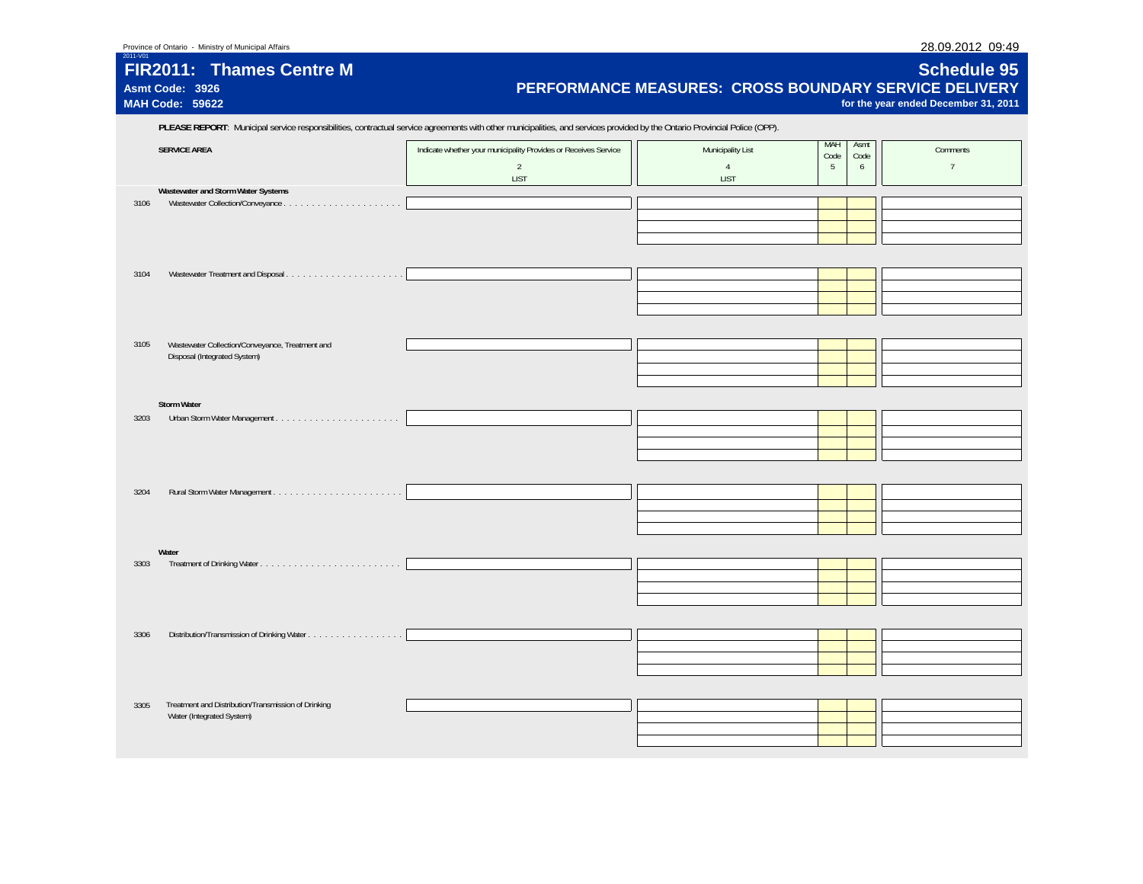**MAH Code: 59622**

2011-V01

## **FIR2011: Thames Centre MAsmt Code: 3926**

## **Schedule 95 PERFORMANCE MEASURES: CROSS BOUNDARY SERVICE DELIVERY**

**for the year ended December 31, 2011**

|      | PLEASE REPORT: Municipal service responsibilities, contractual service agreements with other municipalities, and services provided by the Ontario Provincial Police (OPP). |                                                                                                  |                                             |                  |                   |                             |
|------|----------------------------------------------------------------------------------------------------------------------------------------------------------------------------|--------------------------------------------------------------------------------------------------|---------------------------------------------|------------------|-------------------|-----------------------------|
|      | <b>SERVICE AREA</b>                                                                                                                                                        | Indicate whether your municipality Provides or Receives Service<br>$\overline{2}$<br><b>LIST</b> | Municipality List<br>$\overline{4}$<br>LIST | MAH<br>Code<br>5 | Asmt<br>Code<br>6 | Comments<br>$7\overline{ }$ |
|      | Wastewater and Storm Water Systems                                                                                                                                         |                                                                                                  |                                             |                  |                   |                             |
| 3106 |                                                                                                                                                                            |                                                                                                  |                                             |                  |                   |                             |
|      |                                                                                                                                                                            |                                                                                                  |                                             |                  |                   |                             |
|      |                                                                                                                                                                            |                                                                                                  |                                             |                  |                   |                             |
|      |                                                                                                                                                                            |                                                                                                  |                                             |                  |                   |                             |
|      |                                                                                                                                                                            |                                                                                                  |                                             |                  |                   |                             |
| 3104 |                                                                                                                                                                            |                                                                                                  |                                             |                  |                   |                             |
|      |                                                                                                                                                                            |                                                                                                  |                                             |                  |                   |                             |
|      |                                                                                                                                                                            |                                                                                                  |                                             |                  |                   |                             |
|      |                                                                                                                                                                            |                                                                                                  |                                             |                  |                   |                             |
|      |                                                                                                                                                                            |                                                                                                  |                                             |                  |                   |                             |
|      |                                                                                                                                                                            |                                                                                                  |                                             |                  |                   |                             |
| 3105 | Wastewater Collection/Conveyance, Treatment and                                                                                                                            |                                                                                                  |                                             |                  |                   |                             |
|      | Disposal (Integrated System)                                                                                                                                               |                                                                                                  |                                             |                  |                   |                             |
|      |                                                                                                                                                                            |                                                                                                  |                                             |                  |                   |                             |
|      |                                                                                                                                                                            |                                                                                                  |                                             |                  |                   |                             |
|      | Storm Water                                                                                                                                                                |                                                                                                  |                                             |                  |                   |                             |
| 3203 |                                                                                                                                                                            |                                                                                                  |                                             |                  |                   |                             |
|      |                                                                                                                                                                            |                                                                                                  |                                             |                  |                   |                             |
|      |                                                                                                                                                                            |                                                                                                  |                                             |                  |                   |                             |
|      |                                                                                                                                                                            |                                                                                                  |                                             |                  |                   |                             |
|      |                                                                                                                                                                            |                                                                                                  |                                             |                  |                   |                             |
| 3204 |                                                                                                                                                                            |                                                                                                  |                                             |                  |                   |                             |
|      |                                                                                                                                                                            |                                                                                                  |                                             |                  |                   |                             |
|      |                                                                                                                                                                            |                                                                                                  |                                             |                  |                   |                             |
|      |                                                                                                                                                                            |                                                                                                  |                                             |                  |                   |                             |
|      |                                                                                                                                                                            |                                                                                                  |                                             |                  |                   |                             |
|      | Water                                                                                                                                                                      |                                                                                                  |                                             |                  |                   |                             |
| 3303 |                                                                                                                                                                            |                                                                                                  |                                             |                  |                   |                             |
|      |                                                                                                                                                                            |                                                                                                  |                                             |                  |                   |                             |
|      |                                                                                                                                                                            |                                                                                                  |                                             |                  |                   |                             |
|      |                                                                                                                                                                            |                                                                                                  |                                             |                  |                   |                             |
|      |                                                                                                                                                                            |                                                                                                  |                                             |                  |                   |                             |
| 3306 |                                                                                                                                                                            |                                                                                                  |                                             |                  |                   |                             |
|      |                                                                                                                                                                            |                                                                                                  |                                             |                  |                   |                             |
|      |                                                                                                                                                                            |                                                                                                  |                                             |                  |                   |                             |
|      |                                                                                                                                                                            |                                                                                                  |                                             |                  |                   |                             |
|      |                                                                                                                                                                            |                                                                                                  |                                             |                  |                   |                             |
| 3305 | Treatment and Distribution/Transmission of Drinking                                                                                                                        |                                                                                                  |                                             |                  |                   |                             |
|      | Water (Integrated System)                                                                                                                                                  |                                                                                                  |                                             |                  |                   |                             |
|      |                                                                                                                                                                            |                                                                                                  |                                             |                  |                   |                             |
|      |                                                                                                                                                                            |                                                                                                  |                                             |                  |                   |                             |
|      |                                                                                                                                                                            |                                                                                                  |                                             |                  |                   |                             |